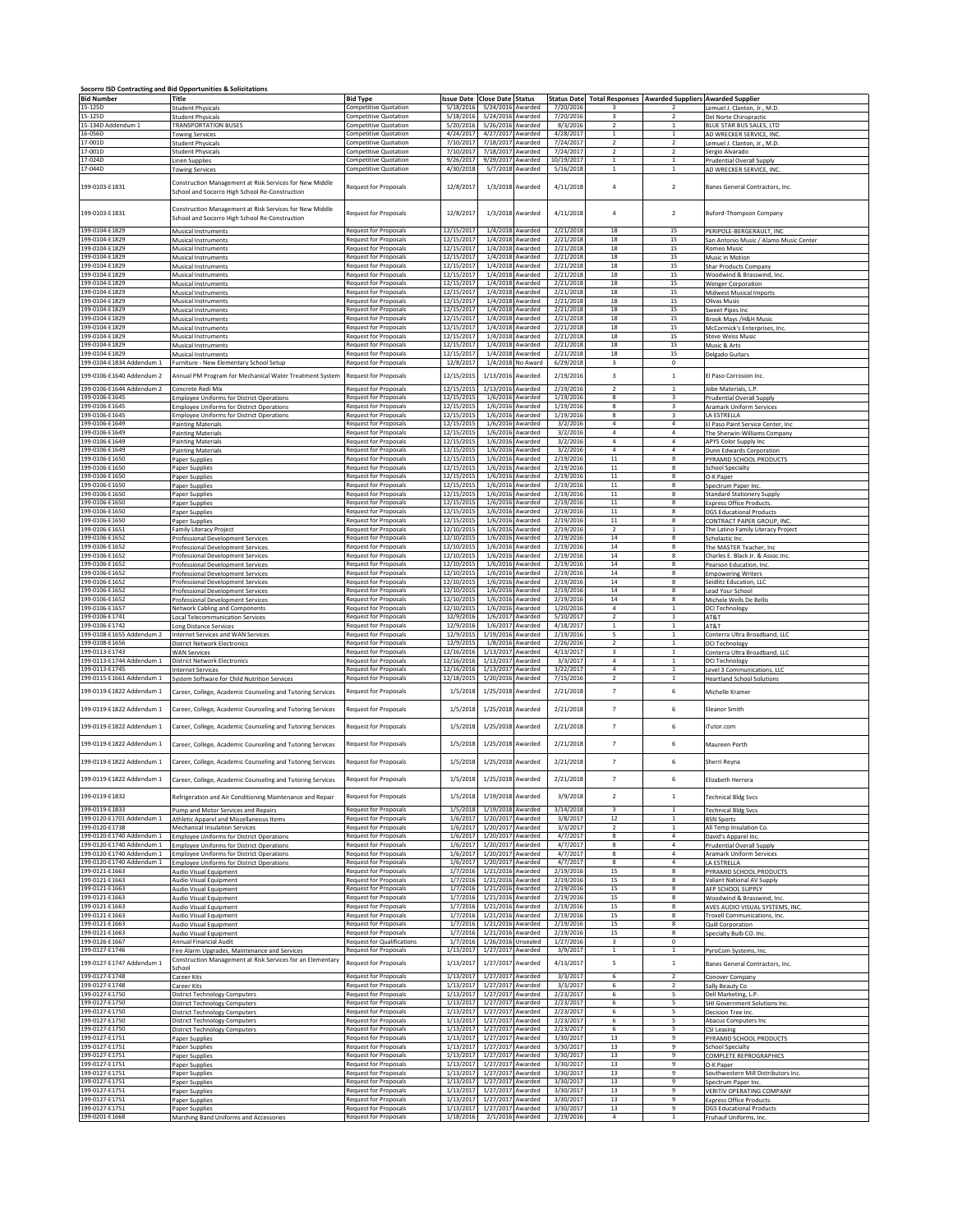|                                                        | Socorro ISD Contracting and Bid Opportunities & Solicitations                                                                       |                                                                   |                              |                                        |                                        |                        |                                           |                                                                    |                                                                   |
|--------------------------------------------------------|-------------------------------------------------------------------------------------------------------------------------------------|-------------------------------------------------------------------|------------------------------|----------------------------------------|----------------------------------------|------------------------|-------------------------------------------|--------------------------------------------------------------------|-------------------------------------------------------------------|
| <b>Bid Number</b>                                      | Title                                                                                                                               | <b>Bid Type</b>                                                   | Issue Date Close Date Status |                                        |                                        |                        |                                           | Status Date Total Responses   Awarded Suppliers   Awarded Supplier |                                                                   |
| 15-125D<br>15-125D                                     | <b>Student Physicals</b><br><b>Student Physicals</b>                                                                                | <b>Competitive Quotation</b><br><b>Competitive Quotation</b>      | 5/18/2016<br>5/18/2016       | 5/24/2016 Awarded<br>5/24/2016 Awarded |                                        | 7/20/2016<br>7/20/2016 | в<br>$\overline{\mathbf{3}}$              | $\overline{2}$                                                     | Lemuel J. Clanton, Jr., M.D.<br>Del Norte Chiropractic            |
| 15-134D Addendum 1<br>16-056D                          | TRANSPORTATION BUSES<br>owing Services                                                                                              | <b>Competitive Quotation</b><br>Competitive Quotation             | 5/20/2016<br>4/24/2017       | 5/26/2016 Awarded<br>4/27/2017 Awarded |                                        | 8/3/2016<br>4/28/2017  | $\overline{2}$<br>$\mathbf{1}$            | $\mathbf{1}$<br>$\mathbf{1}$                                       | BLUE STAR BUS SALES, LTD<br>AD WRECKER SERVICE, INC               |
| 17-001D<br>17-001D                                     | <b>Student Physicals</b><br><b>Student Physicals</b>                                                                                | <b>Competitive Quotation</b><br><b>Competitive Quotation</b>      | 7/10/2017<br>7/10/2017       | 7/18/2017 Awarded<br>7/18/2017 Awarded |                                        | 7/24/2017<br>7/24/2017 | $\overline{2}$<br>$\overline{2}$          | $\overline{2}$<br>$\overline{2}$                                   | Lemuel J. Clanton, Jr., M.D.<br>Sergio Alvarado                   |
| 17-024D<br>17-044D                                     | <b>Linen Supplies</b>                                                                                                               | <b>Competitive Quotation</b><br><b>Competitive Quotation</b>      | 9/26/2017<br>4/30/2018       | 9/29/2017 Awarded                      |                                        | 10/19/2017             | $\mathbf{1}$<br>1                         | $\mathbf 1$<br>$1\,$                                               | <b>Prudential Overall Supply</b>                                  |
| 199-0103-E1831                                         | <b>Towing Services</b><br>Construction Management at Risk Services for New Middle<br>School and Socorro High School Re-Construction | Request for Proposals                                             | 12/8/2017                    |                                        | 5/7/2018 Awarded<br>1/3/2018 Awarded   | 5/16/2018<br>4/11/2018 | $\overline{a}$                            | $\mathbf 2$                                                        | AD WRECKER SERVICE, INC.<br>Banes General Contractors, Inc.       |
| 199-0103-E1831                                         | Construction Management at Risk Services for New Middle                                                                             | Request for Proposals                                             | 12/8/2017                    | 1/3/2018                               | Awarded                                | 4/11/2018              | $\overline{a}$                            | $\overline{2}$                                                     | Buford-Thompson Company                                           |
| 199-0104-E1829                                         | School and Socorro High School Re-Construction<br>Musical Instruments                                                               | <b>Request for Proposals</b>                                      | 12/15/2017                   |                                        | 1/4/2018 Awarded                       | 2/21/2018              | 18                                        | 15                                                                 | PERIPOLE-BERGERAULT, INC.                                         |
| 199-0104-F1829<br>199-0104-E1829                       | <b>Musical Instruments</b><br><b>Musical Instruments</b>                                                                            | <b>Request for Proposals</b><br><b>Request for Proposals</b>      | 12/15/2017<br>12/15/2017     |                                        | 1/4/2018 Awarded<br>1/4/2018 Awarded   | 2/21/2018<br>2/21/2018 | 18<br>18                                  | 15<br>15                                                           | San Antonio Music / Alamo Music Center<br>Romeo Music             |
| 199-0104-E1829                                         | <b>Musical Instruments</b>                                                                                                          | <b>Request for Proposals</b>                                      | 12/15/2017                   |                                        | 1/4/2018 Awarded                       | 2/21/2018              | 18                                        | 15                                                                 | Music in Motion                                                   |
| 199-0104-E1829<br>199-0104-E1829                       | <b>Musical Instruments</b><br>Musical Instruments                                                                                   | Request for Proposals<br>Request for Proposals                    | 12/15/2017<br>12/15/2017     |                                        | 1/4/2018 Awarded<br>1/4/2018 Awarded   | 2/21/2018<br>2/21/2018 | 18<br>18                                  | 15<br>15                                                           | Shar Products Company<br>Woodwind & Brasswind, Inc.               |
| 199-0104-E1829<br>199-0104-E1829                       | <b>Musical Instruments</b><br>Musical Instruments                                                                                   | <b>Request for Proposals</b><br><b>Request for Proposals</b>      | 12/15/2017<br>12/15/2017     |                                        | $1/4/2018$ Awarded<br>1/4/2018 Awarded | 2/21/2018<br>2/21/2018 | 18<br>18                                  | 15<br>15                                                           | <b>Wenger Corporation</b><br>Midwest Musical Imports              |
| 199-0104-E1829<br>199-0104-E1829                       | <b>Musical Instruments</b><br>Musical Instruments                                                                                   | <b>Request for Proposals</b><br>Request for Proposals             | 12/15/2017<br>12/15/2017     |                                        | 1/4/2018 Awarded<br>1/4/2018 Awarded   | 2/21/2018<br>2/21/2018 | 18<br>18                                  | 15<br>15                                                           | Olivas Music<br>Sweet Pipes Inc                                   |
| 199-0104-E1829<br>199-0104-E1829                       | <b>Musical Instruments</b>                                                                                                          | Request for Proposals                                             | 12/15/2017                   |                                        | 1/4/2018 Awarded<br>1/4/2018 Awarded   | 2/21/2018<br>2/21/2018 | 18<br>18                                  | 15                                                                 | Brook Mays /H&H Music                                             |
| 199-0104-E1829                                         | Musical Instruments<br><b>Musical Instruments</b>                                                                                   | <b>Request for Proposals</b><br>Request for Proposals             | 12/15/2017<br>12/15/2017     | 1/4/2018                               | Awarded                                | 2/21/2018              | 18                                        | 15<br>15                                                           | McCormick's Enterprises, Inc.<br><b>Steve Weiss Music</b>         |
| 199-0104-E1829<br>199-0104-E1829                       | Musical Instruments<br>Musical Instruments                                                                                          | Request for Proposals<br><b>Request for Proposals</b>             | 12/15/2017<br>12/15/2017     | 1/4/2018                               | Awarded<br>1/4/2018 Awarded            | 2/21/2018<br>2/21/2018 | 18<br>18                                  | 15<br>15                                                           | Music & Arts<br><b>Delgado Guitars</b>                            |
| 199-0104-E1834 Addendum 1                              | Furniture - New Elementary School Setup                                                                                             | <b>Request for Proposals</b>                                      | 12/8/2017                    |                                        | 1/4/2018 No Award                      | 6/29/2018              | $\overline{3}$                            | $\,$ 0                                                             |                                                                   |
| 199-0106-E1640 Addendum 2                              | Annual PM Program for Mechanical Water Treatment System                                                                             | <b>Request for Proposals</b>                                      | 12/15/2015                   | 1/13/2016                              | Awarded                                | 2/19/2016              | $\overline{\mathbf{3}}$<br>$\overline{2}$ | $\mathbf{1}$                                                       | El Paso Corrosion Inc.                                            |
| 199-0106-E1644 Addendum 2<br>199-0106-E1645            | Concrete Redi Mix<br><b>Employee Uniforms for District Operations</b>                                                               | Request for Proposals<br>Request for Proposals                    | 12/15/2015<br>12/15/2015     | 1/13/2016 Awarded                      | 1/6/2016 Awarded                       | 2/19/2016<br>1/19/2016 | 8                                         | $\,$ 1 $\,$<br>3                                                   | Jobe Materials, L.P.<br><b>Prudential Overall Supply</b>          |
| 199-0106-E1645<br>199-0106-E1645                       | <b>Employee Uniforms for District Operations</b><br><b>Employee Uniforms for District Operations</b>                                | Request for Proposals<br>Request for Proposals                    | 12/15/2015<br>12/15/2015     |                                        | 1/6/2016 Awarded<br>1/6/2016 Awarded   | 1/19/2016<br>1/19/2016 | 8<br>8                                    | 3<br>3                                                             | Aramark Uniform Services<br>LA ESTRELLA                           |
| 199-0106-E1649<br>199-0106-E1649                       | <b>Painting Materials</b><br>Painting Materials                                                                                     | <b>Request for Proposals</b><br>Request for Proposals             | 12/15/2015<br>12/15/2015     |                                        | 1/6/2016 Awarded<br>1/6/2016 Awarded   | 3/2/2016<br>3/2/2016   | 4<br>$\Delta$                             | $\overline{a}$<br>$\overline{a}$                                   | El Paso Paint Service Center, Inc<br>The Sherwin-Williams Company |
| 199-0106-E1649                                         | <b>Painting Materials</b>                                                                                                           | <b>Request for Proposals</b>                                      | 12/15/2015                   |                                        | 1/6/2016 Awarded                       | 3/2/2016               | 4<br>$\overline{4}$                       | $\overline{4}$<br>$\overline{4}$                                   | APYS Color Supply Inc                                             |
| 199-0106-E1649<br>199-0106-E1650                       | <b>Painting Materials</b><br><b>Paper Supplies</b>                                                                                  | Request for Proposals<br><b>Request for Proposals</b>             | 12/15/2015<br>12/15/2015     |                                        | 1/6/2016 Awarded<br>1/6/2016 Awarded   | 3/2/2016<br>2/19/2016  | $11\,$                                    | 8                                                                  | Dunn Edwards Corporation<br>PYRAMID SCHOOL PRODUCTS               |
| 199-0106-E1650<br>199-0106-E1650                       | Paper Supplies<br>Paper Supplies                                                                                                    | Request for Proposals<br><b>Request for Proposals</b>             | 12/15/2015<br>12/15/2015     |                                        | 1/6/2016 Awarded<br>1/6/2016 Awarded   | 2/19/2016<br>2/19/2016 | 11<br>11                                  | 8<br>8                                                             | <b>School Specialty</b><br>O-K Paper                              |
| 199-0106-E1650<br>199-0106-E1650                       | Paper Supplies<br>Paper Supplies                                                                                                    | Request for Proposals<br><b>Request for Proposals</b>             | 12/15/2015<br>12/15/2015     | 1/6/2016                               | 1/6/2016 Awarded<br>Awarded            | 2/19/2016<br>2/19/2016 | $11\,$<br>$11\,$                          | 8<br>8                                                             | Spectrum Paper Inc.<br>Standard Stationery Supply                 |
| 199-0106-E1650<br>199-0106-F1650                       | aper Supplies                                                                                                                       | <b>Request for Proposals</b>                                      | 12/15/2015                   |                                        | 1/6/2016 Awarded                       | 2/19/2016<br>2/19/2016 | 11<br>11                                  | 8<br>8                                                             | <b>Express Office Products</b>                                    |
| 199-0106-E1650                                         | Paper Supplies<br>Paper Supplies                                                                                                    | <b>Request for Proposals</b><br><b>Request for Proposals</b>      | 12/15/2015<br>12/15/2015     |                                        | 1/6/2016 Awarded<br>1/6/2016 Awarded   | 2/19/2016              | 11                                        | 8                                                                  | <b>DGS Educational Products</b><br>CONTRACT PAPER GROUP. INC      |
| 199-0106-E1651<br>199-0106-E1652                       | <b>Family Literacy Project</b><br><b>Professional Development Services</b>                                                          | <b>Request for Proposals</b><br>Request for Proposals             | 12/10/2015<br>12/10/2015     |                                        | 1/6/2016 Awarded<br>1/6/2016 Awarded   | 2/19/2016<br>2/19/2016 | $\overline{2}$<br>14                      | $\mathbf{1}$<br>8                                                  | The Latino Family Literacy Project<br>Scholastic Inc.             |
| 199-0106-E1652<br>199-0106-E1652                       | Professional Development Services<br><b>Professional Development Services</b>                                                       | Request for Proposals<br><b>Request for Proposals</b>             | 12/10/2015<br>12/10/2015     |                                        | 1/6/2016 Awarded<br>1/6/2016 Awarded   | 2/19/2016<br>2/19/2016 | $14\,$<br>14                              | 8<br>8                                                             | The MASTER Teacher, Inc<br>Charles E. Black Jr. & Assoc.Inc.      |
| 199-0106-E1652                                         | Professional Development Services                                                                                                   | Request for Proposals                                             | 12/10/2015                   |                                        | 1/6/2016 Awarded                       | 2/19/2016              | $14\,$                                    | 8                                                                  | Pearson Education, Inc.                                           |
| 199-0106-E1652<br>199-0106-E1652                       | Professional Development Services<br><b>Professional Development Services</b>                                                       | Request for Proposals<br><b>Request for Proposals</b>             | 12/10/2015<br>12/10/2015     |                                        | 1/6/2016 Awarded<br>1/6/2016 Awarded   | 2/19/2016<br>2/19/2016 | $14\,$<br>$14\,$                          | 8<br>8                                                             | <b>Empowering Writers</b><br>Seidlitz Education, LLC              |
| 199-0106-E1652<br>199-0106-E1652                       | <b>Professional Development Services</b><br>Professional Development Services                                                       | <b>Request for Proposals</b><br>Request for Proposals             | 12/10/2015<br>12/10/2015     |                                        | 1/6/2016 Awarded<br>1/6/2016 Awarded   | 2/19/2016<br>2/19/2016 | 14<br>$14\,$                              | 8<br>8                                                             | <b>Lead Your School</b><br>Michele Wells De Bellis                |
| 199-0106-E1657<br>199-0106-E1741                       | Network Cabling and Components<br><b>Local Telecommunication Services</b>                                                           | <b>Request for Proposals</b><br>Request for Proposals             | 12/10/2015<br>12/9/2016      |                                        | 1/6/2016 Awarded<br>1/6/2017 Awarded   | 1/20/2016<br>5/10/2017 | 4<br>$\overline{2}$                       | $\mathbf 1$<br>$\mathbf{1}$                                        | <b>DCI Technology</b><br>AT&T                                     |
| 199-0106-E1742<br>199-0108-E1655 Addendum 2            | Long Distance Services                                                                                                              | <b>Request for Proposals</b><br>Request for Proposals             | 12/9/2016<br>12/9/2015       | 1/19/2016 Awarded                      | 1/6/2017 Awarded                       | 4/18/2017<br>2/19/2016 | $\mathbf{1}$<br>5                         | 1                                                                  | AT&T                                                              |
| 199-0108-E1656                                         | Internet Services and WAN Services<br>District Network Electronics                                                                  | <b>Request for Proposals</b>                                      | 12/9/2015                    |                                        | 1/8/2016 Awarded                       | 2/26/2016              | $\overline{2}$                            | $\mathbf{1}$                                                       | Conterra Ultra Broadband, LLC<br>DCI Technology                   |
| 199-0113-E1743<br>199-0113-E1744 Addendum 1            | <b>WAN Services</b><br><b>District Network Electronics</b>                                                                          | Request for Proposals<br><b>Request for Proposals</b>             | 12/16/2016<br>12/16/2016     | 1/13/2017 Awarded<br>1/13/2017 Awarded |                                        | 4/13/2017<br>3/3/2017  | $\overline{\mathbf{3}}$<br>$\overline{4}$ | $\mathbf{1}$<br>$\mathbf{1}$                                       | Conterra Ultra Broadband, LLC<br>DCI Technology                   |
| 199-0113-E1745<br>199-0115-E1661 Addendum 1            | nternet Services<br>System Software for Child Nutrition Services                                                                    | Request for Proposals<br><b>Request for Proposals</b>             | 12/16/2016<br>12/18/2015     | 1/13/2017 Awarded<br>1/20/2016 Awarded |                                        | 3/22/2017<br>7/15/2016 | 4<br>$\overline{2}$                       | $\mathbf{1}$<br>$1\,$                                              | Level 3 Communications, LLC<br><b>Heartland School Solutions</b>  |
| 199-0119-E1822 Addendum 1                              | Career, College, Academic Counseling and Tutoring Services                                                                          | <b>Request for Proposals</b>                                      | 1/5/2018                     | 1/25/2018                              | Awarded                                | 2/21/2018              | $\overline{7}$                            | 6                                                                  | Michelle Kramer                                                   |
| 199-0119-E1822 Addendum 1                              | Career, College, Academic Counseling and Tutoring Services                                                                          | <b>Request for Proposals</b>                                      | 1/5/2018                     | 1/25/2018                              | Awarded                                | 2/21/2018              | $\overline{7}$                            | 6                                                                  | Eleanor Smith                                                     |
| 199-0119-E1822 Addendum 1                              | Career, College, Academic Counseling and Tutoring Services                                                                          | <b>Request for Proposals</b>                                      | 1/5/2018                     | 1/25/2018                              | Awarded                                | 2/21/2018              | $\overline{7}$                            | 6                                                                  | Tutor.com                                                         |
| 199-0119-E1822 Addendum 1                              | Career, College, Academic Counseling and Tutoring Services                                                                          | Request for Proposals                                             | 1/5/2018                     | 1/25/2018                              | Awarded                                | 2/21/2018              | $\overline{7}$                            | 6                                                                  | Maureen Porth                                                     |
| 199-0119-E1822 Addendum 1                              | Career, College, Academic Counseling and Tutoring Services                                                                          | <b>Request for Proposals</b>                                      | 1/5/2018                     | 1/25/2018                              | Awarded                                | 2/21/2018              | $\overline{7}$                            | 6                                                                  | Sherri Reyna                                                      |
| 199-0119-E1822 Addendum 1<br>199-0119-E1832            | Career, College, Academic Counseling and Tutoring Services<br>Refrigeration and Air Conditioning Maintenance and Repair             | Request for Proposals<br>Request for Proposals                    | 1/5/2018<br>1/5/2018         | 1/25/2018 Awarded<br>1/19/2018         | Awarded                                | 2/21/2018<br>3/9/2018  | $\overline{\phantom{a}}$<br>$\mathbf 2$   | 6<br>$\,$ 1 $\,$                                                   | Elizabeth Herrera<br><b>Technical Bldg Svcs</b>                   |
| 199-0119-E1833                                         | Pump and Motor Services and Repairs                                                                                                 | <b>Request for Proposals</b>                                      | 1/5/2018                     | 1/19/2018 Awarded                      |                                        | 3/14/2018              | $\overline{\mathbf{3}}$                   | $\mathbf{1}$                                                       | <b>Technical Bldg Svcs</b>                                        |
| 199-0120-E1701 Addendum 1<br>199-0120-E1738            | Athletic Annarel and Miscellaneous Items<br>Mechanical Insulation Services                                                          | <b>Request for Proposals</b><br>Request for Proposals             | 1/6/2017<br>1/6/2017         | 1/20/2017 Awarded<br>1/20/2017 Awarded |                                        | 3/8/2017<br>3/3/2017   | 12<br>$\overline{2}$                      | $\mathbf{1}$<br>$1\,$                                              | <b>BSN Sports</b><br>All Temp Insulation Co.                      |
| 199-0120-F1740 Addendum 1<br>199-0120-E1740 Addendum 1 | <b>Employee Uniforms for District Operations</b><br><b>Employee Uniforms for District Operations</b>                                | <b>Request for Proposals</b><br><b>Request for Proposals</b>      | 1/6/2017<br>1/6/2017         | 1/20/2017 Awarded<br>1/20/2017 Awarded |                                        | 4/7/2017<br>4/7/2017   | 8<br>8                                    | $\mathfrak{a}$<br>4                                                | David's Apparel Inc.<br><b>Prudential Overall Supply</b>          |
| 199-0120-E1740 Addendum 1                              | <b>Employee Uniforms for District Operations</b>                                                                                    | Request for Proposals                                             | 1/6/2017                     | 1/20/2017 Awarded                      |                                        | 4/7/2017               | 8                                         | $\overline{4}$                                                     | Aramark Uniform Services                                          |
| 199-0120-E1740 Addendum 1<br>199-0121-E1663            | <b>Employee Uniforms for District Operations</b><br>Audio Visual Equipment                                                          | Request for Proposals<br>Request for Proposals                    | 1/6/2017<br>1/7/2016         | 1/20/2017 Awarded<br>1/21/2016 Awarded |                                        | 4/7/2017<br>2/19/2016  | 8<br>15                                   | $\overline{a}$<br>8                                                | A ESTRELLA<br>PYRAMID SCHOOL PRODUCTS                             |
| 199-0121-E1663<br>199-0121-E1663                       | Audio Visual Equipment<br><b>Audio Visual Equipment</b>                                                                             | <b>Request for Proposals</b><br>Request for Proposals             | 1/7/2016<br>1/7/2016         | 1/21/2016 Awarded<br>1/21/2016 Awarded |                                        | 2/19/2016<br>2/19/2016 | 15<br>15                                  | 8<br>8                                                             | Valiant National AV Supply<br>AFP SCHOOL SUPPLY                   |
| 199-0121-E1663<br>199-0121-E1663                       | <b>Audio Visual Equipment</b><br>Audio Visual Equipment                                                                             | Request for Proposals<br><b>Request for Proposals</b>             | 1/7/2016<br>1/7/2016         | 1/21/2016 Awarded<br>1/21/2016 Awarded |                                        | 2/19/2016<br>2/19/2016 | 15<br>15                                  | 8<br>8                                                             | Woodwind & Brasswind, Inc.<br>AVES AUDIO VISUAL SYSTEMS, INC.     |
| 199-0121-E1663                                         | Audio Visual Equipment                                                                                                              | Request for Proposals                                             | 1/7/2016                     | 1/21/2016 Awarded                      |                                        | 2/19/2016              | 15                                        | 8                                                                  | Troxell Communications, Inc.                                      |
| 199-0121-E1663<br>199-0121-E1663                       | Audio Visual Equipment<br>Audio Visual Equipment                                                                                    | <b>Request for Proposals</b><br>Request for Proposals             | 1/7/2016<br>1/7/2016         | 1/21/2016 Awarded<br>1/21/2016 Awarded |                                        | 2/19/2016<br>2/19/2016 | 15<br>15                                  | 8<br>8                                                             | <b>Quill Corporation</b><br>Specialty Bulb CO. Inc.               |
| 199-0126-E1667<br>199-0127-E1746                       | Annual Financial Audit<br>Fire Alarm Upgrades, Maintenance and Services                                                             | <b>Request for Qualifications</b><br><b>Request for Proposals</b> | 1/7/2016<br>1/13/2017        | 1/27/2017 Awarded                      | 1/26/2016 Unsealed                     | 1/27/2016<br>3/9/2017  | $\overline{\mathbf{3}}$<br>$\mathbf{1}$   | $\mathbf 0$<br>$\mathbf{1}$                                        | PyroCom Systems, Inc.                                             |
| 199-0127-E1747 Addendum 1                              | Construction Management at Risk Services for an Elementary<br>School                                                                | <b>Request for Proposals</b>                                      | 1/13/2017                    | 1/27/2017                              | Awarded                                | 4/13/2017              | 5                                         | $\mathbf{1}$                                                       | Banes General Contractors, Inc.                                   |
| 199-0127-E1748                                         | Career Kits                                                                                                                         | Request for Proposals                                             | 1/13/2017                    | 1/27/2017 Awarded                      |                                        | 3/3/2017               | 6                                         | $\overline{2}$                                                     | Conover Company                                                   |
| 199-0127-E1748<br>199-0127-E1750                       | Career Kits<br><b>District Technology Computers</b>                                                                                 | Request for Proposals<br><b>Request for Proposals</b>             | 1/13/2017<br>1/13/2017       | 1/27/2017 Awarded<br>1/27/2017 Awarded |                                        | 3/3/2017<br>2/23/2017  | 6<br>6                                    | $\overline{2}$<br>5                                                | Sally Beauty Co<br>Dell Marketing, L.P.                           |
| 199-0127-E1750<br>199-0127-E1750                       | <b>District Technology Computers</b><br><b>District Technology Computers</b>                                                        | Request for Proposals<br>Request for Proposals                    | 1/13/2017<br>1/13/2017       | 1/27/2017 Awarded<br>1/27/2017 Awarded |                                        | 2/23/2017<br>2/23/2017 | 6<br>6                                    | 5<br>5                                                             | SHI Government Solutions Inc.<br>Decision Tree Inc.               |
| 199-0127-E1750<br>199-0127-E1750                       | <b>District Technology Computers</b><br><b>District Technology Computers</b>                                                        | Request for Proposals<br><b>Request for Proposals</b>             | 1/13/2017<br>1/13/2017       | 1/27/2017 Awarded<br>1/27/2017 Awarded |                                        | 2/23/2017<br>2/23/2017 | 6<br>6                                    | 5<br>5                                                             | Abacus Computers Inc<br>CSI Leasing                               |
| 199-0127-E1751                                         | Paper Supplies                                                                                                                      | Request for Proposals                                             | 1/13/2017                    | 1/27/2017 Awarded                      |                                        | 3/30/2017              | 13                                        | 9<br>9                                                             | PYRAMID SCHOOL PRODUCTS                                           |
| 199-0127-E1751<br>199-0127-E1751                       | Paper Supplies<br>Paper Supplies                                                                                                    | Request for Proposals<br>Request for Proposals                    | 1/13/2017<br>1/13/2017       | 1/27/2017 Awarded<br>1/27/2017 Awarded |                                        | 3/30/2017<br>3/30/2017 | 13<br>13                                  | 9                                                                  | <b>School Specialty</b><br>COMPLETE REPROGRAPHICS                 |
| 199-0127-E1751<br>199-0127-E1751                       | Paper Supplies<br>Paper Supplies                                                                                                    | <b>Request for Proposals</b><br>Request for Proposals             | 1/13/2017<br>1/13/2017       | 1/27/2017 Awarded<br>1/27/2017         | Awarded                                | 3/30/2017<br>3/30/2017 | 13<br>13                                  | 9<br>9                                                             | O-K Paper<br>Southwestern Mill Distributors Inc.                  |
| 199-0127-E1751<br>199-0127-E1751                       | Paper Supplies<br>Paper Supplies                                                                                                    | Request for Proposals<br>Request for Proposals                    | 1/13/2017<br>1/13/2017       | 1/27/2017 Awarded<br>1/27/2017 Awarded |                                        | 3/30/2017<br>3/30/2017 | 13<br>13                                  | 9<br>9                                                             | Spectrum Paper Inc.<br>VERITIV OPERATING COMPANY                  |
| 199-0127-E1751                                         | Paper Supplies                                                                                                                      | <b>Request for Proposals</b>                                      | 1/13/2017                    | 1/27/2017 Awarded                      |                                        | 3/30/2017              | 13                                        | 9                                                                  | <b>Express Office Products</b>                                    |
| 199-0127-E1751<br>199-0201-E1668                       | Paper Supplies<br>Marching Band Uniforms and Accessories                                                                            | <b>Request for Proposals</b><br><b>Request for Proposals</b>      | 1/13/2017<br>1/18/2016       | 1/27/2017 Awarded                      | 2/1/2016 Awarded                       | 3/30/2017<br>2/19/2016 | 13<br>$\overline{4}$                      | $\mathsf g$                                                        | <b>DGS Educational Products</b><br>Fruhauf Uniforms, Inc.         |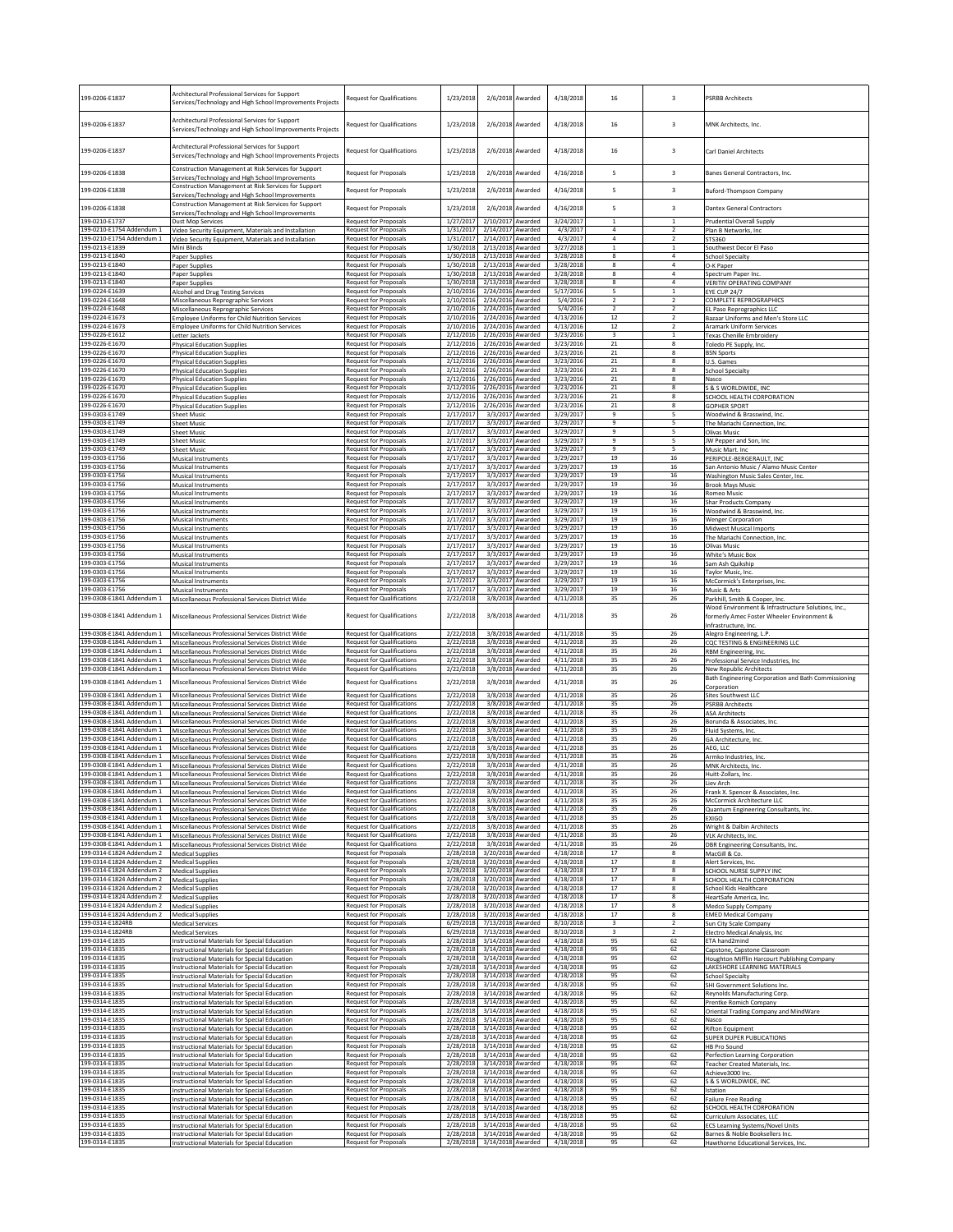| 199-0206-E1837                                         | Architectural Professional Services for Support<br>Services/Technology and High School Improvements Projects | Request for Qualifications                                   | 1/23/2018              | 2/6/2018                       | Awarded                     | 4/18/2018              | 16                             | $\overline{\mathbf{3}}$          | <b>PSRBB Architects</b>                                                             |
|--------------------------------------------------------|--------------------------------------------------------------------------------------------------------------|--------------------------------------------------------------|------------------------|--------------------------------|-----------------------------|------------------------|--------------------------------|----------------------------------|-------------------------------------------------------------------------------------|
| 199-0206-E1837                                         | Architectural Professional Services for Support<br>Services/Technology and High School Improvements Projects | Request for Qualifications                                   | 1/23/2018              | 2/6/2018 Awarded               |                             | 4/18/2018              | 16                             | $\overline{\mathbf{3}}$          | <b>MNK Architects, Inc.</b>                                                         |
| 199-0206-E1837                                         | Architectural Professional Services for Support<br>Services/Technology and High School Improvements Projects | Request for Qualifications                                   | 1/23/2018              | 2/6/2018 Awarded               |                             | 4/18/2018              | 16                             | 3                                | Carl Daniel Architects                                                              |
| 199-0206-E1838                                         | Construction Management at Risk Services for Support<br>Services/Technology and High School Improvements     | Request for Proposals                                        | 1/23/2018              | 2/6/2018                       | Awarded                     | 4/16/2018              | 5                              | $\overline{\mathbf{3}}$          | Banes General Contractors, Inc.                                                     |
| 199-0206-E1838                                         | Construction Management at Risk Services for Support<br>Services/Technology and High School Improvements     | Request for Proposals                                        | 1/23/2018              | 2/6/2018                       | Awarded                     | 4/16/2018              | 5                              | $\overline{\mathbf{3}}$          | Buford-Thompson Company                                                             |
| 199-0206-E1838                                         | Construction Management at Risk Services for Support<br>ervices/Technology and High School Improvements      | Request for Proposals                                        | 1/23/2018              | 2/6/2018                       | Awarded                     | 4/16/2018              | 5                              | $\overline{\mathbf{3}}$          | Dantex General Contractors                                                          |
| 199-0210-E1737                                         | Dust Mop Services                                                                                            | Request for Proposals                                        | 1/27/2017              | 2/10/2017                      | Awarded                     | 3/24/2017              | $\mathbf{1}$                   | $\mathbf{1}$                     | <b>Prudential Overall Supply</b>                                                    |
| 199-0210-E1754 Addendum 1                              | Video Security Equipment, Materials and Installation                                                         | <b>Request for Proposals</b>                                 | 1/31/2017              | 2/14/2017                      | Awarded                     | 4/3/2017               | $\Delta$                       | $\overline{2}$                   | Plan B Networks, Inc                                                                |
| 199-0210-E1754 Addendum 1                              | Video Security Equipment, Materials and Installation                                                         | Request for Proposals                                        | 1/31/2017              | 2/14/2017<br>2/13/2018 Awarded | Awarded                     | 4/3/2017               | $\overline{4}$<br>$\mathbf{1}$ | $\overline{2}$                   | STS360                                                                              |
| 199-0213-E1839<br>199-0213-E1840                       | Mini Blinds<br>Paper Supplies                                                                                | Request for Proposals<br><b>Request for Proposals</b>        | 1/30/2018<br>1/30/2018 | 2/13/2018 Awarded              |                             | 3/27/2018<br>3/28/2018 | 8                              | $\mathbf 1$<br>4                 | Southwest Decor El Paso<br><b>School Specialty</b>                                  |
| 199-0213-E1840                                         | Paper Supplies                                                                                               | <b>Request for Proposals</b>                                 | 1/30/2018              | 2/13/2018                      | Awarded                     | 3/28/2018              | 8                              | 4                                | O-K Paper                                                                           |
| 199-0213-E1840                                         | Paper Supplies                                                                                               | Request for Proposals                                        | 1/30/2018              | 2/13/2018                      | Awarded                     | 3/28/2018              | 8                              | $\overline{4}$                   | Spectrum Paper Inc.                                                                 |
| 199-0213-E1840                                         | Paper Supplies                                                                                               | Request for Proposals                                        | 1/30/2018              | 2/13/2018                      | warded                      | 3/28/2018              | 8                              | 4                                | <b>VERITIV OPERATING COMPANY</b>                                                    |
| 199-0224-E1639                                         | Alcohol and Drug Testing Services                                                                            | <b>Request for Proposals</b>                                 | 2/10/2016              | 2/24/2016                      | Awarded                     | 5/17/2016              | 5                              | $\mathbf{1}$                     | <b>EYE CUP 24/7</b>                                                                 |
| 199-0224-E1648                                         | Miscellaneous Reprographic Services                                                                          | Request for Proposals                                        | 2/10/2016              | 2/24/2016                      | Awarded                     | 5/4/2016               | $\overline{2}$                 | $\overline{z}$                   | COMPLETE REPROGRAPHICS                                                              |
| 199-0224-E1648                                         | Miscellaneous Reprographic Services                                                                          | <b>Request for Proposals</b>                                 | 2/10/2016              | 2/24/2016                      | warded                      | 5/4/2016               | $\overline{2}$                 | $\overline{\phantom{a}}$         | EL Paso Reprographics LLC                                                           |
| 199-0224-E1673                                         | <b>Employee Uniforms for Child Nutrition Services</b>                                                        | Request for Proposals                                        | 2/10/2016              | 2/24/2016                      | Awarded                     | 4/13/2016              | 12<br>12                       | $\overline{2}$<br>$\overline{2}$ | Bazaar Uniforms and Men's Store LLC                                                 |
| 199-0224-E1673<br>199-0226-E1612                       | Employee Uniforms for Child Nutrition Services<br>Letter Jackets                                             | Request for Proposals<br>Request for Proposals               | 2/10/2016<br>2/12/2016 | 2/24/2016 Awarded<br>2/26/2016 | Awarded                     | 4/13/2016<br>3/23/2016 | $\overline{\mathbf{3}}$        | $\mathbf{1}$                     | Aramark Uniform Services<br>Texas Chenille Embroidery                               |
| 199-0226-E1670                                         | <b>Physical Education Supplies</b>                                                                           | Request for Proposals                                        | 2/12/2016              | 2/26/2016                      | warded                      | 3/23/2016              | $21\,$                         | 8                                | Foledo PE Supply, Inc.                                                              |
| 199-0226-E1670                                         | <b>Physical Education Supplies</b>                                                                           | Request for Proposals                                        | 2/12/2016              | 2/26/2016                      | <b>Awarded</b>              | 3/23/2016              | $\bf{21}$                      | 8                                | <b>BSN Sports</b>                                                                   |
| 199-0226-E1670                                         | <b>Physical Education Supplies</b>                                                                           | Request for Proposals                                        | 2/12/2016              | 2/26/2016                      | Awarded                     | 3/23/2016              | $\bf{21}$                      | 8                                | J.S. Games                                                                          |
| 199-0226-E1670                                         | <b>Physical Education Supplie:</b>                                                                           | Request for Proposal:                                        | 2/12/2016              | 2/26/2016                      | warded                      | 3/23/2016              | $\bf{21}$                      | 8                                | chool Specialty                                                                     |
| 199-0226-E1670                                         | <b>Physical Education Supplies</b>                                                                           | Request for Proposals                                        | 2/12/2016              | 2/26/2016                      | Awarded                     | 3/23/2016              | $21\,$                         | 8                                | Nasco                                                                               |
| 199-0226-E1670                                         | <b>Physical Education Supplies</b>                                                                           | Request for Proposals                                        | 2/12/2016              | 2/26/2016                      | Awarded                     | 3/23/2016              | 21                             | 8                                | S & S WORLDWIDE, INC                                                                |
| 199-0226-E1670                                         | <b>Physical Education Supplies</b>                                                                           | Request for Proposals                                        | 2/12/2016<br>2/12/2016 | 2/26/2016 Awarded              |                             | 3/23/2016              | $\bf{21}$                      | 8                                | SCHOOL HEALTH CORPORATION                                                           |
| 199-0226-E1670<br>199-0303-E1749                       | <b>Physical Education Supplies</b><br><b>Sheet Music</b>                                                     | <b>Request for Proposals</b><br><b>Request for Proposals</b> | 2/17/2017              | 2/26/2016 Awarded<br>3/3/2017  | Awarded                     | 3/23/2016<br>3/29/2017 | 21<br>9                        | 8<br>5                           | <b>GOPHER SPORT</b><br>Woodwind & Brasswind, Inc.                                   |
| 199-0303-E1749                                         | Sheet Music                                                                                                  | Request for Proposals                                        | 2/17/2017              | 3/3/2017                       | Awarded                     | 3/29/2017              | 9                              | 5                                | The Mariachi Connection, Inc.                                                       |
| 199-0303-E1749                                         | Sheet Music                                                                                                  | Request for Proposals                                        | 2/17/2017              | 3/3/2017                       | Awarded                     | 3/29/2017              | 9                              | 5                                | Olivas Music                                                                        |
| 199-0303-E1749                                         | <b>Sheet Music</b>                                                                                           | Request for Proposals                                        | 2/17/2017              | 3/3/2017                       | Awarded                     | 3/29/2017              | $\mathbf{q}$                   | 5                                | JW Pepper and Son, Inc                                                              |
| 199-0303-F1749                                         | <b>Sheet Music</b>                                                                                           | Request for Proposals                                        | 2/17/2017              | 3/3/2017                       | Awarded                     | 3/29/2017              | 9                              | 5                                | Music Mart. Inc                                                                     |
| 199-0303-E1756                                         | <b>Musical Instruments</b><br>Musical Instruments                                                            | Request for Proposals                                        | 2/17/2017              | 3/3/2017                       | <b>Awarded</b>              | 3/29/2017<br>3/29/2017 | 19<br>19                       | $16\,$<br>16                     | PERIPOLE-BERGERAULT, INC                                                            |
| 199-0303-E1756<br>199-0303-E1756                       | Musical Instruments                                                                                          | Request for Proposals<br><b>Request for Proposals</b>        | 2/17/2017<br>2/17/2017 | 3/3/2017                       | Awarded<br>3/3/2017 Awarded | 3/29/2017              | 19                             | 16                               | San Antonio Music / Alamo Music Center<br>Washington Music Sales Center, Inc.       |
| 199-0303-E1756                                         | <b>Musical Instruments</b>                                                                                   | Request for Proposals                                        | 2/17/2017              | 3/3/2017                       | Awarded                     | 3/29/2017              | 19                             | 16                               | <b>Brook Mays Music</b>                                                             |
| 199-0303-E1756                                         | Musical Instruments                                                                                          | Request for Proposals                                        | 2/17/2017              | 3/3/2017                       | warded                      | 3/29/2017              | 19                             | 16                               | Romeo Music                                                                         |
| 199-0303-E1756                                         | <b>Musical Instruments</b>                                                                                   | Request for Proposals                                        | 2/17/2017              | 3/3/2017                       | <b>Awarded</b>              | 3/29/2017              | 19                             | $16\,$                           | Shar Products Company                                                               |
| 199-0303-E1756                                         | Musical Instruments                                                                                          | Request for Proposals                                        | 2/17/2017              | 3/3/2017                       | Awarded                     | 3/29/2017              | 19                             | 16                               | Woodwind & Brasswind, Inc.                                                          |
| 199-0303-E1756                                         | Musical Instruments                                                                                          | Request for Proposal:                                        | 2/17/2017              | 3/3/2017                       | <b>\warded</b>              | 3/29/2017              | 19                             | 16                               | <b>Wenger Corporation</b>                                                           |
| 199-0303-E1756                                         | Musical Instruments                                                                                          | Request for Proposals                                        | 2/17/2017              | 3/3/2017                       | Awarded                     | 3/29/2017              | 19                             | 16                               | <b>Midwest Musical Imports</b>                                                      |
| 199-0303-E1756                                         | <b>Musical Instruments</b>                                                                                   | Request for Proposals                                        | 2/17/2017              | 3/3/2017                       | Awarded                     | 3/29/2017              | 19                             | $16\,$                           | The Mariachi Connection, Inc.                                                       |
| 199-0303-E1756<br>199-0303-E1756                       | Musical Instruments<br><b>Musical Instruments</b>                                                            | <b>Request for Proposals</b><br>Request for Proposals        | 2/17/2017<br>2/17/2017 | 3/3/2017 Awarded               | 3/3/2017 Awarded            | 3/29/2017<br>3/29/2017 | 19<br>19                       | 16<br>16                         | Olivas Music<br>White's Music Box                                                   |
| 199-0303-E1756                                         | Musical Instruments                                                                                          | <b>Request for Proposals</b>                                 | 2/17/2017              | 3/3/2017                       | Awarded                     | 3/29/2017              | 19                             | 16                               | Sam Ash Quikship                                                                    |
| 199-0303-E1756                                         | <b>Musical Instruments</b>                                                                                   | Request for Proposals                                        | 2/17/2017              | 3/3/2017                       | Awarded                     | 3/29/2017              | 19                             | 16                               | Taylor Music, Inc.                                                                  |
| 199-0303-E1756                                         | Musical Instruments                                                                                          | Request for Proposals                                        | 2/17/2017              | 3/3/2017                       | Awarded                     | 3/29/2017              | 19                             | 16                               | McCormick's Enterprises, Inc.                                                       |
| 199-0303-E1756                                         | <b>Musical Instruments</b>                                                                                   | Request for Proposals                                        | 2/17/2017              | 3/3/2017                       | Awarded                     | 3/29/2017              | 19                             | 16                               | Music & Arts                                                                        |
| 199-0308-E1841 Addendum 1                              | Miscellaneous Professional Services District Wide                                                            | <b>Request for Qualifications</b>                            | 2/22/2018              | 3/8/2018                       | Awarded                     | 4/11/2018              | 35                             | 26                               | Parkhill, Smith & Cooper, Inc.<br>Wood Environment & Infrastructure Solutions, Inc. |
| 199-0308-E1841 Addendum 1                              | Miscellaneous Professional Services District Wide                                                            | <b>Request for Qualifications</b>                            | 2/22/2018              | 3/8/2018                       | Awarded                     | 4/11/2018              | 35                             | 26                               | formerly Amec Foster Wheeler Environment &                                          |
| 199-0308-E1841 Addendum 1                              | Miscellaneous Professional Services District Wide                                                            | <b>Request for Qualifications</b>                            | 2/22/2018              |                                | 3/8/2018 Awarded            | 4/11/2018              | 35                             | 26                               | Infrastructure, Inc.<br>Alegro Engineering, L.P.                                    |
| 199-0308-E1841 Addendum 1                              | Miscellaneous Professional Services District Wide                                                            | <b>Request for Qualifications</b>                            | 2/22/2018              | 3/8/2018                       | warded                      | 4/11/2018              | 35                             | 26                               | COC TESTING & ENGINEERING LLC                                                       |
| 199-0308-E1841 Addendum 1                              | Miscellaneous Professional Services District Wide                                                            | Request for Qualifications                                   | 2/22/2018              | 3/8/2018                       | <b>Awarded</b>              | 4/11/2018              | 35                             | 26                               | RBM Engineering, Inc.                                                               |
| 199-0308-E1841 Addendum 1                              | Miscellaneous Professional Services District Wide                                                            | Request for Qualifications                                   | 2/22/2018              | 3/8/2018                       | Awarded                     | 4/11/2018              | 35                             | 26                               | Professional Service Industries, Inc                                                |
| 199-0308-E1841 Addendum 1                              | Miscellaneous Professional Services District Wide                                                            | <b>Request for Qualifications</b>                            | 2/22/2018              | 3/8/2018                       | <b>\warded</b>              | 4/11/2018              | 35                             | 26                               | <b>Vew Republic Architect:</b>                                                      |
| 199-0308-E1841 Addendum 1                              | Miscellaneous Professional Services District Wide                                                            | <b>Request for Qualifications</b>                            | 2/22/2018              | 3/8/2018                       | Awarded                     | 4/11/2018              | 35                             | 26                               | Bath Engineering Corporation and Bath Commissioning                                 |
| 199-0308-E1841 Addendum 1                              | Miscellaneous Professional Services District Wide                                                            | <b>Request for Qualifications</b>                            | 2/22/2018              |                                | 3/8/2018 Awarded            | 4/11/2018              | 35                             | 26                               | Corporation<br>Sites Southwest LLC                                                  |
| 199-0308-E1841 Addendum 1                              | Miscellaneous Professional Services District Wide                                                            | <b>Request for Qualifications</b>                            | 2/22/2018              | 3/8/2018 Awarded               | Awarded                     | 4/11/2018              | 35                             | 26                               | <b>PSRBB Architects</b>                                                             |
| 199-0308-F1841 Addendum 1                              | Miscellaneous Professional Services District Wide                                                            | <b>Request for Qualifications</b>                            | 2/22/2018              | 3/8/2018                       |                             | 4/11/2018              | 35                             | 26                               | <b>ASA Architects</b>                                                               |
| 199-0308-E1841 Addendum 1                              | Miscellaneous Professional Services District Wide                                                            | Request for Qualifications                                   | 2/22/2018              | 3/8/2018                       | warded                      | 4/11/2018              | 35                             | 26                               | Borunda & Associates, Inc.                                                          |
| 199-0308-E1841 Addendum 1                              | Miscellaneous Professional Services District Wide                                                            | <b>Request for Qualifications</b>                            | 2/22/2018              | 3/8/2018                       | Awarded                     | 4/11/2018              | 35                             | 26                               | luid Systems, Inc.                                                                  |
| 199-0308-E1841 Addendum 1                              | Miscellaneous Professional Services District Wide                                                            | Request for Qualifications                                   | 2/22/2018              | 3/8/2018                       | Awarded                     | 4/11/2018              | 35                             | 26                               | GA Architecture, Inc.                                                               |
| 199-0308-E1841 Addendum 1                              | Miscellaneous Professional Services District Wide                                                            | <b>Request for Qualifications</b>                            | 2/22/2018              | 3/8/2018                       | Awarded                     | 4/11/2018              | 35                             | 26                               | AEG. LLC                                                                            |
| 199-0308-E1841 Addendum 1                              | Miscellaneous Professional Services District Wide                                                            | Request for Qualifications                                   | 2/22/2018              | 3/8/2018                       | warded                      | 4/11/2018              | 35                             | 26                               | Armko Industries, Inc.                                                              |
| 199-0308-E1841 Addendum 1                              | Miscellaneous Professional Services District Wide                                                            | <b>Request for Qualifications</b>                            | 2/22/2018              |                                | 3/8/2018 Awarded            | 4/11/2018              | 35                             | 26                               | MNK Architects, Inc.                                                                |
| 199-0308-E1841 Addendum 1                              | Miscellaneous Professional Services District Wide                                                            | <b>Request for Qualifications</b>                            | 2/22/2018              |                                | 3/8/2018 Awarded            | 4/11/2018              | 35                             | 26                               | Huitt-Zollars, Inc.                                                                 |
| 199-0308-E1841 Addendum 1<br>199-0308-E1841 Addendum 1 | Miscellaneous Professional Services District Wide<br>Miscellaneous Professional Services District Wide       | Request for Qualifications<br>Request for Qualifications     | 2/22/2018<br>2/22/2018 | 3/8/2018 Awarded               | 3/8/2018 Awarded            | 4/11/2018<br>4/11/2018 | 35<br>35                       | 26<br>26                         | iev Arch<br>Frank X. Spencer & Associates, Inc.                                     |
| 199-0308-E1841 Addendum 1                              | Miscellaneous Professional Services District Wide                                                            | Request for Qualifications                                   | 2/22/2018              |                                | 3/8/2018 Awarded            | 4/11/2018              | 35                             | 26                               | McCormick Architecture LLC                                                          |
| 199-0308-E1841 Addendum 1                              | Miscellaneous Professional Services District Wide                                                            | Request for Qualifications                                   | 2/22/2018              |                                | 3/8/2018 Awarded            | 4/11/2018              | 35                             | 26                               | Quantum Engineering Consultants, Inc.                                               |
| 199-0308-E1841 Addendum 1                              | Miscellaneous Professional Services District Wide                                                            | <b>Request for Qualifications</b>                            | 2/22/2018              | 3/8/2018                       | Awarded                     | 4/11/2018              | 35                             | 26                               | <b>EXIGO</b>                                                                        |
| 199-0308-E1841 Addendum 1                              |                                                                                                              | <b>Request for Qualifications</b>                            | 2/22/2018              | 3/8/2018                       | Awarded                     | 4/11/2018              | 35                             | 26                               | Wright & Dalbin Architects                                                          |
| 199-0308-E1841 Addendum 1                              | Miscellaneous Professional Services District Wide<br>Miscellaneous Professional Services District Wide       | <b>Request for Qualifications</b>                            | 2/22/2018              |                                | 3/8/2018 Awarded            | 4/11/2018              | 35                             | 26                               | VLK Architects, Inc.                                                                |
| 199-0308-E1841 Addendum 1<br>199-0314-E1824 Addendum 2 | Miscellaneous Professional Services District Wide<br><b>Medical Supplies</b>                                 | <b>Request for Qualifications</b><br>Request for Proposals   | 2/22/2018<br>2/28/2018 | 3/20/2018 Awarded              | 3/8/2018 Awarded            | 4/11/2018<br>4/18/2018 | 35<br>17                       | 26<br>8                          | DBR Engineering Consultants, Inc.<br>MacGill & Co.                                  |
| 199-0314-F1824 Addendum 2                              | <b>Medical Supplies</b>                                                                                      | <b>Request for Proposals</b>                                 | 2/28/2018              | 3/20/2018                      | Awarded                     | 4/18/2018              | 17                             | 8                                | Alert Services, Inc.                                                                |
| 199-0314-E1824 Addendum 2                              | <b>Medical Supplies</b>                                                                                      | Request for Proposals                                        | 2/28/2018              | 3/20/2018 Awarded              |                             | 4/18/2018              | 17                             | 8                                | SCHOOL NURSE SUPPLY INC                                                             |
| 199-0314-E1824 Addendum 2                              | <b>Medical Supplies</b>                                                                                      | Request for Proposals                                        | 2/28/2018              | 3/20/2018                      | Awarded                     | 4/18/2018              | 17                             | 8                                | <b>SCHOOL HEALTH CORPORATION</b>                                                    |
| 199-0314-E1824 Addendum 2                              | <b>Medical Supplies</b>                                                                                      | Request for Proposals                                        | 2/28/2018              | 3/20/2018                      | Awarded                     | 4/18/2018              | 17                             | 8                                | School Kids Healthcare                                                              |
| 199-0314-E1824 Addendum 2<br>199-0314-E1824 Addendum 2 | <b>Medical Supplies</b>                                                                                      | <b>Request for Proposals</b><br>Request for Proposals        | 2/28/2018<br>2/28/2018 | 3/20/2018<br>3/20/2018         | Awarded<br>Awarded          | 4/18/2018<br>4/18/2018 | 17<br>17                       | 8<br>8                           | HeartSafe America, Inc.                                                             |
| 199-0314-E1824 Addendum 2                              | <b>Medical Supplies</b><br><b>Medical Supplies</b>                                                           | <b>Request for Proposals</b>                                 | 2/28/2018              | 3/20/2018 Awarded              |                             | 4/18/2018              | 17                             | 8                                | Medco Supply Company<br><b>EMED Medical Company</b>                                 |
| 199-0314-E1824RB                                       | <b>Medical Services</b>                                                                                      | Request for Proposals                                        | 6/29/2018              | 7/13/2018 Awarded              | Awarded                     | 8/10/2018              | 3                              | $\overline{2}$                   | Sun City Scale Company                                                              |
| 199-0314-E1824RB                                       | <b>Medical Services</b>                                                                                      | <b>Request for Proposals</b>                                 | 6/29/2018              | 7/13/2018                      |                             | 8/10/2018              | $\overline{\mathbf{3}}$        | $\overline{2}$                   | Electro Medical Analysis, Inc                                                       |
| 199-0314-E1835                                         | Instructional Materials for Special Education                                                                | Request for Proposals                                        | 2/28/2018              | 3/14/2018                      | warded                      | 4/18/2018              | 95                             | 62                               | ETA hand2mind                                                                       |
| 199-0314-E1835                                         | Instructional Materials for Special Education                                                                | Request for Proposals                                        | 2/28/2018              | 3/14/2018                      | Awarded                     | 4/18/2018              | 95                             | 62                               | Capstone, Capstone Classroom                                                        |
| 199-0314-E1835                                         | Instructional Materials for Special Education                                                                | Request for Proposals                                        | 2/28/2018              | 3/14/2018                      | Awarded                     | 4/18/2018              | 95                             | 62                               | Houghton Mifflin Harcourt Publishing Company                                        |
| 199-0314-E1835                                         | Instructional Materials for Special Education                                                                | Request for Proposals                                        | 2/28/2018              | 3/14/2018                      | warded                      | 4/18/2018              | 95                             | 62                               | LAKESHORE LEARNING MATERIALS                                                        |
| 199-0314-E1835                                         | nstructional Materials for Special Education                                                                 | <b>Request for Proposals</b>                                 | 2/28/2018              | 3/14/2018                      | Awarded                     | 4/18/2018              | 95                             | 62                               | School Specialty                                                                    |
| 199-0314-E1835                                         | Instructional Materials for Special Education                                                                | Request for Proposals                                        | 2/28/2018              | 3/14/2018 Awarded              |                             | 4/18/2018              | 95                             | 62                               | SHI Government Solutions Inc.                                                       |
| 199-0314-E1835                                         | Instructional Materials for Special Education                                                                | <b>Request for Proposals</b>                                 | 2/28/2018              | 3/14/2018 Awarded              |                             | 4/18/2018              | 95                             | 62                               | Reynolds Manufacturing Corp.                                                        |
| 199-0314-E1835                                         | <b>Instructional Materials for Special Education</b>                                                         | Request for Proposals                                        | 2/28/2018              | 3/14/2018 Awarded              | Awarded                     | 4/18/2018              | 95                             | 62                               | Prentke Romich Company                                                              |
| 199-0314-E1835                                         | Instructional Materials for Special Education                                                                | Request for Proposals                                        | 2/28/2018              | 3/14/2018                      |                             | 4/18/2018              | 95                             | 62                               | Oriental Trading Company and MindWare                                               |
| 199-0314-E1835                                         | Instructional Materials for Special Education                                                                | Request for Proposals                                        | 2/28/2018              | 3/14/2018 Awarded              | Awarded                     | 4/18/2018              | 95                             | 62                               | Nasco                                                                               |
| 199-0314-E1835                                         | Instructional Materials for Special Education                                                                | Request for Proposals                                        | 2/28/2018              | 3/14/2018                      |                             | 4/18/2018              | 95                             | 62                               | <b>Rifton Equipment</b>                                                             |
| 199-0314-E1835<br>199-0314-E1835                       | nstructional Materials for Special Education                                                                 | <b>Request for Proposals</b><br><b>Request for Proposals</b> | 2/28/2018<br>2/28/2018 | 3/14/2018<br>3/14/2018         | Awarded<br>Awarded          | 4/18/2018<br>4/18/2018 | 95<br>95                       | 62<br>62                         | SUPER DUPER PUBLICATIONS                                                            |
| 199-0314-E1835                                         | Instructional Materials for Special Education<br>Instructional Materials for Special Education               | Request for Proposals                                        | 2/28/2018              | 3/14/2018 Awarded              |                             | 4/18/2018              | 95                             | 62                               | HB Pro Sound<br>Perfection Learning Corporation                                     |
| 199-0314-E1835                                         | Instructional Materials for Special Education                                                                | Request for Proposals                                        | 2/28/2018              | 3/14/2018 Awarded              |                             | 4/18/2018              | 95                             | 62                               | Teacher Created Materials, Inc.                                                     |
| 199-0314-E1835                                         | Instructional Materials for Special Education                                                                | Request for Proposals                                        | 2/28/2018              | 3/14/2018 Awarded              |                             | 4/18/2018              | 95                             | 62                               | Achieve3000 Inc.                                                                    |
| 199-0314-E1835                                         | Instructional Materials for Special Education                                                                | Request for Proposals                                        | 2/28/2018              | 3/14/2018                      | Awarded                     | 4/18/2018              | 95                             | 62                               | S & S WORLDWIDE, INC                                                                |
| 199-0314-E1835                                         | Instructional Materials for Special Education                                                                | Request for Proposals                                        | 2/28/2018              | 3/14/2018                      | warded                      | 4/18/2018              | 95                             | 62                               | station                                                                             |
| 199-0314-E1835                                         | Instructional Materials for Special Education                                                                | Request for Proposals                                        | 2/28/2018              | 3/14/2018                      | Awarded                     | 4/18/2018              | 95                             | 62                               | ailure Free Reading                                                                 |
| 199-0314-E1835                                         | Instructional Materials for Special Education                                                                | Request for Proposals                                        | 2/28/2018              | 3/14/2018                      | Awarded                     | 4/18/2018              | 95                             | 62                               | SCHOOL HEALTH CORPORATION                                                           |
| 199-0314-E1835                                         | Instructional Materials for Special Education                                                                | <b>Request for Proposals</b>                                 | 2/28/2018              | 3/14/2018                      | Awarded                     | 4/18/2018              | 95                             | 62                               | Curriculum Associates, LLC                                                          |
| 199-0314-E1835                                         | nstructional Materials for Special Education                                                                 | Request for Proposals                                        | 2/28/2018              | 3/14/2018                      | Awarded                     | 4/18/2018              | 95                             | 62                               | <b>ECS Learning Systems/Novel Units</b>                                             |
| 199-0314-E1835                                         | Instructional Materials for Special Education                                                                | <b>Request for Proposals</b>                                 | 2/28/2018              | 3/14/2018 Awarded              |                             | 4/18/2018              | 95                             | 62                               | Barnes & Noble Booksellers Inc.                                                     |
| 199-0314-E1835                                         | Instructional Materials for Special Education                                                                | Request for Proposals                                        | 2/28/2018              | 3/14/2018 Awarded              |                             | 4/18/2018              | 95                             | 62                               | Hawthorne Educational Services, Inc.                                                |
|                                                        |                                                                                                              |                                                              |                        |                                |                             |                        |                                |                                  |                                                                                     |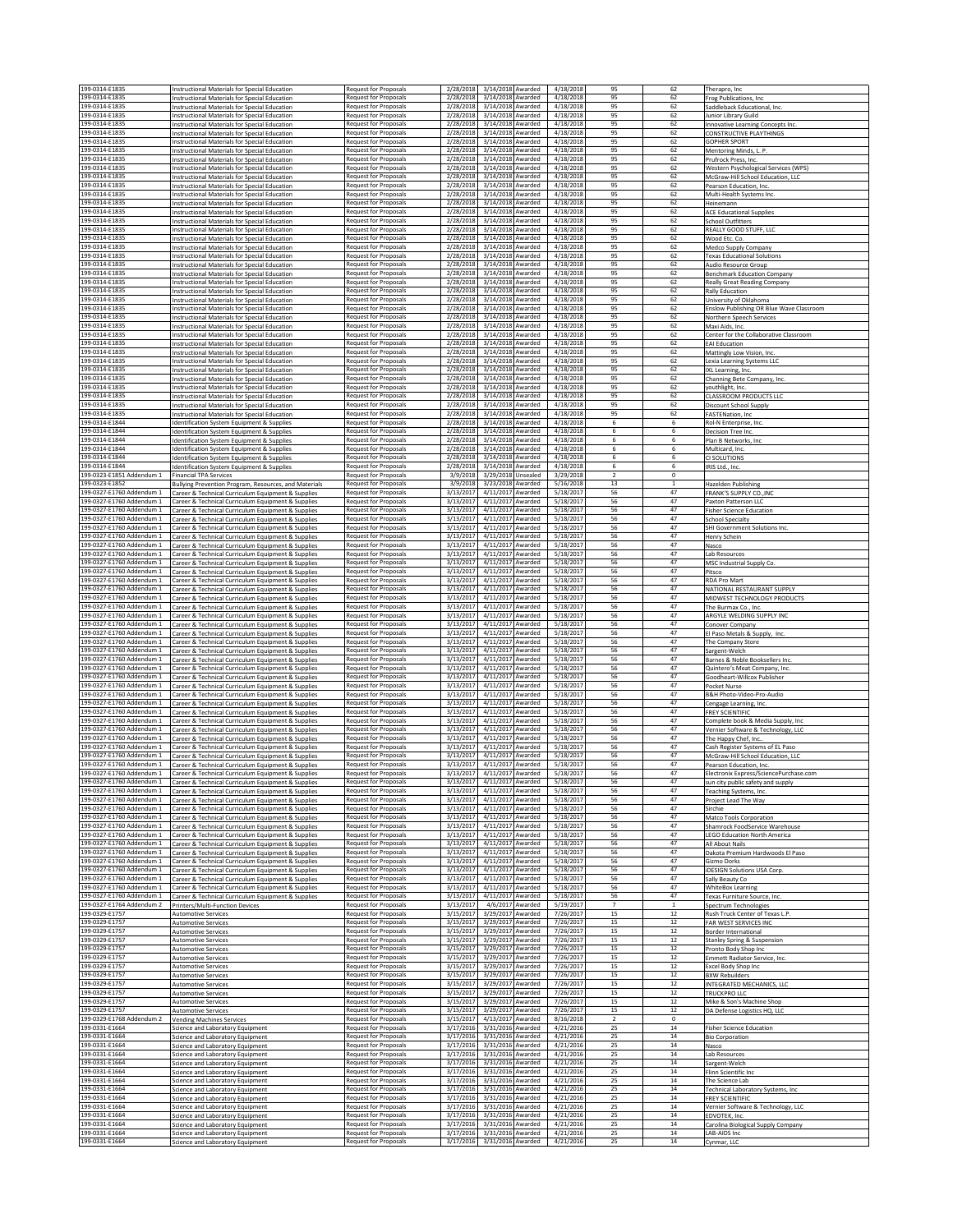| 199-0314-E1835                                         | Instructional Materials for Special Education                                                               | Request for Proposals                                        | 2/28/2018                                                        | 3/14/2018 Awarded<br>4/18/2018                                   | 95                   | 62                 | Therapro, Inc.                                                            |
|--------------------------------------------------------|-------------------------------------------------------------------------------------------------------------|--------------------------------------------------------------|------------------------------------------------------------------|------------------------------------------------------------------|----------------------|--------------------|---------------------------------------------------------------------------|
| 199-0314-E1835<br>199-0314-E1835                       | Instructional Materials for Special Education<br>Instructional Materials for Special Education              | Request for Proposals<br><b>Request for Proposals</b>        | 2/28/2018<br>3/14/2018 Awarded<br>2/28/2018<br>3/14/2018 Awarded | 4/18/2018<br>4/18/2018                                           | 95<br>95             | 62<br>62           | Frog Publications, Inc.<br>Saddleback Educational, Inc.                   |
| 199-0314-E1835                                         | Instructional Materials for Special Education                                                               | <b>Request for Proposals</b>                                 | 2/28/2018<br>3/14/2018 Awarded                                   | 4/18/2018                                                        | 95                   | 62                 | unior Library Guild                                                       |
| 199-0314-F1835<br>199-0314-E1835                       | <b>Instructional Materials for Special Education</b><br>Instructional Materials for Special Education       | <b>Request for Proposals</b><br>Request for Proposals        | 3/14/2018 Awarded<br>2/28/2018<br>2/28/2018<br>3/14/2018 Awarded | 4/18/2018<br>4/18/2018                                           | 95<br>95             | 62<br>62           | <b>Innovative Learning Concepts Inc</b><br><b>CONSTRUCTIVE PLAYTHINGS</b> |
| 199-0314-E1835<br>199-0314-E1835                       | Instructional Materials for Special Education                                                               | <b>Request for Proposals</b>                                 | 2/28/2018<br>3/14/2018 Awarded                                   | 4/18/2018                                                        | 95                   | 62                 | <b>GOPHER SPORT</b>                                                       |
| 199-0314-E1835                                         | Instructional Materials for Special Education<br>Instructional Materials for Special Education              | <b>Request for Proposals</b><br>Request for Proposals        | 2/28/2018<br>3/14/2018 Awarded<br>2/28/2018                      | 4/18/2018<br>3/14/2018 Awarded<br>4/18/2018                      | 95<br>95             | 62<br>62           | Mentoring Minds, L. P.<br>Prufrock Press, Inc.                            |
| 199-0314-E1835<br>199-0314-E1835                       | Instructional Materials for Special Education<br>Instructional Materials for Special Education              | Request for Proposals<br><b>Request for Proposals</b>        | 2/28/2018<br>2/28/2018                                           | 3/14/2018 Awarded<br>4/18/2018<br>3/14/2018 Awarded<br>4/18/2018 | 95<br>95             | 62<br>62           | Western Psychological Services (WPS)<br>McGraw-Hill School Education, LLC |
| 199-0314-E1835                                         | Instructional Materials for Special Education                                                               | <b>Request for Proposals</b>                                 | 2/28/2018<br>3/14/2018 Awarded                                   | 4/18/2018                                                        | 95                   | 62                 | Pearson Education, Inc.                                                   |
| 199-0314-F1835<br>199-0314-E1835                       | Instructional Materials for Special Education<br>Instructional Materials for Special Education              | <b>Request for Proposals</b><br><b>Request for Proposals</b> | 3/14/2018 Awarded<br>2/28/2018<br>2/28/2018<br>3/14/2018 Awarded | 4/18/2018<br>4/18/2018                                           | 95<br>95             | 62<br>62           | Multi-Health Systems Inc.<br>Heinemann                                    |
| 199-0314-E1835<br>199-0314-E1835                       | Instructional Materials for Special Education                                                               | Request for Proposals                                        | 2/28/2018<br>3/14/2018 Awarded<br>2/28/2018                      | 4/18/2018<br>4/18/2018                                           | 95<br>95             | 62<br>62           | <b>ACE Educational Supplies</b>                                           |
| 199-0314-E1835                                         | Instructional Materials for Special Education<br>Instructional Materials for Special Education              | <b>Request for Proposals</b><br><b>Request for Proposals</b> | 3/14/2018 Awarded<br>2/28/2018<br>3/14/2018 Awarded              | 4/18/2018                                                        | 95                   | 62                 | School Outfitters<br>REALLY GOOD STUFF, LLC                               |
| 199-0314-E1835<br>199-0314-E1835                       | Instructional Materials for Special Education<br>Instructional Materials for Special Education              | <b>Request for Proposals</b><br>Request for Proposals        | 2/28/2018<br>2/28/2018<br>3/14/2018 Awarded                      | 3/14/2018 Awarded<br>4/18/2018<br>4/18/2018                      | 95<br>95             | 62<br>62           | Wood Etc. Co.<br>Medco Supply Company                                     |
| 199-0314-E1835                                         | Instructional Materials for Special Education                                                               | <b>Request for Proposals</b>                                 | 2/28/2018<br>3/14/2018 Awarded                                   | 4/18/2018                                                        | 95                   | 62                 | <b>Texas Educational Solutions</b>                                        |
| 199-0314-E1835<br>199-0314-E1835                       | Instructional Materials for Special Education<br>Instructional Materials for Special Education              | <b>Request for Proposals</b><br><b>Request for Proposals</b> | 2/28/2018<br>3/14/2018 Awarded<br>2/28/2018<br>3/14/2018 Awarded | 4/18/2018<br>4/18/2018                                           | 95<br>95             | 62<br>62           | Audio Resource Group<br><b>Benchmark Education Company</b>                |
| 199-0314-E1835                                         | Instructional Materials for Special Education                                                               | Request for Proposals                                        | 2/28/2018<br>3/14/2018 Awarded                                   | 4/18/2018                                                        | 95                   | 62                 | <b>Really Great Reading Company</b>                                       |
| 199-0314-E1835<br>199-0314-E1835                       | Instructional Materials for Special Education<br><b>Instructional Materials for Special Education</b>       | <b>Request for Proposals</b><br><b>Request for Proposals</b> | 2/28/2018<br>3/14/2018 Awarded<br>2/28/2018<br>3/14/2018 Awarded | 4/18/2018<br>4/18/2018                                           | 95<br>95             | 62<br>62           | <b>Rally Education</b><br>University of Oklahoma                          |
| 199-0314-E1835<br>199-0314-E1835                       | Instructional Materials for Special Education                                                               | <b>Request for Proposals</b><br>Request for Proposals        | 2/28/2018<br>2/28/2018<br>3/14/2018 Awarded                      | 3/14/2018 Awarded<br>4/18/2018<br>4/18/2018                      | 95<br>95             | 62<br>62           | Enslow Publishing OR Blue Wave Classroom                                  |
| 199-0314-E1835                                         | Instructional Materials for Special Education<br>Instructional Materials for Special Education              | <b>Request for Proposals</b>                                 | 2/28/2018<br>3/14/2018 Awarded                                   | 4/18/2018                                                        | 95                   | 62                 | Northern Speech Services<br>Maxi Aids, Inc.                               |
| 199-0314-E1835<br>199-0314-E1835                       | Instructional Materials for Special Education<br><b>Instructional Materials for Special Education</b>       | Request for Proposals<br><b>Request for Proposals</b>        | 2/28/2018<br>3/14/2018 Awarded<br>3/14/2018 Awarded<br>2/28/2018 | 4/18/2018<br>4/18/2018                                           | 95<br>95             | 62<br>62           | Center for the Collaborative Classroom<br><b>EAI Education</b>            |
| 199-0314-E1835                                         | Instructional Materials for Special Education                                                               | Request for Proposals                                        | 2/28/2018<br>3/14/2018 Awarded                                   | 4/18/2018                                                        | 95                   | 62                 | Mattingly Low Vision, Inc.                                                |
| 199-0314-E1835<br>199-0314-E1835                       | Instructional Materials for Special Education<br>Instructional Materials for Special Education              | <b>Request for Proposals</b><br><b>Request for Proposals</b> | 2/28/2018<br>3/14/2018 Awarded<br>2/28/2018<br>3/14/2018 Awarded | 4/18/2018<br>4/18/2018                                           | 95<br>95             | 62<br>62           | Lexia Learning Systems LLC<br>IXL Learning, Inc.                          |
| 199-0314-E1835<br>199-0314-E1835                       | Instructional Materials for Special Education<br>Instructional Materials for Special Education              | <b>Request for Proposals</b><br><b>Request for Proposals</b> | 2/28/2018<br>3/14/2018 Awarded<br>2/28/2018                      | 4/18/2018<br>3/14/2018 Awarded<br>4/18/2018                      | 95<br>95             | 62<br>62           | Channing Bete Company, Inc.<br>youthlight, Inc.                           |
| 199-0314-E1835                                         | Instructional Materials for Special Education                                                               | <b>Request for Proposals</b>                                 | 2/28/2018                                                        | 3/14/2018 Awarded<br>4/18/2018                                   | 95                   | 62                 | CLASSROOM PRODUCTS LLC                                                    |
| 199-0314-E1835<br>199-0314-E1835                       | Instructional Materials for Special Education<br>Instructional Materials for Special Education              | <b>Request for Proposals</b><br><b>Request for Proposals</b> | 3/14/2018 Awarded<br>2/28/2018<br>2/28/2018<br>3/14/2018 Awarded | 4/18/2018<br>4/18/2018                                           | 95<br>95             | 62<br>62           | Discount School Supply<br>FASTENation, Inc.                               |
| 199-0314-E1844                                         | Identification System Equipment & Supplies                                                                  | <b>Request for Proposals</b>                                 | 2/28/2018<br>3/14/2018 Awarded                                   | 4/18/2018                                                        | 6                    | 6                  | Rol-N Enterprise, Inc.                                                    |
| 199-0314-E1844<br>199-0314-F1844                       | Identification System Equipment & Supplies<br>Identification System Equipment & Supplies                    | <b>Request for Proposals</b><br><b>Request for Proposals</b> | 2/28/2018<br>3/14/2018 Awarded<br>2/28/2018<br>3/14/2018 Awarded | 4/18/2018<br>4/18/2018                                           | 6<br>6               | 6<br>6             | Decision Tree Inc.<br>Plan B Networks, Inc.                               |
| 199-0314-E1844<br>199-0314-E1844                       | Identification System Equipment & Supplies                                                                  | <b>Request for Proposals</b>                                 | 2/28/2018<br>3/14/2018 Awarded                                   | 4/18/2018<br>3/14/2018 Awarded                                   | 6                    | 6                  | Multicard, Inc.                                                           |
| 199-0314-E1844                                         | Identification System Equipment & Supplies<br>Identification System Equipment & Supplies                    | Request for Proposals<br>Request for Proposals               | 2/28/2018<br>2/28/2018                                           | 4/18/2018<br>3/14/2018 Awarded<br>4/18/2018                      | 6<br>6               | 6<br>6             | CI SOLUTIONS<br>IRIS Ltd., Inc.                                           |
| 199-0323-E1851 Addendum 1<br>199-0323-E1852            | Financial TPA Services                                                                                      | <b>Request for Proposals</b>                                 | 3/9/2018<br>3/29/2018 Unsealed                                   | 3/29/2018                                                        | $\overline{2}$<br>13 | 0<br>$\mathbf{1}$  |                                                                           |
| 199-0327-F1760 Addendum 1                              | Bullying Prevention Program, Resources, and Materials<br>Career & Technical Curriculum Equipment & Supplies | <b>Request for Proposals</b><br><b>Request for Proposals</b> | 3/23/2018 Awarded<br>3/9/2018<br>4/11/2017 Awarded<br>3/13/2017  | 5/16/2018<br>5/18/2017                                           | 56                   | 47                 | Hazelden Publishing<br><b>FRANK'S SUPPLY CO., INC</b>                     |
| 199-0327-E1760 Addendum 1<br>199-0327-E1760 Addendum 1 | Career & Technical Curriculum Equipment & Supplies<br>Career & Technical Curriculum Equipment & Supplies    | Request for Proposals<br><b>Request for Proposals</b>        | 3/13/2017<br>4/11/2017 Awarded<br>3/13/2017<br>4/11/2017 Awarded | 5/18/2017<br>5/18/2017                                           | 56<br>56             | 47<br>47           | Paxton Patterson LLC<br><b>Fisher Science Education</b>                   |
| 199-0327-E1760 Addendum 1                              | Career & Technical Curriculum Equipment & Supplies                                                          | <b>Request for Proposals</b>                                 | 3/13/2017                                                        | 4/11/2017 Awarded<br>5/18/2017                                   | 56                   | 47                 | <b>School Specialty</b>                                                   |
| 199-0327-F1760 Addendum 1<br>199-0327-E1760 Addendum 1 | Career & Technical Curriculum Equipment & Supplies<br>Career & Technical Curriculum Equipment & Supplies    | Request for Proposals<br>Request for Proposals               | 3/13/2017<br>3/13/2017                                           | 4/11/2017 Awarded<br>5/18/2017<br>4/11/2017 Awarded<br>5/18/2017 | 56<br>56             | 47<br>47           | SHI Government Solutions Inc.<br>Henry Schein                             |
| 199-0327-E1760 Addendum 1                              | Career & Technical Curriculum Equipment & Supplies                                                          | <b>Request for Proposals</b>                                 | 3/13/2017                                                        | 4/11/2017 Awarded<br>5/18/2017                                   | 56                   | 47                 | Nasco                                                                     |
| 199-0327-E1760 Addendum 1<br>199-0327-E1760 Addendum 1 | Career & Technical Curriculum Equipment & Supplies<br>Career & Technical Curriculum Equipment & Supplies    | <b>Request for Proposals</b><br><b>Request for Proposals</b> | 3/13/2017<br>3/13/2017<br>4/11/2017 Awarded                      | 4/11/2017 Awarded<br>5/18/2017<br>5/18/2017                      | 56<br>56             | 47<br>47           | Lab Resources<br>MSC Industrial Supply Co.                                |
| 199-0327-E1760 Addendum 1<br>199-0327-E1760 Addendum 1 | Career & Technical Curriculum Equipment & Supplies                                                          | <b>Request for Proposals</b><br><b>Request for Proposals</b> | 3/13/2017<br>4/11/2017 Awarded<br>3/13/2017<br>4/11/2017 Awarded | 5/18/2017<br>5/18/2017                                           | 56<br>56             | 47<br>47           | Pitsco<br><b>RDA Pro Mart</b>                                             |
| 199-0327-E1760 Addendum 1                              | Career & Technical Curriculum Equipment & Supplies<br>Career & Technical Curriculum Equipment & Supplies    | Request for Proposals                                        | 4/11/2017 Awarded<br>3/13/2017                                   | 5/18/2017                                                        | 56                   | 47                 | NATIONAL RESTAURANT SUPPLY                                                |
| 199-0327-E1760 Addendum 1<br>199-0327-E1760 Addendum 1 | Career & Technical Curriculum Equipment & Supplies<br>Career & Technical Curriculum Equipment & Supplies    | <b>Request for Proposals</b><br>Request for Proposals        | 3/13/2017<br>4/11/2017 Awarded<br>3/13/2017                      | 5/18/2017<br>4/11/2017 Awarded<br>5/18/2017                      | 56<br>56             | 47<br>47           | MIDWEST TECHNOLOGY PRODUCTS<br>The Burmax Co., Inc.                       |
| 199-0327-E1760 Addendum 1                              | Career & Technical Curriculum Equipment & Supplies                                                          | Request for Proposals                                        | 3/13/2017<br>4/11/2017 Awarded                                   | 5/18/2017                                                        | 56                   | 47                 | ARGYLE WELDING SUPPLY INC                                                 |
| 199-0327-E1760 Addendum 1<br>199-0327-E1760 Addendum 1 | Career & Technical Curriculum Equipment & Supplies<br>Career & Technical Curriculum Equipment & Supplies    | Request for Proposals<br><b>Request for Proposals</b>        | 3/13/2017<br>3/13/2017<br>4/11/2017 Awarded                      | 4/11/2017 Awarded<br>5/18/2017<br>5/18/2017                      | 56<br>56             | 47<br>47           | Conover Company<br>El Paso Metals & Supply, Inc.                          |
| 199-0327-E1760 Addendum 1                              | Career & Technical Curriculum Equipment & Supplies                                                          | Request for Proposals                                        | 3/13/2017<br>4/11/2017 Awarded                                   | 5/18/2017                                                        | 56                   | 47                 | The Company Store                                                         |
| 199-0327-E1760 Addendum 1<br>199-0327-E1760 Addendum 1 | Career & Technical Curriculum Equipment & Supplies<br>Career & Technical Curriculum Equipment & Supplies    | Request for Proposals<br>Request for Proposals               | 3/13/2017<br>4/11/2017 Awarded<br>3/13/2017<br>4/11/2017 Awarded | 5/18/2017<br>5/18/2017                                           | 56<br>56             | 47<br>47           | Sargent-Welch<br>Barnes & Noble Booksellers Inc.                          |
| 199-0327-E1760 Addendum 1<br>199-0327-E1760 Addendum 1 | Career & Technical Curriculum Equipment & Supplies                                                          | Request for Proposals<br>Request for Proposals               | 3/13/2017<br>3/13/2017                                           | 4/11/2017 Awarded<br>5/18/2017<br>4/11/2017 Awarded<br>5/18/2017 | 56<br>56             | 47<br>47           | Quintero's Meat Company, Inc.                                             |
| 199-0327-E1760 Addendum 1                              | Career & Technical Curriculum Equipment & Supplies<br>Career & Technical Curriculum Equipment & Supplies    | <b>Request for Proposals</b>                                 | 3/13/2017                                                        | 4/11/2017 Awarded<br>5/18/2017                                   | 56                   | 47                 | Goodheart-Willcox Publisher<br>Pocket Nurse                               |
| 199-0327-E1760 Addendum 1<br>199-0327-E1760 Addendum 1 | Career & Technical Curriculum Equipment & Supplies<br>Career & Technical Curriculum Equipment & Supplies    | <b>Request for Proposals</b><br><b>Request for Proposals</b> | 3/13/2017<br>4/11/2017 Awarded<br>3/13/2017                      | 5/18/2017<br>4/11/2017 Awarded<br>5/18/2017                      | 56<br>56             | 47<br>47           | B&H Photo-Video-Pro-Audio<br>Cengage Learning, Inc.                       |
| 199-0327-E1760 Addendum 1                              | Career & Technical Curriculum Equipment & Supplies                                                          | <b>Request for Proposals</b>                                 | 3/13/2017<br>4/11/2017 Awarded                                   | 5/18/2017                                                        | 56                   | 47                 | <b>FREY SCIENTIFIC</b>                                                    |
| 199-0327-E1760 Addendum 1<br>199-0327-E1760 Addendum 1 | Career & Technical Curriculum Equipment & Supplies<br>Career & Technical Curriculum Equipment & Supplies    | Request for Proposals<br><b>Request for Proposals</b>        | 3/13/2017<br>4/11/2017 Awarded<br>3/13/2017<br>4/11/2017 Awarded | 5/18/2017<br>5/18/2017                                           | 56<br>56             | 47<br>47           | Complete book & Media Supply, Inc<br>Vernier Software & Technology, LLC   |
| 199-0327-E1760 Addendum 1<br>199-0327-E1760 Addendum 1 | Career & Technical Curriculum Equipment & Supplies                                                          | Request for Proposals<br><b>Request for Proposals</b>        | 3/13/2017<br>4/11/2017 Awarded<br>3/13/2017<br>4/11/2017 Awarded | 5/18/2017<br>5/18/2017                                           | 56<br>56             | 47<br>47           | The Happy Chef, Inc                                                       |
| 199-0327-E1760 Addendum 1                              | Career & Technical Curriculum Equipment & Supplies<br>Career & Technical Curriculum Equipment & Supplies    | Request for Proposals                                        | 3/13/2017                                                        | 4/11/2017 Awarded<br>5/18/2017                                   | 56                   | 47                 | Cash Register Systems of EL Paso<br>McGraw-Hill School Education, LLC     |
| 199-0327-E1760 Addendum 1<br>199-0327-E1760 Addendum 1 | Career & Technical Curriculum Equipment & Supplies<br>Career & Technical Curriculum Equipment & Supplies    | Request for Proposals<br><b>Request for Proposals</b>        | 3/13/2017<br>4/11/2017 Awarded<br>3/13/2017<br>4/11/2017 Awarded | 5/18/2017<br>5/18/2017                                           | 56<br>56             | 47<br>47           | Pearson Education, Inc.<br>Electronix Express/SciencePurchase.com         |
| 199-0327-E1760 Addendum 1                              | Career & Technical Curriculum Equipment & Supplies                                                          | Request for Proposals                                        | 3/13/2017<br>4/11/2017 Awarded                                   | 5/18/2017                                                        | 56                   | 47                 | sun city public safety and supply                                         |
| 199-0327-E1760 Addendum 1<br>199-0327-E1760 Addendum 1 | Career & Technical Curriculum Equipment & Supplies<br>Career & Technical Curriculum Equipment & Supplies    | Request for Proposals<br><b>Request for Proposals</b>        | 3/13/2017<br>4/11/2017 Awarded<br>3/13/2017<br>4/11/2017 Awarded | 5/18/2017<br>5/18/2017                                           | 56<br>56             | 47<br>47           | Teaching Systems, Inc.<br>Project Lead The Way                            |
| 199-0327-E1760 Addendum 1<br>199-0327-E1760 Addendum 1 | Career & Technical Curriculum Equipment & Supplies                                                          | Request for Proposals<br>Request for Proposals               | 3/13/2017<br>4/11/2017 Awarded<br>3/13/2017                      | 5/18/2017<br>4/11/2017 Awarded<br>5/18/2017                      | 56<br>56             | 47<br>47           | Sirchie                                                                   |
| 199-0327-E1760 Addendum 1                              | Career & Technical Curriculum Equipment & Supplies<br>Career & Technical Curriculum Equipment & Supplies    | Request for Proposals                                        | 3/13/2017                                                        | 4/11/2017 Awarded<br>5/18/2017                                   | 56                   | 47                 | Matco Tools Corporation<br>Shamrock FoodService Warehouse                 |
| 199-0327-E1760 Addendum 1<br>199-0327-E1760 Addendum 1 | Career & Technical Curriculum Equipment & Supplies<br>Career & Technical Curriculum Equipment & Supplies    | Request for Proposals<br>Request for Proposals               | 3/13/2017<br>3/13/2017<br>4/11/2017 Awarded                      | 4/11/2017 Awarded<br>5/18/2017<br>5/18/2017                      | 56<br>56             | 47<br>47           | <b>LEGO Education North America</b><br>All About Nails                    |
| 199-0327-E1760 Addendum 1                              | Career & Technical Curriculum Equipment & Supplies                                                          | <b>Request for Proposals</b>                                 | 3/13/2017                                                        | 4/11/2017 Awarded<br>5/18/2017                                   | 56                   | 47                 | Dakota Premium Hardwoods El Paso                                          |
| 199-0327-E1760 Addendum 1<br>199-0327-E1760 Addendum 1 | Career & Technical Curriculum Equipment & Supplies<br>Career & Technical Curriculum Equipment & Supplies    | <b>Request for Proposals</b><br>Request for Proposals        | 3/13/2017<br>3/13/2017<br>4/11/2017 Awarded                      | 4/11/2017 Awarded<br>5/18/2017<br>5/18/2017                      | 56<br>56             | 47<br>47           | Gizmo Dorks<br><b>iDESIGN Solutions USA Corp.</b>                         |
| 199-0327-E1760 Addendum 1<br>199-0327-E1760 Addendum 1 | Career & Technical Curriculum Equipment & Supplies                                                          | Request for Proposals                                        | 3/13/2017<br>4/11/2017 Awarded                                   | 5/18/2017                                                        | 56                   | 47<br>47           | Sally Beauty Co                                                           |
| 199-0327-F1760 Addendum 1                              | Career & Technical Curriculum Equipment & Supplies<br>Career & Technical Curriculum Equipment & Supplies    | Request for Proposals<br>Request for Proposals               | 3/13/2017<br>3/13/2017                                           | 4/11/2017 Awarded<br>5/18/2017<br>4/11/2017 Awarded<br>5/18/2017 | 56<br>56             | 47                 | <b>WhiteBox Learning</b><br>Texas Furniture Source, Inc.                  |
| 199-0327-E1764 Addendum 2<br>199-0329-E1757            | Printers/Multi-Function Devices<br><b>Automotive Services</b>                                               | Request for Proposals<br>Request for Proposals               | 3/13/2017<br>3/15/2017                                           | 4/6/2017 Awarded<br>5/19/2017<br>3/29/2017 Awarded<br>7/26/2017  | $\overline{7}$<br>15 | $\mathbf{1}$<br>12 | Spectrum Technologies<br>Rush Truck Center of Texas L.P.                  |
| 199-0329-E1757                                         | <b>Automotive Services</b>                                                                                  | Request for Proposals                                        | 3/15/2017                                                        | 3/29/2017 Awarded<br>7/26/2017                                   | 15                   | 12                 | FAR WEST SERVICES INC                                                     |
| 199-0329-E1757<br>199-0329-E1757                       | <b>Automotive Services</b><br><b>Automotive Services</b>                                                    | Request for Proposals<br><b>Request for Proposals</b>        | 3/15/2017<br>3/15/2017<br>3/29/2017 Awarded                      | 3/29/2017 Awarded<br>7/26/2017<br>7/26/2017                      | 15<br>15             | 12<br>$12\,$       | Border International<br>Stanley Spring & Suspension                       |
| 199-0329-E1757<br>199-0329-E1757                       | <b>Automotive Services</b>                                                                                  | <b>Request for Proposals</b>                                 | 3/15/2017<br>3/29/2017 Awarded                                   | 7/26/2017                                                        | 15                   | $12\,$             | Pronto Body Shop Inc                                                      |
| 199-0329-E1757                                         | <b>Automotive Services</b><br><b>Automotive Services</b>                                                    | Request for Proposals<br>Request for Proposals               | 3/15/2017<br>3/29/2017 Awarded<br>3/15/2017<br>3/29/2017 Awarded | 7/26/2017<br>7/26/2017                                           | 15<br>15             | 12<br>12           | Emmett Radiator Service, Inc.<br>Excel Body Shop Inc                      |
| 199-0329-F1757<br>199-0329-E1757                       | <b>Automotive Services</b><br><b>Automotive Services</b>                                                    | <b>Request for Proposals</b><br><b>Request for Proposals</b> | 3/15/2017<br>3/29/2017<br>3/15/2017                              | Awarded<br>7/26/2017<br>3/29/2017 Awarded<br>7/26/2017           | 15<br>15             | $12\,$<br>12       | <b>BXW Rebuilders</b><br>INTEGRATED MECHANICS, LLC                        |
| 199-0329-E1757                                         | <b>Automotive Services</b>                                                                                  | Request for Proposals                                        | 3/15/2017<br>3/29/2017 Awarded                                   | 7/26/2017                                                        | 15                   | 12                 | TRUCKPRO LLC                                                              |
| 199-0329-E1757<br>199-0329-E1757                       | <b>Automotive Services</b><br><b>Automotive Services</b>                                                    | <b>Request for Proposals</b><br><b>Request for Proposals</b> | 3/15/2017<br>3/29/2017 Awarded<br>3/15/2017<br>3/29/2017 Awarded | 7/26/2017<br>7/26/2017                                           | 15<br>15             | 12<br>$12\,$       | Mike & Son's Machine Shop<br>DA Defense Logistics HQ, LLC                 |
| 199-0329-E1768 Addendum 2                              | <b>Vending Machines Services</b>                                                                            | <b>Request for Proposals</b>                                 | 4/13/2017 Awarded<br>3/15/2017                                   | 8/16/2018                                                        | $\overline{2}$       | $\circ$            |                                                                           |
| 199-0331-E1664<br>199-0331-E1664                       | Science and Laboratory Equipment<br>Science and Laboratory Equipment                                        | Request for Proposals<br>Request for Proposals               | 3/17/2016<br>3/31/2016 Awarded<br>3/17/2016<br>3/31/2016 Awarded | 4/21/2016<br>4/21/2016                                           | 25<br>25             | 14<br>14           | <b>Fisher Science Education</b><br><b>Bio Corporation</b>                 |
| 199-0331-E1664<br>199-0331-E1664                       | Science and Laboratory Equipment<br>Science and Laboratory Equipment                                        | <b>Request for Proposals</b><br>Request for Proposals        | 3/17/2016<br>3/31/2016 Awarded<br>3/17/2016<br>3/31/2016 Awarded | 4/21/2016<br>4/21/2016                                           | 25<br>25             | 14<br>14           | Nasco<br>Lab Resources                                                    |
| 199-0331-E1664                                         | Science and Laboratory Equipment                                                                            | Request for Proposals                                        | 3/17/2016<br>3/31/2016 Awarded                                   | 4/21/2016                                                        | 25                   | 14                 | Sargent-Welch                                                             |
| 199-0331-E1664<br>199-0331-E1664                       | Science and Laboratory Equipment<br>Science and Laboratory Equipment                                        | <b>Request for Proposals</b><br><b>Request for Proposals</b> | 3/31/2016 Awarded<br>3/17/2016<br>3/17/2016<br>3/31/2016 Awarded | 4/21/2016<br>4/21/2016                                           | 25<br>25             | 14<br>14           | Flinn Scientific Inc<br>The Science Lab                                   |
| 199-0331-E1664                                         | Science and Laboratory Equipment                                                                            | Request for Proposals                                        | 3/17/2016 3/31/2016 Awarded                                      | 4/21/2016                                                        | 25                   | $14\,$             | Technical Laboratory Systems, Inc.                                        |
| 199-0331-E1664<br>199-0331-E1664                       | Science and Laboratory Equipment<br>Science and Laboratory Equipment                                        | Request for Proposals<br>Request for Proposals               | 3/17/2016 3/31/2016 Awarded<br>3/17/2016<br>3/31/2016 Awarded    | 4/21/2016<br>4/21/2016                                           | 25<br>25             | 14<br>14           | <b>FREY SCIENTIFIC</b><br>Vernier Software & Technology, LLC              |
| 199-0331-E1664<br>199-0331-E1664                       | Science and Laboratory Equipment<br>Science and Laboratory Equipment                                        | Request for Proposals<br>Request for Proposals               | 3/17/2016<br>3/17/2016                                           | 4/21/2016<br>3/31/2016 Awarded<br>3/31/2016 Awarded<br>4/21/2016 | 25<br>25             | 14<br>$14\,$       | EDVOTEK, Inc.<br>Carolina Biological Supply Company                       |
| 199-0331-E1664<br>199-0331-E1664                       | Science and Laboratory Equipment                                                                            | Request for Proposals                                        | 3/17/2016<br>3/31/2016 Awarded                                   | 4/21/2016                                                        | 25                   | 14                 | LAB-AIDS Inc                                                              |
|                                                        | Science and Laboratory Equipment                                                                            | Request for Proposals                                        | 3/17/2016<br>3/31/2016 Awarded                                   | 4/21/2016                                                        | 25                   | 14                 | Cynmar, LLC                                                               |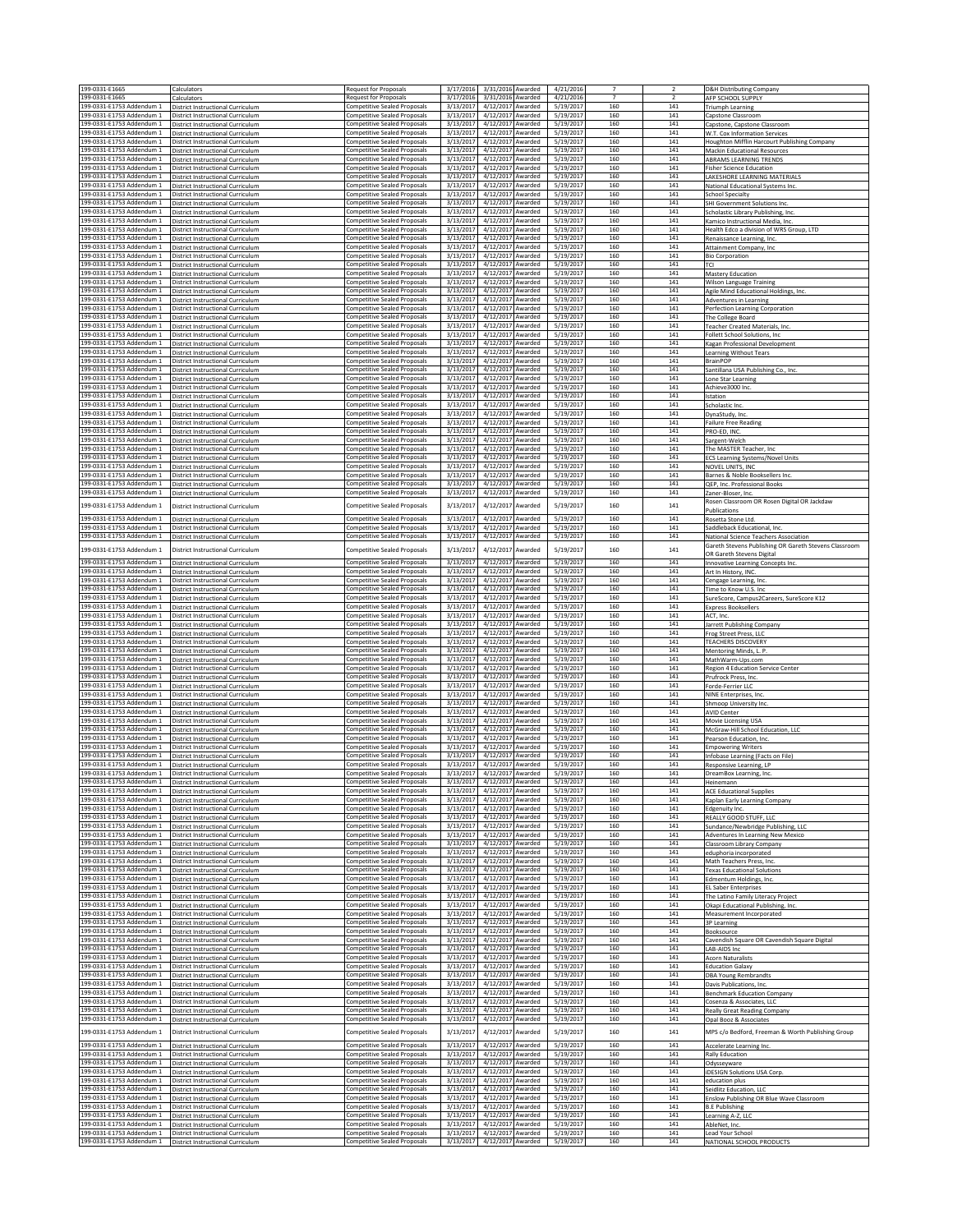| 199-0331-E1665                                         | Calculators                                                                   | Request for Proposals                                                      | 3/17/2016                                        | 3/31/2016 Awarded                      | 4/21/2016              |                       | $\overline{2}$        | <b>D&amp;H Distributing Company</b>                                                |
|--------------------------------------------------------|-------------------------------------------------------------------------------|----------------------------------------------------------------------------|--------------------------------------------------|----------------------------------------|------------------------|-----------------------|-----------------------|------------------------------------------------------------------------------------|
| 199-0331-E1665<br>199-0331-F1753 Addendum 1            | Calculators<br>District Instructional Curriculum                              | Request for Proposals<br><b>Competitive Sealed Proposals</b>               | 3/17/2016<br>3/13/2017                           | 3/31/2016 Awarded<br>4/12/2017 Awarded | 4/21/2016<br>5/19/2017 | $\overline{7}$<br>160 | $\overline{z}$<br>141 | AFP SCHOOL SUPPLY<br>Triumph Learning                                              |
| 199-0331-E1753 Addendum 1                              | <b>District Instructional Curriculum</b>                                      | <b>Competitive Sealed Proposals</b>                                        | 3/13/2017                                        | 4/12/2017 Awarded                      | 5/19/2017              | 160                   | 141                   | Capstone Classroom                                                                 |
| 199-0331-E1753 Addendum 1                              | District Instructional Curriculum                                             | Competitive Sealed Proposals                                               | 3/13/2017<br>3/13/2017                           | 4/12/2017 Awarded                      | 5/19/2017<br>5/19/2017 | 160<br>160            | 141<br>141            | Capstone, Capstone Classroom                                                       |
| 199-0331-E1753 Addendum 1<br>199-0331-E1753 Addendum 1 | District Instructional Curriculum<br>District Instructional Curriculum        | Competitive Sealed Proposals<br><b>Competitive Sealed Proposals</b>        | 3/13/2017                                        | 4/12/2017 Awarded<br>4/12/2017 Awarded | 5/19/2017              | 160                   | 141                   | W.T. Cox Information Services<br>Houghton Mifflin Harcourt Publishing Company      |
| 199-0331-E1753 Addendum 1                              | District Instructional Curriculum                                             | <b>Competitive Sealed Proposals</b>                                        | 3/13/2017                                        | 4/12/2017 Awarded                      | 5/19/2017              | 160                   | 141                   | <b>Mackin Educational Resources</b>                                                |
| 199-0331-E1753 Addendum 1<br>199-0331-E1753 Addendum 1 | District Instructional Curriculum<br><b>District Instructional Curriculum</b> | <b>Competitive Sealed Proposals</b><br><b>Competitive Sealed Proposals</b> | 3/13/2017<br>3/13/2017                           | 4/12/2017 Awarded<br>4/12/2017 Awarded | 5/19/2017<br>5/19/2017 | 160<br>160            | 141<br>141            | ABRAMS LEARNING TRENDS<br><b>Fisher Science Education</b>                          |
| 199-0331-E1753 Addendum 1                              | District Instructional Curriculum                                             | <b>Competitive Sealed Proposals</b>                                        | 3/13/2017                                        | 4/12/2017 Awarded                      | 5/19/2017              | 160                   | 141                   | LAKESHORE LEARNING MATERIALS                                                       |
| 199-0331-E1753 Addendum 1<br>199-0331-E1753 Addendum 1 | District Instructional Curriculum<br>District Instructional Curriculum        | <b>Competitive Sealed Proposals</b><br>Competitive Sealed Proposals        | 3/13/2017<br>3/13/2017                           | 4/12/2017 Awarded<br>4/12/2017 Awarded | 5/19/2017<br>5/19/2017 | 160<br>160            | 141<br>141            | National Educational Systems Inc<br><b>School Specialty</b>                        |
| 199-0331-E1753 Addendum 1                              | District Instructional Curriculum                                             | <b>Competitive Sealed Proposals</b>                                        | 3/13/2017                                        | 4/12/2017 Awarded                      | 5/19/2017              | 160                   | 141                   | SHI Government Solutions Inc.                                                      |
| 199-0331-E1753 Addendum 1<br>199-0331-E1753 Addendum 1 | District Instructional Curriculum<br>District Instructional Curriculum        | <b>Competitive Sealed Proposals</b><br><b>Competitive Sealed Proposals</b> | 3/13/2017<br>3/13/2017<br>4/12/2017              | 4/12/2017 Awarded<br>Awarded           | 5/19/2017<br>5/19/2017 | 160<br>160            | 141<br>141            | Scholastic Library Publishing, Inc.<br>Camico Instructional Media, Inc.            |
| 199-0331-E1753 Addendum 1                              | District Instructional Curriculum                                             | <b>Competitive Sealed Proposals</b>                                        | 3/13/2017                                        | 4/12/2017 Awarded                      | 5/19/2017              | 160                   | 141                   | lealth Edco a division of WRS Group, LTD                                           |
| 199-0331-E1753 Addendum 1<br>199-0331-E1753 Addendum 1 | District Instructional Curriculum<br>District Instructional Curriculum        | <b>Competitive Sealed Proposals</b><br><b>Competitive Sealed Proposals</b> | 3/13/2017<br>3/13/2017                           | 4/12/2017 Awarded<br>4/12/2017 Awarded | 5/19/2017<br>5/19/2017 | 160<br>160            | 141<br>141            | Renaissance Learning, Inc.<br>Attainment Company, Inc                              |
| 199-0331-E1753 Addendum 1                              | <b>District Instructional Curriculum</b>                                      | <b>Competitive Sealed Proposals</b>                                        | 3/13/2017                                        | 4/12/2017 Awarded                      | 5/19/2017              | 160                   | 141                   | <b>Bio Corporation</b>                                                             |
| 199-0331-E1753 Addendum 1<br>199-0331-E1753 Addendum 1 | District Instructional Curriculum<br>District Instructional Curriculum        | <b>Competitive Sealed Proposals</b><br><b>Competitive Sealed Proposals</b> | 3/13/2017<br>3/13/2017                           | 4/12/2017 Awarded<br>4/12/2017 Awarded | 5/19/2017<br>5/19/2017 | 160<br>160            | 141<br>141            | <b>TCI</b><br><b>Mastery Education</b>                                             |
| 199-0331-E1753 Addendum 1                              | District Instructional Curriculum                                             | <b>Competitive Sealed Proposals</b>                                        | 3/13/2017                                        | 4/12/2017 Awarded                      | 5/19/2017              | 160                   | ${\bf 141}$           | <b>Wilson Language Training</b>                                                    |
| 199-0331-E1753 Addendum 1<br>199-0331-E1753 Addendum 1 | District Instructional Curriculum<br>District Instructional Curriculum        | <b>Competitive Sealed Proposals</b><br><b>Competitive Sealed Proposals</b> | 3/13/2017<br>3/13/2017                           | 4/12/2017 Awarded<br>4/12/2017 Awarded | 5/19/2017<br>5/19/2017 | 160<br>160            | 141<br>141            | Agile Mind Educational Holdings, Inc.<br>Adventures in Learning                    |
| 199-0331-E1753 Addendum 1                              | District Instructional Curriculum                                             | <b>Competitive Sealed Proposals</b>                                        | 3/13/2017                                        | 4/12/2017 Awarded                      | 5/19/2017              | 160                   | 141                   | Perfection Learning Corporation                                                    |
| 199-0331-E1753 Addendum 1<br>199-0331-E1753 Addendum 1 | District Instructional Curriculun<br>District Instructional Curriculum        | <b>Competitive Sealed Proposals</b><br><b>Competitive Sealed Proposals</b> | 3/13/2017<br>3/13/2017                           | 4/12/2017 Awarded<br>4/12/2017 Awarded | 5/19/2017<br>5/19/2017 | 160<br>160            | 141<br>141            | The College Board<br><b>Feacher Created Materials, Inc.</b>                        |
| 199-0331-E1753 Addendum 1                              | District Instructional Curriculum                                             | <b>Competitive Sealed Proposals</b>                                        | 3/13/2017                                        | 4/12/2017 Awarded                      | 5/19/2017              | 160                   | 141                   | Follett School Solutions, Inc                                                      |
| 199-0331-E1753 Addendum 1<br>199-0331-E1753 Addendum 1 | District Instructional Curriculum                                             | <b>Competitive Sealed Proposals</b><br><b>Competitive Sealed Proposals</b> | 3/13/2017<br>3/13/2017                           | 4/12/2017 Awarded<br>4/12/2017 Awarded | 5/19/2017<br>5/19/2017 | 160<br>160            | 141<br>${\bf 141}$    | Kagan Professional Development                                                     |
| 199-0331-E1753 Addendum 1                              | District Instructional Curriculum<br>District Instructional Curriculum        | Competitive Sealed Proposals                                               | 3/13/2017                                        | 4/12/2017 Awarded                      | 5/19/2017              | 160                   | 141                   | Learning Without Tears<br><b>BrainPOP</b>                                          |
| 199-0331-E1753 Addendum 1<br>199-0331-E1753 Addendum 1 | District Instructional Curriculum                                             | Competitive Sealed Proposals<br>Competitive Sealed Proposals               | 3/13/2017<br>3/13/2017                           | 4/12/2017 Awarded<br>4/12/2017 Awarded | 5/19/2017<br>5/19/2017 | 160<br>160            | 141<br>141            | Santillana USA Publishing Co., Inc.                                                |
| 199-0331-E1753 Addendum 1                              | District Instructional Curriculum<br><b>District Instructional Curriculum</b> | <b>Competitive Sealed Proposals</b>                                        | 3/13/2017                                        | 4/12/2017 Awarded                      | 5/19/2017              | 160                   | 141                   | one Star Learning<br>Achieve3000 Inc                                               |
| 199-0331-E1753 Addendum 1<br>199-0331-E1753 Addendum 1 | District Instructional Curriculum<br>District Instructional Curriculum        | <b>Competitive Sealed Proposals</b>                                        | 3/13/2017                                        | 4/12/2017 Awarded                      | 5/19/2017<br>5/19/2017 | 160                   | 141                   | Istation                                                                           |
| 199-0331-E1753 Addendum 1                              | District Instructional Curriculum                                             | Competitive Sealed Proposals<br><b>Competitive Sealed Proposals</b>        | 3/13/2017<br>3/13/2017                           | 4/12/2017 Awarded<br>4/12/2017 Awarded | 5/19/2017              | 160<br>160            | 141<br>141            | Scholastic Inc<br>DynaStudy, Inc.                                                  |
| 199-0331-E1753 Addendum 1<br>199-0331-F1753 Addendum 1 | District Instructional Curriculum                                             | <b>Competitive Sealed Proposals</b>                                        | 3/13/2017                                        | 4/12/2017 Awarded                      | 5/19/2017              | 160                   | 141                   | <b>Failure Free Reading</b>                                                        |
| 199-0331-E1753 Addendum 1                              | District Instructional Curriculum<br>District Instructional Curriculum        | <b>Competitive Sealed Proposals</b><br>Competitive Sealed Proposals        | 3/13/2017<br>3/13/2017                           | 4/12/2017 Awarded<br>4/12/2017 Awarded | 5/19/2017<br>5/19/2017 | 160<br>160            | 141<br>141            | PRO-ED, INC<br>Sargent-Welch                                                       |
| 199-0331-E1753 Addendum 1                              | District Instructional Curriculum                                             | <b>Competitive Sealed Proposals</b>                                        | 3/13/2017                                        | 4/12/2017 Awarded                      | 5/19/2017              | 160                   | 141                   | The MASTER Teacher, Inc                                                            |
| 199-0331-E1753 Addendum 1<br>199-0331-E1753 Addendum 1 | District Instructional Curriculum<br><b>District Instructional Curriculum</b> | <b>Competitive Sealed Proposals</b><br><b>Competitive Sealed Proposals</b> | 3/13/2017<br>3/13/2017                           | 4/12/2017 Awarded<br>4/12/2017 Awarded | 5/19/2017<br>5/19/2017 | 160<br>160            | ${\bf 141}$<br>141    | ECS Learning Systems/Novel Units<br>NOVEL UNITS, INC                               |
| 199-0331-E1753 Addendum 1                              | <b>District Instructional Curriculum</b>                                      | <b>Competitive Sealed Proposals</b>                                        | 3/13/2017                                        | 4/12/2017 Awarded                      | 5/19/2017              | 160                   | 141                   | Barnes & Noble Booksellers Inc                                                     |
| 199-0331-E1753 Addendum 1<br>199-0331-E1753 Addendum 1 | District Instructional Curriculum<br>District Instructional Curriculum        | <b>Competitive Sealed Proposals</b><br><b>Competitive Sealed Proposals</b> | 3/13/2017<br>3/13/2017                           | 4/12/2017 Awarded<br>4/12/2017 Awarded | 5/19/2017<br>5/19/2017 | 160<br>160            | 141<br>141            | QEP. Inc. Professional Books<br>Zaner-Bloser, Inc.                                 |
| 199-0331-F1753 Addendum 1                              |                                                                               | Competitive Sealed Proposals                                               | 3/13/2017<br>4/12/2017                           | Awarded                                | 5/19/2017              | 160                   | 141                   | Rosen Classroom OR Rosen Digital OR Jackdaw                                        |
|                                                        | District Instructional Curriculum                                             |                                                                            |                                                  | 4/12/2017 Awarded                      |                        |                       |                       | <b>Publications</b>                                                                |
| 199-0331-E1753 Addendum 1<br>199-0331-E1753 Addendum 1 | District Instructional Curriculum<br>District Instructional Curriculum        | <b>Competitive Sealed Proposals</b><br>Competitive Sealed Proposals        | 3/13/2017<br>3/13/2017                           | 4/12/2017 Awarded                      | 5/19/2017<br>5/19/2017 | 160<br>160            | 141<br>141            | Rosetta Stone Ltd.<br>Saddleback Educational, Inc                                  |
| 199-0331-E1753 Addendum 1                              | District Instructional Curriculum                                             | <b>Competitive Sealed Proposals</b>                                        | 3/13/2017<br>4/12/2017                           | Awarded                                | 5/19/2017              | 160                   | 141                   | National Science Teachers Association                                              |
| 199-0331-E1753 Addendum 1                              | District Instructional Curriculum                                             | Competitive Sealed Proposals                                               | 3/13/2017<br>4/12/2017                           | Awarded                                | 5/19/2017              | 160                   | 141                   | Gareth Stevens Publishing OR Gareth Stevens Classroom<br>OR Gareth Stevens Digital |
| 199-0331-E1753 Addendum 1                              | District Instructional Curriculum                                             | <b>Competitive Sealed Proposals</b>                                        | 3/13/2017                                        | 4/12/2017 Awarded                      | 5/19/2017              | 160                   | 141                   | Innovative Learning Concepts Inc.                                                  |
| 199-0331-E1753 Addendum 1<br>199-0331-E1753 Addendum 1 | District Instructional Curriculum<br>District Instructional Curriculum        | <b>Competitive Sealed Proposals</b><br><b>Competitive Sealed Proposals</b> | 3/13/2017<br>3/13/2017                           | 4/12/2017 Awarded<br>4/12/2017 Awarded | 5/19/2017<br>5/19/2017 | 160<br>160            | 141<br>141            | Art In History, INC.<br>Cengage Learning, Inc.                                     |
| 199-0331-E1753 Addendum 1                              | District Instructional Curriculum                                             | Competitive Sealed Proposals                                               | 3/13/2017<br>4/12/2017                           | Awarded                                | 5/19/2017              | 160                   | 141                   | Time to Know U.S. Inc                                                              |
| 199-0331-E1753 Addendum 1<br>199-0331-E1753 Addendum 1 | District Instructional Curriculum<br>District Instructional Curriculum        | Competitive Sealed Proposals<br>Competitive Sealed Proposals               | 3/13/2017<br>3/13/2017                           | 4/12/2017 Awarded<br>4/12/2017 Awarded | 5/19/2017<br>5/19/2017 | 160<br>160            | 141<br>141            | SureScore, Campus2Careers, SureScore K12<br><b>Express Booksellers</b>             |
| 199-0331-E1753 Addendum 1                              | District Instructional Curriculum                                             | <b>Competitive Sealed Proposals</b>                                        | 3/13/2017                                        | 4/12/2017 Awarded                      | 5/19/2017              | 160                   | 141                   | ACT, Inc.                                                                          |
| 199-0331-E1753 Addendum 1<br>199-0331-E1753 Addendum 1 | District Instructional Curriculum<br>District Instructional Curriculum        | Competitive Sealed Proposals<br>Competitive Sealed Proposals               | 3/13/2017<br>3/13/2017                           | 4/12/2017 Awarded<br>4/12/2017 Awarded | 5/19/2017<br>5/19/2017 | 160<br>160            | 141<br>141            | Jarrett Publishing Company<br>Frog Street Press, LLC                               |
| 199-0331-E1753 Addendum 1                              | District Instructional Curriculum                                             | Competitive Sealed Proposals                                               | 3/13/2017                                        | 4/12/2017 Awarded                      | 5/19/2017              | 160                   | 141                   | <b>TEACHERS DISCOVERY</b>                                                          |
| 199-0331-E1753 Addendum 1                              | District Instructional Curriculum                                             | <b>Competitive Sealed Proposals</b>                                        | 3/13/2017                                        | 4/12/2017 Awarded                      | 5/19/2017              | 160                   | 141                   | Mentoring Minds, L. P.                                                             |
| 199-0331-E1753 Addendum 1<br>199-0331-E1753 Addendum 1 | District Instructional Curriculum<br>District Instructional Curriculum        | Competitive Sealed Proposals<br>Competitive Sealed Proposals               | 3/13/2017<br>4/12/2017<br>3/13/2017<br>4/12/2017 | Awarded<br>Awarded                     | 5/19/2017<br>5/19/2017 | 160<br>160            | 141<br>141            | MathWarm-Ups.com<br>Region 4 Education Service Center                              |
| 199-0331-E1753 Addendum 1                              | District Instructional Curriculum                                             | <b>Competitive Sealed Proposals</b>                                        | 3/13/2017                                        | 4/12/2017 Awarded                      | 5/19/2017              | 160                   | 141                   | Prufrock Press, Inc.                                                               |
| 199-0331-E1753 Addendum 1<br>199-0331-E1753 Addendum 1 | District Instructional Curriculur<br>District Instructional Curriculum        | <b>Competitive Sealed Proposals</b><br><b>Competitive Sealed Proposals</b> | 3/13/2017<br>3/13/2017                           | 4/12/2017 Awarded<br>4/12/2017 Awarded | 5/19/2017<br>5/19/2017 | 160<br>160            | 141<br>141            | Forde-Ferrier LLC<br>NINE Enterprises, Inc                                         |
| 199-0331-E1753 Addendum 1                              | District Instructional Curriculum                                             | Competitive Sealed Proposals                                               | 3/13/2017                                        | 4/12/2017 Awarded                      | 5/19/2017              | 160                   | 141                   | Shmoop University Inc                                                              |
| 199-0331-E1753 Addendum 1<br>199-0331-E1753 Addendum 1 | District Instructional Curriculum<br>District Instructional Curriculum        | <b>Competitive Sealed Proposals</b><br>Competitive Sealed Proposals        | 3/13/2017<br>3/13/2017                           | 4/12/2017 Awarded<br>4/12/2017 Awarded | 5/19/2017<br>5/19/2017 | 160<br>160            | 141<br>141            | <b>AVID Center</b><br>Movie Licensing USA                                          |
| 199-0331-E1753 Addendum 1                              | District Instructional Curriculum                                             | Competitive Sealed Proposals                                               | 3/13/2017                                        | 4/12/2017 Awarded                      | 5/19/2017              | 160                   | 141                   | McGraw-Hill School Education, LLC                                                  |
| 199-0331-E1753 Addendum 1<br>199-0331-E1753 Addendum 1 | District Instructional Curriculum<br>District Instructional Curriculum        | <b>Competitive Sealed Proposals</b><br><b>Competitive Sealed Proposals</b> | 3/13/2017<br>3/13/2017                           | 4/12/2017 Awarded<br>4/12/2017 Awarded | 5/19/2017<br>5/19/2017 | 160<br>160            | 141<br>141            | Pearson Education, Inc.<br><b>Empowering Writers</b>                               |
| 199-0331-E1753 Addendum 1                              | District Instructional Curriculum                                             | <b>Competitive Sealed Proposals</b>                                        | 3/13/2017                                        | 4/12/2017 Awarded                      | 5/19/2017              | 160                   | 141                   | nfobase Learning (Facts on File)                                                   |
| 199-0331-E1753 Addendum 1<br>199-0331-E1753 Addendum 1 | District Instructional Curriculum<br>District Instructional Curriculum        | <b>Competitive Sealed Proposals</b><br><b>Competitive Sealed Proposals</b> | 3/13/2017<br>3/13/2017                           | 4/12/2017 Awarded<br>4/12/2017 Awarded | 5/19/2017<br>5/19/2017 | 160<br>160            | 141<br>141            | Responsive Learning, LP<br>DreamBox Learning, Inc.                                 |
| 199-0331-E1753 Addendum 1                              | District Instructional Curriculum                                             | <b>Competitive Sealed Proposals</b>                                        | 3/13/2017<br>4/12/2017 Awarded                   |                                        | 5/19/2017              | 160                   | 141                   | Heinemann                                                                          |
| 199-0331-E1753 Addendum 1<br>199-0331-E1753 Addendum 1 | <b>District Instructional Curriculum</b>                                      | <b>Competitive Sealed Proposals</b><br><b>Competitive Sealed Proposals</b> | 3/13/2017<br>4/12/2017 Awarded<br>3/13/2017      | 4/12/2017 Awarded                      | 5/19/2017<br>5/19/2017 | 160<br>160            | 141<br>141            | <b>ACE Educational Supplies</b>                                                    |
| 199-0331-E1753 Addendum 1                              | District Instructional Curriculum<br><b>District Instructional Curriculum</b> | <b>Competitive Sealed Proposals</b>                                        | 3/13/2017<br>4/12/2017                           | Awarded                                | 5/19/2017              | 160                   | 141                   | Kaplan Early Learning Company<br>Edgenuity Inc.                                    |
| 199-0331-E1753 Addendum 1<br>199-0331-E1753 Addendum 1 | District Instructional Curriculum                                             | Competitive Sealed Proposals                                               | 3/13/2017                                        | 4/12/2017 Awarded                      | 5/19/2017<br>5/19/2017 | 160<br>160            | 141<br>141            | REALLY GOOD STUFF, LLC<br>Sundance/Newbridge Publishing, LLC                       |
| 199-0331-E1753 Addendum 1                              | District Instructional Curriculum<br>District Instructional Curriculum        | Competitive Sealed Proposals<br><b>Competitive Sealed Proposals</b>        | 3/13/2017<br>3/13/2017                           | 4/12/2017 Awarded<br>4/12/2017 Awarded | 5/19/2017              | 160                   | 141                   | Adventures In Learning New Mexico                                                  |
| 199-0331-F1753 Addendum 1                              | District Instructional Curriculum                                             | Competitive Sealed Proposals                                               | 3/13/2017                                        | 4/12/2017 Awarded                      | 5/19/2017              | 160<br>160            | 141                   | Classroom Library Company                                                          |
| 199-0331-E1753 Addendum 1<br>199-0331-E1753 Addendum 1 | District Instructional Curriculum<br>District Instructional Curriculum        | Competitive Sealed Proposals<br><b>Competitive Sealed Proposals</b>        | 3/13/2017<br>3/13/2017                           | 4/12/2017 Awarded<br>4/12/2017 Awarded | 5/19/2017<br>5/19/2017 | 160                   | 141<br>141            | eduphoria incorporated<br>Math Teachers Press, Inc.                                |
| 199-0331-E1753 Addendum 1                              | District Instructional Curriculum                                             | Competitive Sealed Proposals                                               | 3/13/2017                                        | 4/12/2017 Awarded                      | 5/19/2017              | 160                   | ${\bf 141}$           | <b>Texas Educational Solutions</b>                                                 |
| 199-0331-F1753 Addendum 1<br>199-0331-E1753 Addendum 1 | District Instructional Curriculum<br>District Instructional Curriculum        | Competitive Sealed Proposals<br>Competitive Sealed Proposals               | 3/13/2017<br>3/13/2017                           | 4/12/2017 Awarded<br>4/12/2017 Awarded | 5/19/2017<br>5/19/2017 | 160<br>160            | 141<br>141            | Edmentum Holdings, Inc.<br><b>EL Saber Enterprises</b>                             |
| 199-0331-E1753 Addendum 1                              | District Instructional Curriculum                                             | <b>Competitive Sealed Proposals</b>                                        | 3/13/2017                                        | 4/12/2017 Awarded                      | 5/19/2017              | 160                   | 141                   | The Latino Family Literacy Project                                                 |
| 199-0331-E1753 Addendum 1<br>199-0331-E1753 Addendum 1 | <b>District Instructional Curriculum</b><br>District Instructional Curriculum | <b>Competitive Sealed Proposals</b><br><b>Competitive Sealed Proposals</b> | 3/13/2017<br>3/13/2017                           | 4/12/2017 Awarded<br>4/12/2017 Awarded | 5/19/2017<br>5/19/2017 | 160<br>160            | 141<br>141            | Okapi Educational Publishing, Inc<br>Measurement Incorporated                      |
| 199-0331-E1753 Addendum 1                              | District Instructional Curriculum                                             | <b>Competitive Sealed Proposals</b>                                        | 3/13/2017                                        | 4/12/2017 Awarded                      | 5/19/2017              | 160                   | 141                   | <b>3P Learning</b>                                                                 |
| 199-0331-E1753 Addendum 1<br>199-0331-E1753 Addendum 1 | District Instructional Curriculum<br>District Instructional Curriculum        | Competitive Sealed Proposals<br><b>Competitive Sealed Proposals</b>        | 3/13/2017<br>3/13/2017                           | 4/12/2017 Awarded<br>4/12/2017 Awarded | 5/19/2017<br>5/19/2017 | 160<br>160            | 141<br>141            | Booksource<br>Cavendish Square OR Cavendish Square Digital                         |
| 199-0331-F1753 Addendum 1                              | District Instructional Curriculum                                             | <b>Competitive Sealed Proposals</b>                                        | 3/13/2017                                        | 4/12/2017 Awarded                      | 5/19/2017              | 160                   | 141                   | LAB-AIDS Inc                                                                       |
| 199-0331-E1753 Addendum 1<br>199-0331-E1753 Addendum 1 | District Instructional Curriculum<br>District Instructional Curriculum        | Competitive Sealed Proposals<br>Competitive Sealed Proposals               | 3/13/2017<br>3/13/2017                           | 4/12/2017 Awarded<br>4/12/2017 Awarded | 5/19/2017<br>5/19/2017 | 160<br>160            | 141<br>141            | <b>Acorn Naturalists</b><br><b>Education Galaxy</b>                                |
| 199-0331-E1753 Addendum 1                              | District Instructional Curriculum                                             | Competitive Sealed Proposals                                               | 3/13/2017                                        | 4/12/2017 Awarded                      | 5/19/2017              | 160                   | 141                   | <b>DBA Young Rembrandts</b>                                                        |
| 199-0331-E1753 Addendum 1<br>199-0331-E1753 Addendum 1 | District Instructional Curriculum<br><b>District Instructional Curriculum</b> | <b>Competitive Sealed Proposals</b><br><b>Competitive Sealed Proposals</b> | 3/13/2017<br>3/13/2017                           | 4/12/2017 Awarded<br>4/12/2017 Awarded | 5/19/2017<br>5/19/2017 | 160<br>160            | 141<br>141            | Davis Publications, Inc.<br><b>Benchmark Education Company</b>                     |
| 199-0331-E1753 Addendum 1                              | District Instructional Curriculum                                             | <b>Competitive Sealed Proposals</b>                                        | 3/13/2017                                        | 4/12/2017 Awarded                      | 5/19/2017              | 160                   | 141                   | Cosenza & Associates, LLC                                                          |
| 199-0331-E1753 Addendum 1                              | <b>District Instructional Curriculum</b>                                      | <b>Competitive Sealed Proposals</b>                                        | 3/13/2017                                        | 4/12/2017 Awarded                      | 5/19/2017              | 160                   | 141                   | <b>Really Great Reading Company</b>                                                |
| 199-0331-E1753 Addendum 1                              | District Instructional Curriculum                                             | <b>Competitive Sealed Proposals</b>                                        | 3/13/2017                                        | 4/12/2017 Awarded                      | 5/19/2017              | 160                   | 141                   | Opal Booz & Associates                                                             |
| 199-0331-E1753 Addendum 1                              | District Instructional Curriculum                                             | Competitive Sealed Proposals                                               | 3/13/2017<br>4/12/2017                           | Awarded                                | 5/19/2017              | 160                   | 141                   | MPS c/o Bedford, Freeman & Worth Publishing Group                                  |
| 199-0331-E1753 Addendum 1<br>199-0331-E1753 Addendum 1 | District Instructional Curriculum<br>District Instructional Curriculum        | Competitive Sealed Proposals<br>Competitive Sealed Proposals               | 3/13/2017<br>3/13/2017                           | 4/12/2017 Awarded<br>4/12/2017 Awarded | 5/19/2017<br>5/19/2017 | 160<br>160            | 141<br>141            | Accelerate Learning Inc.<br>Rally Education                                        |
| 199-0331-E1753 Addendum 1                              | District Instructional Curriculum                                             | <b>Competitive Sealed Proposals</b>                                        | 3/13/2017                                        | 4/12/2017 Awarded                      | 5/19/2017              | 160                   | 141                   | Odysseyware                                                                        |
| 199-0331-E1753 Addendum 1<br>199-0331-E1753 Addendum 1 | District Instructional Curriculum<br>District Instructional Curriculum        | Competitive Sealed Proposals<br>Competitive Sealed Proposals               | 3/13/2017<br>3/13/2017                           | 4/12/2017 Awarded<br>4/12/2017 Awarded | 5/19/2017<br>5/19/2017 | 160<br>160            | 141<br>141            | <b>IDESIGN Solutions USA Corp</b><br>education plus                                |
| 199-0331-E1753 Addendum 1                              | District Instructional Curriculum                                             | <b>Competitive Sealed Proposals</b>                                        | 3/13/2017                                        | 4/12/2017 Awarded                      | 5/19/2017              | 160                   | 141                   | Seidlitz Education, LLC                                                            |
| 199-0331-E1753 Addendum 1<br>199-0331-E1753 Addendum 1 | District Instructional Curriculum<br>District Instructional Curriculum        | <b>Competitive Sealed Proposals</b><br>Competitive Sealed Proposals        | 3/13/2017<br>3/13/2017                           | 4/12/2017 Awarded<br>4/12/2017 Awarded | 5/19/2017<br>5/19/2017 | 160<br>160            | 141<br>141            | Enslow Publishing OR Blue Wave Classroom<br>3.E Publishing                         |
| 199-0331-E1753 Addendum 1                              | District Instructional Curriculum                                             | Competitive Sealed Proposals                                               | 3/13/2017                                        | 4/12/2017 Awarded                      | 5/19/2017              | 160                   | 141                   | earning A-Z, LLC                                                                   |
| 199-0331-E1753 Addendum 1<br>199-0331-E1753 Addendum 1 | District Instructional Curriculum<br>District Instructional Curriculum        | <b>Competitive Sealed Proposals</b><br><b>Competitive Sealed Proposals</b> | 3/13/2017<br>3/13/2017                           | 4/12/2017 Awarded<br>4/12/2017 Awarded | 5/19/2017<br>5/19/2017 | 160<br>160            | 141<br>141            | AbleNet, Inc.<br><b>Lead Your School</b>                                           |
| 199-0331-E1753 Addendum 1                              | District Instructional Curriculum                                             | <b>Competitive Sealed Proposals</b>                                        | 3/13/2017                                        | 4/12/2017 Awarded                      | 5/19/2017              | 160                   | 141                   | NATIONAL SCHOOL PRODUCTS                                                           |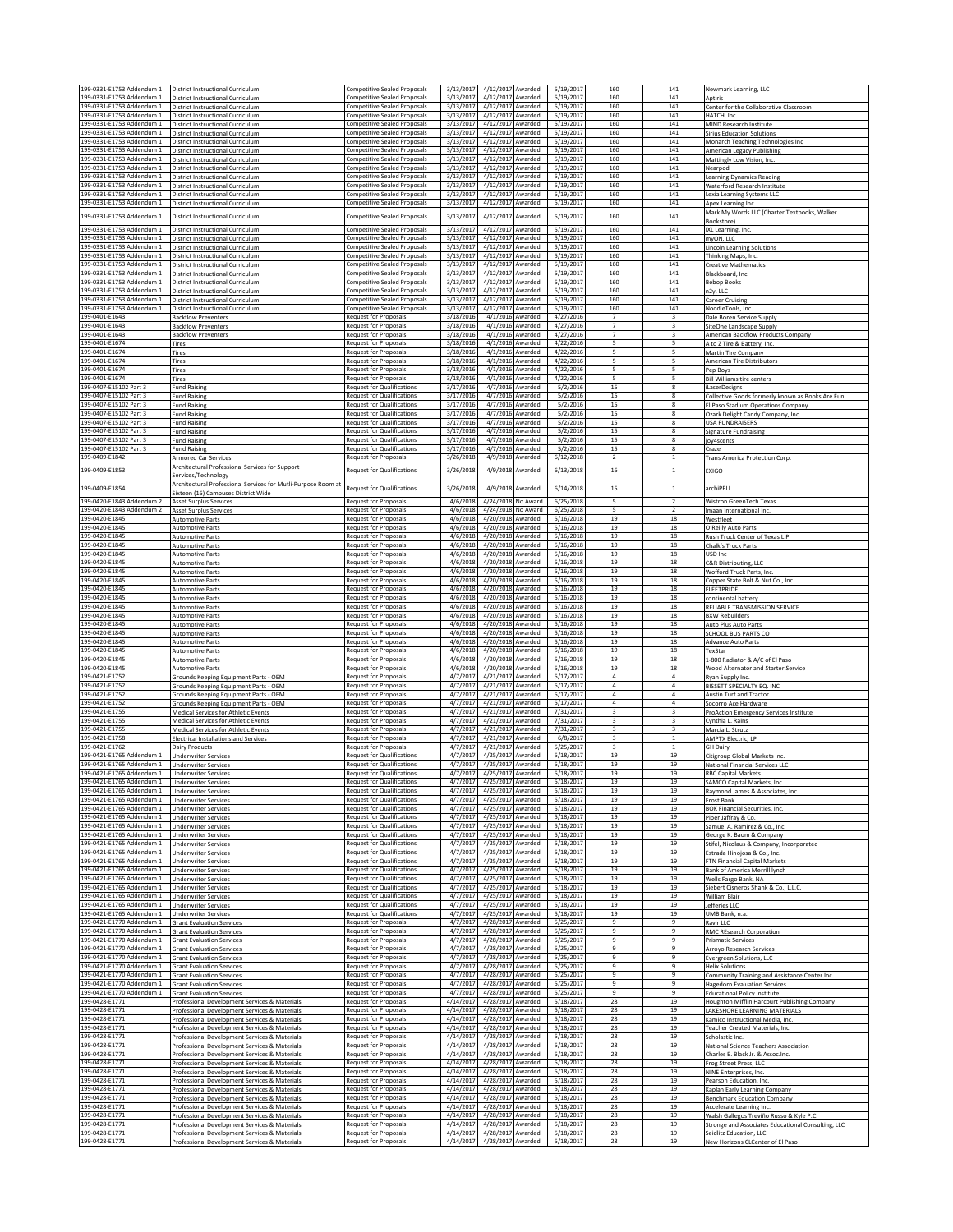| 199-0331-E1753 Addendum 1<br>199-0331-E1753 Addendum 1 | District Instructional Curriculum<br>District Instructional Curriculum                         | Competitive Sealed Proposals<br><b>Competitive Sealed Proposals</b>        | 3/13/2017<br>4/12/2017 Awarded<br>3/13/2017<br>4/12/2017 Awarded |                                      | 5/19/2017<br>5/19/2017 | 160<br>160                                         | 141<br>141                              | Newmark Learning, LLC<br>Aptiris                                              |
|--------------------------------------------------------|------------------------------------------------------------------------------------------------|----------------------------------------------------------------------------|------------------------------------------------------------------|--------------------------------------|------------------------|----------------------------------------------------|-----------------------------------------|-------------------------------------------------------------------------------|
| 199-0331-E1753 Addendum 1<br>199-0331-E1753 Addendum 1 | District Instructional Curriculum                                                              | Competitive Sealed Proposals<br><b>Competitive Sealed Proposals</b>        | 3/13/2017<br>4/12/2017 Awarded<br>3/13/2017                      |                                      | 5/19/2017<br>5/19/2017 | 160<br>160                                         | ${\bf 141}$<br>141                      | Center for the Collaborative Classroom                                        |
| 199-0331-E1753 Addendum 1                              | District Instructional Curriculum<br>District Instructional Curriculum                         | <b>Competitive Sealed Proposals</b>                                        | 3/13/2017<br>4/12/2017 Awarded                                   | 4/12/2017 Awarded                    | 5/19/2017              | 160                                                | 141                                     | HATCH, Inc.<br>MIND Research Institute                                        |
| 199-0331-E1753 Addendum 1<br>199-0331-E1753 Addendum 1 | District Instructional Curriculum<br>District Instructional Curriculum                         | <b>Competitive Sealed Proposals</b><br><b>Competitive Sealed Proposals</b> | 3/13/2017<br>4/12/2017 Awarded<br>4/12/2017 Awarded<br>3/13/2017 |                                      | 5/19/2017<br>5/19/2017 | 160<br>160                                         | 141<br>141                              | <b>Sirius Education Solutions</b><br>Monarch Teaching Technologies Inc        |
| 199-0331-E1753 Addendum 1<br>199-0331-E1753 Addendum 1 | District Instructional Curriculum<br>District Instructional Curriculum                         | <b>Competitive Sealed Proposals</b><br><b>Competitive Sealed Proposals</b> | 3/13/2017<br>4/12/2017 Awarded<br>3/13/2017<br>4/12/2017 Awarded |                                      | 5/19/2017<br>5/19/2017 | 160<br>160                                         | 141<br>141                              | American Legacy Publishing<br>Mattingly Low Vision, Inc.                      |
| 199-0331-E1753 Addendum 1<br>199-0331-E1753 Addendum 1 | District Instructional Curriculum<br>District Instructional Curriculum                         | <b>Competitive Sealed Proposals</b><br>Competitive Sealed Proposals        | 3/13/2017<br>4/12/2017 Awarded<br>3/13/2017<br>4/12/2017 Awarded |                                      | 5/19/2017<br>5/19/2017 | 160<br>160                                         | 141<br>141                              | Nearpod<br><b>Learning Dynamics Reading</b>                                   |
| 199-0331-E1753 Addendum 1<br>199-0331-E1753 Addendum 1 | District Instructional Curriculum<br><b>District Instructional Curriculum</b>                  | <b>Competitive Sealed Proposals</b><br><b>Competitive Sealed Proposals</b> | 3/13/2017<br>4/12/2017 Awarded<br>3/13/2017<br>4/12/2017         | Awarded                              | 5/19/2017<br>5/19/2017 | 160<br>160                                         | 141<br>141                              | Waterford Research Institute                                                  |
| 199-0331-E1753 Addendum 1                              | District Instructional Curriculum                                                              | Competitive Sealed Proposals                                               | 3/13/2017<br>4/12/2017 Awarded                                   |                                      | 5/19/2017              | 160                                                | 141                                     | Lexia Learning Systems LLC<br>Apex Learning Inc.                              |
| 199-0331-E1753 Addendum 1                              | District Instructional Curriculum                                                              | Competitive Sealed Proposals                                               | 4/12/2017<br>3/13/201                                            | Awarded                              | 5/19/2017              | 160                                                | 141                                     | Mark My Words LLC (Charter Textbooks, Walker<br>Bookstore]                    |
| 199-0331-E1753 Addendum 1<br>199-0331-E1753 Addendum 1 | <b>District Instructional Curriculum</b><br>District Instructional Curriculum                  | <b>Competitive Sealed Proposals</b><br><b>Competitive Sealed Proposals</b> | 3/13/2017<br>4/12/2017 Awarded<br>3/13/2017<br>4/12/2017 Awarded |                                      | 5/19/2017<br>5/19/2017 | 160<br>160                                         | 141<br>141                              | IXL Learning, Inc.<br>myON, LLC                                               |
| 199-0331-E1753 Addendum 1<br>199-0331-E1753 Addendum 1 | District Instructional Curriculum<br>District Instructional Curriculum                         | <b>Competitive Sealed Proposals</b><br><b>Competitive Sealed Proposals</b> | 3/13/2017<br>4/12/2017 Awarded<br>3/13/2017<br>4/12/2017 Awarded |                                      | 5/19/2017<br>5/19/2017 | 160<br>160                                         | 141<br>141                              | <b>Lincoln Learning Solutions</b><br>Thinking Maps, Inc.                      |
| 199-0331-E1753 Addendum 1                              | District Instructional Curriculum                                                              | <b>Competitive Sealed Proposals</b>                                        | 3/13/2017<br>4/12/2017 Awarded<br>4/12/2017 Awarded              |                                      | 5/19/2017              | 160                                                | 141                                     | <b>Creative Mathematics</b>                                                   |
| 199-0331-E1753 Addendum 1<br>199-0331-E1753 Addendum 1 | District Instructional Curriculum<br>District Instructional Curriculum                         | <b>Competitive Sealed Proposals</b><br><b>Competitive Sealed Proposals</b> | 3/13/2017<br>3/13/2017<br>4/12/2017 Awarded                      |                                      | 5/19/2017<br>5/19/2017 | 160<br>160                                         | 141<br>141                              | Blackboard, Inc.<br><b>Bebop Books</b>                                        |
| 199-0331-E1753 Addendum 1<br>199-0331-E1753 Addendum 1 | <b>District Instructional Curriculum</b><br><b>District Instructional Curriculum</b>           | <b>Competitive Sealed Proposals</b><br><b>Competitive Sealed Proposals</b> | 4/12/2017 Awarded<br>3/13/2017<br>3/13/2017<br>4/12/2017 Awarded |                                      | 5/19/2017<br>5/19/2017 | 160<br>160                                         | 141<br>141                              | n2y, LLC<br>Career Cruising                                                   |
| 199-0331-E1753 Addendum 1<br>199-0401-E1643            | District Instructional Curriculum<br><b>Backflow Preventers</b>                                | <b>Competitive Sealed Proposals</b><br>Request for Proposals               | 3/13/2017<br>4/12/2017 Awarded<br>3/18/2016                      | 4/1/2016 Awarded                     | 5/19/2017<br>4/27/2016 | 160<br>$\boldsymbol{7}$                            | 141<br>$\overline{\mathbf{3}}$          | NoodleTools, Inc<br>Dale Boren Service Supply                                 |
| 199-0401-E1643<br>199-0401-E1643                       | <b>Backflow Preventers</b><br><b>Backflow Preventers</b>                                       | <b>Request for Proposals</b><br><b>Request for Proposals</b>               | 3/18/2016<br>3/18/2016                                           | 4/1/2016 Awarded<br>4/1/2016 Awarded | 4/27/2016<br>4/27/2016 | $\boldsymbol{7}$<br>$\overline{7}$                 | 3<br>3                                  | SiteOne Landscape Supply<br>American Backflow Products Company                |
| 199-0401-E1674<br>199-0401-E1674                       | Tires                                                                                          | Request for Proposals<br><b>Request for Proposals</b>                      | 3/18/2016<br>3/18/2016                                           | 4/1/2016 Awarded<br>4/1/2016 Awarded | 4/22/2016<br>4/22/2016 | 5<br>5                                             | 5                                       | A to Z Tire & Battery, Inc.                                                   |
| 199-0401-E1674                                         | Tires<br>Tires                                                                                 | Request for Proposals                                                      | 3/18/2016                                                        | 4/1/2016 Awarded                     | 4/22/2016              | 5                                                  | 5                                       | Martin Tire Company<br>American Tire Distributors                             |
| 199-0401-E1674<br>199-0401-E1674                       | Tires<br>Tires                                                                                 | <b>Request for Proposals</b><br>Request for Proposals                      | 3/18/2016<br>3/18/2016                                           | 4/1/2016 Awarded<br>4/1/2016 Awarded | 4/22/2016<br>4/22/2016 | 5<br>5                                             | 5<br>5                                  | Pep Boys<br><b>Bill Williams tire centers</b>                                 |
| 199-0407-E15102 Part 3<br>199-0407-F15102 Part 3       | <b>Fund Raising</b><br><b>Fund Raising</b>                                                     | <b>Request for Qualifications</b><br><b>Request for Qualifications</b>     | 3/17/2016<br>3/17/2016                                           | 4/7/2016 Awarded<br>4/7/2016 Awarded | 5/2/2016<br>5/2/2016   | 15<br>15                                           | 8<br>8                                  | iLaserDesigns<br>Collective Goods formerly known as Books Are Fun             |
| 199-0407-E15102 Part 3<br>199-0407-E15102 Part 3       | Fund Raising<br><b>Fund Raising</b>                                                            | <b>Request for Qualifications</b><br><b>Request for Qualifications</b>     | 3/17/2016<br>3/17/2016                                           | 4/7/2016 Awarded<br>4/7/2016 Awarded | 5/2/2016<br>5/2/2016   | 15<br>15                                           | 8<br>8                                  | El Paso Stadium Operations Company<br>Ozark Delight Candy Company, Inc.       |
| 199-0407-E15102 Part 3<br>199-0407-E15102 Part 3       | Fund Raising                                                                                   | <b>Request for Qualifications</b>                                          | 3/17/2016                                                        | 4/7/2016 Awarded                     | 5/2/2016               | 15<br>15                                           | 8<br>$\mathbf{R}$                       | <b>USA FUNDRAISERS</b>                                                        |
| 199-0407-E15102 Part 3                                 | <b>Fund Raising</b><br><b>Fund Raising</b>                                                     | <b>Request for Qualifications</b><br><b>Request for Qualifications</b>     | 3/17/2016<br>3/17/2016                                           | 4/7/2016 Awarded<br>4/7/2016 Awarded | 5/2/2016<br>5/2/2016   | 15                                                 | 8                                       | <b>Signature Fundraising</b><br>joy4scents                                    |
| 199-0407-E15102 Part 3<br>199-0409-E1842               | <b>Fund Raising</b><br><b>Armored Car Services</b>                                             | <b>Request for Qualifications</b><br><b>Request for Proposals</b>          | 3/17/2016<br>3/26/2018                                           | 4/7/2016 Awarded<br>4/9/2018 Awarded | 5/2/2016<br>6/12/2018  | 15<br>$\overline{2}$                               | 8<br>$\mathbf{1}$                       | Craze<br>Trans America Protection Corp.                                       |
| 199-0409-E1853                                         | Architectural Professional Services for Support<br>Services/Technology                         | <b>Request for Qualifications</b>                                          | 3/26/2018                                                        | 4/9/2018 Awarded                     | 6/13/2018              | 16                                                 | $\,$ 1 $\,$                             | EXIGO                                                                         |
| 199-0409-E1854                                         | Architectural Professional Services for Mutli-Purpose Room at                                  | <b>Request for Qualifications</b>                                          | 3/26/2018                                                        | 4/9/2018 Awarded                     | 6/14/2018              | 15                                                 | $\mathbf{1}$                            | archiPELI                                                                     |
| 199-0420-E1843 Addendum 2                              | Sixteen (16) Campuses District Wide<br><b>Asset Surplus Services</b>                           | <b>Request for Proposals</b>                                               | 4/6/2018                                                         | 4/24/2018 No Award                   | 6/25/2018              | 5                                                  | $\overline{2}$                          | Wistron GreenTech Texas                                                       |
| 199-0420-E1843 Addendum 2<br>199-0420-E1845            | Asset Surplus Service<br><b>Automotive Parts</b>                                               | Request for Proposals<br><b>Request for Proposals</b>                      | 4/6/2018<br>4/6/2018<br>4/20/2018 Awarded                        | 4/24/2018 No Award                   | 6/25/2018<br>5/16/2018 | 5<br>19                                            | $\overline{2}$<br>18                    | Imaan International Inc<br>Westfleet                                          |
| 199-0420-E1845<br>199-0420-E1845                       | <b>Automotive Parts</b><br><b>Automotive Parts</b>                                             | Request for Proposals<br><b>Request for Proposals</b>                      | 4/6/2018<br>4/20/2018 Awarded<br>4/6/2018<br>4/20/2018 Awarded   |                                      | 5/16/2018<br>5/16/2018 | 19<br>19                                           | 18<br>18                                | O'Reilly Auto Parts<br>Rush Truck Center of Texas L.P.                        |
| 199-0420-E1845<br>199-0420-E1845                       | <b>Automotive Parts</b><br><b>Automotive Parts</b>                                             | <b>Request for Proposals</b><br><b>Request for Proposals</b>               | 4/6/2018<br>4/20/2018 Awarded<br>4/6/2018<br>4/20/2018 Awarded   |                                      | 5/16/2018<br>5/16/2018 | 19<br>19                                           | 18<br>18                                | Chalk's Truck Parts<br>USD Inc                                                |
| 199-0420-E1845                                         | <b>Automotive Parts</b>                                                                        | Request for Proposals                                                      | 4/6/2018<br>4/20/2018 Awarded                                    |                                      | 5/16/2018              | 19                                                 | 18                                      | C&R Distributing, LLC                                                         |
| 199-0420-E1845<br>199-0420-E1845                       | <b>Automotive Parts</b><br><b>Automotive Parts</b>                                             | <b>Request for Proposals</b><br><b>Request for Proposals</b>               | 4/6/2018<br>4/20/2018 Awarded<br>4/6/2018<br>4/20/2018 Awarded   |                                      | 5/16/2018<br>5/16/2018 | 19<br>19                                           | 18<br>18                                | Wofford Truck Parts, Inc.<br>Copper State Bolt & Nut Co., Inc.                |
| 199-0420-E1845<br>199-0420-E1845                       | <b>Automotive Parts</b><br><b>Automotive Parts</b>                                             | <b>Request for Proposals</b><br>Request for Proposals                      | 4/6/2018<br>4/20/2018 Awarded<br>4/6/2018<br>4/20/2018 Awarded   |                                      | 5/16/2018<br>5/16/2018 | 19<br>19                                           | 18<br>18                                | <b>FLEETPRIDE</b><br>continental battery                                      |
| 199-0420-E1845<br>199-0420-E1845                       | <b>Automotive Parts</b><br><b>Automotive Parts</b>                                             | Request for Proposals<br><b>Request for Proposals</b>                      | 4/6/2018<br>4/20/2018 Awarded<br>4/6/2018<br>4/20/2018 Awarded   |                                      | 5/16/2018<br>5/16/2018 | 19<br>19                                           | 18<br>18                                | RELIABLE TRANSMISSION SERVICE<br><b>BXW Rebuilders</b>                        |
| 199-0420-E1845<br>199-0420-E1845                       | <b>Automotive Parts</b><br><b>Automotive Parts</b>                                             | <b>Request for Proposals</b><br>Request for Proposals                      | 4/6/2018<br>4/20/2018 Awarded<br>4/6/2018<br>4/20/2018           | Awarded                              | 5/16/2018<br>5/16/2018 | 19<br>19                                           | 18<br>18                                | Auto Plus Auto Parts<br><b>SCHOOL BUS PARTS CO</b>                            |
| 199-0420-E1845                                         | <b>Automotive Parts</b>                                                                        | <b>Request for Proposals</b>                                               | 4/6/2018<br>4/20/2018 Awarded                                    |                                      | 5/16/2018              | 19                                                 | 18                                      | Advance Auto Parts                                                            |
| 199-0420-E1845<br>199-0420-E1845                       | <b>Automotive Parts</b><br><b>Automotive Parts</b>                                             | <b>Request for Proposals</b><br>Request for Proposals                      | 4/6/2018<br>4/20/2018 Awarded<br>4/20/2018 Awarded<br>4/6/2018   |                                      | 5/16/2018<br>5/16/2018 | 19<br>19                                           | 18<br>18                                | TexStar<br>-800 Radiator & A/C of El Paso                                     |
| 199-0420-E1845<br>199-0421-E1752                       | <b>Automotive Parts</b><br>Grounds Keeping Equipment Parts - OEM                               | <b>Request for Proposals</b><br>Request for Proposals                      | 4/6/2018<br>4/20/2018 Awarded<br>4/7/2017<br>4/21/2017 Awarded   |                                      | 5/16/2018<br>5/17/2017 | 19<br>$\overline{4}$                               | 18<br>$\overline{4}$                    | Wood Alternator and Starter Service<br>Ryan Supply Inc                        |
| 199-0421-E1752<br>199-0421-E1752                       | Grounds Keeping Equipment Parts - OEM<br>Grounds Keeping Equipment Parts - OEM                 | <b>Request for Proposals</b><br><b>Request for Proposals</b>               | 4/7/2017<br>4/21/2017 Awarded<br>4/21/2017 Awarded<br>4/7/2017   |                                      | 5/17/2017<br>5/17/2017 | $\overline{4}$<br>$\sqrt{4}$                       | $\overline{4}$<br>4                     | BISSETT SPECIALTY EQ. INC<br>Austin Turf and Tractor                          |
| 199-0421-E1752<br>199-0421-E1755                       | Grounds Keeping Equipment Parts - OEM                                                          | <b>Request for Proposals</b><br>Request for Proposals                      | 4/7/2017<br>4/21/2017 Awarded<br>4/7/2017<br>4/21/2017 Awarded   |                                      | 5/17/2017<br>7/31/2017 | $\overline{4}$<br>$\overline{\mathbf{3}}$          | 4<br>3                                  | Socorro Ace Hardware                                                          |
| 199-0421-E1755                                         | Medical Services for Athletic Events<br>Medical Services for Athletic Events                   | Request for Proposals                                                      | 4/7/2017<br>4/21/2017 Awarded                                    |                                      | 7/31/2017              | 3                                                  |                                         | ProAction Emergency Services Institute<br>Cynthia L. Rains                    |
| 199-0421-E1755<br>199-0421-E1758                       | Medical Services for Athletic Events<br><b>Electrical Installations and Services</b>           | Request for Proposals<br><b>Request for Proposals</b>                      | 4/7/2017<br>4/21/2017 Awarded<br>4/7/2017<br>4/21/2017 Awarded   |                                      | 7/31/2017<br>6/8/201   | $\overline{\mathbf{3}}$<br>$\overline{\mathbf{3}}$ | $\overline{\mathbf{3}}$<br>$\mathbf{1}$ | Marcia L. Strutz<br>AMPTX Electric, LP                                        |
| 199-0421-E1762<br>199-0421-E1765 Addendum 1            | <b>Dairy Products</b><br><b>Underwriter Services</b>                                           | Request for Proposals<br><b>Request for Qualifications</b>                 | 4/7/2017<br>4/21/2017 Awarded<br>4/7/2017<br>4/25/2017 Awarded   |                                      | 5/25/2017<br>5/18/2017 | $\overline{\mathbf{3}}$<br>19                      | $\mathbf{1}$<br>19                      | <b>GH Dairy</b><br>Citigroup Global Markets Inc.                              |
| 199-0421-E1765 Addendum 1<br>199-0421-E1765 Addendum 1 | <b>Underwriter Services</b><br><b>Underwriter Services</b>                                     | <b>Request for Qualifications</b><br><b>Request for Qualifications</b>     | 4/7/2017<br>4/25/2017 Awarded<br>4/25/2017 Awarded<br>4/7/2017   |                                      | 5/18/2017<br>5/18/2017 | 19<br>19                                           | 19<br>19                                | National Financial Services LLC                                               |
| 199-0421-E1765 Addendum 1                              | Underwriter Services                                                                           | Request for Qualifications                                                 | 4/7/2017<br>4/25/2017 Awarded                                    |                                      | 5/18/2017              | 19                                                 | 19                                      | <b>RBC Capital Markets</b><br>SAMCO Capital Markets, Inc                      |
| 199-0421-E1765 Addendum 1<br>199-0421-E1765 Addendum 1 | <b>Underwriter Services</b><br><b>Underwriter Services</b>                                     | <b>Request for Qualifications</b><br><b>Request for Qualifications</b>     | 4/25/2017 Awarded<br>4/7/2017<br>4/25/2017 Awarded<br>4/7/2017   |                                      | 5/18/2017<br>5/18/2017 | 19<br>19                                           | 19<br>19                                | Raymond James & Associates, Inc.<br>Frost Bank                                |
| 199-0421-E1765 Addendum 1<br>199-0421-E1765 Addendum 1 | <b>Underwriter Services</b><br><b>Underwriter Services</b>                                     | <b>Request for Qualifications</b><br><b>Request for Qualifications</b>     | 4/25/2017 Awarded<br>4/7/2017<br>4/7/2017<br>4/25/2017 Awarded   |                                      | 5/18/2017<br>5/18/2017 | 19<br>19                                           | 19<br>19                                | BOK Financial Securities, Inc.<br>Piper Jaffray & Co.                         |
| 199-0421-E1765 Addendum 1<br>199-0421-E1765 Addendum 1 | <b>Underwriter Services</b><br><b>Underwriter Services</b>                                     | <b>Request for Qualifications</b><br><b>Request for Qualifications</b>     | 4/7/2017 4/25/2017 Awarded<br>4/7/2017 4/25/2017 Awarded         |                                      | 5/18/2017<br>5/18/2017 | 19<br>19                                           | 19<br>19                                | Samuel A. Ramirez & Co., Inc.<br>George K. Baum & Company                     |
| 199-0421-E1765 Addendum 1<br>199-0421-E1765 Addendum 1 | <b>Underwriter Services</b>                                                                    | <b>Request for Qualifications</b><br><b>Request for Qualifications</b>     | 4/25/2017 Awarded<br>4/7/2017<br>4/7/2017<br>4/25/2017 Awarded   |                                      | 5/18/2017<br>5/18/2017 | 19<br>19                                           | 19<br>19                                | Stifel, Nicolaus & Company, Incorporated<br>Estrada Hinojosa & Co., Inc.      |
| 199-0421-E1765 Addendum 1                              | <b>Underwriter Services</b><br><b>Underwriter Services</b>                                     | <b>Request for Qualifications</b>                                          | 4/7/2017<br>4/25/2017 Awarded                                    |                                      | 5/18/2017              | 19                                                 | 19                                      | FTN Financial Capital Markets                                                 |
| 199-0421-E1765 Addendum 1<br>199-0421-E1765 Addendum 1 | <b>Underwriter Services</b><br><b>Underwriter Services</b>                                     | <b>Request for Qualifications</b><br><b>Request for Qualifications</b>     | 4/7/2017<br>4/25/2017 Awarded<br>4/25/2017 Awarded<br>4/7/2017   |                                      | 5/18/2017<br>5/18/2017 | 19<br>19                                           | 19<br>19                                | Bank of America Merrill lynch<br>Wells Fargo Bank, NA                         |
| 199-0421-E1765 Addendum 1<br>199-0421-E1765 Addendum 1 | <b>Underwriter Services</b><br><b>Underwriter Services</b>                                     | <b>Request for Qualifications</b><br><b>Request for Qualifications</b>     | 4/7/2017<br>4/25/2017 Awarded<br>4/7/2017<br>4/25/2017 Awarded   |                                      | 5/18/2017<br>5/18/2017 | 19<br>19                                           | 19<br>19                                | Siebert Cisneros Shank & Co., L.L.C.<br><b>William Blair</b>                  |
| 199-0421-E1765 Addendum 1<br>199-0421-E1765 Addendum 1 | <b>Underwriter Services</b><br><b>Underwriter Services</b>                                     | Request for Qualifications<br><b>Request for Qualifications</b>            | 4/7/2017<br>4/25/2017 Awarded<br>4/7/2017<br>4/25/2017 Awarded   |                                      | 5/18/2017<br>5/18/2017 | 19<br>19                                           | 19<br>19                                | Jefferies LLC<br>UMB Bank, n.a.                                               |
| 199-0421-E1770 Addendum 1<br>199-0421-E1770 Addendum 1 | <b>Grant Evaluation Services</b><br><b>Grant Evaluation Services</b>                           | Request for Proposals<br>Request for Proposals                             | 4/28/2017 Awarded<br>4/7/2017<br>4/7/2017<br>4/28/2017 Awarded   |                                      | 5/25/2017<br>5/25/2017 | $\overline{9}$<br>9                                | 9<br>9                                  | Ravir LLC<br><b>RMC REsearch Corporation</b>                                  |
| 199-0421-E1770 Addendum 1                              | <b>Grant Evaluation Services</b>                                                               | Request for Proposals                                                      | 4/7/2017<br>4/28/2017 Awarded                                    |                                      | 5/25/2017              | 9                                                  | 9                                       | <b>Prismatic Services</b>                                                     |
| 199-0421-E1770 Addendum 1<br>199-0421-E1770 Addendum 1 | <b>Grant Evaluation Services</b><br><b>Grant Evaluation Services</b>                           | Request for Proposals<br><b>Request for Proposals</b>                      | 4/28/2017 Awarded<br>4/7/2017<br>4/7/2017<br>4/28/2017 Awarded   |                                      | 5/25/2017<br>5/25/2017 | 9<br>9                                             | $\mathbf{q}$<br>$\mathbf{q}$            | Arroyo Research Services<br>Evergreen Solutions, LLC                          |
| 199-0421-E1770 Addendum 1<br>199-0421-E1770 Addendum 1 | <b>Grant Evaluation Services</b><br><b>Grant Evaluation Services</b>                           | <b>Request for Proposals</b><br><b>Request for Proposals</b>               | 4/7/2017<br>4/28/2017 Awarded<br>4/7/2017<br>4/28/2017 Awarded   |                                      | 5/25/2017<br>5/25/2017 | 9<br>9                                             | 9<br>9                                  | <b>Helix Solutions</b><br>Community Training and Assistance Center Inc.       |
| 199-0421-E1770 Addendum 1<br>199-0421-E1770 Addendum 1 | <b>Grant Evaluation Services</b><br><b>Grant Evaluation Services</b>                           | Request for Proposals<br><b>Request for Proposals</b>                      | 4/7/2017<br>4/28/2017 Awarded<br>4/28/2017 Awarded<br>4/7/2017   |                                      | 5/25/2017<br>5/25/2017 | 9<br>9                                             | 9<br>9                                  | <b>Hagedorn Evaluation Services</b><br><b>Educational Policy Institute</b>    |
| 199-0428-E1771<br>199-0428-E1771                       | Professional Development Services & Materials                                                  | Request for Proposals<br>Request for Proposals                             | 4/14/2017<br>4/28/2017 Awarded<br>4/14/2017<br>4/28/2017 Awarded |                                      | 5/18/2017<br>5/18/2017 | 28<br>28                                           | 19<br>19                                | Houghton Mifflin Harcourt Publishing Company                                  |
| 199-0428-E1771                                         | Professional Development Services & Materials<br>Professional Development Services & Materials | Request for Proposals                                                      | 4/14/2017<br>4/28/2017 Awarded                                   |                                      | 5/18/2017              | 28                                                 | 19                                      | LAKESHORE LEARNING MATERIALS<br>Kamico Instructional Media, Inc.              |
| 199-0428-E1771<br>199-0428-E1771                       | Professional Development Services & Materials<br>Professional Development Services & Materials | <b>Request for Proposals</b><br><b>Request for Proposals</b>               | 4/14/2017<br>4/28/2017 Awarded<br>4/14/2017<br>4/28/2017 Awarded |                                      | 5/18/2017<br>5/18/2017 | 28<br>28                                           | 19<br>19                                | Teacher Created Materials, Inc.<br>Scholastic Inc                             |
| 199-0428-E1771<br>199-0428-E1771                       | Professional Development Services & Materials<br>Professional Development Services & Materials | Request for Proposals<br>Request for Proposals                             | 4/14/2017<br>4/28/2017 Awarded<br>4/14/2017 4/28/2017 Awarded    |                                      | 5/18/2017<br>5/18/2017 | 28<br>28                                           | 19<br>19                                | National Science Teachers Association<br>Charles E. Black Jr. & Assoc.Inc.    |
| 199-0428-E1771<br>199-0428-E1771                       | Professional Development Services & Materials<br>Professional Development Services & Materials | <b>Request for Proposals</b><br>Request for Proposals                      | 4/28/2017 Awarded<br>4/14/2017<br>4/28/2017 Awarded<br>4/14/2017 |                                      | 5/18/2017<br>5/18/2017 | 28<br>28                                           | 19<br>19                                | Frog Street Press, LLC<br>NINE Enterprises, Inc.                              |
| 199-0428-E1771<br>199-0428-E1771                       | Professional Development Services & Materials<br>Professional Development Services & Materials | Request for Proposals<br>Request for Proposals                             | 4/14/2017<br>4/28/2017 Awarded<br>4/14/2017<br>4/28/2017 Awarded |                                      | 5/18/2017<br>5/18/2017 | 28<br>28                                           | 19<br>19                                | Pearson Education, Inc.<br>Kaplan Early Learning Company                      |
| 199-0428-E1771                                         | Professional Development Services & Materials                                                  | <b>Request for Proposals</b>                                               | 4/28/2017 Awarded<br>4/14/2017                                   |                                      | 5/18/2017              | 28                                                 | 19                                      | Benchmark Education Company                                                   |
| 199-0428-E1771<br>199-0428-E1771                       | Professional Development Services & Materials<br>Professional Development Services & Materials | Request for Proposals<br>Request for Proposals                             | 4/14/2017<br>4/28/2017 Awarded<br>4/14/2017 4/28/2017 Awarded    |                                      | 5/18/2017<br>5/18/2017 | 28<br>28                                           | 19<br>19                                | Accelerate Learning Inc.<br>Walsh Gallegos Treviño Russo & Kyle P.C.          |
| 199-0428-E1771<br>199-0428-E1771                       | Professional Development Services & Materials<br>Professional Development Services & Materials | Request for Proposals<br>Request for Proposals                             | 4/14/2017<br>4/28/2017 Awarded<br>4/14/2017<br>4/28/2017 Awarded |                                      | 5/18/2017<br>5/18/2017 | 28<br>28                                           | 19<br>19                                | Stronge and Associates Educational Consulting, LLC<br>Seidlitz Education, LLC |
| 199-0428-E1771                                         | Professional Development Services & Materials                                                  | Request for Proposals                                                      | 4/14/2017 4/28/2017 Awarded                                      |                                      | 5/18/2017              | 28                                                 | 19                                      | New Horizons CLCenter of El Paso                                              |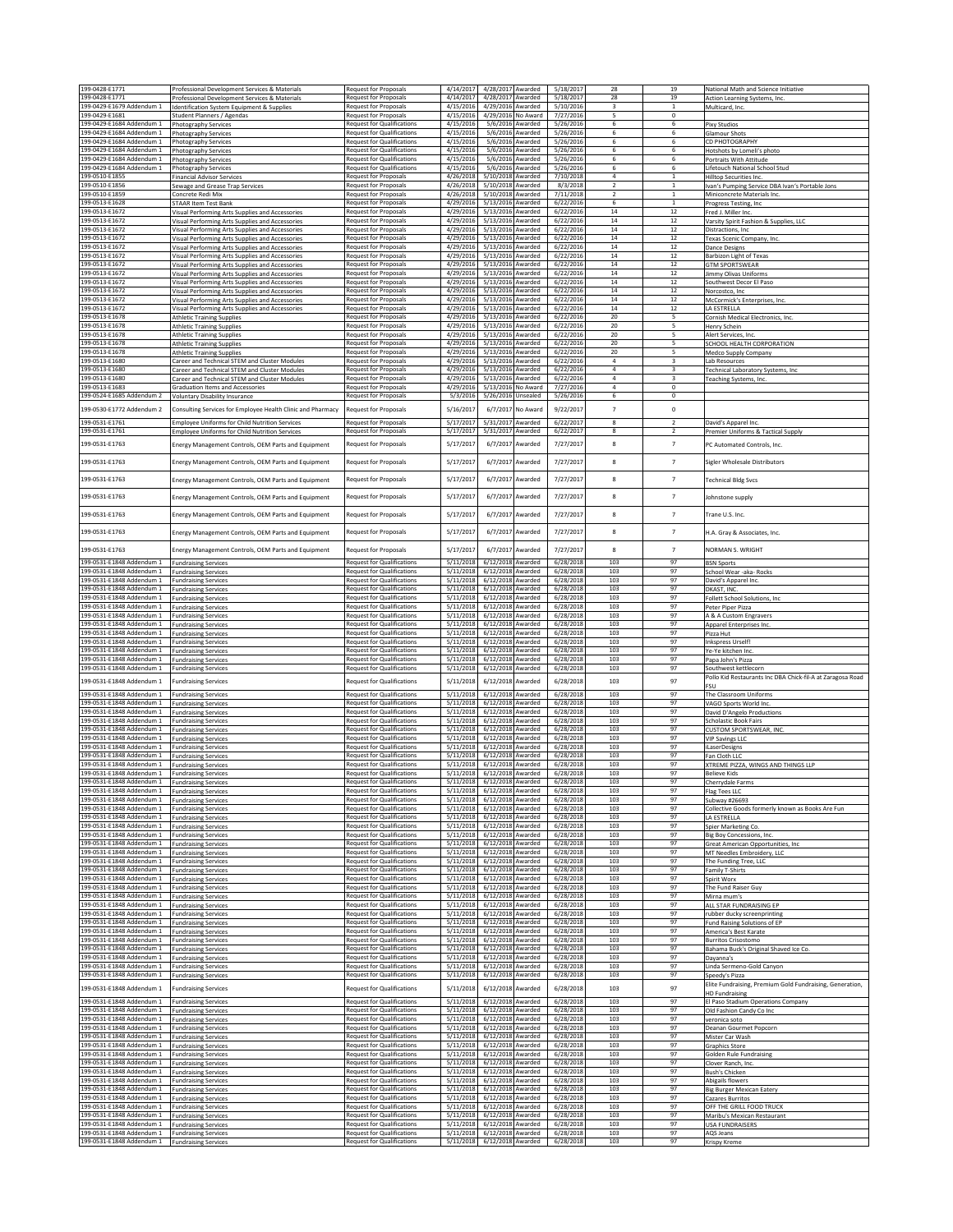| 199-0428-E1771                                         |                                                                                                                      |                                                                        | 4/14/2017              | 4/28/2017 Awarded               |                                 | 5/18/2017              | 28                           | 19                       | National Math and Science Initiative                                               |
|--------------------------------------------------------|----------------------------------------------------------------------------------------------------------------------|------------------------------------------------------------------------|------------------------|---------------------------------|---------------------------------|------------------------|------------------------------|--------------------------|------------------------------------------------------------------------------------|
| 199-0428-E1771                                         | Professional Development Services & Materials<br>Professional Development Services & Materials                       | <b>Request for Proposals</b><br>Request for Proposals                  | 4/14/2017              | 4/28/2017 Awarded               |                                 | 5/18/2017              | 28                           | 19                       | Action Learning Systems, Inc                                                       |
| 199-0429-E1679 Addendum 1                              | Identification System Equipment & Supplies                                                                           | <b>Request for Proposals</b>                                           | 4/15/2016              | 4/29/2016 Awarded               |                                 | 5/10/2016              | 3                            | $\mathbf{1}$             | Multicard, Inc.                                                                    |
| 199-0429-E1681<br>199-0429-E1684 Addendum 1            | <b>Student Planners / Agendas</b><br><b>Photography Services</b>                                                     | Request for Proposals<br><b>Request for Qualifications</b>             | 4/15/2016<br>4/15/2016 | 4/29/2016 No Award<br>5/6/2016  | Awarded                         | 7/27/2016<br>5/26/2016 | 5<br>6                       | $\circ$<br>6             | Pixy Studios                                                                       |
| 199-0429-E1684 Addendum 1                              | <b>Photography Services</b>                                                                                          | <b>Request for Qualifications</b>                                      | 4/15/2016              | 5/6/2016                        | Awarded                         | 5/26/2016              | 6                            | 6                        | <b>Glamour Shots</b>                                                               |
| 199-0429-E1684 Addendum 1                              | Photography Services                                                                                                 | <b>Request for Qualifications</b>                                      | 4/15/2016              | 5/6/2016                        | Awarded<br>Awarded              | 5/26/2016              | 6<br>6                       | 6<br>6                   | CD PHOTOGRAPHY                                                                     |
| 199-0429-E1684 Addendum 1<br>199-0429-E1684 Addendum 1 | <b>Photography Services</b><br><b>Photography Services</b>                                                           | <b>Request for Qualifications</b><br><b>Request for Qualifications</b> | 4/15/2016<br>4/15/2016 | 5/6/2016<br>5/6/2016            | Awarded                         | 5/26/2016<br>5/26/2016 | 6                            | 6                        | Hotshots by Lomeli's photo<br>Portraits With Attitude                              |
| 199-0429-E1684 Addendum 1                              | <b>Photography Services</b>                                                                                          | <b>Request for Qualifications</b>                                      | 4/15/2016              | 5/6/2016                        | Awarded                         | 5/26/2016              | 6                            | 6                        | <b>Lifetouch National School Stud</b>                                              |
| 199-0510-E1855<br>199-0510-E1856                       | <b>Financial Advisor Services</b><br>Sewage and Grease Trap Services                                                 | Request for Proposals<br>Request for Proposals                         | 4/26/2018<br>4/26/2018 | 5/10/2018 Awarded<br>5/10/2018  | Awarded                         | 7/10/2018<br>8/3/2018  | $\sqrt{4}$<br>$\overline{2}$ | $1\,$<br>$\mathbf{1}$    | <b>Hilltop Securities Inc.</b><br>Ivan's Pumping Service DBA Ivan's Portable Jons  |
| 199-0510-E1859                                         | Concrete Redi Mix                                                                                                    | <b>Request for Proposals</b>                                           | 4/26/2018              | 5/10/2018                       | Awarded                         | 7/11/2018              | $\overline{2}$               | $\mathbf{1}$             | Miniconcrete Materials Inc.                                                        |
| 199-0513-E1628<br>199-0513-E1672                       | <b>STAAR Item Test Bank</b><br>Visual Performing Arts Supplies and Accessories                                       | Request for Proposals<br>Request for Proposals                         | 4/29/2016<br>4/29/2016 | 5/13/2016<br>5/13/2016          | <b>warded</b><br>warded         | 6/22/2016<br>6/22/2016 | 6<br>$14\,$                  | $1\,$<br>12              | Progress Testing, Inc<br>Fred J. Miller Inc.                                       |
| 199-0513-E1672                                         | Visual Performing Arts Supplies and Accessories                                                                      | Request for Proposals                                                  | 4/29/2016              | 5/13/2016                       | Awarded                         | 6/22/2016              | 14                           | 12                       | Varsity Spirit Fashion & Supplies, LLC                                             |
| 199-0513-E1672<br>199-0513-E1672                       | Visual Performing Arts Supplies and Accessories<br>Visual Performing Arts Supplies and Accessories                   | <b>Request for Proposals</b><br>Request for Proposals                  | 4/29/2016<br>4/29/2016 | 5/13/2016<br>5/13/2016          | Awarded<br><b>Awarded</b>       | 6/22/2016<br>6/22/2016 | 14<br>14                     | 12<br>$12\,$             | Distractions, Inc<br>Texas Scenic Company, Inc.                                    |
| 199-0513-E1672                                         | Visual Performing Arts Supplies and Accessories                                                                      | <b>Request for Proposals</b>                                           | 4/29/2016              | 5/13/2016 Awarded               |                                 | 6/22/2016              | $14\,$                       | 12                       | <b>Dance Designs</b>                                                               |
| 199-0513-E1672<br>199-0513-E1672                       | Visual Performing Arts Supplies and Accessories<br>Visual Performing Arts Supplies and Accessories                   | Request for Proposals<br><b>Request for Proposals</b>                  | 4/29/2016<br>4/29/2016 | 5/13/2016 Awarded<br>5/13/2016  | Awarded                         | 6/22/2016<br>6/22/2016 | 14<br>14                     | 12<br>12                 | Barbizon Light of Texas<br><b>GTM SPORTSWEAR</b>                                   |
| 199-0513-E1672                                         | Visual Performing Arts Supplies and Accessories                                                                      | <b>Request for Proposals</b>                                           | 4/29/2016              | 5/13/2016                       | Awarded                         | 6/22/2016              | 14                           | 12                       | Jimmy Olivas Uniforms                                                              |
| 199-0513-E1672<br>199-0513-E1672                       | Visual Performing Arts Supplies and Accessories<br>Visual Performing Arts Supplies and Accessories                   | <b>Request for Proposals</b><br>Request for Proposals                  | 4/29/2016<br>4/29/2016 | 5/13/2016<br>5/13/2016          | Awarded<br>Awarded              | 6/22/2016<br>6/22/2016 | $14\,$<br>$14\,$             | $12\,$<br>12             | Southwest Decor El Paso<br>Norcostco, Inc                                          |
| 199-0513-E1672                                         | Visual Performing Arts Supplies and Accessories                                                                      | Request for Proposals                                                  | 4/29/2016              | 5/13/2016                       | Awarded                         | 6/22/2016              | $14\,$                       | $12\,$                   | McCormick's Enterprises, Inc.                                                      |
| 199-0513-E1672<br>199-0513-E1678                       | Visual Performing Arts Supplies and Accessories<br><b>Athletic Training Supplies</b>                                 | <b>Request for Proposals</b><br><b>Request for Proposals</b>           | 4/29/2016<br>4/29/2016 | 5/13/2016<br>5/13/2016          | Awarded<br>Awarded              | 6/22/2016<br>6/22/2016 | $14\,$<br>20                 | 12<br>5                  | <b>I A FSTREILA</b><br>Cornish Medical Electronics, Inc.                           |
| 199-0513-E1678                                         | <b>Athletic Training Supplies</b>                                                                                    | Request for Proposals                                                  | 4/29/2016              | 5/13/2016                       | Awarded                         | 6/22/2016              | 20                           | 5                        | Henry Schein                                                                       |
| 199-0513-E1678<br>199-0513-E1678                       | <b>Athletic Training Supplies</b><br><b>Athletic Training Supplies</b>                                               | Request for Proposals<br><b>Request for Proposals</b>                  | 4/29/2016<br>4/29/2016 | 5/13/2016<br>5/13/2016          | Awarded<br>Awarded              | 6/22/2016<br>6/22/2016 | $20\,$<br>20                 | 5<br>5                   | Alert Services, Inc.<br>SCHOOL HEALTH CORPORATION                                  |
| 199-0513-E1678                                         | <b>Athletic Training Supplies</b>                                                                                    | <b>Request for Proposals</b>                                           | 4/29/2016              | 5/13/2016                       | <b>Awarded</b>                  | 6/22/2016              | 20                           | 5                        | Medco Supply Company                                                               |
| 199-0513-E1680<br>199-0513-E1680                       | Career and Technical STEM and Cluster Modules<br>Career and Technical STEM and Cluster Modules                       | <b>Request for Proposals</b><br>Request for Proposals                  | 4/29/2016<br>4/29/2016 | 5/13/2016<br>5/13/2016          | Awarded<br>Awarded              | 6/22/2016<br>6/22/2016 | $\bf{4}$<br>$\overline{4}$   | $\overline{\mathbf{3}}$  | Lab Resources                                                                      |
| 199-0513-E1680                                         | Career and Technical STEM and Cluster Modules                                                                        | <b>Request for Proposals</b>                                           | 4/29/2016              | 5/13/2016                       | Awarded                         | 6/22/2016              | $\overline{4}$               | 3                        | Technical Laboratory Systems, Inc<br>Teaching Systems, Inc.                        |
| 199-0513-E1683<br>199-0524-E1685 Addendum 2            | <b>Graduation Items and Accessories</b><br><b>Voluntary Disability Insurance</b>                                     | Request for Proposals<br>Request for Proposals                         | 4/29/2016<br>5/3/2016  | 5/13/2016<br>5/26/2016 Unsealed | No Award                        | 7/27/2016<br>5/26/2016 | $\overline{4}$<br>6          | $\circ$<br>0             |                                                                                    |
| 199-0530-E1772 Addendum 2                              |                                                                                                                      |                                                                        |                        |                                 |                                 |                        | $\overline{7}$               | $\,$ 0                   |                                                                                    |
| 199-0531-E1761                                         | Consulting Services for Employee Health Clinic and Pharmacy<br><b>Employee Uniforms for Child Nutrition Services</b> | Request for Proposals<br>Request for Proposals                         | 5/16/2017<br>5/17/2017 | 6/7/2017<br>5/31/2017           | No Award<br><b>Awarded</b>      | 9/22/2017<br>6/22/2017 | 8                            | $\overline{2}$           | David's Apparel Inc.                                                               |
| 199-0531-E1761                                         | Employee Uniforms for Child Nutrition Services                                                                       | Request for Proposals                                                  | 5/17/201               | 5/31/2017                       | Awarded                         | 6/22/2017              | 8                            | $\overline{2}$           | Premier Uniforms & Tactical Supply                                                 |
| 199-0531-E1763                                         | Energy Management Controls, OEM Parts and Equipment                                                                  | Request for Proposals                                                  | 5/17/2017              | 6/7/2017                        | Awarded                         | 7/27/2017              | 8                            | $\overline{\phantom{a}}$ | PC Automated Controls, Inc.                                                        |
|                                                        |                                                                                                                      |                                                                        |                        |                                 |                                 |                        |                              |                          |                                                                                    |
| 199-0531-E1763                                         | Energy Management Controls, OEM Parts and Equipment                                                                  | <b>Request for Proposals</b>                                           | 5/17/2017              | 6/7/2017                        | Awarded                         | 7/27/2017              | 8                            | $\overline{7}$           | Sigler Wholesale Distributors                                                      |
| 199-0531-E1763                                         | Energy Management Controls, OEM Parts and Equipment                                                                  | Request for Proposals                                                  | 5/17/2017              | 6/7/2017                        | Awarded                         | 7/27/2017              | 8                            | $\overline{7}$           | <b>Technical Bldg Svcs</b>                                                         |
| 199-0531-E1763                                         | Energy Management Controls, OEM Parts and Equipment                                                                  | <b>Request for Proposals</b>                                           | 5/17/2017              | 6/7/2017                        | <b>Awarded</b>                  | 7/27/2017              | 8                            | $\overline{7}$           | Johnstone supply                                                                   |
|                                                        |                                                                                                                      |                                                                        |                        |                                 |                                 |                        |                              |                          |                                                                                    |
| 199-0531-E1763                                         | Energy Management Controls, OEM Parts and Equipment                                                                  | Request for Proposals                                                  | 5/17/2017              | 6/7/2017                        | Awarded                         | 7/27/2017              | 8                            | $\overline{7}$           | Trane U.S. Inc.                                                                    |
| 199-0531-E1763                                         | Energy Management Controls, OEM Parts and Equipment                                                                  | <b>Request for Proposals</b>                                           | 5/17/2017              | 6/7/2017                        | Awarded                         | 7/27/2017              | 8                            | $\overline{7}$           | H.A. Gray & Associates, Inc.                                                       |
| 199-0531-E1763                                         | Energy Management Controls, OEM Parts and Equipment                                                                  | <b>Request for Proposals</b>                                           | 5/17/2017              | 6/7/2017                        | Awarded                         | 7/27/2017              | 8                            | $\overline{7}$           | NORMAN S. WRIGHT                                                                   |
| 199-0531-E1848 Addendum 1                              |                                                                                                                      | <b>Request for Qualifications</b>                                      | 5/11/2018              | 6/12/2018                       | Awarded                         | 6/28/2018              | 103                          | 97                       |                                                                                    |
| 199-0531-E1848 Addendum 1                              | <b>Fundraising Services</b><br><b>Fundraising Services</b>                                                           | <b>Request for Qualifications</b>                                      | 5/11/2018              | 6/12/2018                       | Awarded                         | 6/28/2018              | 103                          | 97                       | <b>BSN Sports</b><br>School Wear -aka- Rocks                                       |
| 199-0531-E1848 Addendum 1                              | <b>Fundraising Services</b>                                                                                          | <b>Request for Qualifications</b>                                      | 5/11/2018              | 6/12/2018                       | Awarded                         | 6/28/2018              | 103<br>103                   | 97<br>97                 | David's Apparel Inc.                                                               |
| 199-0531-E1848 Addendum 1<br>199-0531-E1848 Addendum 1 | <b>Fundraising Services</b><br><b>Fundraising Services</b>                                                           | <b>Request for Qualifications</b><br><b>Request for Qualifications</b> | 5/11/2018<br>5/11/2018 | 6/12/2018<br>6/12/2018          | Awarded<br>Awarded              | 6/28/2018<br>6/28/2018 | 103                          | 97                       | DKAST, INC<br>Follett School Solutions, Inc                                        |
| 199-0531-E1848 Addendum 1<br>199-0531-E1848 Addendum 1 | <b>Fundraising Services</b>                                                                                          | <b>Request for Qualifications</b><br><b>Request for Qualifications</b> | 5/11/2018<br>5/11/2018 | 6/12/2018<br>6/12/2018          | <b>Awarded</b><br>Awarded       | 6/28/2018<br>6/28/2018 | 103<br>103                   | 97<br>97                 | Peter Piper Pizza                                                                  |
| 199-0531-E1848 Addendum 1                              | <b>Fundraising Services</b><br><b>Fundraising Services</b>                                                           | <b>Request for Qualifications</b>                                      | 5/11/2018              | 6/12/2018                       | Awarded                         | 6/28/2018              | 103                          | 97                       | A & A Custom Engravers<br>Apparel Enterprises Inc.                                 |
| 199-0531-E1848 Addendum 1                              | <b>Fundraising Services</b>                                                                                          | <b>Request for Qualifications</b>                                      | 5/11/2018              | 6/12/2018                       | Awarded                         | 6/28/2018              | 103                          | 97                       | Pizza Hut                                                                          |
| 199-0531-E1848 Addendum 1<br>199-0531-E1848 Addendum 1 | <b>Fundraising Services</b><br><b>Fundraising Services</b>                                                           | <b>Request for Qualifications</b><br><b>Request for Qualifications</b> | 5/11/2018<br>5/11/2018 | 6/12/2018<br>6/12/2018          | <b>Awarded</b><br><b>warded</b> | 6/28/2018<br>6/28/2018 | 103<br>103                   | 97<br>97                 | Inkspress Urself!<br>Ye-Ye kitchen Inc.                                            |
| 199-0531-E1848 Addendum 1                              | <b>Fundraising Services</b>                                                                                          | <b>Request for Qualifications</b>                                      | 5/11/2018              | 6/12/2018                       | warded                          | 6/28/2018              | 103                          | 97                       | Papa John's Pizza                                                                  |
| 199-0531-E1848 Addendum 1                              | <b>Fundraising Services</b>                                                                                          | <b>Request for Qualifications</b>                                      | 5/11/2018              | 6/12/2018                       | <b>\warded</b>                  | 6/28/2018              | 103                          | 97                       | Southwest kettlecorn<br>Pollo Kid Restaurants Inc DBA Chick-fil-A at Zaragosa Road |
| 199-0531-E1848 Addendum 1                              | <b>Fundraising Services</b>                                                                                          | <b>Request for Qualifications</b>                                      | 5/11/2018              | 6/12/2018                       | Awarded                         | 6/28/2018              | 103                          | 97                       | <b>FSU</b>                                                                         |
| 199-0531-E1848 Addendum 1<br>199-0531-E1848 Addendum 1 | <b>Fundraising Services</b><br><b>Fundraising Services</b>                                                           | <b>Request for Qualifications</b><br><b>Request for Qualifications</b> | 5/11/2018<br>5/11/2018 | 6/12/2018<br>6/12/2018          | Awarded<br>Awarded              | 6/28/2018<br>6/28/2018 | 103<br>103                   | 97<br>97                 | The Classroom Uniforms<br>VAGO Sports World Inc.                                   |
| 199-0531-F1848 Addendum 1                              | <b>Fundraising Services</b>                                                                                          | <b>Request for Qualifications</b>                                      | 5/11/2018              | 6/12/2018                       | Awarded                         | 6/28/2018              | 103                          | 97                       | David D'Angelo Productions                                                         |
| 199-0531-E1848 Addendum 1<br>199-0531-E1848 Addendum 1 | <b>Fundraising Services</b><br><b>Fundraising Services</b>                                                           | <b>Request for Qualifications</b><br><b>Request for Qualifications</b> | 5/11/2018<br>5/11/2018 | 6/12/2018<br>6/12/2018          | Awarded<br>Awarded              | 6/28/2018<br>6/28/2018 | 103<br>103                   | 97<br>97                 | <b>Scholastic Book Fairs</b><br>CUSTOM SPORTSWEAR, INC                             |
| 199-0531-E1848 Addendum 1                              | <b>Fundraising Services</b>                                                                                          | <b>Request for Qualifications</b>                                      | 5/11/2018              | 6/12/2018                       | Awarded                         | 6/28/2018              | 103                          | 97                       | <b>VIP Savings LLC</b>                                                             |
| 199-0531-F1848 Addendum 1<br>199-0531-E1848 Addendum 1 | <b>Fundraising Services</b><br><b>Fundraising Services</b>                                                           | <b>Request for Qualifications</b><br><b>Request for Qualifications</b> | 5/11/2018<br>5/11/2018 | 6/12/2018<br>6/12/2018          | Awarded<br>warded               | 6/28/2018<br>6/28/2018 | 103<br>103                   | 97<br>97                 | iLaserDesigns<br>Fan Cloth LLC                                                     |
| 199-0531-E1848 Addendum 1                              | <b>Fundraising Services</b>                                                                                          | <b>Request for Qualifications</b>                                      | 5/11/2018              | 6/12/2018 Awarded               |                                 | 6/28/2018              | 103                          | 97                       | XTREME PIZZA, WINGS AND THINGS LLP                                                 |
| 199-0531-E1848 Addendum 1<br>199-0531-E1848 Addendum 1 | <b>Fundraising Services</b>                                                                                          | <b>Request for Qualifications</b><br><b>Request for Qualifications</b> | 5/11/2018<br>5/11/2018 | 6/12/2018 Awarded<br>6/12/2018  | Awarded                         | 6/28/2018<br>6/28/2018 | 103<br>103                   | 97<br>97                 | <b>Believe Kids</b>                                                                |
| 199-0531-E1848 Addendum 1                              | <b>Fundraising Services</b><br><b>Fundraising Services</b>                                                           | <b>Request for Qualifications</b>                                      | 5/11/2018              | 6/12/2018                       | Awarded                         | 6/28/2018              | 103                          | 97                       | Cherrydale Farms<br>Flag Tees LLC                                                  |
| 199-0531-E1848 Addendum 1<br>199-0531-E1848 Addendum 1 | <b>Fundraising Services</b><br><b>Fundraising Services</b>                                                           | <b>Request for Qualifications</b><br><b>Request for Qualifications</b> | 5/11/2018<br>5/11/2018 | 6/12/2018<br>6/12/2018          | Awarded<br>Awarded              | 6/28/2018<br>6/28/2018 | 103<br>103                   | 97<br>97                 | Subway #26693<br>Collective Goods formerly known as Books Are Fun                  |
| 199-0531-E1848 Addendum 1                              | <b>Fundraising Services</b>                                                                                          | <b>Request for Qualifications</b>                                      | 5/11/2018              | 6/12/2018                       | <b>Awarded</b>                  | 6/28/2018              | 103                          | 97                       | LA ESTRELLA                                                                        |
| 199-0531-E1848 Addendum 1<br>199-0531-E1848 Addendum 1 | <b>Fundraising Services</b><br><b>Fundraising Services</b>                                                           | <b>Request for Qualifications</b><br><b>Request for Qualifications</b> | 5/11/2018<br>5/11/2018 | 6/12/2018<br>6/12/2018          | <b>Awarded</b><br>Awarded       | 6/28/2018<br>6/28/2018 | 103<br>103                   | 97<br>97                 | Spier Marketing Co.<br>Big Boy Concessions, Inc.                                   |
| 199-0531-E1848 Addendum 1                              | <b>Fundraising Services</b>                                                                                          | <b>Request for Qualifications</b>                                      | 5/11/2018              | 6/12/2018 Awarded               |                                 | 6/28/2018              | 103                          | 97                       | Great American Opportunities, Inc.                                                 |
| 199-0531-E1848 Addendum 1<br>199-0531-F1848 Addendum 1 | <b>Fundraising Services</b>                                                                                          | <b>Request for Qualifications</b><br><b>Request for Qualifications</b> | 5/11/2018<br>5/11/2018 | 6/12/2018<br>6/12/2018          | Awarded<br>Awarded              | 6/28/2018<br>6/28/2018 | 103<br>103                   | 97<br>97                 | MT Needles Embroidery, LLC                                                         |
| 199-0531-E1848 Addendum 1                              | <b>Fundraising Services</b><br><b>Fundraising Services</b>                                                           | <b>Request for Qualifications</b>                                      | 5/11/2018              | 6/12/2018                       | Awarded                         | 6/28/2018              | 103                          | 97                       | The Funding Tree, LLC<br>Family T-Shirts                                           |
| 199-0531-E1848 Addendum 1<br>199-0531-E1848 Addendum 1 | <b>Fundraising Services</b>                                                                                          | <b>Request for Qualifications</b>                                      | 5/11/2018              | 6/12/2018                       | Awarded                         | 6/28/2018              | 103<br>103                   | 97<br>97                 | Spirit Worx                                                                        |
| 199-0531-E1848 Addendum 1                              | <b>Fundraising Services</b><br><b>Fundraising Services</b>                                                           | <b>Request for Qualifications</b><br><b>Request for Qualifications</b> | 5/11/2018<br>5/11/2018 | 6/12/2018<br>6/12/2018          | Awarded<br>Awarded              | 6/28/2018<br>6/28/2018 | 103                          | 97                       | The Fund Raiser Guy<br>Mirna mum's                                                 |
| 199-0531-E1848 Addendum 1<br>199-0531-E1848 Addendum 1 | <b>Fundraising Services</b>                                                                                          | <b>Request for Qualifications</b><br><b>Request for Qualifications</b> | 5/11/2018<br>5/11/2018 | 6/12/2018<br>6/12/2018          | Awarded<br>Awarded              | 6/28/2018<br>6/28/2018 | 103<br>103                   | 97<br>97                 | ALL STAR FUNDRAISING EP                                                            |
| 199-0531-E1848 Addendum 1                              | <b>Fundraising Services</b><br><b>Fundraising Services</b>                                                           | <b>Request for Qualifications</b>                                      | 5/11/2018              | 6/12/2018                       | Awarded                         | 6/28/2018              | 103                          | 97                       | rubber ducky screenprinting<br>Fund Raising Solutions of EP                        |
| 199-0531-E1848 Addendum 1                              | <b>Fundraising Services</b>                                                                                          | <b>Request for Qualifications</b>                                      | 5/11/2018              | 6/12/2018                       | Awarded                         | 6/28/2018<br>6/28/2018 | 103<br>103                   | 97                       | America's Best Karate                                                              |
| 199-0531-E1848 Addendum 1<br>199-0531-E1848 Addendum 1 | <b>Fundraising Services</b><br><b>Fundraising Services</b>                                                           | <b>Request for Qualifications</b><br><b>Request for Qualifications</b> | 5/11/2018<br>5/11/2018 | 6/12/2018<br>6/12/2018          | <b>Awarded</b><br>warded        | 6/28/2018              | 103                          | 97<br>97                 | <b>Burritos Crisostomo</b><br>Bahama Buck's Original Shaved Ice Co.                |
| 199-0531-E1848 Addendum 1<br>199-0531-E1848 Addendum 1 | <b>Fundraising Services</b>                                                                                          | <b>Request for Qualifications</b><br><b>Request for Qualifications</b> | 5/11/2018              | 6/12/2018                       | <b>\warded</b><br>Awarded       | 6/28/2018<br>6/28/2018 | 103<br>103                   | 97<br>97                 | Dayanna's                                                                          |
| 199-0531-E1848 Addendum 1                              | <b>Fundraising Services</b><br><b>Fundraising Services</b>                                                           | <b>Request for Qualifications</b>                                      | 5/11/2018<br>5/11/2018 | 6/12/2018<br>6/12/2018          | <b>Awarded</b>                  | 6/28/2018              | 103                          | 97                       | Linda Sermeno-Gold Canyon<br>Speedy's Pizza                                        |
| 199-0531-E1848 Addendum 1                              | <b>Fundraising Services</b>                                                                                          | <b>Request for Qualifications</b>                                      | 5/11/2018              | 6/12/2018                       | Awarded                         | 6/28/2018              | 103                          | 97                       | Elite Fundraising, Premium Gold Fundraising, Generation,                           |
| 199-0531-E1848 Addendum 1                              | <b>Fundraising Services</b>                                                                                          | <b>Request for Qualifications</b>                                      | 5/11/2018              | 6/12/2018                       | Awarded                         | 6/28/2018              | 103                          | 97                       | <b>HD Fundraising</b><br>El Paso Stadium Operations Company                        |
| 199-0531-E1848 Addendum 1                              | <b>Fundraising Services</b>                                                                                          | <b>Request for Qualifications</b>                                      | 5/11/2018              | 6/12/2018                       | Awarded                         | 6/28/2018              | 103                          | 97                       | Old Fashion Candy Co Inc                                                           |
| 199-0531-E1848 Addendum 1<br>199-0531-E1848 Addendum 1 | <b>Fundraising Services</b><br><b>Fundraising Services</b>                                                           | <b>Request for Qualifications</b><br><b>Request for Qualifications</b> | 5/11/2018<br>5/11/2018 | 6/12/2018<br>6/12/2018          | Awarded<br>Awarded              | 6/28/2018<br>6/28/2018 | 103<br>103                   | 97<br>97                 | veronica soto<br>Deanan Gourmet Popcorn                                            |
| 199-0531-E1848 Addendum 1                              | <b>Fundraising Services</b>                                                                                          | <b>Request for Qualifications</b>                                      | 5/11/2018              | 6/12/2018                       | Awarded                         | 6/28/2018              | 103                          | 97                       | Mister Car Wash                                                                    |
| 199-0531-E1848 Addendum 1<br>199-0531-E1848 Addendum 1 | <b>Fundraising Services</b><br><b>Fundraising Services</b>                                                           | <b>Request for Qualifications</b><br><b>Request for Qualifications</b> | 5/11/2018<br>5/11/2018 | 6/12/2018<br>6/12/2018          | warded<br>Awarded               | 6/28/2018<br>6/28/2018 | 103<br>103                   | 97<br>97                 | <b>Graphics Store</b><br>Golden Rule Fundraising                                   |
| 199-0531-E1848 Addendum 1                              | <b>Fundraising Services</b>                                                                                          | <b>Request for Qualifications</b>                                      | 5/11/2018              | 6/12/2018 Awarded               |                                 | 6/28/2018              | 103                          | 97                       | Clover Ranch, Inc.                                                                 |
| 199-0531-E1848 Addendum 1<br>199-0531-E1848 Addendum 1 | <b>Fundraising Services</b><br><b>Fundraising Services</b>                                                           | <b>Request for Qualifications</b><br><b>Request for Qualifications</b> | 5/11/2018<br>5/11/2018 | 6/12/2018<br>6/12/2018          | Awarded<br>Awarded              | 6/28/2018<br>6/28/2018 | 103<br>103                   | 97<br>97                 | <b>Bush's Chicken</b><br>Abigails flowers                                          |
| 199-0531-E1848 Addendum 1                              | <b>Fundraising Services</b>                                                                                          | <b>Request for Qualifications</b>                                      | 5/11/2018              | 6/12/2018                       | Awarded                         | 6/28/2018              | 103                          | 97                       | <b>Big Burger Mexican Eatery</b>                                                   |
| 199-0531-E1848 Addendum 1<br>199-0531-E1848 Addendum 1 | <b>Fundraising Services</b><br><b>Fundraising Services</b>                                                           | <b>Request for Qualifications</b><br><b>Request for Qualifications</b> | 5/11/2018<br>5/11/2018 | 6/12/2018<br>6/12/2018          | Awarded<br>warded               | 6/28/2018<br>6/28/2018 | 103<br>103                   | 97<br>97                 | Cazares Burritos<br>OFF THE GRILL FOOD TRUCK                                       |
| 199-0531-E1848 Addendum 1                              | <b>Fundraising Services</b>                                                                                          | <b>Request for Qualifications</b>                                      | 5/11/2018              | 6/12/2018                       | Awarded                         | 6/28/2018              | 103                          | 97                       | Maribu's Mexican Restaurant                                                        |
| 199-0531-E1848 Addendum 1<br>199-0531-E1848 Addendum 1 | <b>Fundraising Services</b><br><b>Fundraising Services</b>                                                           | <b>Request for Qualifications</b><br><b>Request for Qualifications</b> | 5/11/2018<br>5/11/2018 | 6/12/2018<br>6/12/2018 Awarded  | Awarded                         | 6/28/2018<br>6/28/2018 | 103<br>103                   | 97<br>97                 | <b>USA FUNDRAISERS</b><br>AQS Jeans                                                |
| 199-0531-E1848 Addendum 1                              | <b>Fundraising Services</b>                                                                                          | <b>Request for Qualifications</b>                                      | 5/11/2018              | 6/12/2018 Awarded               |                                 | 6/28/2018              | 103                          | 97                       | Krispy Kreme                                                                       |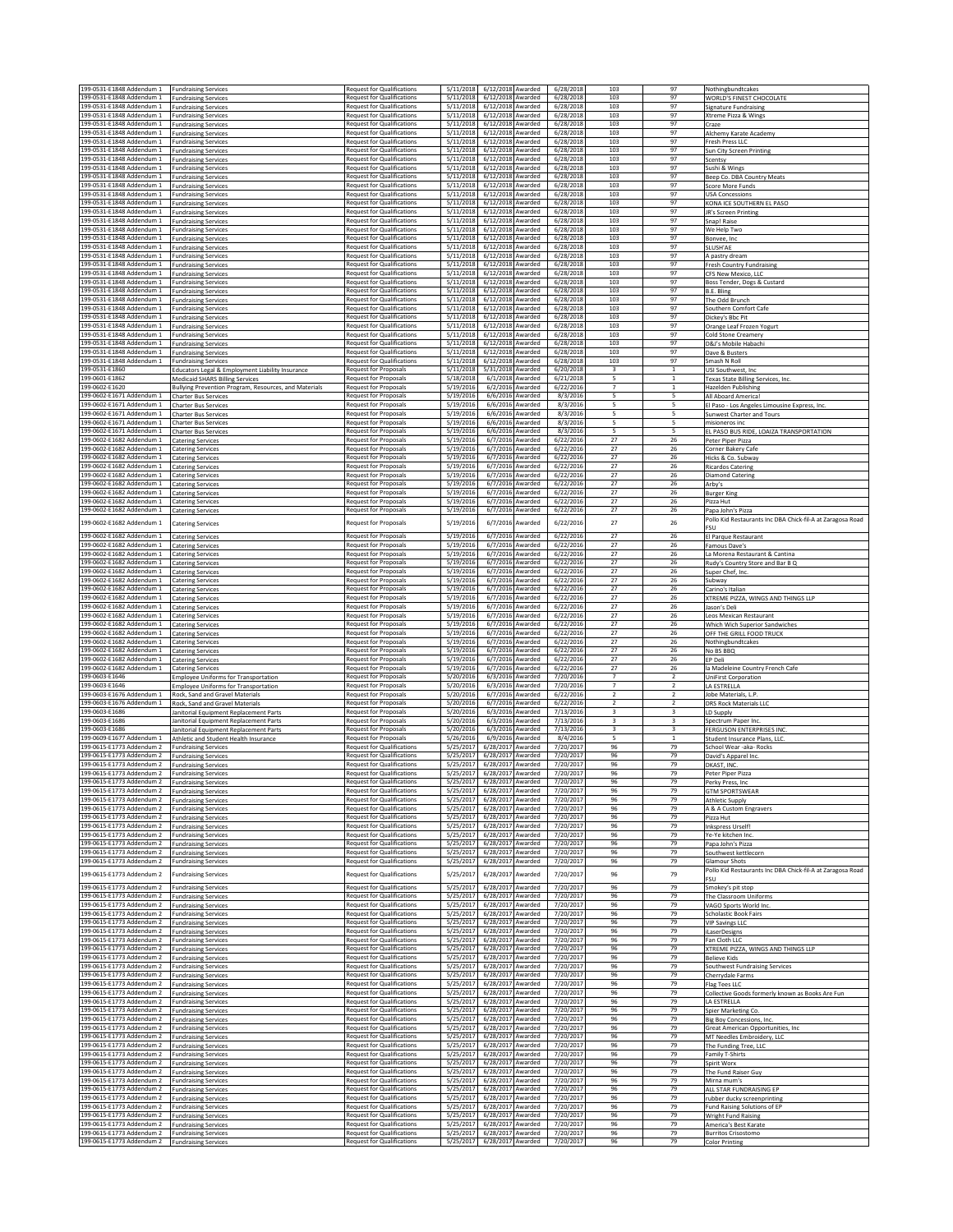| 199-0531-E1848 Addendum 1                              | <b>Fundraising Services</b>                                                                | <b>Request for Qualifications</b>                                      | 5/11/2018              | 6/12/2018 Awarded              |                                      | 6/28/2018              | 103                                                | 97                               | Nothingbundtcakes                                                          |
|--------------------------------------------------------|--------------------------------------------------------------------------------------------|------------------------------------------------------------------------|------------------------|--------------------------------|--------------------------------------|------------------------|----------------------------------------------------|----------------------------------|----------------------------------------------------------------------------|
| 199-0531-E1848 Addendum 1                              | <b>Fundraising Service:</b>                                                                | <b>Request for Qualifications</b>                                      | 5/11/2018              | 6/12/2018                      | Awarded                              | 6/28/2018              | 103                                                | 97                               | WORLD'S FINEST CHOCOLATE                                                   |
| 199-0531-E1848 Addendum 1<br>199-0531-E1848 Addendum 1 | <b>Fundraising Services</b><br><b>Fundraising Services</b>                                 | <b>Request for Qualifications</b><br><b>Request for Qualifications</b> | 5/11/2018<br>5/11/2018 | 6/12/2018<br>6/12/2018 Awarded | Awarded                              | 6/28/2018<br>6/28/2018 | 103<br>103                                         | 97<br>97                         | Signature Fundraising<br>Xtreme Pizza & Wings                              |
| 199-0531-E1848 Addendum 1                              | <b>Fundraising Services</b>                                                                | <b>Request for Qualifications</b>                                      | 5/11/2018              | 6/12/2018                      | Awarded                              | 6/28/2018              | 103                                                | 97                               | Craze                                                                      |
| 199-0531-F1848 Addendum 1                              | <b>Fundraising Services</b>                                                                | <b>Request for Qualifications</b>                                      | 5/11/2018              | 6/12/2018                      | Awarded                              | 6/28/2018              | 103                                                | 97                               | Alchemy Karate Academy                                                     |
| 199-0531-E1848 Addendum 1<br>199-0531-E1848 Addendum 1 | <b>Fundraising Services</b><br><b>Fundraising Services</b>                                 | <b>Request for Qualifications</b><br><b>Request for Qualifications</b> | 5/11/2018<br>5/11/2018 | 6/12/2018<br>6/12/2018         | Awarded<br><b>Awarded</b>            | 6/28/2018<br>6/28/2018 | 103<br>103                                         | 97<br>97                         | Fresh Press LLC<br>Sun City Screen Printing                                |
| 199-0531-E1848 Addendum 1                              | <b>Fundraising Services</b>                                                                | <b>Request for Qualifications</b>                                      | 5/11/2018              | 6/12/2018                      | Awarded                              | 6/28/2018              | 103                                                | 97                               | Scentsy                                                                    |
| 199-0531-E1848 Addendum 1                              | <b>Fundraising Services</b>                                                                | <b>Request for Qualifications</b>                                      | 5/11/2018              | 6/12/2018                      | warded                               | 6/28/2018              | 103                                                | 97                               | Sushi & Wings                                                              |
| 199-0531-E1848 Addendum 1<br>199-0531-E1848 Addendum 1 | <b>Fundraising Services</b><br><b>Fundraising Services</b>                                 | <b>Request for Qualifications</b><br><b>Request for Qualifications</b> | 5/11/2018<br>5/11/2018 | 6/12/2018<br>6/12/2018         | Awarded<br>Awarded                   | 6/28/2018<br>6/28/2018 | 103<br>103                                         | 97<br>97                         | Beep Co. DBA Country Meats<br>Score More Funds                             |
| 199-0531-E1848 Addendum 1                              | <b>Fundraising Services</b>                                                                | <b>Request for Qualifications</b>                                      | 5/11/2018              | 6/12/2018                      | Awarded                              | 6/28/2018              | 103                                                | 97                               | <b>USA Concessions</b>                                                     |
| 199-0531-E1848 Addendum 1                              | <b>Fundraising Services</b>                                                                | <b>Request for Qualifications</b>                                      | 5/11/2018              | 6/12/2018                      | Awarded                              | 6/28/2018              | 103                                                | 97                               | KONA ICE SOUTHERN EL PASO                                                  |
| 199-0531-E1848 Addendum 1<br>199-0531-E1848 Addendum 1 | <b>Fundraising Services</b>                                                                | <b>Request for Qualifications</b><br><b>Request for Qualifications</b> | 5/11/2018<br>5/11/2018 | 6/12/2018<br>6/12/2018         | warded<br>warded                     | 6/28/2018<br>6/28/2018 | 103<br>103                                         | 97<br>97                         | JR's Screen Printing                                                       |
| 199-0531-E1848 Addendum 1                              | <b>Fundraising Services</b><br><b>Fundraising Services</b>                                 | <b>Request for Qualifications</b>                                      | 5/11/2018              | 6/12/2018                      | Awarded                              | 6/28/2018              | 103                                                | 97                               | Snap! Raise<br>We Help Two                                                 |
| 199-0531-E1848 Addendum 1                              | <b>Fundraising Services</b>                                                                | <b>Request for Qualifications</b>                                      | 5/11/2018              | 6/12/2018                      | Awarded                              | 6/28/2018              | 103                                                | 97                               | Bonyee, Inc                                                                |
| 199-0531-E1848 Addendum 1                              | <b>Fundraising Services</b>                                                                | <b>Request for Qualifications</b>                                      | 5/11/2018              | 6/12/2018<br>6/12/2018 Awarded | <b>Awarded</b>                       | 6/28/2018              | 103<br>103                                         | 97<br>97                         | SLUSH'AE                                                                   |
| 199-0531-E1848 Addendum 1<br>199-0531-E1848 Addendum 1 | <b>Fundraising Services</b><br><b>Fundraising Services</b>                                 | <b>Request for Qualifications</b><br><b>Request for Qualifications</b> | 5/11/2018<br>5/11/2018 | 6/12/2018                      | Awarded                              | 6/28/2018<br>6/28/2018 | 103                                                | 97                               | A pastry dream<br><b>Fresh Country Fundraising</b>                         |
| 199-0531-E1848 Addendum 1                              | <b>Fundraising Services</b>                                                                | <b>Request for Qualifications</b>                                      | 5/11/2018              | 6/12/2018                      | Awarded                              | 6/28/2018              | 103                                                | 97                               | CFS New Mexico, LLC                                                        |
| 199-0531-E1848 Addendum 1                              | <b>Fundraising Services</b>                                                                | <b>Request for Qualifications</b>                                      | 5/11/2018              | 6/12/2018                      | Awarded                              | 6/28/2018              | 103                                                | 97                               | Boss Tender, Dogs & Custard                                                |
| 199-0531-E1848 Addendum 1<br>199-0531-E1848 Addendum 1 | <b>Fundraising Services</b><br><b>Fundraising Services</b>                                 | <b>Request for Qualifications</b><br><b>Request for Qualifications</b> | 5/11/2018<br>5/11/2018 | 6/12/2018<br>6/12/2018         | Awarded<br>Awarded                   | 6/28/2018<br>6/28/2018 | 103<br>103                                         | 97<br>97                         | B.E. Bling<br>The Odd Brunch                                               |
| 199-0531-E1848 Addendum 1                              | <b>Fundraising Services</b>                                                                | <b>Request for Qualifications</b>                                      | 5/11/2018              | 6/12/2018                      | <b>\warded</b>                       | 6/28/2018              | 103                                                | 97                               | Southern Comfort Cafe                                                      |
| 199-0531-E1848 Addendum 1                              | <b>Fundraising Services</b>                                                                | <b>Request for Qualifications</b>                                      | 5/11/2018              | 6/12/2018                      | Awarded                              | 6/28/2018              | 103                                                | 97                               | Dickey's Bbc Pit                                                           |
| 199-0531-E1848 Addendum 1<br>199-0531-E1848 Addendum 1 | <b>Fundraising Services</b><br><b>Fundraising Services</b>                                 | <b>Request for Qualifications</b><br><b>Request for Qualifications</b> | 5/11/2018<br>5/11/2018 | 6/12/2018<br>6/12/2018 Awarded | Awarded                              | 6/28/2018<br>6/28/2018 | 103<br>103                                         | 97<br>97                         | Orange Leaf Frozen Yogurt<br>Cold Stone Creamery                           |
| 199-0531-E1848 Addendum 1                              | <b>Fundraising Services</b>                                                                | <b>Request for Qualifications</b>                                      | 5/11/2018              | 6/12/2018                      | Awarded                              | 6/28/2018              | 103                                                | 97                               | D&J's Mobile Habachi                                                       |
| 199-0531-E1848 Addendum 1                              | <b>Fundraising Services</b>                                                                | <b>Request for Qualifications</b>                                      | 5/11/2018              | 6/12/2018                      | Awarded                              | 6/28/2018              | 103                                                | 97                               | Dave & Busters                                                             |
| 199-0531-E1848 Addendum 1<br>199-0531-E1860            | <b>Fundraising Services</b><br>Educators Legal & Employment Liability Insurance            | <b>Request for Qualifications</b><br><b>Request for Proposals</b>      | 5/11/2018<br>5/11/2018 | 6/12/2018<br>5/31/2018         | <b>Awarded</b><br>warded             | 6/28/2018<br>6/20/2018 | 103<br>3                                           | 97<br>$\mathbf{1}$               | Smash N Roll<br>USI Southwest, Inc                                         |
| 199-0601-E1862                                         | <b>Medicaid SHARS Billing Services</b>                                                     | Request for Proposals                                                  | 5/18/2018              | 6/1/2018                       | Awarded                              | 6/21/2018              | 5                                                  | $\mathbf{1}$                     | Texas State Billing Services, Inc.                                         |
| 199-0602-E1620                                         | Bullying Prevention Program, Resources, and Materials                                      | <b>Request for Proposals</b>                                           | 5/19/2016              | 6/2/2016                       | Awarded                              | 6/22/2016              | $\overline{7}$                                     | $\mathbf{1}$                     | Hazelden Publishing                                                        |
| 199-0602-E1671 Addendum 1                              | Charter Bus Services                                                                       | Request for Proposals<br><b>Request for Proposals</b>                  | 5/19/2016              | 6/6/2016                       | <b>Awarded</b>                       | 8/3/2016               | 5                                                  | 5                                | All Aboard America                                                         |
| 199-0602-E1671 Addendum 1<br>199-0602-E1671 Addendum 1 | Charter Bus Services<br><b>Charter Bus Services</b>                                        | <b>Request for Proposals</b>                                           | 5/19/2016<br>5/19/2016 |                                | 6/6/2016 Awarded<br>6/6/2016 Awarded | 8/3/2016<br>8/3/2016   | 5<br>5                                             | 5<br>5                           | El Paso - Los Angeles Limousine Express, Inc.<br>Sunwest Charter and Tours |
| 199-0602-E1671 Addendum 1                              | <b>Charter Bus Services</b>                                                                | <b>Request for Proposals</b>                                           | 5/19/2016              | 6/6/2016                       | Awarded                              | 8/3/2016               | 5                                                  | 5                                | misioneros inc                                                             |
| 199-0602-E1671 Addendum 1                              | <b>Charter Bus Services</b>                                                                | <b>Request for Proposals</b>                                           | 5/19/2016              | 6/6/2016                       | Awarded                              | 8/3/2016               | 5                                                  | 5                                | EL PASO BUS RIDE, LOAIZA TRANSPORTATION                                    |
| 199-0602-E1682 Addendum 1<br>199-0602-E1682 Addendum 1 | <b>Catering Services</b><br><b>Catering Services</b>                                       | Request for Proposals<br><b>Request for Proposals</b>                  | 5/19/2016<br>5/19/2016 | 6/7/2016<br>6/7/2016           | <b>Awarded</b><br>Awarded            | 6/22/2016<br>6/22/2016 | 27<br>27                                           | 26<br>26                         | Peter Piper Pizza<br>Corner Bakery Cafe                                    |
| 199-0602-E1682 Addendum 1                              | <b>Catering Services</b>                                                                   | Request for Proposals                                                  | 5/19/2016              | 6/7/2016                       | Awarded                              | 6/22/2016              | 27                                                 | 26                               | Hicks & Co. Subway                                                         |
| 199-0602-E1682 Addendum 1                              | <b>Catering Services</b>                                                                   | Request for Proposals                                                  | 5/19/2016              | 6/7/2016                       | <b>Warded</b>                        | 6/22/2016              | 27                                                 | 26                               | Ricardos Catering                                                          |
| 199-0602-E1682 Addendum 1                              | <b>Catering Services</b>                                                                   | <b>Request for Proposals</b>                                           | 5/19/2016              | 6/7/2016                       | Awarded                              | 6/22/2016              | $27\,$                                             | 26                               | <b>Diamond Catering</b>                                                    |
| 199-0602-E1682 Addendum 1<br>199-0602-E1682 Addendum 1 | <b>Catering Services</b><br><b>Catering Services</b>                                       | <b>Request for Proposals</b><br>Request for Proposals                  | 5/19/2016<br>5/19/2016 | 6/7/2016<br>6/7/2016           | Awarded<br>Awarded                   | 6/22/2016<br>6/22/2016 | 27<br>27                                           | 26<br>26                         | Arby's<br><b>Burger King</b>                                               |
| 199-0602-E1682 Addendum 1                              | <b>Catering Services</b>                                                                   | <b>Request for Proposals</b>                                           | 5/19/2016              | 6/7/2016                       | Awarded                              | 6/22/2016              | 27                                                 | 26                               | Pizza Hut                                                                  |
| 199-0602-E1682 Addendum 1                              | <b>Catering Services</b>                                                                   | <b>Request for Proposals</b>                                           | 5/19/2016              | 6/7/2016                       | <b>Awarded</b>                       | 6/22/2016              | 27                                                 | 26                               | Papa John's Pizza                                                          |
| 199-0602-E1682 Addendum 1                              | <b>Catering Services</b>                                                                   | <b>Request for Proposals</b>                                           | 5/19/2016              | 6/7/2016                       | <b>warded</b>                        | 6/22/2016              | 27                                                 | 26                               | Pollo Kid Restaurants Inc DBA Chick-fil-A at Zaragosa Road<br>FSU          |
| 199-0602-E1682 Addendum 1                              | <b>Catering Services</b>                                                                   | <b>Request for Proposals</b>                                           | 5/19/2016              | 6/7/2016                       | Awarded                              | 6/22/2016              | 27                                                 | 26                               | El Parque Restaurant                                                       |
| 199-0602-E1682 Addendum 1                              | <b>Catering Services</b>                                                                   | <b>Request for Proposals</b>                                           | 5/19/2016              | 6/7/2016                       | Awarded                              | 6/22/2016              | 27                                                 | 26                               | Famous Dave's                                                              |
| 199-0602-E1682 Addendum 1                              | <b>Catering Services</b>                                                                   | <b>Request for Proposals</b>                                           | 5/19/2016              |                                | 6/7/2016 Awarded                     | 6/22/2016              | 27                                                 | 26                               | La Morena Restaurant & Cantina                                             |
| 199-0602-E1682 Addendum 1<br>199-0602-E1682 Addendum 1 | <b>Catering Services</b><br><b>Catering Services</b>                                       | <b>Request for Proposals</b><br><b>Request for Proposals</b>           | 5/19/2016<br>5/19/2016 | 6/7/2016                       | 6/7/2016 Awarded<br>Awarded          | 6/22/2016<br>6/22/2016 | 27<br>27                                           | 26<br>26                         | Rudy's Country Store and Bar B Q<br>Super Chef, Inc.                       |
| 199-0602-E1682 Addendum 1                              | <b>Catering Services</b>                                                                   | <b>Request for Proposals</b>                                           | 5/19/2016              | 6/7/2016                       | Awarded                              | 6/22/2016              | 27                                                 | 26                               | Subway                                                                     |
| 199-0602-E1682 Addendum 1                              | <b>Catering Services</b>                                                                   | <b>Request for Proposals</b>                                           | 5/19/2016              | 6/7/2016                       | <b>Awarded</b>                       | 6/22/2016              | 27                                                 | 26                               | Carino's Italian                                                           |
| 199-0602-E1682 Addendum 1<br>199-0602-E1682 Addendum 1 | <b>Catering Services</b>                                                                   | Request for Proposals<br>Request for Proposals                         | 5/19/2016<br>5/19/2016 | 6/7/2016<br>6/7/2016           | Awarded<br>Awarded                   | 6/22/2016<br>6/22/2016 | 27<br>27                                           | 26<br>26                         | XTREME PIZZA, WINGS AND THINGS LLP<br>Jason's Deli                         |
| 199-0602-E1682 Addendum 1                              | <b>Catering Services</b><br><b>Catering Services</b>                                       | Request for Proposals                                                  | 5/19/2016              | 6/7/2016                       | <b>Awarded</b>                       | 6/22/2016              | 27                                                 | 26                               | Leos Mexican Restaurant                                                    |
| 199-0602-E1682 Addendum 1                              | <b>Catering Services</b>                                                                   | <b>Request for Proposals</b>                                           | 5/19/2016              | 6/7/2016                       | Awarded                              | 6/22/2016              | 27                                                 | 26                               | Which Wich Superior Sandwiches                                             |
| 199-0602-E1682 Addendum 1<br>199-0602-E1682 Addendum 1 | <b>Catering Services</b>                                                                   | <b>Request for Proposals</b>                                           | 5/19/2016<br>5/19/2016 | 6/7/2016<br>6/7/2016           | Awarded<br>Awarded                   | 6/22/2016<br>6/22/2016 | 27<br>27                                           | 26<br>26                         | OFF THE GRILL FOOD TRUCK                                                   |
| 199-0602-E1682 Addendum 1                              | <b>Catering Services</b><br>Catering Services                                              | <b>Request for Proposals</b><br><b>Request for Proposals</b>           | 5/19/2016              | 6/7/2016                       | Awarded                              | 6/22/2016              | 27                                                 | 26                               | Nothingbundtcakes<br>No BS BBQ                                             |
| 199-0602-E1682 Addendum 1                              | <b>Catering Services</b>                                                                   | Request for Proposals                                                  | 5/19/2016              | 6/7/2016                       | warded                               | 6/22/2016              | 27                                                 | 26                               | EP Deli                                                                    |
| 199-0602-E1682 Addendum 1                              | <b>Catering Services</b>                                                                   | <b>Request for Proposals</b>                                           | 5/19/2016              | 6/7/2016                       | warded                               | 6/22/2016              | 27                                                 | 26                               | la Madeleine Country French Cafe                                           |
| 199-0603-E1646<br>199-0603-F1646                       | <b>Employee Uniforms for Transportation</b><br><b>Employee Uniforms for Transportation</b> | Request for Proposals<br><b>Request for Proposals</b>                  | 5/20/2016<br>5/20/2016 | 6/3/2016<br>6/3/2016           | Awarded<br>Awarded                   | 7/20/2016<br>7/20/2016 | $\overline{7}$<br>$\overline{7}$                   | $\overline{2}$<br>$\overline{2}$ | <b>UniFirst Corporation</b><br>LA ESTRELLA                                 |
| 199-0603-E1676 Addendum 1                              | Rock, Sand and Gravel Materials                                                            | <b>Request for Proposals</b>                                           | 5/20/2016              | 6/7/2016                       | Awarded                              | 6/22/2016              | $\overline{2}$                                     | $\overline{2}$                   | Jobe Materials, L.P                                                        |
| 199-0603-E1676 Addendum 1                              | Rock, Sand and Gravel Materials                                                            | <b>Request for Proposals</b>                                           | 5/20/2016              |                                | 6/7/2016 Awarded                     | 6/22/2016              | $\overline{2}$                                     | $\overline{2}$                   | <b>DRS Rock Materials LLC</b>                                              |
| 199-0603-E1686<br>199-0603-E1686                       | Janitorial Equipment Replacement Parts                                                     | Request for Proposals<br><b>Request for Proposals</b>                  | 5/20/2016<br>5/20/2016 | 6/3/2016<br>6/3/2016           | Awarded<br>Awarded                   | 7/13/2016<br>7/13/2016 | 3                                                  | $\overline{\mathbf{3}}$          | LD Supply                                                                  |
| 199-0603-E1686                                         | Janitorial Equipment Replacement Parts<br>Janitorial Equipment Replacement Parts           | <b>Request for Proposals</b>                                           |                        |                                |                                      |                        |                                                    |                                  |                                                                            |
| 199-0609-E1677 Addendum 1                              |                                                                                            |                                                                        | 5/20/2016              | 6/3/2016                       | Awarded                              | 7/13/2016              | $\overline{\mathbf{3}}$<br>$\overline{\mathbf{3}}$ | 3<br>$\overline{\mathbf{3}}$     | Spectrum Paper Inc.<br><b>FERGUSON ENTERPRISES INC</b>                     |
| 199-0615-E1773 Addendum 2                              | Athletic and Student Health Insurance                                                      | <b>Request for Proposals</b>                                           | 5/26/2016              | 6/9/2016                       | Awarded                              | 8/4/2016               | 5                                                  | $\mathbf{1}$                     | Student Insurance Plans, LLC.                                              |
|                                                        | <b>Fundraising Services</b>                                                                | <b>Request for Qualifications</b>                                      | 5/25/2017              | 6/28/2017                      | Awarded                              | 7/20/2017              | 96                                                 | 79                               | School Wear -aka- Rocks                                                    |
| 199-0615-E1773 Addendum 2<br>199-0615-E1773 Addendum 2 | <b>Fundraising Services</b>                                                                | <b>Request for Qualifications</b>                                      | 5/25/201               | 6/28/2017                      | Awarded                              | 7/20/2017              | 96                                                 | 79                               | David's Apparel Inc.<br>DKAST, INC.                                        |
| 199-0615-E1773 Addendum 2                              | <b>Fundraising Services</b><br><b>Fundraising Services</b>                                 | <b>Request for Qualifications</b><br><b>Request for Qualifications</b> | 5/25/201<br>5/25/2017  | 6/28/2017<br>6/28/2017 Awarded | <b>Awarded</b>                       | 7/20/2017<br>7/20/2017 | 96<br>96                                           | 79<br>79                         | Peter Piper Pizza                                                          |
| 199-0615-E1773 Addendum 2                              | <b>Fundraising Services</b>                                                                | <b>Request for Qualifications</b>                                      | 5/25/2017              | 6/28/2017 Awarded              |                                      | 7/20/2017              | 96                                                 | 79                               | Perky Press, Inc.                                                          |
| 199-0615-E1773 Addendum 2                              | <b>Fundraising Services</b>                                                                | <b>Request for Qualifications</b>                                      | 5/25/2017              | 6/28/2017                      | Awarded                              | 7/20/2017              | 96                                                 | 79                               | <b>GTM SPORTSWEAR</b>                                                      |
| 199-0615-E1773 Addendum 2<br>199-0615-E1773 Addendum 2 | <b>Fundraising Services</b><br><b>Fundraising Services</b>                                 | <b>Request for Qualifications</b><br><b>Request for Qualifications</b> | 5/25/201<br>5/25/2017  | 6/28/2017<br>6/28/2017         | <b>Awarded</b><br>Awarded            | 7/20/2017<br>7/20/2017 | 96<br>96                                           | 79<br>79                         | <b>Athletic Supply</b><br>A & A Custom Engravers                           |
| 199-0615-E1773 Addendum 2                              | <b>Fundraising Services</b>                                                                | <b>Request for Qualifications</b>                                      | 5/25/2017              | 6/28/2017                      | Awarded                              | 7/20/2017              | 96                                                 | 79                               | Pizza Hut                                                                  |
| 199-0615-E1773 Addendum 2                              | <b>Fundraising Services</b>                                                                | <b>Request for Qualifications</b><br><b>Request for Qualifications</b> | 5/25/2017              | 6/28/2017                      | <b>Awarded</b><br>Awarded            | 7/20/2017              | 96                                                 | 79                               | <b>Inkspress Urself!</b><br>Ye-Ye kitchen Inc                              |
| 199-0615-E1773 Addendum 2<br>199-0615-E1773 Addendum 2 | <b>Fundraising Services</b><br><b>Fundraising Services</b>                                 | <b>Request for Qualifications</b>                                      | 5/25/2017<br>5/25/2017 | 6/28/2017<br>6/28/2017         | Awarded                              | 7/20/2017<br>7/20/2017 | 96<br>96                                           | 79<br>79                         | Papa John's Pizza                                                          |
| 199-0615-E1773 Addendum 2                              | <b>Fundraising Services</b>                                                                | <b>Request for Qualifications</b>                                      | 5/25/2017              | 6/28/2017 Awarded              |                                      | 7/20/2017              | 96                                                 | 79                               | Southwest kettlecorn                                                       |
| 199-0615-E1773 Addendum 2                              | <b>Fundraising Services</b>                                                                | <b>Request for Qualifications</b>                                      | 5/25/2017              | 6/28/2017                      | Awarded                              | 7/20/2017              | 96                                                 | 79                               | Glamour Shots                                                              |
| 199-0615-E1773 Addendum 2                              | <b>Fundraising Services</b>                                                                | <b>Request for Qualifications</b>                                      | 5/25/2017              | 6/28/2017                      | <b>Awarded</b>                       | 7/20/2017              | 96                                                 | 79                               | Pollo Kid Restaurants Inc DBA Chick-fil-A at Zaragosa Road<br><b>FSU</b>   |
| 199-0615-E1773 Addendum 2                              | <b>Fundraising Services</b>                                                                | <b>Request for Qualifications</b>                                      | 5/25/201               | 6/28/2017                      | Awarded                              | 7/20/2017              | 96                                                 | 79                               | Smokey's pit stop                                                          |
| 199-0615-E1773 Addendum 2                              | <b>Fundraising Services</b>                                                                | <b>Request for Qualifications</b>                                      | 5/25/2017              | 6/28/2017                      | Awarded                              | 7/20/2017              | 96                                                 | 79                               | The Classroom Uniforms                                                     |
| 199-0615-E1773 Addendum 2                              | <b>Fundraising Services</b>                                                                | <b>Request for Qualifications</b>                                      | 5/25/2017              | 6/28/2017                      | Awarded                              | 7/20/2017              | 96                                                 | 79                               | VAGO Sports World Inc                                                      |
| 199-0615-E1773 Addendum 2<br>199-0615-E1773 Addendum 2 | <b>Fundraising Services</b><br><b>Fundraising Services</b>                                 | <b>Request for Qualifications</b><br><b>Request for Qualifications</b> | 5/25/201<br>5/25/2017  | 6/28/2017<br>6/28/2017 Awarded | Awarded                              | 7/20/2017<br>7/20/2017 | 96<br>96                                           | 79<br>79                         | <b>Scholastic Book Fairs</b><br><b>VIP Savings LLC</b>                     |
| 199-0615-E1773 Addendum 2                              | <b>Fundraising Services</b>                                                                | <b>Request for Qualifications</b>                                      | 5/25/2017              | 6/28/2017                      | Awarded                              | 7/20/2017              | 96                                                 | 79                               | iLaserDesigns                                                              |
| 199-0615-E1773 Addendum 2                              | <b>Fundraising Services</b>                                                                | <b>Request for Qualifications</b>                                      | 5/25/2017              | 6/28/2017                      | Awarded                              | 7/20/2017<br>7/20/2017 | 96                                                 | 79                               | Fan Cloth LLC                                                              |
| 199-0615-E1773 Addendum 2<br>199-0615-E1773 Addendum 2 | <b>Fundraising Services</b><br><b>Fundraising Services</b>                                 | <b>Request for Qualifications</b><br><b>Request for Qualifications</b> | 5/25/2017<br>5/25/201  | 6/28/2017<br>6/28/2017         | <b>Awarded</b><br><b>\warded</b>     | 7/20/2017              | 96<br>96                                           | 79<br>79                         | XTREME PIZZA, WINGS AND THINGS LLP<br><b>Believe Kids</b>                  |
| 199-0615-E1773 Addendum 2                              | <b>Fundraising Services</b>                                                                | <b>Request for Qualifications</b>                                      | 5/25/2017              | 6/28/2017                      | Awarded                              | 7/20/2017              | 96                                                 | 79                               | Southwest Fundraising Services                                             |
| 199-0615-E1773 Addendum 2                              | <b>Fundraising Services</b>                                                                | <b>Request for Qualifications</b>                                      | 5/25/2017              | 6/28/2017                      | Awarded                              | 7/20/2017              | 96                                                 | 79                               | Cherrydale Farms                                                           |
| 199-0615-E1773 Addendum 2<br>199-0615-E1773 Addendum 2 | <b>Fundraising Services</b><br><b>Fundraising Services</b>                                 | <b>Request for Qualifications</b><br><b>Request for Qualifications</b> | 5/25/2017<br>5/25/2017 | 6/28/2017<br>6/28/2017 Awarded | <b>Awarded</b>                       | 7/20/2017<br>7/20/2017 | 96<br>96                                           | 79<br>79                         | Flag Tees LLC<br>Collective Goods formerly known as Books Are Fun          |
| 199-0615-E1773 Addendum 2                              | <b>Fundraising Services</b>                                                                | <b>Request for Qualifications</b>                                      | 5/25/2017              | 6/28/2017 Awarded              |                                      | 7/20/2017              | 96                                                 | 79                               | LA ESTRELLA                                                                |
| 199-0615-E1773 Addendum 2                              | <b>Fundraising Services</b>                                                                | <b>Request for Qualifications</b>                                      | 5/25/2017              | 6/28/2017                      | Awarded                              | 7/20/2017              | 96                                                 | 79                               | Spier Marketing Co.                                                        |
| 199-0615-E1773 Addendum 2                              | <b>Fundraising Services</b>                                                                | <b>Request for Qualifications</b>                                      | 5/25/2017              | 6/28/2017                      | Awarded                              | 7/20/2017              | 96                                                 | 79                               | Big Boy Concessions, Inc.                                                  |
| 199-0615-E1773 Addendum 2<br>199-0615-E1773 Addendum 2 | <b>Fundraising Services</b><br><b>Fundraising Services</b>                                 | <b>Request for Qualifications</b><br><b>Request for Qualifications</b> | 5/25/2017<br>5/25/2017 | 6/28/2017<br>6/28/2017         | <b>Awarded</b><br>Awarded            | 7/20/2017<br>7/20/2017 | 96<br>96                                           | 79<br>79                         | Great American Opportunities, Inc.<br>MT Needles Embroidery, LLC           |
| 199-0615-E1773 Addendum 2                              | <b>Fundraising Services</b>                                                                | <b>Request for Qualifications</b>                                      | 5/25/2017              | 6/28/2017                      | Awarded                              | 7/20/2017              | 96                                                 | 79                               | The Funding Tree, LLC                                                      |
| 199-0615-E1773 Addendum 2                              | <b>Fundraising Services</b>                                                                | <b>Request for Qualifications</b>                                      | 5/25/201               | 6/28/2017                      | Awarded                              | 7/20/2017              | 96                                                 | 79                               | <b>Family T-Shirts</b>                                                     |
| 199-0615-E1773 Addendum 2<br>199-0615-E1773 Addendum 2 | <b>Fundraising Services</b><br><b>Fundraising Services</b>                                 | <b>Request for Qualifications</b><br><b>Request for Qualifications</b> | 5/25/2017<br>5/25/2017 | 6/28/2017<br>6/28/2017         | Awarded<br>Awarded                   | 7/20/2017<br>7/20/2017 | 96<br>96                                           | 79<br>79                         | Spirit Worx<br>The Fund Raiser Guy                                         |
| 199-0615-E1773 Addendum 2                              | <b>Fundraising Services</b>                                                                | <b>Request for Qualifications</b>                                      | 5/25/2017              | 6/28/2017                      | Awarded                              | 7/20/2017              | 96                                                 | 79                               | Mirna mum's                                                                |
| 199-0615-E1773 Addendum 2                              | <b>Fundraising Services</b>                                                                | <b>Request for Qualifications</b>                                      | 5/25/2017              | 6/28/2017                      | Awarded                              | 7/20/2017              | 96                                                 | 79                               | ALL STAR FUNDRAISING EP                                                    |
| 199-0615-E1773 Addendum 2<br>199-0615-E1773 Addendum 2 | <b>Fundraising Services</b>                                                                | <b>Request for Qualifications</b><br><b>Request for Qualifications</b> | 5/25/2017<br>5/25/2017 | 6/28/2017<br>6/28/2017         | <b>Awarded</b><br>Awarded            | 7/20/2017<br>7/20/2017 | 96<br>96                                           | 79<br>79                         | rubber ducky screenprinting                                                |
| 199-0615-E1773 Addendum 2                              | <b>Fundraising Services</b><br><b>Fundraising Services</b>                                 | <b>Request for Qualifications</b>                                      | 5/25/2017              | 6/28/2017                      | <b>\warded</b>                       | 7/20/2017              | 96                                                 | 79                               | Fund Raising Solutions of EP<br><b>Wright Fund Raising</b>                 |
| 199-0615-E1773 Addendum 2<br>199-0615-E1773 Addendum 2 | <b>Fundraising Services</b><br><b>Fundraising Services</b>                                 | <b>Request for Qualifications</b><br><b>Request for Qualifications</b> | 5/25/2017<br>5/25/2017 | 6/28/2017<br>6/28/2017         | Awarded<br>Awarded                   | 7/20/2017<br>7/20/2017 | 96<br>96                                           | 79<br>79                         | America's Best Karate<br><b>Burritos Crisostomo</b>                        |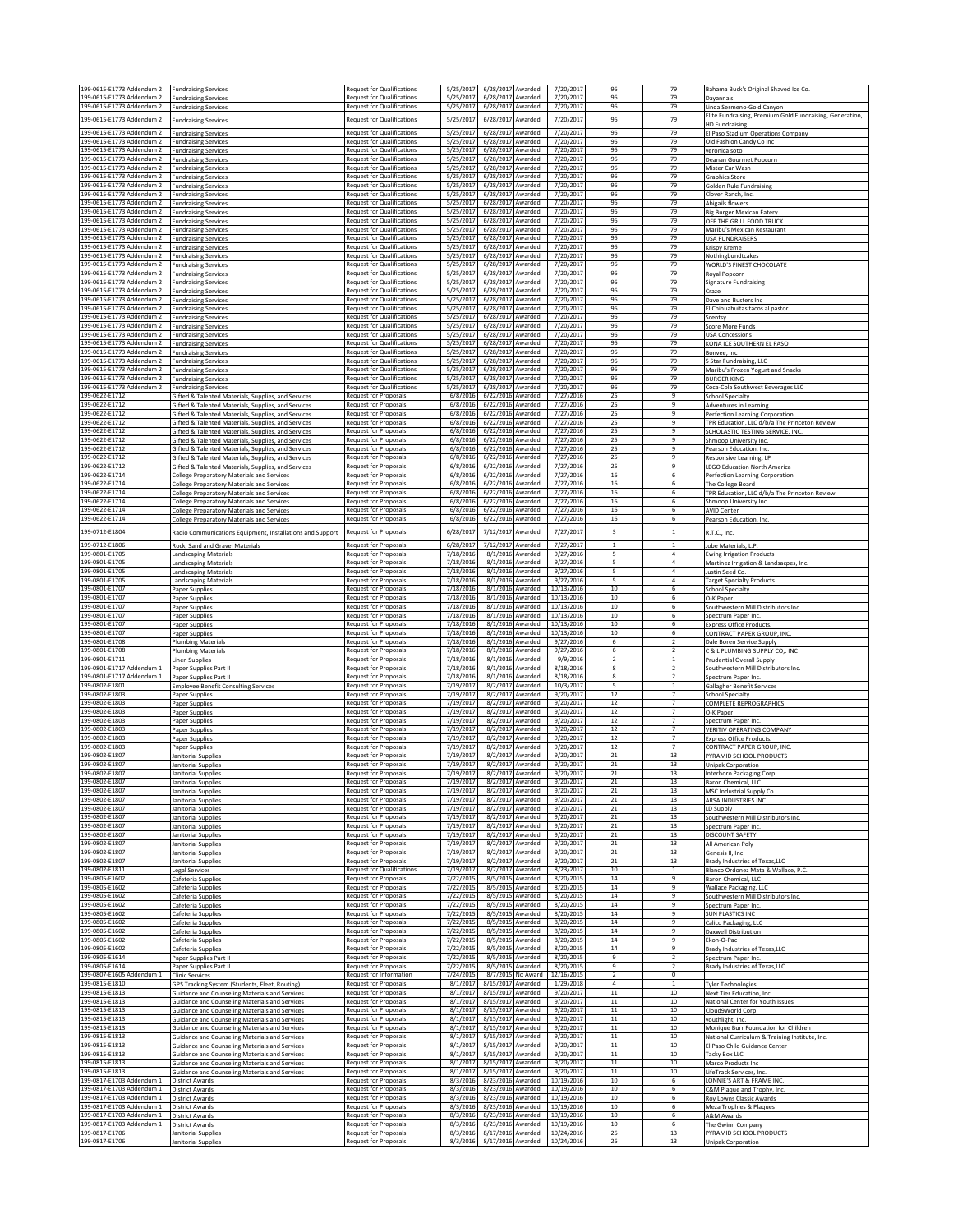| 199-0615-E1773 Addendum 2                              | <b>Fundraising Services</b>                                                                                           | <b>Request for Qualifications</b>                                      | 5/25/2017<br>6/28/2017 Awarded                                   | 7/20/2017                                                        | 96                      | 79                               | Bahama Buck's Original Shaved Ice Co.                                                 |
|--------------------------------------------------------|-----------------------------------------------------------------------------------------------------------------------|------------------------------------------------------------------------|------------------------------------------------------------------|------------------------------------------------------------------|-------------------------|----------------------------------|---------------------------------------------------------------------------------------|
| 199-0615-E1773 Addendum 2                              | <b>Fundraising Services</b>                                                                                           | <b>Request for Qualifications</b>                                      | 5/25/2017<br>6/28/2017 Awarded                                   | 7/20/2017                                                        | 96                      | 79                               | Dayanna's                                                                             |
| 199-0615-E1773 Addendum 2                              | <b>Fundraising Services</b>                                                                                           | <b>Request for Qualifications</b>                                      | 5/25/2017<br>6/28/2017 Awarded                                   | 7/20/2017                                                        | 96                      | 79                               | Linda Sermeno-Gold Canyon<br>Elite Fundraising, Premium Gold Fundraising, Generation, |
| 199-0615-E1773 Addendum 2                              | <b>Fundraising Services</b>                                                                                           | <b>Request for Qualifications</b>                                      | 5/25/2017<br>6/28/2017 Awarded                                   | 7/20/2017                                                        | 96                      | 79                               | <b>HD Fundraising</b>                                                                 |
| 199-0615-E1773 Addendum 2<br>199-0615-E1773 Addendum 2 | <b>Fundraising Services</b>                                                                                           | Request for Qualifications<br><b>Request for Qualifications</b>        | 6/28/2017 Awarded<br>5/25/2017<br>5/25/2017<br>6/28/2017 Awarded | 7/20/2017<br>7/20/2017                                           | 96<br>96                | 79<br>79                         | El Paso Stadium Operations Company                                                    |
| 199-0615-E1773 Addendum 2                              | <b>Fundraising Services</b><br><b>Fundraising Services</b>                                                            | <b>Request for Qualifications</b>                                      | 5/25/2017<br>6/28/2017 Awarded                                   | 7/20/2017                                                        | 96                      | 79                               | Old Fashion Candy Co Inc.<br>veronica soto                                            |
| 199-0615-E1773 Addendum 2                              | <b>Fundraising Services</b>                                                                                           | <b>Request for Qualifications</b>                                      | 5/25/2017<br>6/28/2017 Awarded                                   | 7/20/2017                                                        | 96                      | 79<br>79                         | Deanan Gourmet Popcorn                                                                |
| 199-0615-E1773 Addendum 2<br>199-0615-E1773 Addendum 2 | <b>Fundraising Services</b><br><b>Fundraising Services</b>                                                            | Request for Qualifications<br><b>Request for Qualifications</b>        | 5/25/2017<br>6/28/2017 Awarded<br>5/25/2017<br>6/28/2017 Awarded | 7/20/2017<br>7/20/2017                                           | 96<br>96                | 79                               | Mister Car Wash<br><b>Graphics Store</b>                                              |
| 199-0615-E1773 Addendum 2                              | <b>Fundraising Services</b>                                                                                           | <b>Request for Qualifications</b>                                      | 5/25/2017<br>6/28/2017 Awarded                                   | 7/20/2017                                                        | 96                      | 79                               | Golden Rule Eundraising                                                               |
| 199-0615-E1773 Addendum 2<br>199-0615-E1773 Addendum 2 | <b>Fundraising Services</b><br><b>Fundraising Services</b>                                                            | <b>Request for Qualifications</b><br><b>Request for Qualifications</b> | 5/25/2017<br>6/28/2017 Awarded<br>5/25/2017<br>6/28/2017 Awarded | 7/20/2017<br>7/20/2017                                           | 96<br>96                | 79<br>79                         | Clover Ranch, Inc.<br>Abigails flowers                                                |
| 199-0615-E1773 Addendum 2                              | <b>Fundraising Services</b>                                                                                           | <b>Request for Qualifications</b>                                      | 5/25/2017<br>6/28/2017 Awarded                                   | 7/20/2017                                                        | 96                      | 79                               | <b>Big Burger Mexican Eatery</b>                                                      |
| 199-0615-E1773 Addendum 2                              | <b>Fundraising Services</b>                                                                                           | <b>Request for Qualifications</b>                                      | 5/25/2017<br>6/28/2017                                           | Awarded<br>7/20/2017                                             | 96                      | 79                               | OFF THE GRILL FOOD TRUCK                                                              |
| 199-0615-E1773 Addendum 2<br>199-0615-E1773 Addendum 2 | undraising Services<br><b>Fundraising Services</b>                                                                    | <b>Request for Qualifications</b><br><b>Request for Qualifications</b> | 5/25/2017<br>6/28/2017 Awarded<br>5/25/2017<br>6/28/2017 Awarded | 7/20/2017<br>7/20/2017                                           | 96<br>96                | 79<br>79                         | Maribu's Mexican Restaurant<br><b>USA FUNDRAISERS</b>                                 |
| 199-0615-F1773 Addendum 2                              | <b>Fundraising Services</b>                                                                                           | <b>Request for Qualifications</b>                                      | 5/25/2017<br>6/28/2017 Awarded                                   | 7/20/2017                                                        | 96                      | 79                               | Krispy Kreme                                                                          |
| 199-0615-E1773 Addendum 2<br>199-0615-E1773 Addendum 2 | <b>Fundraising Services</b><br><b>Fundraising Services</b>                                                            | <b>Request for Qualifications</b><br><b>Request for Qualifications</b> | 5/25/2017<br>6/28/2017 Awarded<br>5/25/2017<br>6/28/2017 Awarded | 7/20/2017<br>7/20/2017                                           | 96<br>96                | 79<br>79                         | Nothingbundtcakes<br>WORLD'S FINEST CHOCOLATE                                         |
| 199-0615-E1773 Addendum 2                              | <b>Fundraising Services</b>                                                                                           | <b>Request for Qualifications</b>                                      | 5/25/2017<br>6/28/2017 Awarded                                   | 7/20/2017                                                        | 96                      | 79                               | Royal Popcorn                                                                         |
| 199-0615-E1773 Addendum 2                              | <b>Fundraising Services</b>                                                                                           | <b>Request for Qualifications</b>                                      | 5/25/2017<br>6/28/2017 Awarded                                   | 7/20/2017                                                        | 96                      | 79                               | <b>Signature Fundraising</b>                                                          |
| 199-0615-E1773 Addendum 2<br>199-0615-E1773 Addendum 2 | <b>Fundraising Services</b><br><b>Fundraising Services</b>                                                            | <b>Request for Qualifications</b><br><b>Request for Qualifications</b> | 5/25/2017<br>6/28/2017 Awarded<br>5/25/2017<br>6/28/2017 Awarded | 7/20/2017<br>7/20/2017                                           | 96<br>96                | 79<br>79                         | Craze<br>Dave and Busters Inc                                                         |
| 199-0615-E1773 Addendum 2                              | Fundraising Services                                                                                                  | <b>Request for Qualifications</b>                                      | 5/25/2017<br>6/28/2017 Awarded                                   | 7/20/2017                                                        | 96                      | 79                               | El Chihuahuitas tacos al pastor                                                       |
| 199-0615-E1773 Addendum 2<br>199-0615-E1773 Addendum 2 | <b>Fundraising Services</b><br><b>Fundraising Services</b>                                                            | <b>Request for Qualifications</b><br><b>Request for Qualifications</b> | 5/25/2017<br>6/28/2017 Awarded<br>5/25/2017<br>6/28/2017 Awarded | 7/20/2017<br>7/20/2017                                           | 96<br>96                | 79<br>79                         | Scentsy<br>Score More Funds                                                           |
| 199-0615-E1773 Addendum 2                              | <b>Fundraising Services</b>                                                                                           | <b>Request for Qualifications</b>                                      | 5/25/2017<br>6/28/2017 Awarded                                   | 7/20/2017                                                        | 96                      | 79                               | <b>USA Concessions</b>                                                                |
| 199-0615-E1773 Addendum 2                              | <b>Fundraising Services</b>                                                                                           | <b>Request for Qualifications</b>                                      | 5/25/2017<br>6/28/2017 Awarded                                   | 7/20/2017                                                        | 96<br>96                | 79<br>79                         | KONA ICE SOUTHERN EL PASO                                                             |
| 199-0615-E1773 Addendum 2<br>199-0615-E1773 Addendum 2 | <b>Fundraising Services</b><br><b>Fundraising Services</b>                                                            | <b>Request for Qualifications</b><br><b>Request for Qualifications</b> | 5/25/2017<br>6/28/2017 Awarded<br>5/25/2017<br>6/28/2017         | 7/20/2017<br>7/20/2017<br>Awarded                                | 96                      | 79                               | Bonvee, Inc.<br>5 Star Fundraising, LLC                                               |
| 199-0615-E1773 Addendum 2                              | <b>Fundraising Services</b>                                                                                           | Request for Qualifications                                             | 5/25/2017<br>6/28/2017                                           | Awarded<br>7/20/2017                                             | 96                      | 79                               | Maribu's Frozen Yogurt and Snacks                                                     |
| 199-0615-E1773 Addendum 2<br>199-0615-E1773 Addendum 2 | Fundraising Services<br><b>Fundraising Services</b>                                                                   | <b>Request for Qualifications</b><br><b>Request for Qualifications</b> | 5/25/2017<br>6/28/2017 Awarded<br>5/25/2017<br>6/28/2017 Awarded | 7/20/2017<br>7/20/2017                                           | 96<br>96                | 79<br>79                         | <b>BURGER KING</b><br>Coca-Cola Southwest Beverages LLC                               |
| 199-0622-E1712                                         | Gifted & Talented Materials, Supplies, and Services                                                                   | <b>Request for Proposals</b>                                           | 6/8/2016<br>6/22/2016 Awarded                                    | 7/27/2016                                                        | 25                      | $\overline{9}$                   | <b>School Specialty</b>                                                               |
| 199-0622-E1712<br>199-0622-E1712                       | Gifted & Talented Materials, Supplies, and Services<br>Gifted & Talented Materials, Supplies, and Services            | <b>Request for Proposals</b><br>Request for Proposals                  | 6/8/2016<br>6/22/2016 Awarded<br>6/8/2016<br>6/22/2016 Awarded   | 7/27/2016<br>7/27/2016                                           | 25<br>25                | 9<br>9                           | Adventures in Learning<br>Perfection Learning Corporation                             |
| 199-0622-E1712                                         | Gifted & Talented Materials, Supplies, and Services                                                                   | Request for Proposals                                                  | 6/8/2016<br>6/22/2016 Awarded                                    | 7/27/2016                                                        | 25                      | 9                                | TPR Education, LLC d/b/a The Princeton Review                                         |
| 199-0622-E1712<br>199-0622-F1712                       | Gifted & Talented Materials, Supplies, and Services                                                                   | <b>Request for Proposals</b>                                           | 6/8/2016<br>6/22/2016 Awarded                                    | 7/27/2016                                                        | 25                      | $\overline{9}$<br>9              | SCHOLASTIC TESTING SERVICE, INC                                                       |
| 199-0622-E1712                                         | Gifted & Talented Materials, Supplies, and Services<br><b>Sifted &amp; Talented Materials, Supplies, and Services</b> | Request for Proposals<br><b>Request for Proposals</b>                  | 6/8/2016<br>6/22/2016 Awarded<br>6/8/2016<br>6/22/2016 Awarded   | 7/27/2016<br>7/27/2016                                           | 25<br>25                | ۹                                | Shmoop University Inc.<br>Pearson Education, Inc.                                     |
| 199-0622-E1712                                         | Gifted & Talented Materials, Supplies, and Services                                                                   | <b>Request for Proposals</b>                                           | 6/22/2016 Awarded<br>6/8/2016                                    | 7/27/2016                                                        | 25                      | $\mathbf{q}$                     | Responsive Learning, LP                                                               |
| 199-0622-E1712<br>199-0622-E1714                       | Gifted & Talented Materials, Supplies, and Services                                                                   | Request for Proposals<br>Request for Proposals                         | 6/22/2016 Awarded<br>6/8/2016<br>6/8/2016<br>6/22/2016 Awarded   | 7/27/2016<br>7/27/2016                                           | 25<br>16                | q<br>6                           | <b>LEGO Education North America</b>                                                   |
| 199-0622-E1714                                         | <b>College Preparatory Materials and Services</b><br>College Preparatory Materials and Services                       | Request for Proposals                                                  | 6/8/2016<br>6/22/2016 Awarded                                    | 7/27/2016                                                        | 16                      | 6                                | Perfection Learning Corporation<br>The College Board                                  |
| 199-0622-E1714                                         | College Preparatory Materials and Services                                                                            | Request for Proposals                                                  | 6/8/2016<br>6/22/2016 Awarded                                    | 7/27/2016                                                        | 16                      | 6                                | TPR Education, LLC d/b/a The Princeton Review                                         |
| 199-0622-E1714<br>199-0622-E1714                       | <b>College Preparatory Materials and Services</b><br><b>College Preparatory Materials and Services</b>                | <b>Request for Proposals</b><br><b>Request for Proposals</b>           | 6/8/2016<br>6/22/2016 Awarded<br>6/22/2016 Awarded<br>6/8/2016   | 7/27/2016<br>7/27/2016                                           | 16<br>16                | 6<br>6                           | Shmoop University Inc.<br><b>AVID Center</b>                                          |
| 199-0622-E1714                                         | College Preparatory Materials and Services                                                                            | <b>Request for Proposals</b>                                           | 6/8/2016<br>6/22/2016 Awarded                                    | 7/27/2016                                                        | 16                      | 6                                | Pearson Education, Inc.                                                               |
| 199-0712-E1804                                         | Radio Communications Equipment, Installations and Support                                                             | <b>Request for Proposals</b>                                           | 6/28/201<br>7/12/2017                                            | 7/27/2017<br>Awarded                                             | $\overline{\mathbf{3}}$ | $\,$ 1 $\,$                      | R.T.C., Inc.                                                                          |
| 199-0712-E1806                                         | Rock, Sand and Gravel Materials                                                                                       | <b>Request for Proposals</b>                                           | 6/28/2017<br>7/12/2017 Awarded                                   | 7/27/2017                                                        | $\mathbf{1}$            | $\mathbf{1}$                     | Jobe Materials, L.P.                                                                  |
| 199-0801-E1705                                         | Landscaping Materials                                                                                                 | Request for Proposals                                                  | 7/18/2016                                                        | 8/1/2016 Awarded<br>9/27/2016                                    | 5                       | $\overline{4}$                   | <b>Ewing Irrigation Products</b>                                                      |
| 199-0801-E1705<br>199-0801-E1705                       | Landscaping Materials<br><b>Landscaping Materials</b>                                                                 | <b>Request for Proposals</b><br><b>Request for Proposals</b>           | 7/18/2016<br>7/18/2016                                           | 8/1/2016 Awarded<br>9/27/2016<br>8/1/2016 Awarded<br>9/27/2016   | 5<br>5                  | $\overline{4}$<br>$\overline{a}$ | Martinez Irrigation & Landsacpes, Inc.<br>Justin Seed Co.                             |
| 199-0801-E1705                                         | Landscaping Materials                                                                                                 | <b>Request for Proposals</b>                                           | 7/18/2016                                                        | 8/1/2016 Awarded<br>9/27/2016                                    | 5                       | $\overline{4}$                   | <b>Target Specialty Products</b>                                                      |
| 199-0801-E1707<br>199-0801-E1707                       | Paper Supplies<br>Paper Supplies                                                                                      | Request for Proposals<br><b>Request for Proposals</b>                  | 7/18/2016<br>7/18/2016                                           | 8/1/2016 Awarded<br>10/13/2016<br>8/1/2016 Awarded<br>10/13/2016 | 10<br>10                | 6<br>6                           | School Specialty<br>O-K Paper                                                         |
| 199-0801-E1707                                         | Paper Supplies                                                                                                        | <b>Request for Proposals</b>                                           | 7/18/2016                                                        | 8/1/2016 Awarded<br>10/13/2016                                   | 10                      | 6                                | Southwestern Mill Distributors Inc.                                                   |
| 199-0801-E1707<br>199-0801-E1707                       | Paper Supplies                                                                                                        | <b>Request for Proposals</b><br>Request for Proposals                  | 7/18/2016<br>7/18/2016                                           | 8/1/2016 Awarded<br>10/13/2016<br>8/1/2016 Awarded<br>10/13/2016 | 10<br>10                | 6<br>6                           | Spectrum Paper Inc<br><b>Express Office Products</b>                                  |
| 199-0801-E1707                                         | Paper Supplies<br>Paper Supplies                                                                                      | <b>Request for Proposals</b>                                           | 7/18/2016                                                        | 8/1/2016 Awarded<br>10/13/2016                                   | 10                      | 6                                | CONTRACT PAPER GROUP, INC.                                                            |
| 199-0801-E1708                                         | <b>Plumbing Materials</b>                                                                                             | Request for Proposals                                                  | 7/18/2016                                                        | 8/1/2016 Awarded<br>9/27/2016                                    | 6                       | $\overline{2}$                   | Dale Boren Service Supply                                                             |
| 199-0801-E1708<br>199-0801-E1711                       | <b>Plumbing Materials</b><br><b>Linen Supplies</b>                                                                    | <b>Request for Proposals</b><br><b>Request for Proposals</b>           | 7/18/2016<br>7/18/2016                                           | 8/1/2016 Awarded<br>9/27/2016<br>8/1/2016 Awarded<br>9/9/2016    | 6<br>$\overline{2}$     | $\overline{2}$<br>1              | C & L PLUMBING SUPPLY CO,. INC<br><b>Prudential Overall Supply</b>                    |
| 199-0801-E1717 Addendum 1                              | Paper Supplies Part II                                                                                                | Request for Proposals                                                  | 7/18/2016                                                        | 8/1/2016 Awarded<br>8/18/2016                                    | 8                       |                                  | Southwestern Mill Distributors Inc.                                                   |
| 199-0801-E1717 Addendum 1<br>199-0802-E1801            | Paper Supplies Part II<br><b>Employee Benefit Consulting Services</b>                                                 | <b>Request for Proposals</b><br><b>Request for Proposals</b>           | 7/18/2016<br>7/19/2017                                           | 8/1/2016 Awarded<br>8/18/2016<br>8/2/2017 Awarded<br>10/3/2017   | 8<br>5                  | $\overline{2}$<br>$\overline{1}$ | Spectrum Paper Inc<br><b>Gallagher Benefit Services</b>                               |
| 199-0802-E1803                                         | Paper Supplies                                                                                                        | <b>Request for Proposals</b>                                           | 7/19/2017                                                        | 8/2/2017 Awarded<br>9/20/2017                                    | 12                      | $\overline{7}$                   | <b>School Specialty</b>                                                               |
| 199-0802-E1803<br>199-0802-E1803                       | Paper Supplies                                                                                                        | Request for Proposals<br>Request for Proposals                         | 7/19/2017<br>7/19/2017                                           | 8/2/2017 Awarded<br>9/20/2017<br>8/2/2017 Awarded<br>9/20/2017   | $12\,$<br>12            | $\overline{7}$<br>$\overline{7}$ | COMPLETE REPROGRAPHICS                                                                |
| 199-0802-E1803                                         | Paper Supplies<br>Paper Supplies                                                                                      | Request for Proposals                                                  | 7/19/2017                                                        | 8/2/2017 Awarded<br>9/20/2017                                    | 12                      | $\overline{7}$                   | O-K Paper<br>Spectrum Paper Inc.                                                      |
| 199-0802-E1803                                         | Paper Supplies                                                                                                        | <b>Request for Proposals</b>                                           | 7/19/2017                                                        | 8/2/2017 Awarded<br>9/20/2017                                    | 12                      | $\overline{7}$                   | VERITIV OPERATING COMPANY                                                             |
| 199-0802-E1803<br>199-0802-E1803                       | Paper Supplies<br>Paper Supplies                                                                                      | Request for Proposals<br><b>Request for Proposals</b>                  | 7/19/2017<br>7/19/2017                                           | 8/2/2017 Awarded<br>9/20/2017<br>8/2/2017 Awarded<br>9/20/2017   | $12\,$<br>$12\,$        | $\overline{7}$<br>$\overline{7}$ | Express Office Products.<br>CONTRACT PAPER GROUP, INC                                 |
| 199-0802-E1807                                         | Janitorial Supplies                                                                                                   | <b>Request for Proposals</b>                                           | 7/19/2017                                                        | 8/2/2017 Awarded<br>9/20/2017                                    | $^{21}$                 | 13                               | PYRAMID SCHOOL PRODUCTS                                                               |
| 199-0802-E1807<br>199-0802-E1807                       | Janitorial Supplies<br>Janitorial Supplies                                                                            | Request for Proposals<br><b>Request for Proposals</b>                  | 7/19/2017<br>7/19/2017                                           | 9/20/2017<br>8/2/2017 Awarded<br>8/2/2017 Awarded<br>9/20/2017   | 21<br>21                | 13<br>13                         | <b>Unipak Corporation</b><br>Interboro Packaging Corp                                 |
| 199-0802-E1807                                         | Janitorial Supplies                                                                                                   | <b>Request for Proposals</b>                                           | 7/19/2017                                                        | 8/2/2017 Awarded<br>9/20/2017                                    | 21                      | 13                               | Baron Chemical, LLC                                                                   |
| 199-0802-E1807<br>199-0802-E1807                       | Janitorial Supplies                                                                                                   | Request for Proposals<br>Request for Proposals                         | 7/19/2017<br>7/19/2017                                           | 8/2/2017 Awarded<br>9/20/2017<br>8/2/2017 Awarded<br>9/20/2017   | 21<br>21                | 13<br>13                         | MSC Industrial Supply Co.                                                             |
| 199-0802-E1807                                         | Janitorial Supplies<br>Janitorial Supplies                                                                            | <b>Request for Proposals</b>                                           | 7/19/2017<br>8/2/2017                                            | Awarded<br>9/20/2017                                             | 21                      | 13                               | ARSA INDUSTRIES INC<br>LD Supply                                                      |
| 199-0802-E1807                                         | Janitorial Supplies                                                                                                   | Request for Proposals                                                  | 7/19/2017                                                        | 8/2/2017 Awarded<br>9/20/2017                                    | 21                      | 13                               | Southwestern Mill Distributors Inc.                                                   |
| 199-0802-E1807<br>199-0802-E1807                       | Janitorial Supplies<br>Janitorial Supplies                                                                            | Request for Proposals<br><b>Request for Proposals</b>                  | 7/19/2017<br>7/19/2017                                           | 8/2/2017 Awarded<br>9/20/2017<br>8/2/2017 Awarded<br>9/20/2017   | 21<br>21                | 13<br>13                         | Spectrum Paper Inc.<br>DISCOUNT SAFETY                                                |
| 199-0802-E1807                                         | Janitorial Supplies                                                                                                   | <b>Request for Proposals</b>                                           | 7/19/2017                                                        | 8/2/2017 Awarded<br>9/20/2017                                    | 21                      | 13                               | All American Poly                                                                     |
| 199-0802-E1807<br>199-0802-E1807                       | Janitorial Supplies<br>Janitorial Supplies                                                                            | Request for Proposals<br>Request for Proposals                         | 7/19/2017<br>7/19/2017                                           | 8/2/2017 Awarded<br>9/20/2017<br>8/2/2017 Awarded<br>9/20/2017   | 21<br>21                | 13<br>13                         | Genesis II, Inc.<br>Brady Industries of Texas, LLC                                    |
| 199-0802-E1811                                         | Legal Services                                                                                                        | <b>Request for Qualifications</b>                                      | 7/19/2017                                                        | 8/2/2017 Awarded<br>8/23/2017                                    | 10                      | $1\,$                            | Blanco Ordonez Mata & Wallace, P.C.                                                   |
| 199-0805-E1602                                         | Cafeteria Supplies                                                                                                    | <b>Request for Proposals</b>                                           | 7/22/2015                                                        | 8/5/2015 Awarded<br>8/20/2015                                    | 14                      | 9<br>9                           | Baron Chemical, LLC                                                                   |
| 199-0805-E1602<br>199-0805-E1602                       | Cafeteria Supplies<br>Cafeteria Supplies                                                                              | Request for Proposals<br>Request for Proposals                         | 7/22/2015<br>7/22/2015                                           | 8/5/2015 Awarded<br>8/20/2015<br>8/5/2015 Awarded<br>8/20/2015   | $14\,$<br>14            | 9                                | Wallace Packaging, LLC<br>Southwestern Mill Distributors Inc.                         |
| 199-0805-E1602                                         | Cafeteria Supplies                                                                                                    | Request for Proposals                                                  | 7/22/2015                                                        | 8/5/2015 Awarded<br>8/20/2015                                    | 14                      | $\mathbf{q}$                     | Spectrum Paper Inc                                                                    |
| 199-0805-E1602<br>199-0805-E1602                       | Cafeteria Supplies<br>Cafeteria Supplies                                                                              | Request for Proposals<br>Request for Proposals                         | 7/22/2015<br>7/22/2015                                           | 8/5/2015 Awarded<br>8/20/2015<br>8/5/2015 Awarded<br>8/20/2015   | $14\,$<br>14            | 9<br>9                           | <b>SUN PLASTICS INC</b><br>Calico Packaging, LLC                                      |
| 199-0805-E1602                                         | Cafeteria Supplies                                                                                                    | Request for Proposals                                                  | 7/22/2015                                                        | 8/5/2015 Awarded<br>8/20/2015                                    | 14                      | 9                                | Daxwell Distribution                                                                  |
| 199-0805-E1602<br>199-0805-E1602                       | Cafeteria Supplies<br>Cafeteria Supplies                                                                              | <b>Request for Proposals</b><br>Request for Proposals                  | 7/22/2015<br>7/22/2015                                           | 8/5/2015 Awarded<br>8/20/2015<br>8/5/2015 Awarded<br>8/20/2015   | 14<br>14                | ۹<br>$\overline{9}$              | Ekon-O-Pac<br>Brady Industries of Texas, LLC                                          |
| 199-0805-E1614                                         | Paper Supplies Part II                                                                                                | Request for Proposals                                                  | 7/22/2015<br>8/5/2015                                            | Awarded<br>8/20/2015                                             | 9                       | $\overline{2}$                   | Spectrum Paper Inc.                                                                   |
| 199-0805-E1614                                         | Paper Supplies Part II                                                                                                | Request for Proposals                                                  | 7/22/2015                                                        | 8/5/2015 Awarded<br>8/20/2015                                    | 9<br>$\overline{2}$     | $\overline{2}$<br>$^{\circ}$     | Brady Industries of Texas, LLC                                                        |
| 199-0807-E1605 Addendum 1<br>199-0815-E1810            | <b>Clinic Services</b><br>GPS Tracking System (Students, Fleet, Routing)                                              | Request for Information<br><b>Request for Proposals</b>                | 7/24/2015<br>8/1/2017<br>8/15/2017 Awarded                       | 8/7/2015 No Award<br>12/16/2015<br>1/29/2018                     | $\overline{4}$          | 1                                | <b>Tyler Technologies</b>                                                             |
| 199-0815-E1813                                         | <b>Guidance and Counseling Materials and Services</b>                                                                 | Request for Proposals                                                  | 8/1/2017<br>8/15/2017 Awarded                                    | 9/20/2017                                                        | $11\,$                  | 10                               | Next Tier Education, Inc.                                                             |
| 199-0815-E1813<br>199-0815-E1813                       | Guidance and Counseling Materials and Services<br>Guidance and Counseling Materials and Services                      | Request for Proposals<br>Request for Proposals                         | 8/1/2017<br>8/15/2017 Awarded<br>8/1/2017<br>8/15/2017 Awarded   | 9/20/2017<br>9/20/2017                                           | $11\,$<br>$11\,$        | 10<br>10                         | National Center for Youth Issues<br>Cloud9World Corp                                  |
| 199-0815-E1813                                         | Guidance and Counseling Materials and Services                                                                        | Request for Proposals                                                  | 8/1/2017<br>8/15/2017 Awarded                                    | 9/20/2017                                                        | $11\,$                  | 10                               | youthlight, Inc.                                                                      |
| 199-0815-E1813<br>199-0815-E1813                       | <b>Guidance and Counseling Materials and Services</b>                                                                 | Request for Proposals<br>Request for Proposals                         | 8/1/2017<br>8/15/2017 Awarded<br>8/1/2017<br>8/15/2017 Awarded   | 9/20/2017<br>9/20/2017                                           | 11<br>$11\,$            | 10<br>10                         | Monique Burr Foundation for Children                                                  |
| 199-0815-E1813                                         | <b>Guidance and Counseling Materials and Services</b><br><b>Suidance and Counseling Materials and Services</b>        | <b>Request for Proposals</b>                                           | 8/1/2017<br>8/15/2017 Awarded                                    | 9/20/2017                                                        | $11\,$                  | $10\,$                           | National Curriculum & Training Institute, Inc.<br>El Paso Child Guidance Center       |
| 199-0815-E1813                                         | <b>Guidance and Counseling Materials and Services</b>                                                                 | Request for Proposals                                                  | 8/1/2017<br>8/15/2017 Awarded                                    | 9/20/2017                                                        | $11\,$                  | 10                               | Tacky Box LLC                                                                         |
| 199-0815-E1813<br>199-0815-E1813                       | <b>Guidance and Counseling Materials and Services</b><br>Guidance and Counseling Materials and Services               | <b>Request for Proposals</b><br>Request for Proposals                  | 8/1/2017<br>8/15/2017 Awarded<br>8/1/2017<br>8/15/2017 Awarded   | 9/20/2017<br>9/20/2017                                           | 11<br>$11\,$            | 10<br>$10\,$                     | Marco Products Inc<br>LifeTrack Services, Inc.                                        |
| 199-0817-E1703 Addendum 1                              | District Awards                                                                                                       | Request for Proposals                                                  | 8/3/2016 8/23/2016 Awarded                                       | 10/19/2016                                                       | 10                      | 6                                | LONNIE'S ART & FRAME INC.                                                             |
| 199-0817-E1703 Addendum 1<br>199-0817-E1703 Addendum 1 | <b>District Awards</b><br><b>District Awards</b>                                                                      | Request for Proposals<br><b>Request for Proposals</b>                  | 8/3/2016<br>8/23/2016 Awarded<br>8/23/2016 Awarded<br>8/3/2016   | 10/19/2016<br>10/19/2016                                         | 10<br>10                | 6<br>-6                          | C&M Plaque and Trophy, Inc.<br>Roy Lowns Classic Awards                               |
| 199-0817-E1703 Addendum 1                              | <b>District Awards</b>                                                                                                | Request for Proposals                                                  | 8/3/2016<br>8/23/2016 Awarded                                    | 10/19/2016                                                       | 10                      | 6                                | Meza Trophies & Plaques                                                               |
| 199-0817-E1703 Addendum 1<br>199-0817-E1703 Addendum 1 | District Awards<br><b>District Awards</b>                                                                             | <b>Request for Proposals</b><br>Request for Proposals                  | 8/3/2016<br>8/23/2016 Awarded<br>8/23/2016 Awarded<br>8/3/2016   | 10/19/2016<br>10/19/2016                                         | 10<br>10                | 6<br>6                           | A&M Awards<br>The Gwinn Company                                                       |
| 199-0817-E1706                                         | Janitorial Supplies                                                                                                   | <b>Request for Proposals</b>                                           | 8/17/2016 Awarded<br>8/3/2016                                    | 10/24/2016                                                       | 26                      | 13                               | PYRAMID SCHOOL PRODUCTS                                                               |
| 199-0817-E1706                                         | Janitorial Supplies                                                                                                   | <b>Request for Proposals</b>                                           | 8/3/2016<br>8/17/2016 Awarded                                    | 10/24/2016                                                       | 26                      | 13                               | <b>Unipak Corporation</b>                                                             |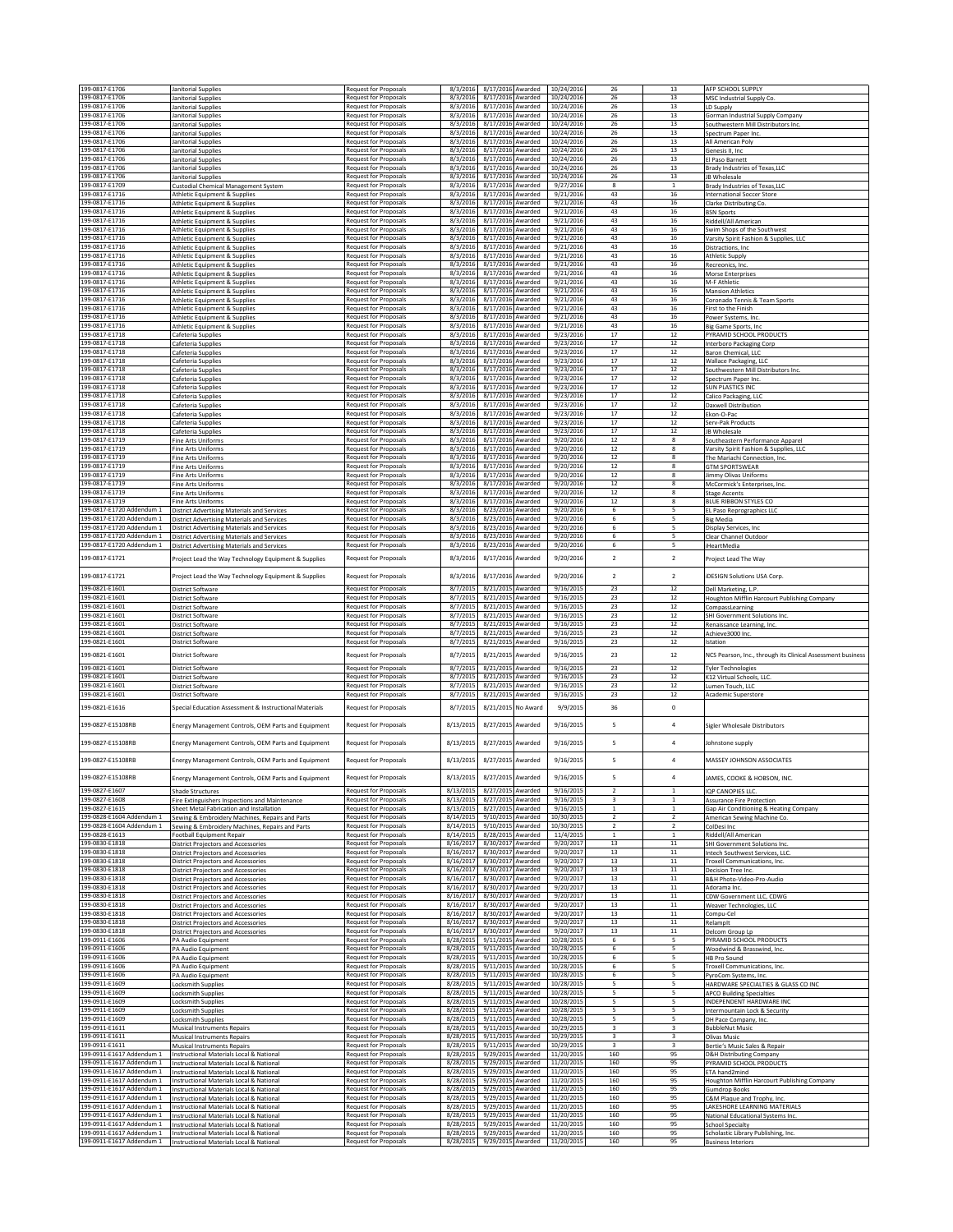| 199-0817-E1706                                         | Janitorial Supplies                                                                                      | Request for Proposals                                        | 8/3/2016                                 | 8/17/2016 Awarded                      |         | 10/24/2016               | 26                               | 13                              | AFP SCHOOL SUPPLY                                                |
|--------------------------------------------------------|----------------------------------------------------------------------------------------------------------|--------------------------------------------------------------|------------------------------------------|----------------------------------------|---------|--------------------------|----------------------------------|---------------------------------|------------------------------------------------------------------|
| 199-0817-E1706                                         | <b>Janitorial Supplies</b>                                                                               | <b>Request for Proposals</b>                                 | 8/3/2016                                 | 8/17/2016 Awarded                      |         | 10/24/2016               | 26                               | 13                              | MSC Industrial Supply Co.                                        |
| 199-0817-E1706                                         | Janitorial Supplies                                                                                      | <b>Request for Proposals</b>                                 | 8/3/2016 8/17/2016 Awarded               |                                        |         | 10/24/2016               | 26                               | 13                              | LD Supply                                                        |
| 199-0817-E1706                                         | Janitorial Supplies                                                                                      | <b>Request for Proposals</b>                                 | 8/3/2016 8/17/2016 Awarded               |                                        |         | 10/24/2016               | 26                               | 13                              | Gorman Industrial Supply Company                                 |
| 199-0817-E1706<br>199-0817-E1706                       | Janitorial Supplies                                                                                      | <b>Request for Proposals</b><br><b>Request for Proposals</b> | 8/3/2016<br>8/3/2016                     | 8/17/2016 Awarded<br>8/17/2016 Awarded |         | 10/24/2016<br>10/24/2016 | 26<br>26                         | 13<br>13                        | Southwestern Mill Distributors Inc.                              |
| 199-0817-E1706                                         | Janitorial Supplies<br>Janitorial Supplies                                                               | Request for Proposals                                        | 8/3/2016                                 | 8/17/2016 Awarded                      |         | 10/24/2016               | 26                               | 13                              | Spectrum Paper Inc.<br>All American Poly                         |
| 199-0817-E1706                                         | Janitorial Supplies                                                                                      | Request for Proposals                                        | 8/3/2016                                 | 8/17/2016 Awarded                      |         | 10/24/2016               | 26                               | 13                              | Genesis II, Inc                                                  |
| 199-0817-E1706                                         | Janitorial Supplies                                                                                      | <b>Request for Proposals</b>                                 | 8/3/2016                                 | 8/17/2016 Awarded                      |         | 10/24/2016               | 26                               | 13                              | El Paso Barnett                                                  |
| 199-0817-E1706                                         | Janitorial Supplies                                                                                      | <b>Request for Proposals</b>                                 | 8/3/2016                                 | 8/17/2016 Awarded                      |         | 10/24/2016               | 26                               | 13                              | <b>Brady Industries of Texas, LLC</b>                            |
| 199-0817-E1706<br>199-0817-E1709                       | Janitorial Supplies<br>Custodial Chemical Management System                                              | Request for Proposals<br><b>Request for Proposals</b>        | 8/3/2016<br>8/3/2016                     | 8/17/2016 Awarded<br>8/17/2016 Awarded |         | 10/24/2016<br>9/27/2016  | 26<br>8                          | 13<br>$\mathbf{1}$              | JB Wholesale<br>Brady Industries of Texas, LLC                   |
| 199-0817-E1716                                         | Athletic Equipment & Supplies                                                                            | <b>Request for Proposals</b>                                 | 8/3/2016                                 | 8/17/2016 Awarded                      |         | 9/21/2016                | 43                               | 16                              | <b>International Soccer Store</b>                                |
| 199-0817-E1716                                         | Athletic Equipment & Supplies                                                                            | Request for Proposals                                        | 8/3/2016                                 | 8/17/2016 Awarded                      |         | 9/21/2016                | 43                               | 16                              | Clarke Distributing Co.                                          |
| 199-0817-E1716                                         | Athletic Equipment & Supplies                                                                            | Request for Proposals                                        | 8/3/2016                                 | 8/17/2016 Awarded                      |         | 9/21/2016                | 43                               | 16                              | <b>BSN Sports</b>                                                |
| 199-0817-E1716                                         | Athletic Equipment & Supplies                                                                            | <b>Request for Proposals</b>                                 | 8/3/2016                                 | 8/17/2016 Awarded                      |         | 9/21/2016                | 43                               | 16                              | Riddell/All American                                             |
| 199-0817-E1716<br>199-0817-F1716                       | Athletic Equipment & Supplies                                                                            | <b>Request for Proposals</b><br><b>Request for Proposals</b> | 8/3/2016<br>8/3/2016                     | 8/17/2016 Awarded<br>8/17/2016 Awarded |         | 9/21/2016<br>9/21/2016   | 43<br>43                         | 16<br>16                        | Swim Shops of the Southwest                                      |
| 199-0817-E1716                                         | Athletic Equipment & Supplies<br>Athletic Equipment & Supplies                                           | Request for Proposals                                        | 8/3/2016                                 | 8/17/2016 Awarded                      |         | 9/21/2016                | 43                               | 16                              | Varsity Spirit Fashion & Supplies, LLC<br>Distractions, Inc.     |
| 199-0817-E1716                                         | Athletic Equipment & Supplies                                                                            | <b>Request for Proposals</b>                                 | 8/3/2016                                 | 8/17/2016 Awarded                      |         | 9/21/2016                | 43                               | 16                              | <b>Athletic Supply</b>                                           |
| 199-0817-E1716                                         | Athletic Equipment & Supplies                                                                            | Request for Proposals                                        | 8/3/2016                                 | 8/17/2016 Awarded                      |         | 9/21/2016                | 43                               | 16                              | Recreonics, Inc.                                                 |
| 199-0817-E1716                                         | Athletic Equipment & Supplies                                                                            | <b>Request for Proposals</b>                                 | 8/3/2016                                 | 8/17/2016 Awarded                      |         | 9/21/2016                | 43                               | 16                              | Morse Enterprises                                                |
| 199-0817-E1716                                         | <b>Athletic Equipment &amp; Supplies</b>                                                                 | <b>Request for Proposals</b>                                 | 8/3/2016                                 | 8/17/2016 Awarded                      |         | 9/21/2016                | 43                               | 16                              | M-F Athletic                                                     |
| 199-0817-E1716<br>199-0817-E1716                       | Athletic Equipment & Supplies<br>Athletic Equipment & Supplies                                           | Request for Proposals<br>Request for Proposals               | 8/3/2016<br>8/3/2016                     | 8/17/2016 Awarded<br>8/17/2016 Awarded |         | 9/21/2016<br>9/21/2016   | 43<br>43                         | 16<br>16                        | <b>Mansion Athletics</b><br>Coronado Tennis & Team Sports        |
| 199-0817-E1716                                         | Athletic Equipment & Supplies                                                                            | <b>Request for Proposals</b>                                 | 8/3/2016                                 | 8/17/2016 Awarded                      |         | 9/21/2016                | 43                               | 16                              | First to the Finish                                              |
| 199-0817-E1716                                         | <b>Athletic Equipment &amp; Supplies</b>                                                                 | <b>Request for Proposals</b>                                 | 8/3/2016                                 | 8/17/2016 Awarded                      |         | 9/21/2016                | 43                               | 16                              | Power Systems, Inc.                                              |
| 199-0817-E1716                                         | Athletic Equipment & Supplies                                                                            | Request for Proposals                                        | 8/3/2016                                 | 8/17/2016 Awarded                      |         | 9/21/2016                | 43                               | $16\,$                          | Big Game Sports, Inc.                                            |
| 199-0817-E1718                                         | Cafeteria Supplies                                                                                       | <b>Request for Proposals</b>                                 | 8/3/2016 8/17/2016 Awarded               |                                        |         | 9/23/2016                | 17                               | 12                              | PYRAMID SCHOOL PRODUCTS                                          |
| 199-0817-E1718<br>199-0817-E1718                       | Cafeteria Supplies                                                                                       | <b>Request for Proposals</b><br>Request for Proposals        | 8/3/2016<br>8/3/2016                     | 8/17/2016 Awarded<br>8/17/2016 Awarded |         | 9/23/2016<br>9/23/2016   | $17\,$<br>17                     | 12<br>12                        | Interboro Packaging Corp                                         |
| 199-0817-E1718                                         | Cafeteria Supplies<br>Cafeteria Supplies                                                                 | Request for Proposals                                        | 8/3/2016                                 | 8/17/2016 Awarded                      |         | 9/23/2016                | 17                               | $12\,$                          | Baron Chemical, LLC<br>Wallace Packaging, LLC                    |
| 199-0817-E1718                                         | Cafeteria Supplies                                                                                       | <b>Request for Proposals</b>                                 | 8/3/2016                                 | 8/17/2016 Awarded                      |         | 9/23/2016                | $17\,$                           | 12                              | Southwestern Mill Distributors Inc.                              |
| 199-0817-E1718                                         | Cafeteria Supplies                                                                                       | <b>Request for Proposals</b>                                 | 8/3/2016                                 | 8/17/2016 Awarded                      |         | 9/23/2016                | 17                               | 12                              | Spectrum Paper Inc.                                              |
| 199-0817-E1718                                         | Cafeteria Supplies                                                                                       | <b>Request for Proposals</b>                                 | 8/3/2016                                 | 8/17/2016 Awarded                      |         | 9/23/2016                | 17                               | 12                              | <b>SUN PLASTICS INC</b>                                          |
| 199-0817-E1718<br>199-0817-E1718                       | Cafeteria Supplies<br>Cafeteria Supplies                                                                 | Request for Proposals<br><b>Request for Proposals</b>        | 8/3/2016<br>8/3/2016                     | 8/17/2016 Awarded<br>8/17/2016 Awarded |         | 9/23/2016<br>9/23/2016   | 17<br>17                         | $12\,$<br>12                    | Calico Packaging, LLC                                            |
| 199-0817-E1718                                         | Cafeteria Supplies                                                                                       | <b>Request for Proposals</b>                                 | 8/3/2016                                 | 8/17/2016 Awarded                      |         | 9/23/2016                | 17                               | 12                              | Daxwell Distribution<br>Ekon-O-Pac                               |
| 199-0817-E1718                                         | Cafeteria Supplies                                                                                       | <b>Request for Proposals</b>                                 | 8/3/2016                                 | 8/17/2016 Awarded                      |         | 9/23/2016                | 17                               | 12                              | Serv-Pak Products                                                |
| 199-0817-E1718                                         | Cafeteria Supplies                                                                                       | Request for Proposals                                        | 8/3/2016                                 | 8/17/2016 Awarded                      |         | 9/23/2016                | 17                               | $12\,$                          | JB Wholesale                                                     |
| 199-0817-E1719                                         | Fine Arts Uniforms                                                                                       | Request for Proposals                                        | 8/3/2016                                 | 8/17/2016 Awarded                      |         | 9/20/2016                | $12\,$                           | 8                               | Southeastern Performance Apparel                                 |
| 199-0817-E1719                                         | <b>Fine Arts Uniforms</b>                                                                                | Request for Proposals                                        | 8/3/2016                                 | 8/17/2016 Awarded                      |         | 9/20/2016                | 12                               | 8                               | Varsity Spirit Fashion & Supplies, LLC                           |
| 199-0817-E1719<br>199-0817-E1719                       | <b>Fine Arts Uniforms</b>                                                                                | <b>Request for Proposals</b>                                 | 8/3/2016<br>8/3/2016                     | 8/17/2016 Awarded<br>8/17/2016 Awarded |         | 9/20/2016<br>9/20/2016   | 12<br>12                         | 8<br>8                          | The Mariachi Connection, Inc                                     |
| 199-0817-E1719                                         | Fine Arts Uniforms<br><b>Fine Arts Uniforms</b>                                                          | <b>Request for Proposals</b><br>Request for Proposals        | 8/3/2016                                 | 8/17/2016 Awarded                      |         | 9/20/2016                | $12\,$                           | 8                               | <b>GTM SPORTSWEAR</b><br>Jimmy Olivas Uniforms                   |
| 199-0817-E1719                                         | <b>Fine Arts Uniforms</b>                                                                                | Request for Proposals                                        | 8/3/2016                                 | 8/17/2016 Awarded                      |         | 9/20/2016                | 12                               | 8                               | McCormick's Enterprises, Inc.                                    |
| 199-0817-E1719                                         | Fine Arts Uniforms                                                                                       | <b>Request for Proposals</b>                                 | 8/3/2016                                 | 8/17/2016 Awarded                      |         | 9/20/2016                | 12                               | 8                               | <b>Stage Accents</b>                                             |
| 199-0817-F1719                                         | <b>Fine Arts Uniforms</b>                                                                                | Request for Proposals                                        | 8/3/2016                                 | 8/17/2016 Awarded                      |         | 9/20/2016                | 12                               | 8                               | BLUE RIBBON STYLES CO                                            |
| 199-0817-E1720 Addendum 1                              | <b>District Advertising Materials and Services</b>                                                       | Request for Proposals                                        | 8/3/2016                                 | 8/23/2016 Awarded                      |         | 9/20/2016                | 6                                |                                 | EL Paso Reprographics LLC                                        |
| 199-0817-E1720 Addendum 1<br>199-0817-E1720 Addendum 1 | <b>District Advertising Materials and Services</b><br><b>District Advertising Materials and Services</b> | <b>Request for Proposals</b>                                 | 8/3/2016                                 | 8/23/2016 Awarded                      |         | 9/20/2016                | 6<br>6                           | 5<br>5                          | <b>Big Media</b>                                                 |
| 199-0817-E1720 Addendum 1                              | <b>District Advertising Materials and Services</b>                                                       | <b>Request for Proposals</b><br><b>Request for Proposals</b> | 8/3/2016<br>8/3/2016                     | 8/23/2016 Awarded<br>8/23/2016 Awarded |         | 9/20/2016<br>9/20/2016   | 6                                | 5                               | Display Services, Inc.<br>Clear Channel Outdoor                  |
| 199-0817-E1720 Addendum 1                              | <b>District Advertising Materials and Services</b>                                                       | Request for Proposals                                        | 8/3/2016                                 | 8/23/2016 Awarded                      |         | 9/20/2016                | 6                                | 5                               | iHeartMedia                                                      |
| 199-0817-E1721                                         |                                                                                                          |                                                              | 8/3/2016                                 | 8/17/2016 Awarded                      |         |                          | $\overline{2}$                   | $\overline{2}$                  | Project Lead The Way                                             |
|                                                        | Project Lead the Way Technology Equipment & Supplies                                                     | Request for Proposals                                        |                                          |                                        |         | 9/20/2016                |                                  |                                 |                                                                  |
| 199-0817-E1721                                         | Project Lead the Way Technology Equipment & Supplies                                                     | Request for Proposals                                        | 8/3/2016                                 | 8/17/2016 Awarded                      |         | 9/20/2016                | $\overline{2}$                   | $\overline{2}$                  | <b>iDESIGN Solutions USA Corp.</b>                               |
| 199-0821-E1601                                         | District Software                                                                                        | Request for Proposals                                        | 8/7/2015                                 | 8/21/2015 Awarded                      |         | 9/16/2015                | 23                               | 12                              | Dell Marketing, L.P.                                             |
| 199-0821-E1601                                         | District Software                                                                                        | Request for Proposals                                        | 8/7/2015                                 | 8/21/2015 Awarded                      |         | 9/16/2019                | 23                               | 12                              | Houghton Mifflin Harcourt Publishing Company                     |
| 199-0821-E1601                                         | District Software                                                                                        | <b>Request for Proposals</b>                                 | 8/7/2015                                 | 8/21/2015 Awarded                      |         | 9/16/2015                | 23                               | 12                              | CompassLearning                                                  |
|                                                        |                                                                                                          |                                                              |                                          |                                        |         |                          |                                  |                                 |                                                                  |
| 199-0821-E1601                                         | District Software                                                                                        | Request for Proposals                                        | 8/7/2015                                 | 8/21/2015 Awarded                      |         | 9/16/2015                | 23                               | $12\,$                          | SHI Government Solutions Inc.                                    |
| 199-0821-E1601                                         | District Software                                                                                        | <b>Request for Proposals</b>                                 | 8/7/2015                                 | 8/21/2015 Awarded                      |         | 9/16/2015                | 23                               | 12                              | Renaissance Learning, Inc.                                       |
| 199-0821-E1601                                         | District Software                                                                                        | Request for Proposals                                        | 8/7/2015                                 | 8/21/2015 Awarded                      |         | 9/16/2015                | 23                               | 12                              | Achieve3000 Inc                                                  |
| 199-0821-E1601                                         | District Software                                                                                        | <b>Request for Proposals</b>                                 | 8/7/2015                                 | 8/21/2015 Awarded                      |         | 9/16/2015                | 23                               | 12                              | Istation                                                         |
| 199-0821-E1601                                         | District Software                                                                                        | <b>Request for Proposals</b>                                 | 8/7/2015                                 | 8/21/2015                              | Awarded | 9/16/2015                | 23                               | $12\,$                          | NCS Pearson, Inc., through its Clinical Assessment business      |
| 199-0821-E1601                                         | District Software                                                                                        | <b>Request for Proposals</b>                                 | 8/7/2015                                 | 8/21/2015 Awarded                      |         | 9/16/2015                | 23                               | 12                              | <b>Tyler Technologies</b>                                        |
| 199-0821-E1601                                         | District Software                                                                                        | <b>Request for Proposals</b>                                 | 8/7/2015                                 | 8/21/2015 Awarded                      |         | 9/16/2015                | 23                               | 12                              | K12 Virtual Schools, LLC                                         |
| 199-0821-E1601                                         | District Software                                                                                        | <b>Request for Proposals</b>                                 | 8/7/2015                                 | 8/21/2015 Awarded                      |         | 9/16/2015                | 23                               | $12\,$                          | Lumen Touch, LLC                                                 |
| 199-0821-E1601                                         | District Software                                                                                        | <b>Request for Proposals</b>                                 | 8/7/2015                                 | 8/21/2015 Awarded                      |         | 9/16/2015                | 23                               | $12\,$                          | Academic Superstore                                              |
| 199-0821-E1616                                         | Special Education Assessment & Instructional Materials                                                   | Request for Proposals                                        | 8/7/2015                                 | 8/21/2015 No Award                     |         | 9/9/2015                 | 36                               | $\mathsf{o}$                    |                                                                  |
|                                                        |                                                                                                          |                                                              |                                          |                                        |         |                          |                                  |                                 |                                                                  |
| 199-0827-E15108RB                                      | Energy Management Controls, OEM Parts and Equipment                                                      | <b>Request for Proposals</b>                                 | 8/13/2015                                | 8/27/2015 Awarded                      |         | 9/16/2015                | 5                                | $\overline{4}$                  | Sigler Wholesale Distributors                                    |
|                                                        |                                                                                                          |                                                              |                                          |                                        |         |                          |                                  |                                 |                                                                  |
| 199-0827-E15108RB                                      | Energy Management Controls, OEM Parts and Equipment                                                      | <b>Request for Proposals</b>                                 | 8/13/2015                                | 8/27/2015                              | Awarded | 9/16/2015                | 5                                | $\overline{4}$                  | Johnstone supply                                                 |
| 199-0827-E15108RB                                      | Energy Management Controls, OEM Parts and Equipment                                                      | <b>Request for Proposals</b>                                 | 8/13/2015                                | 8/27/2015 Awarded                      |         | 9/16/2015                | 5                                | $\overline{4}$                  | MASSEY IOHNSON ASSOCIATES                                        |
|                                                        |                                                                                                          |                                                              |                                          |                                        |         |                          |                                  |                                 |                                                                  |
| 199-0827-E15108RB                                      | Energy Management Controls, OEM Parts and Equipment                                                      | <b>Request for Proposals</b>                                 | 8/13/2015                                | 8/27/2015 Awarded                      |         | 9/16/2015                | 5                                | 4                               | AMES, COOKE & HOBSON, INC.                                       |
| 199-0827-E1607                                         | Shade Structures                                                                                         | <b>Request for Proposals</b>                                 | 8/13/2015                                | 8/27/2015 Awarded                      |         | 9/16/2015                | $\overline{2}$                   | 1                               | <b>IQP CANOPIES LLC</b>                                          |
| 199-0827-F1608                                         | Fire Extinguishers Inspections and Maintenance                                                           | Request for Proposals                                        | 8/13/201                                 | 8/27/2015                              | Awarded | 9/16/2015                | $\overline{\mathbf{3}}$          | 1                               | <b>Assurance Fire Protection</b>                                 |
| 199-0827-E1615                                         | Sheet Metal Fabrication and Installation                                                                 | <b>Request for Proposals</b>                                 | 8/13/2015                                | 8/27/2015 Awarded                      |         | 9/16/2015                | $\mathbf{1}$                     | $\mathbf{1}$                    | Gap Air Conditioning & Heating Company                           |
| 199-0828-E1604 Addendum 1<br>199-0828-E1604 Addendum 1 | Sewing & Embroidery Machines, Repairs and Parts                                                          | Request for Proposals                                        | 8/14/2015<br>8/14/2015                   | 9/10/2015 Awarded                      |         | 10/30/2015               | $\overline{2}$                   | $\mathcal{P}$<br>$\overline{2}$ | American Sewing Machine Co.                                      |
| 199-0828-E1613                                         | Sewing & Embroidery Machines, Repairs and Parts<br>Football Equipment Repair                             | <b>Request for Proposals</b>                                 | 8/14/2015                                | 9/10/2015 Awarded<br>8/28/2015 Awarded |         | 10/30/2015<br>11/4/2015  | $\overline{2}$<br>$\overline{1}$ | $\mathbf{1}$                    | ColDesi Inc<br>Riddell/All American                              |
| 199-0830-E1818                                         | <b>District Projectors and Accessories</b>                                                               | <b>Request for Proposals</b><br>Request for Proposals        | 8/16/2017                                | 8/30/2017 Awarded                      |         | 9/20/2017                | 13                               | $11\,$                          | SHI Government Solutions Inc.                                    |
| 199-0830-E1818                                         | District Projectors and Accessories                                                                      | Request for Proposals                                        | 8/16/2017                                | 8/30/2017 Awarded                      |         | 9/20/2017                | 13                               | $11\,$                          | Intech Southwest Services, LLC                                   |
| 199-0830-E1818                                         | <b>District Projectors and Accessories</b>                                                               | Request for Proposals                                        | 8/16/2017                                | 8/30/2017 Awarded                      |         | 9/20/2017                | 13                               | 11                              | Troxell Communications, Inc.                                     |
| 199-0830-E1818                                         | District Projectors and Accessories                                                                      | <b>Request for Proposals</b>                                 | 8/16/2017                                | 8/30/2017 Awarded                      |         | 9/20/2017                | 13                               | 11                              | Decision Tree Inc.                                               |
| 199-0830-E1818                                         | District Projectors and Accessories                                                                      | Request for Proposals                                        | 8/16/2017                                | 8/30/2017 Awarded                      |         | 9/20/2017                | 13                               | $11\,$                          | B&H Photo-Video-Pro-Audio                                        |
| 199-0830-E1818<br>199-0830-E1818                       | District Projectors and Accessories<br>District Projectors and Accessories                               | Request for Proposals<br><b>Request for Proposals</b>        | 8/16/2017<br>8/16/2017                   | 8/30/2017 Awarded<br>8/30/2017 Awarded |         | 9/20/2017<br>9/20/2017   | 13<br>13                         | $11\,$<br>11                    | Adorama Inc.<br>CDW Government LLC, CDWG                         |
| 199-0830-E1818                                         | District Projectors and Accessories                                                                      | <b>Request for Proposals</b>                                 | 8/16/2017                                | 8/30/2017 Awarded                      |         | 9/20/2017                | 13                               | 11                              | Weaver Technologies, LLC                                         |
| 199-0830-E1818                                         | <b>District Projectors and Accessories</b>                                                               | Request for Proposals                                        | 8/16/2017                                | 8/30/2017 Awarded                      |         | 9/20/2017                | 13                               | $11\,$                          | Compu-Cel                                                        |
| 199-0830-E1818                                         | District Projectors and Accessories                                                                      | Request for Proposals                                        | 8/16/2017                                | 8/30/2017 Awarded                      |         | 9/20/2017                | 13                               | $11\,$                          | Relampit                                                         |
| 199-0830-E1818<br>199-0911-E1606                       | District Projectors and Accessories                                                                      | <b>Request for Proposals</b><br><b>Request for Proposals</b> | 8/16/2017<br>8/28/2015                   | 8/30/2017 Awarded<br>9/11/2015 Awarded |         | 9/20/2017<br>10/28/2015  | 13<br>6                          | 11<br>-5                        | Delcom Group Lp                                                  |
| 199-0911-E1606                                         | PA Audio Equipment<br>PA Audio Equipment                                                                 | Request for Proposals                                        | 8/28/2019                                | 9/11/2015                              | Awarded | 10/28/2015               | 6                                | 5                               | PYRAMID SCHOOL PRODUCTS<br>Woodwind & Brasswind, Inc.            |
| 199-0911-E1606                                         | PA Audio Equipment                                                                                       | Request for Proposals                                        | 8/28/2015                                | 9/11/2015 Awarded                      |         | 10/28/2015               | 6                                | 5                               | HB Pro Sound                                                     |
| 199-0911-E1606                                         | PA Audio Equipment                                                                                       | <b>Request for Proposals</b>                                 | 8/28/2015                                | 9/11/2015 Awarded                      |         | 10/28/2015               | 6                                | 5                               | Troxell Communications, Inc.                                     |
| 199-0911-E1606                                         | PA Audio Equipment                                                                                       | <b>Request for Proposals</b>                                 | 8/28/2015                                | 9/11/2015 Awarded                      |         | 10/28/2015               | 6                                | 5                               | PyroCom Systems, Inc.                                            |
| 199-0911-E1609<br>199-0911-E1609                       | <b>Locksmith Supplies</b>                                                                                | Request for Proposals<br><b>Request for Proposals</b>        | 8/28/2015<br>8/28/2015                   | 9/11/2015 Awarded<br>9/11/2015 Awarded |         | 10/28/2015<br>10/28/2015 | 5<br>5                           | 5<br>5                          | HARDWARE SPECIALTIES & GLASS CO INC                              |
| 199-0911-E1609                                         | Locksmith Supplies<br>Locksmith Supplies                                                                 | <b>Request for Proposals</b>                                 | 8/28/2015                                | 9/11/2015 Awarded                      |         | 10/28/2015               | 5                                | 5                               | <b>APCO Building Specialties</b><br>INDEPENDENT HARDWARE INC     |
| 199-0911-E1609                                         | Locksmith Supplies                                                                                       | <b>Request for Proposals</b>                                 | 8/28/2015                                | 9/11/2015 Awarded                      |         | 10/28/2015               | 5                                | 5                               | Intermountain Lock & Security                                    |
| 199-0911-E1609                                         | Locksmith Supplies                                                                                       | <b>Request for Proposals</b>                                 | 8/28/2015                                | 9/11/2015 Awarded                      |         | 10/28/2015               | 5                                | 5                               | DH Pace Company, Inc.                                            |
| 199-0911-E1611                                         | Musical Instruments Repairs                                                                              | Request for Proposals                                        | 8/28/2015                                | 9/11/2015 Awarded                      |         | 10/29/2015               | $\overline{\mathbf{3}}$          | 3                               | <b>BubbleNut Music</b>                                           |
| 199-0911-E1611                                         | <b>Musical Instruments Repairs</b>                                                                       | <b>Request for Proposals</b>                                 | 8/28/2015                                | 9/11/2015 Awarded                      |         | 10/29/2015               | 3                                | 3                               | Olivas Music                                                     |
| 199-0911-E1611<br>199-0911-E1617 Addendum 1            | <b>Musical Instruments Repairs</b>                                                                       | <b>Request for Proposals</b>                                 | 8/28/2015<br>8/28/2015                   | 9/11/2015 Awarded<br>9/29/2015 Awarded |         | 10/29/2015<br>11/20/2015 | $\overline{\mathbf{3}}$<br>160   | $\overline{\mathbf{3}}$<br>95   | Bertie's Music Sales & Repair                                    |
| 199-0911-E1617 Addendum 1                              | Instructional Materials Local & National<br>Instructional Materials Local & National                     | Request for Proposals<br>Request for Proposals               | 8/28/2015                                | 9/29/2015 Awarded                      |         | 11/20/2015               | 160                              | 95                              | <b>D&amp;H Distributing Company</b><br>PYRAMID SCHOOL PRODUCTS   |
| 199-0911-E1617 Addendum 1                              | Instructional Materials Local & National                                                                 | Request for Proposals                                        | 8/28/2015                                | 9/29/2015 Awarded                      |         | 11/20/2015               | 160                              | 95                              | ETA hand2mind                                                    |
| 199-0911-E1617 Addendum 1                              | <b>Instructional Materials Local &amp; National</b>                                                      | <b>Request for Proposals</b>                                 | 8/28/2015                                | 9/29/2015 Awarded                      |         | 11/20/2015               | 160                              | 95                              | Houghton Mifflin Harcourt Publishing Company                     |
| 199-0911-E1617 Addendum 1                              | Instructional Materials Local & National                                                                 | <b>Request for Proposals</b>                                 | 8/28/2015                                | 9/29/2015 Awarded                      |         | 11/20/2015               | 160                              | 95                              | <b>Gumdrop Books</b>                                             |
| 199-0911-E1617 Addendum 1                              | Instructional Materials Local & National                                                                 | Request for Proposals                                        | 8/28/2015                                | 9/29/2015 Awarded                      |         | 11/20/2015               | 160                              | 95                              | C&M Plaque and Trophy, Inc.                                      |
| 199-0911-E1617 Addendum 1<br>199-0911-E1617 Addendum 1 | Instructional Materials Local & National<br>Instructional Materials Local & National                     | <b>Request for Proposals</b><br><b>Request for Proposals</b> | 8/28/2015<br>8/28/2015                   | 9/29/2015 Awarded<br>9/29/2015 Awarded |         | 11/20/2015<br>11/20/2015 | 160<br>160                       | 95<br>95                        | LAKESHORE LEARNING MATERIALS<br>National Educational Systems Inc |
| 199-0911-E1617 Addendum 1                              | Instructional Materials Local & National                                                                 | <b>Request for Proposals</b>                                 | 8/28/2015                                | 9/29/2015 Awarded                      |         | 11/20/2015               | 160                              | 95                              | <b>School Specialty</b>                                          |
| 199-0911-E1617 Addendum 1<br>199-0911-E1617 Addendum 1 | Instructional Materials Local & National<br>Instructional Materials Local & National                     | <b>Request for Proposals</b><br><b>Request for Proposals</b> | 8/28/2015<br>8/28/2015 9/29/2015 Awarded | 9/29/2015 Awarded                      |         | 11/20/2015<br>11/20/2015 | 160<br>160                       | 95<br>95                        | Scholastic Library Publishing, Inc.<br><b>Business Interiors</b> |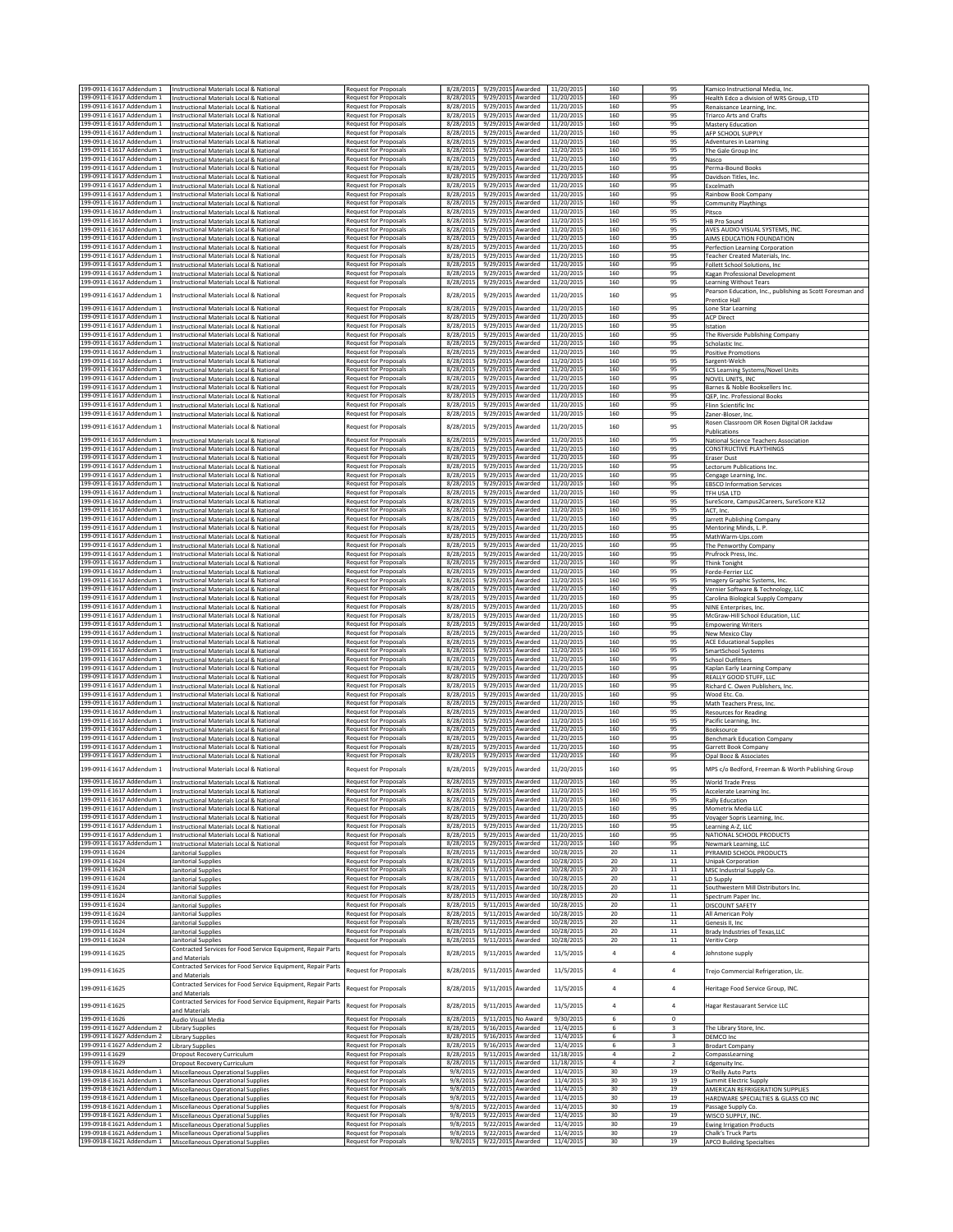| 199-0911-E1617 Addendum 1                              | Instructional Materials Local & National                                             | <b>Request for Proposals</b>                                 | 8/28/2015              | 9/29/2015 Awarded                      |                    | 11/20/2015               | 160            | 95                      | Kamico Instructional Media, Inc.                          |
|--------------------------------------------------------|--------------------------------------------------------------------------------------|--------------------------------------------------------------|------------------------|----------------------------------------|--------------------|--------------------------|----------------|-------------------------|-----------------------------------------------------------|
| 199-0911-E1617 Addendum 1                              | Instructional Materials Local & National                                             | Request for Proposals                                        | 8/28/2015              | 9/29/2015 Awarded                      |                    | 11/20/2015               | 160            | 95                      | Health Edco a division of WRS Group, LTD                  |
| 199-0911-E1617 Addendum 1                              | Instructional Materials Local & National                                             | Request for Proposals                                        | 8/28/2015              | 9/29/2015 Awarded                      |                    | 11/20/2015               | 160            | 95                      | Renaissance Learning, Inc.                                |
| 199-0911-E1617 Addendum 1                              | Instructional Materials Local & National                                             | <b>Request for Proposals</b>                                 | 8/28/2015              | 9/29/2015 Awarded                      |                    | 11/20/2015               | 160            | 95                      | <b>Triarco Arts and Crafts</b>                            |
| 199-0911-E1617 Addendum 1                              | Instructional Materials Local & National                                             | <b>Request for Proposals</b>                                 | 8/28/2015              | 9/29/2015 Awarded                      |                    | 11/20/2015               | 160            | 95                      | Mastery Education                                         |
| 199-0911-E1617 Addendum 1                              | Instructional Materials Local & National                                             | <b>Request for Proposals</b>                                 | 8/28/2015              | 9/29/2015 Awarded                      |                    | 11/20/2015               | 160            | 95                      | AFP SCHOOL SUPPLY                                         |
| 199-0911-E1617 Addendum 1                              | Instructional Materials Local & National                                             | <b>Request for Proposals</b>                                 | 8/28/201               | 9/29/2015 Awarded                      |                    | 11/20/2015               | 160            | 95                      | <b>Adventures in Learning</b>                             |
| 199-0911-E1617 Addendum 1<br>199-0911-E1617 Addendum 1 | Instructional Materials Local & National                                             | Request for Proposals<br><b>Request for Proposals</b>        | 8/28/2015<br>8/28/2015 | 9/29/2015 Awarded<br>9/29/2015 Awarded |                    | 11/20/2015<br>11/20/2015 | 160<br>160     | 95<br>95                | The Gale Group Inc                                        |
|                                                        | Instructional Materials Local & National                                             | <b>Request for Proposals</b>                                 | 8/28/2015              | 9/29/2015                              |                    | 11/20/2015               | 160            | 95                      | Nasco                                                     |
| 199-0911-E1617 Addendum 1<br>199-0911-E1617 Addendum 1 | Instructional Materials Local & National                                             | Request for Proposals                                        | 8/28/2015              | 9/29/2015                              | Awarded<br>Awarded | 11/20/2015               | 160            | 95                      | Perma-Bound Books                                         |
| 199-0911-E1617 Addendum 1                              | Instructional Materials Local & National<br>Instructional Materials Local & National | Request for Proposals                                        | 8/28/2015              | 9/29/2015                              | Awarded            | 11/20/2015               | 160            | 95                      | Davidson Titles, Inc.<br>Excelmath                        |
| 199-0911-E1617 Addendum 1                              | Instructional Materials Local & National                                             | <b>Request for Proposals</b>                                 | 8/28/2015              | 9/29/2015                              | Awarded            | 11/20/2015               | 160            | 95                      | Rainbow Book Company                                      |
| 199-0911-E1617 Addendum 1                              | Instructional Materials Local & National                                             | <b>Request for Proposals</b>                                 | 8/28/2015              | 9/29/2015                              | Awarded            | 11/20/2015               | 160            | 95                      | Community Playthings                                      |
| 199-0911-E1617 Addendum 1                              | Instructional Materials Local & National                                             | <b>Request for Proposals</b>                                 | 8/28/2015              | 9/29/2015 Awarded                      |                    | 11/20/2015               | 160            | 95                      | Pitsco                                                    |
| 199-0911-E1617 Addendum 1                              | Instructional Materials Local & National                                             | <b>Request for Proposals</b>                                 | 8/28/2015              | 9/29/2015                              | Awarded            | 11/20/2015               | 160            | 95                      | <b>HB Pro Sound</b>                                       |
| 199-0911-E1617 Addendum 1                              | Instructional Materials Local & National                                             | <b>Request for Proposals</b>                                 | 8/28/2015              | 9/29/2015 Awarded                      |                    | 11/20/2015               | 160            | 95                      | AVES AUDIO VISUAL SYSTEMS, INC.                           |
| 199-0911-E1617 Addendum 1                              | Instructional Materials Local & National                                             | <b>Request for Proposals</b>                                 | 8/28/2015              | 9/29/2015 Awarded                      |                    | 11/20/2015               | 160            | 95                      | AIMS EDUCATION FOUNDATION                                 |
| 199-0911-E1617 Addendum 1                              | Instructional Materials Local & National                                             | <b>Request for Proposals</b>                                 | 8/28/2015              | 9/29/2015 Awarded                      |                    | 11/20/2015               | 160            | 95                      | Perfection Learning Corporation                           |
| 199-0911-E1617 Addendum 1                              | Instructional Materials Local & National                                             | Request for Proposals                                        | 8/28/2015              | 9/29/2015                              | Awarded            | 11/20/2015               | 160            | 95                      | <b>Feacher Created Materials, Inc.</b>                    |
| 199-0911-E1617 Addendum 1                              | Instructional Materials Local & National                                             | <b>Request for Proposals</b>                                 | 8/28/2015              | 9/29/2015 Awarded                      |                    | 11/20/2015               | 160            | 95                      | Follett School Solutions, Inc.                            |
| 199-0911-E1617 Addendum 1                              | Instructional Materials Local & National                                             | <b>Request for Proposals</b>                                 | 8/28/2015              | 9/29/2015 Awarded                      |                    | 11/20/2015               | 160            | 95                      | Kagan Professional Development                            |
| 199-0911-E1617 Addendum 1                              | Instructional Materials Local & National                                             | <b>Request for Proposals</b>                                 | 8/28/2015              | 9/29/2015 Awarded                      |                    | 11/20/2015               | 160            | 95                      | Learning Without Tears                                    |
| 199-0911-E1617 Addendum 1                              | Instructional Materials Local & National                                             | <b>Request for Proposals</b>                                 | 8/28/2015              | 9/29/2015 Awarded                      |                    | 11/20/2015               | 160            | 95                      | Pearson Education, Inc., publishing as Scott Foresman and |
|                                                        |                                                                                      |                                                              |                        |                                        |                    |                          |                |                         | Prentice Hall                                             |
| 199-0911-E1617 Addendum 1                              | Instructional Materials Local & National                                             | <b>Request for Proposals</b>                                 | 8/28/2015              | 9/29/2015 Awarded                      |                    | 11/20/2015               | 160            | 95                      | Lone Star Learning                                        |
| 199-0911-E1617 Addendum 1                              | Instructional Materials Local & National                                             | Request for Proposals                                        | 8/28/2015              | 9/29/2015 Awarded                      |                    | 11/20/2015               | 160            | 95                      | <b>ACP Direct</b>                                         |
| 199-0911-E1617 Addendum 1                              | Instructional Materials Local & National                                             | <b>Request for Proposals</b>                                 | 8/28/2015              | 9/29/2015                              | Awarded            | 11/20/2015               | 160            | 95                      | station                                                   |
| 199-0911-E1617 Addendum 1                              | Instructional Materials Local & National                                             | Request for Proposals                                        | 8/28/2015              | 9/29/2015                              | Awarded            | 11/20/2015               | 160            | 95                      | The Riverside Publishing Company                          |
| 199-0911-E1617 Addendum 1                              | Instructional Materials Local & National                                             | <b>Request for Proposals</b>                                 | 8/28/2015              | 9/29/2015 Awarded                      |                    | 11/20/2015               | 160            | 95<br>95                | Scholastic Inc.                                           |
| 199-0911-E1617 Addendum 1<br>199-0911-E1617 Addendum 1 | nstructional Materials Local & National                                              | Request for Proposals<br><b>Request for Proposals</b>        | 8/28/2015<br>8/28/2015 | 9/29/2015<br>9/29/2015 Awarded         | Awarded            | 11/20/2015<br>11/20/2015 | 160<br>160     | 95                      | Positive Promotions                                       |
| 199-0911-E1617 Addendum 1                              | Instructional Materials Local & National<br>Instructional Materials Local & National | Request for Proposals                                        | 8/28/2015              | 9/29/2015 Awarded                      |                    | 11/20/2015               | 160            | 95                      | argent-Welch                                              |
| 199-0911-E1617 Addendum 1                              | Instructional Materials Local & National                                             | <b>Request for Proposals</b>                                 | 8/28/2015              | 9/29/2015 Awarded                      |                    | 11/20/2015               | 160            | 95                      | ECS Learning Systems/Novel Units<br>NOVEL UNITS, INC      |
| 199-0911-E1617 Addendum 1                              | Instructional Materials Local & National                                             | <b>Request for Proposals</b>                                 | 8/28/2015              | 9/29/2015 Awarded                      |                    | 11/20/2015               | 160            | 95                      | Barnes & Noble Booksellers Inc.                           |
| 199-0911-E1617 Addendum 1                              | Instructional Materials Local & National                                             | <b>Request for Proposals</b>                                 | 8/28/2015              | 9/29/2015 Awarded                      |                    | 11/20/2015               | 160            | 95                      | QEP, Inc. Professional Books                              |
| 199-0911-E1617 Addendum 1                              | Instructional Materials Local & National                                             | Request for Proposals                                        | 8/28/2015              | 9/29/2015                              | Awarded            | 11/20/2015               | 160            | 95                      | Flinn Scientific Inc                                      |
| 199-0911-E1617 Addendum 1                              | Instructional Materials Local & National                                             | <b>Request for Proposals</b>                                 | 8/28/201               | 9/29/2015                              | Awarded            | 11/20/2015               | 160            | 95                      | Zaner-Bloser, Inc.                                        |
|                                                        |                                                                                      |                                                              |                        |                                        |                    |                          |                |                         | Rosen Classroom OR Rosen Digital OR Jackdaw               |
| 199-0911-E1617 Addendum 1                              | Instructional Materials Local & National                                             | Request for Proposals                                        | 8/28/2015              | 9/29/2015                              | Awarded            | 11/20/2015               | 160            | 95                      | Publications                                              |
| 199-0911-E1617 Addendum 1                              | Instructional Materials Local & National                                             | Request for Proposals                                        | 8/28/2019              | 9/29/2015                              | Awarded            | 11/20/2015               | 160            | 95                      | National Science Teachers Association                     |
| 199-0911-E1617 Addendum 1                              | Instructional Materials Local & National                                             | <b>Request for Proposals</b>                                 | 8/28/2015              | 9/29/2015 Awarded                      |                    | 11/20/2015               | 160            | 95                      | CONSTRUCTIVE PLAYTHINGS                                   |
| 199-0911-E1617 Addendum 1                              | Instructional Materials Local & National                                             | <b>Request for Proposals</b>                                 | 8/28/2015              | 9/29/2015 Awarded                      |                    | 11/20/2015               | 160            | 95                      | <b>Eraser Dust</b>                                        |
| 199-0911-E1617 Addendum 1                              | Instructional Materials Local & National                                             | <b>Request for Proposals</b>                                 | 8/28/2015              | 9/29/2015                              | Awarded            | 11/20/2015               | 160            | 95                      | Lectorum Publications Inc.                                |
| 199-0911-E1617 Addendum 1                              | Instructional Materials Local & National                                             | <b>Request for Proposals</b>                                 | 8/28/2015              | 9/29/2015                              | Awarded            | 11/20/2015               | 160            | 95                      | Cengage Learning, Inc.                                    |
| 199-0911-E1617 Addendum 1                              | Instructional Materials Local & National                                             | Request for Proposals                                        | 8/28/2015              | 9/29/2015                              | Awarded            | 11/20/2015               | 160            | 95                      | <b>EBSCO Information Services</b>                         |
| 199-0911-E1617 Addendum 1                              | Instructional Materials Local & National                                             | <b>Request for Proposals</b>                                 | 8/28/2015              | 9/29/2015 Awarded                      |                    | 11/20/2015               | 160            | 95                      | TFH USA LTD                                               |
| 199-0911-E1617 Addendum 1                              | Instructional Materials Local & National                                             | <b>Request for Proposals</b>                                 | 8/28/2015              | 9/29/2015                              | Awarded            | 11/20/2015               | 160            | 95                      | SureScore, Campus2Careers, SureScore K12                  |
| 199-0911-E1617 Addendum 1                              | Instructional Materials Local & National                                             | <b>Request for Proposals</b>                                 | 8/28/2015              | 9/29/2015 Awarded                      |                    | 11/20/2015               | 160            | 95                      | ACT, Inc                                                  |
| 199-0911-E1617 Addendum 1                              | Instructional Materials Local & National                                             | Request for Proposals                                        | 8/28/2015              | 9/29/2015 Awarded                      |                    | 11/20/2015               | 160            | 95                      | Jarrett Publishing Company                                |
| 199-0911-E1617 Addendum 1                              | Instructional Materials Local & National                                             | <b>Request for Proposals</b>                                 | 8/28/2015              | 9/29/2015 Awarded                      |                    | 11/20/2015               | 160            | 95                      | Mentoring Minds, L. P.                                    |
| 199-0911-E1617 Addendum 1                              | Instructional Materials Local & National                                             | Request for Proposals                                        | 8/28/2015              | 9/29/2015 Awarded                      |                    | 11/20/2015               | 160            | 95                      | MathWarm-Ups.com                                          |
| 199-0911-E1617 Addendum 1                              | Instructional Materials Local & National                                             | <b>Request for Proposals</b>                                 | 8/28/2015              | 9/29/2015 Awarded                      |                    | 11/20/2015               | 160            | 95                      | The Penworthy Company                                     |
| 199-0911-E1617 Addendum 1                              | Instructional Materials Local & National                                             | Request for Proposals                                        | 8/28/2015              | 9/29/2015 Awarded                      |                    | 11/20/2015               | 160            | 95                      | Prufrock Press, Inc.                                      |
| 199-0911-E1617 Addendum 1                              | Instructional Materials Local & National                                             | <b>Request for Proposals</b>                                 | 8/28/2015              | 9/29/2015                              | Awarded            | 11/20/2015               | 160            | 95                      | Think Tonight                                             |
| 199-0911-E1617 Addendum 1                              | Instructional Materials Local & National                                             | Request for Proposals                                        | 8/28/2015              | 9/29/2015                              | Awarded            | 11/20/2019               | 160            | 95                      | Forde-Ferrier LL                                          |
| 199-0911-E1617 Addendum 1                              | Instructional Materials Local & National                                             | <b>Request for Proposals</b>                                 | 8/28/2015              | 9/29/2015 Awarded                      |                    | 11/20/2015               | 160            | 95                      | Imagery Graphic Systems, Inc.                             |
| 199-0911-E1617 Addendum 1                              | Instructional Materials Local & National                                             | <b>Request for Proposals</b>                                 | 8/28/2015              | 9/29/2015                              | Awarded            | 11/20/2015               | 160            | 95                      | Vernier Software & Technology, LLC                        |
| 199-0911-E1617 Addendum 1                              | Instructional Materials Local & National                                             | <b>Request for Proposals</b>                                 | 8/28/2015              | 9/29/2015                              | Awarded            | 11/20/2015               | 160            | 95                      | Carolina Biological Supply Company                        |
| 199-0911-E1617 Addendum 1                              | Instructional Materials Local & National                                             | Request for Proposals                                        | 8/28/2015              | 9/29/2015                              | Awarded            | 11/20/2019               | 160            | 95                      | NINE Enterprises, Inc.                                    |
| 199-0911-E1617 Addendum 1                              | Instructional Materials Local & National                                             | <b>Request for Proposals</b>                                 | 8/28/2015              | 9/29/2015                              | Awarded            | 11/20/2015               | 160            | 95                      | McGraw-Hill School Education, LLC                         |
| 199-0911-E1617 Addendum 1                              | Instructional Materials Local & National                                             | Request for Proposals                                        | 8/28/2015              | 9/29/2015                              | Awarded            | 11/20/2015               | 160            | 95                      | <b>Empowering Writers</b>                                 |
| 199-0911-E1617 Addendum 1                              | Instructional Materials Local & National                                             | <b>Request for Proposals</b>                                 | 8/28/2015              | 9/29/2015                              | Awarded            | 11/20/2015               | 160            | 95                      | <b>Vew Mexico Clay</b>                                    |
| 199-0911-E1617 Addendum 1                              | Instructional Materials Local & National                                             | <b>Request for Proposals</b>                                 | 8/28/2015              | 9/29/2015                              | Awarded            | 11/20/2015               | 160            | 95                      | <b>ACE Educational Supplies</b>                           |
| 199-0911-E1617 Addendum 1                              | Instructional Materials Local & National                                             | <b>Request for Proposals</b>                                 | 8/28/2015              | 9/29/2015                              | Awarded            | 11/20/2015               | 160            | 95                      | SmartSchool Systems                                       |
| 199-0911-E1617 Addendum 1                              | Instructional Materials Local & National                                             | <b>Request for Proposals</b>                                 | 8/28/2015              | 9/29/2015 Awarded                      |                    | 11/20/2015               | 160            | 95                      | School Outfitters                                         |
| 199-0911-E1617 Addendum 1                              | Instructional Materials Local & National                                             | <b>Request for Proposals</b>                                 | 8/28/2015              | 9/29/2015 Awarded                      |                    | 11/20/2015               | 160            | 95                      | Kaplan Early Learning Company                             |
| 199-0911-E1617 Addendum 1                              | Instructional Materials Local & National                                             | <b>Request for Proposals</b>                                 | 8/28/2015              | 9/29/2015 Awarded                      |                    | 11/20/2015               | 160            | 95                      | REALLY GOOD STUFF, LLC                                    |
| 199-0911-E1617 Addendum 1<br>199-0911-F1617 Addendum 1 | Instructional Materials Local & National                                             | <b>Request for Proposals</b><br><b>Request for Proposals</b> | 8/28/2015<br>8/28/2015 | 9/29/2015 Awarded<br>9/29/2015 Awarded |                    | 11/20/2015<br>11/20/2015 | 160<br>160     | 95<br>95                | Richard C. Owen Publishers, Inc.                          |
| 199-0911-E1617 Addendum 1                              | Instructional Materials Local & National                                             | <b>Request for Proposals</b>                                 | 8/28/2015              | 9/29/2015 Awarded                      |                    | 11/20/2015               | 160            | 95                      | Wood Etc. Co.                                             |
| 199-0911-E1617 Addendum 1                              | Instructional Materials Local & National<br>Instructional Materials Local & National | <b>Request for Proposals</b>                                 | 8/28/2015              | 9/29/2015 Awarded                      |                    | 11/20/2015               | 160            | 95                      | Math Teachers Press, Inc.                                 |
| 199-0911-E1617 Addendum 1                              | Instructional Materials Local & National                                             | <b>Request for Proposals</b>                                 | 8/28/2015              | 9/29/2015 Awarded                      |                    | 11/20/2015               | 160            | 95                      | <b>Resources for Reading</b>                              |
| 199-0911-F1617 Addendum 1                              | Instructional Materials Local & National                                             | <b>Request for Proposals</b>                                 | 8/28/2015              | 9/29/2015 Awarded                      |                    | 11/20/2015               | 160            | 95                      | Pacific Learning, Inc.<br>Booksource                      |
| 199-0911-E1617 Addendum 1                              | Instructional Materials Local & National                                             | <b>Request for Proposals</b>                                 | 8/28/2015              | 9/29/2015 Awarded                      |                    | 11/20/2015               | 160            | 95                      | <b>Benchmark Education Company</b>                        |
| 199-0911-E1617 Addendum 1                              | Instructional Materials Local & National                                             | Request for Proposals                                        | 8/28/2015              | 9/29/2015 Awarded                      |                    | 11/20/2015               | 160            | 95                      | Garrett Book Company                                      |
| 199-0911-E1617 Addendum 1                              | Instructional Materials Local & National                                             | Request for Proposals                                        | 8/28/2015              | 9/29/2015 Awarded                      |                    | 11/20/2015               | 160            | 95                      | Opal Booz & Associates                                    |
|                                                        |                                                                                      |                                                              |                        |                                        |                    |                          |                |                         |                                                           |
| 199-0911-E1617 Addendum 1                              | Instructional Materials Local & National                                             | Request for Proposals                                        | 8/28/2015              | 9/29/2015 Awarded                      |                    | 11/20/2015               | 160            | 95                      | MPS c/o Bedford, Freeman & Worth Publishing Group         |
| 99-0911-E1617 Addendum 1                               | nstructional Materials Local & Nationa                                               | equest for Proposal                                          | 8/28/2011              | 9/29/201:                              | Awarded            | 11/20/201                |                |                         | Norid Trade Press                                         |
| 199-0911-E1617 Addendum 1                              | Instructional Materials Local & National                                             | Request for Proposals                                        | 8/28/2015              | 9/29/2015 Awarded                      |                    | 11/20/2015               | 160            | 95                      | Accelerate Learning Inc.                                  |
| 199-0911-E1617 Addendum 1                              | Instructional Materials Local & National                                             | <b>Request for Proposals</b>                                 | 8/28/2015              | 9/29/2015 Awarded                      |                    | 11/20/2015               | 160            | 95                      | <b>Rally Education</b>                                    |
| 199-0911-E1617 Addendum 1                              | Instructional Materials Local & National                                             | <b>Request for Proposals</b>                                 | 8/28/2015              | 9/29/2015 Awarded                      |                    | 11/20/2015               | 160            | 95                      | Mometrix Media LLC                                        |
| 199-0911-E1617 Addendum 1                              | Instructional Materials Local & National                                             | <b>Request for Proposals</b>                                 | 8/28/2015              | 9/29/2015 Awarded                      |                    | 11/20/2015               | 160            | 95                      | Voyager Sopris Learning, Inc.                             |
| 199-0911-E1617 Addendum 1                              | Instructional Materials Local & National                                             | Request for Proposals                                        | 8/28/2015              | 9/29/2015 Awarded                      |                    | 11/20/2015               | 160            | 95                      | Learning A-Z, LLC                                         |
| 199-0911-E1617 Addendum 1                              | Instructional Materials Local & National                                             | <b>Request for Proposals</b>                                 | 8/28/2015              | 9/29/2015 Awarded                      |                    | 11/20/2015               | 160            | 95                      | NATIONAL SCHOOL PRODUCTS                                  |
| 199-0911-E1617 Addendum 1                              | Instructional Materials Local & National                                             | <b>Request for Proposals</b>                                 | 8/28/2015              | 9/29/2015 Awarded                      |                    | 11/20/2015               | 160            | 95                      | Newmark Learning, LLC                                     |
| 199-0911-E1624                                         | Janitorial Supplies                                                                  | Request for Proposals                                        | 8/28/2015              | 9/11/2015 Awarded                      |                    | 10/28/2015               | 20             | $11\,$                  | PYRAMID SCHOOL PRODUCTS                                   |
| 199-0911-E1624                                         | Janitorial Supplies                                                                  | Request for Proposals                                        | 8/28/2015              | 9/11/2015 Awarded                      |                    | 10/28/2015               | 20             | $11\,$                  | Unipak Corporation                                        |
| 199-0911-E1624<br>199-0911-E1624                       | Janitorial Supplies                                                                  | Request for Proposals                                        | 8/28/2015              | 9/11/2015 Awarded                      |                    | 10/28/2015               | $20\,$         | 11                      | MSC Industrial Supply Co.                                 |
| 199-0911-E1624                                         | <b>Janitorial Supplies</b><br><b>Janitorial Supplies</b>                             | Request for Proposals<br><b>Request for Proposals</b>        | 8/28/2015<br>8/28/2015 | 9/11/2015 Awarded<br>9/11/2015 Awarded |                    | 10/28/2015<br>10/28/2015 | 20<br>20       | 11<br>$11\,$            | LD Supply<br>Southwestern Mill Distributors Inc.          |
| 199-0911-E1624                                         |                                                                                      |                                                              |                        |                                        |                    |                          |                |                         | Spectrum Paper Inc.                                       |
| 199-0911-E1624                                         |                                                                                      |                                                              |                        |                                        |                    |                          |                |                         |                                                           |
| 199-0911-E1624                                         | Janitorial Supplies                                                                  | Request for Proposals                                        | 8/28/2015              | 9/11/2015 Awarded                      |                    | 10/28/2015               | 20             | $11\,$                  |                                                           |
|                                                        | Janitorial Supplies                                                                  | Request for Proposals                                        | 8/28/2015              | 9/11/2015 Awarded                      |                    | 10/28/2015               | 20             | 11                      | DISCOUNT SAFETY                                           |
| 199-0911-E1624                                         | <b>Janitorial Supplies</b>                                                           | <b>Request for Proposals</b>                                 | 8/28/2015              | 9/11/2015 Awarded                      |                    | 10/28/2015               | 20             | 11                      | All American Poly                                         |
| 199-0911-E1624                                         | <b>Janitorial Supplies</b>                                                           | Request for Proposals<br><b>Request for Proposals</b>        | 8/28/2015<br>8/28/2015 | 9/11/2015                              | Awarded            | 10/28/2015<br>10/28/2015 | 20<br>20       | $11$<br>$11\,$          | Genesis II, Inc<br>Brady Industries of Texas, LLC         |
| 199-0911-E1624                                         | Janitorial Supplies<br>Janitorial Supplies                                           | <b>Request for Proposals</b>                                 |                        | 9/11/2015                              | Awarded<br>Awarded |                          | 20             | 11                      | Veritiv Corp                                              |
|                                                        |                                                                                      |                                                              | 8/28/2015              | 9/11/2015                              |                    | 10/28/2015               |                |                         |                                                           |
| 199-0911-E1625                                         | Contracted Services for Food Service Equipment, Repair Parts<br>and Materials        | Request for Proposals                                        | 8/28/2019              | 9/11/2015                              | Awarded            | 11/5/2015                | $\it 4$        | $\overline{4}$          | Johnstone supply                                          |
|                                                        | Contracted Services for Food Service Equipment, Repair Parts                         |                                                              |                        |                                        |                    |                          |                |                         |                                                           |
| 199-0911-E1625                                         | and Materials                                                                        | Request for Proposals                                        | 8/28/2015              | 9/11/2015 Awarded                      |                    | 11/5/2015                | $\sqrt{4}$     | $\bf{4}$                | Trejo Commercial Refrigeration, Llc.                      |
|                                                        | Contracted Services for Food Service Equipment, Repair Parts                         |                                                              |                        |                                        |                    |                          |                |                         |                                                           |
| 199-0911-E1625                                         | and Materials                                                                        | Request for Proposals                                        | 8/28/2015              | 9/11/2015 Awarded                      |                    | 11/5/2015                | $\sqrt{4}$     | $\overline{4}$          | Heritage Food Service Group, INC.                         |
|                                                        | Contracted Services for Food Service Equipment, Repair Parts                         |                                                              |                        |                                        |                    |                          |                |                         |                                                           |
| 199-0911-E1625                                         | and Materials                                                                        | Request for Proposals                                        | 8/28/2015              | 9/11/2015                              | Awarded            | 11/5/2015                | $\sqrt{4}$     | 4                       | lagar Restauarant Service LLC                             |
| 199-0911-E1626                                         | Audio Visual Media                                                                   | Request for Proposals                                        | 8/28/2015              |                                        | 9/11/2015 No Award | 9/30/2015                | 6              | $\Omega$                |                                                           |
| 199-0911-E1627 Addendum 2                              | <b>Library Supplies</b>                                                              | Request for Proposals                                        | 8/28/2015              | 9/16/2015 Awarded                      |                    | 11/4/2015                | 6              | $\overline{\mathbf{3}}$ | The Library Store, Inc.                                   |
| 199-0911-E1627 Addendum 2                              | <b>Library Supplies</b>                                                              | Request for Proposals                                        | 8/28/2015              | 9/16/2015 Awarded                      |                    | 11/4/2015                | 6              | $\overline{\mathbf{3}}$ | DEMCO Inc                                                 |
| 199-0911-E1627 Addendum 2                              | Library Supplies                                                                     | Request for Proposals                                        | 8/28/2015              | 9/16/2015 Awarded                      |                    | 11/4/2015                | 6              | 3                       | <b>Brodart Company</b>                                    |
| 199-0911-E1629                                         | <b>Dropout Recovery Curriculum</b>                                                   | <b>Request for Proposals</b>                                 | 8/28/2015              | 9/11/2015 Awarded                      |                    | 11/18/2015               | $\overline{4}$ | $\overline{2}$          | CompassLearning                                           |
| 199-0911-E1629                                         | Dropout Recovery Curriculum                                                          | <b>Request for Proposals</b>                                 | 8/28/2015              | 9/11/2015 Awarded                      |                    | 11/18/2015               | $\sqrt{4}$     | $\overline{2}$          | Edgenuity Inc.                                            |
| 199-0918-E1621 Addendum 1                              | Miscellaneous Operational Supplies                                                   | Request for Proposals                                        | 9/8/2015               | 9/22/2015 Awarded                      |                    | 11/4/2015                | 30             | 19                      | O'Reilly Auto Parts                                       |
| 199-0918-E1621 Addendum 1                              | Miscellaneous Operational Supplies                                                   | Request for Proposals                                        | 9/8/2015               | 9/22/2015 Awarded                      |                    | 11/4/2015                | 30             | 19                      | Summit Electric Supply                                    |
| 199-0918-E1621 Addendum 1                              | <b>Miscellaneous Operational Supplies</b>                                            | <b>Request for Proposals</b>                                 | 9/8/2015               | 9/22/2015                              | Awarded            | 11/4/2015                | 30             | 19                      | AMERICAN REFRIGERATION SUPPLIES                           |
| 199-0918-E1621 Addendum 1                              | <b>Miscellaneous Operational Supplies</b>                                            | <b>Request for Proposals</b>                                 | 9/8/2015               | 9/22/2015 Awarded                      |                    | 11/4/2015                | 30             | 19                      | HARDWARE SPECIALTIES & GLASS CO INC                       |
| 199-0918-E1621 Addendum 1                              | Miscellaneous Operational Supplies                                                   | Request for Proposals                                        | 9/8/2015               | 9/22/2015 Awarded                      |                    | 11/4/2015                | 30             | 19                      | Passage Supply Co.                                        |
| 199-0918-E1621 Addendum 1                              | Miscellaneous Operational Supplies                                                   | Request for Proposals                                        | 9/8/2015               | 9/22/2015 Awarded                      |                    | 11/4/2015                | 30             | 19                      | WISCO SUPPLY, INC.                                        |
| 199-0918-E1621 Addendum 1                              | Miscellaneous Operational Supplies                                                   | <b>Request for Proposals</b>                                 | 9/8/2015               | 9/22/2015 Awarded                      |                    | 11/4/2015                | 30             | 19                      | <b>Ewing Irrigation Products</b>                          |
| 199-0918-E1621 Addendum 1<br>199-0918-E1621 Addendum 1 | Miscellaneous Operational Supplies<br>Miscellaneous Operational Supplies             | <b>Request for Proposals</b><br>Request for Proposals        | 9/8/2015<br>9/8/2015   | 9/22/2015 Awarded<br>9/22/2015 Awarded |                    | 11/4/2015<br>11/4/2015   | 30<br>30       | 19<br>19                | Chalk's Truck Parts<br><b>APCO Building Specialties</b>   |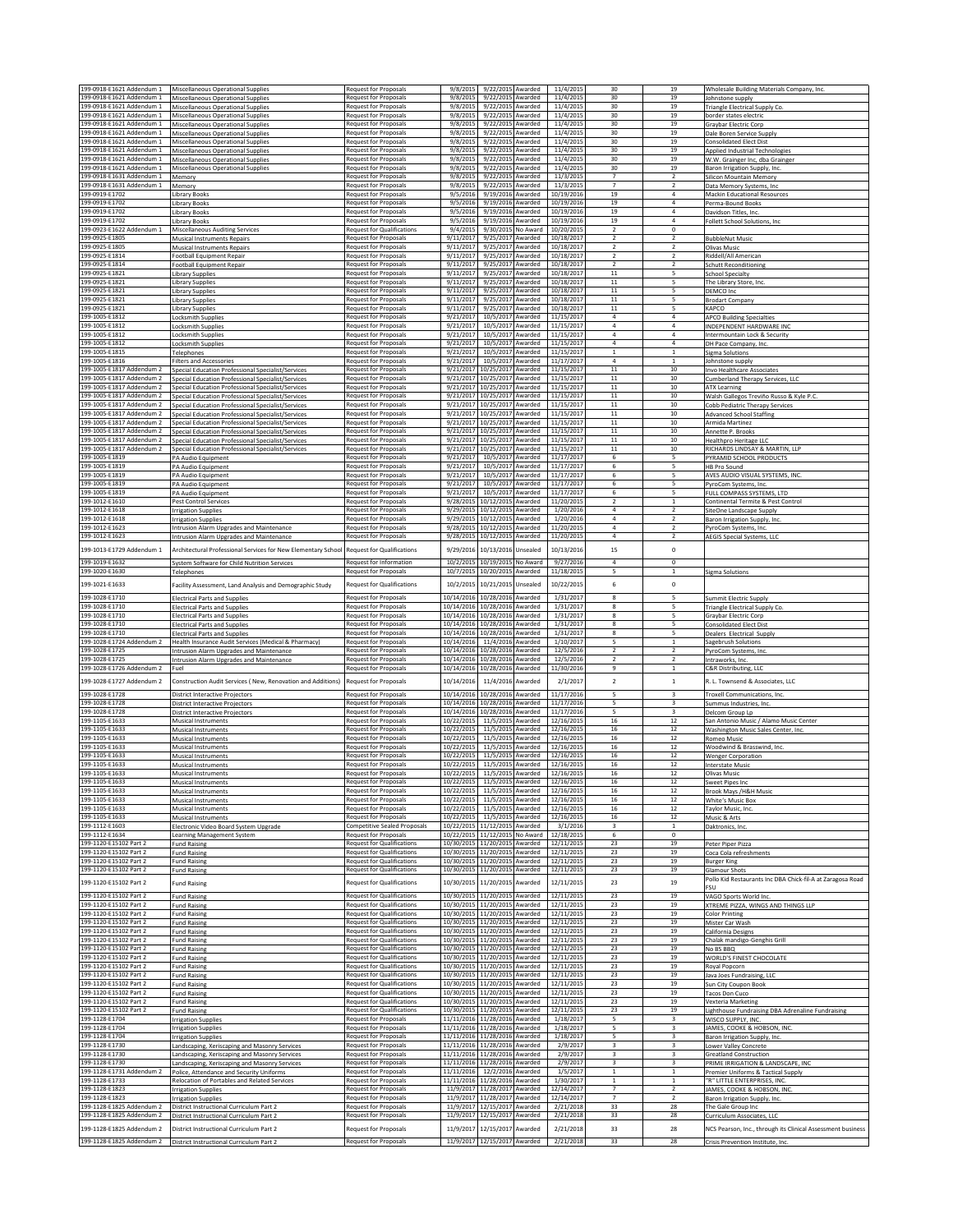| 199-0918-E1621 Addendum 1                              | Miscellaneous Operational Supplies                                                                       | Request for Proposals                                                  | 9/8/2015                 | 9/22/2015 Awarded                                   | 11/4/2015                | 30                                         | 19                                                 | Wholesale Building Materials Company, Inc.                                         |
|--------------------------------------------------------|----------------------------------------------------------------------------------------------------------|------------------------------------------------------------------------|--------------------------|-----------------------------------------------------|--------------------------|--------------------------------------------|----------------------------------------------------|------------------------------------------------------------------------------------|
| 199-0918-E1621 Addendum 1                              | Miscellaneous Operational Supplies                                                                       | Request for Proposals                                                  | 9/8/2015                 | 9/22/2015 Awarded                                   | 11/4/2015                | 30                                         | 19                                                 | Johnstone supply                                                                   |
| 199-0918-E1621 Addendum 1<br>199-0918-E1621 Addendum 1 | Miscellaneous Operational Supplies<br>Miscellaneous Operational Supplies                                 | <b>Request for Proposals</b><br>Request for Proposals                  | 9/8/2015<br>9/8/2019     | 9/22/2015<br>Awarded<br>9/22/2015 Awarded           | 11/4/2015<br>11/4/2015   | 30<br>30                                   | 19<br>19                                           | Triangle Electrical Supply Co.<br>border states electric                           |
| 199-0918-E1621 Addendum 1                              | Miscellaneous Operational Supplies                                                                       | Request for Proposals                                                  | 9/8/2015                 | 9/22/2015 Awarded                                   | 11/4/2015                | 30                                         | 19                                                 | Graybar Electric Corp                                                              |
| 199-0918-E1621 Addendum 1<br>199-0918-E1621 Addendum 1 | <b>Miscellaneous Operational Supplies</b>                                                                | <b>Request for Proposals</b><br>Request for Proposals                  | 9/8/2015<br>9/8/2015     | 9/22/2015 Awarded<br>9/22/2015 Awarded              | 11/4/2015<br>11/4/2015   | 30<br>30                                   | 19<br>19                                           | Dale Boren Service Supply                                                          |
| 199-0918-E1621 Addendum 1                              | <b>Miscellaneous Operational Supplies</b><br>Miscellaneous Operational Supplies                          | Request for Proposals                                                  | 9/8/2015                 | 9/22/2015<br>Awarded                                | 11/4/2015                | 30                                         | 19                                                 | <b>Consolidated Elect Dist</b><br>Applied Industrial Technologies                  |
| 199-0918-E1621 Addendum 1                              | Miscellaneous Operational Supplies                                                                       | Request for Proposals                                                  | 9/8/2015                 | 9/22/2015 Awarded                                   | 11/4/2015                | 30                                         | 19<br>19                                           | W.W. Grainger Inc, dba Grainger                                                    |
| 199-0918-E1621 Addendum 1<br>199-0918-E1631 Addendum 1 | <b>Miscellaneous Operational Supplies</b><br>Memory                                                      | Request for Proposals<br>Request for Proposals                         | 9/8/2019<br>9/8/201      | 9/22/2015<br>Awarded<br>9/22/2015<br>Awarded        | 11/4/2015<br>11/3/2015   | 30<br>$\overline{7}$                       | $\overline{2}$                                     | Baron Irrigation Supply, Inc<br>Silicon Mountain Memory                            |
| 199-0918-E1631 Addendum 1                              | Memory                                                                                                   | Request for Proposals                                                  | 9/8/2019                 | 9/22/2015 Awarded                                   | 11/3/2015                | $\overline{7}$                             | $\overline{2}$                                     | Data Memory Systems, Inc.                                                          |
| 199-0919-E1702<br>199-0919-E1702                       | Library Books<br>Library Books                                                                           | Request for Proposals<br><b>Request for Proposals</b>                  | 9/5/2016<br>9/5/2016     | 9/19/2016 Awarded<br>9/19/2016 Awarded              | 10/19/2016<br>10/19/2016 | 19<br>19                                   | $\overline{4}$<br>4                                | <b>Mackin Educational Resources</b><br>Perma-Bound Books                           |
| 199-0919-E1702                                         | Library Books                                                                                            | Request for Proposals                                                  | 9/5/2016                 | 9/19/2016<br>Awarded                                | 10/19/2016               | 19                                         | $\overline{4}$                                     | Davidson Titles, Inc.                                                              |
| 199-0919-E1702<br>199-0923-E1622 Addendum 1            | Library Books                                                                                            | Request for Proposals<br>Request for Qualifications                    | 9/5/2016<br>9/4/2015     | 9/19/2016<br>Awarded<br>9/30/2015<br>No Award       | 10/19/2016<br>10/20/2015 | 19<br>$\overline{2}$                       | $\overline{4}$<br>$\,$ 0                           | Follett School Solutions, Inc.                                                     |
| 199-0925-E1805                                         | <b>Miscellaneous Auditing Services</b><br>Musical Instruments Repairs                                    | Request for Proposals                                                  | 9/11/2017                | 9/25/2017<br>Awarded                                | 10/18/2017               | $\overline{2}$                             | $\overline{2}$                                     | <b>BubbleNut Music</b>                                                             |
| 199-0925-E1805                                         | Musical Instruments Repairs                                                                              | <b>Request for Proposals</b>                                           | 9/11/2017                | 9/25/2017 Awarded                                   | 10/18/2017               | $\overline{2}$<br>$\overline{2}$           | $\overline{2}$<br>$\overline{2}$                   | <b>Olivas Music</b>                                                                |
| 199-0925-E1814<br>199-0925-E1814                       | Football Equipment Repair<br>Football Equipment Repair                                                   | Request for Proposals<br>Request for Proposals                         | 9/11/201<br>9/11/2017    | 9/25/2017 Awarded<br>9/25/2017 Awarded              | 10/18/2017<br>10/18/2017 | $\mathbf 2$                                | $\overline{2}$                                     | Riddell/All American<br><b>Schutt Reconditioning</b>                               |
| 199-0925-E1821                                         | Library Supplies                                                                                         | <b>Request for Proposals</b>                                           | 9/11/2017                | 9/25/2017 Awarded                                   | 10/18/2017               | $11\,$                                     | 5                                                  | School Specialty                                                                   |
| 199-0925-E1821<br>199-0925-E1821                       | Library Supplies<br>Library Supplies                                                                     | Request for Proposals<br><b>Request for Proposals</b>                  | 9/11/2017<br>9/11/2017   | 9/25/2017 Awarded<br>9/25/2017 Awarded              | 10/18/2017<br>10/18/2017 | $11\,$<br>$11\,$                           | 5<br>5                                             | The Library Store, Inc.<br>DEMCO Inc                                               |
| 199-0925-E1821                                         | Library Supplies                                                                                         | Request for Proposals                                                  | 9/11/2017                | 9/25/2017<br>Awarded                                | 10/18/2017               | 11                                         | 5                                                  | <b>Brodart Company</b>                                                             |
| 199-0925-E1821<br>199-1005-E1812                       | Library Supplies                                                                                         | Request for Proposals                                                  | 9/11/2017<br>9/21/2017   | 9/25/2017 Awarded<br>10/5/2017                      | 10/18/2017<br>11/15/2017 | $11\,$<br>$\overline{a}$                   | 5<br>$\Delta$                                      | KAPCO                                                                              |
| 199-1005-E1812                                         | Locksmith Supplies<br><b>Locksmith Supplies</b>                                                          | Request for Proposals<br>Request for Proposals                         | 9/21/201                 | Awarded<br>10/5/2017<br>Awarded                     | 11/15/2017               | $\sqrt{4}$                                 | $\boldsymbol{4}$                                   | <b>APCO Building Specialties</b><br>INDEPENDENT HARDWARE INC                       |
| 199-1005-E1812                                         | Locksmith Supplies                                                                                       | Request for Proposals                                                  | 9/21/2017                | 10/5/2017 Awarded                                   | 11/15/2017               | $\overline{a}$                             | $\overline{4}$<br>$\overline{4}$                   | Intermountain Lock & Security                                                      |
| 199-1005-E1812<br>199-1005-E1815                       | Locksmith Supplies<br>Telephones                                                                         | Request for Proposals<br>Request for Proposals                         | 9/21/2017<br>9/21/2017   | 10/5/2017 Awarded<br>10/5/2017<br>Awarded           | 11/15/2017<br>11/15/2017 | 4<br>$\mathbf 1$                           | <sup>1</sup>                                       | DH Pace Company, Inc.<br><b>Sigma Solutions</b>                                    |
| 199-1005-E1816                                         | <b>Filters and Accessories</b>                                                                           | Request for Proposals                                                  | 9/21/2017                | 10/5/2017<br>Awarded                                | 11/17/2017               | $\overline{a}$                             | $\mathbf{1}$                                       | Johnstone supply                                                                   |
| 199-1005-E1817 Addendum 2<br>199-1005-E1817 Addendum 2 | Special Education Professional Specialist/Services<br>Special Education Professional Specialist/Services | Request for Proposals<br>Request for Proposals                         | 9/21/2017<br>9/21/2017   | 10/25/2017<br>Awarded<br>10/25/2017<br>Awarded      | 11/15/2017<br>11/15/2017 | $11\,$<br>$11\,$                           | 10<br>10                                           | Invo Healthcare Associates<br>Cumberland Therapy Services, LLC                     |
| 199-1005-E1817 Addendum 2                              | Special Education Professional Specialist/Services                                                       | Request for Proposals                                                  | 9/21/2017                | 10/25/2017<br>Awarded                               | 11/15/2017               | $11\,$                                     | 10                                                 | <b>ATX Learning</b>                                                                |
| 199-1005-E1817 Addendum 2<br>199-1005-E1817 Addendum 2 | Special Education Professional Specialist/Services<br>Special Education Professional Specialist/Services | Request for Proposals<br>Request for Proposals                         | 9/21/2017<br>9/21/2017   | 10/25/2017 Awarded<br>10/25/2017 Awarded            | 11/15/2017<br>11/15/2017 | 11<br>$11\,$                               | 10<br>10                                           | Walsh Gallegos Treviño Russo & Kyle P.C<br>Cobb Pediatric Therapy Services         |
| 199-1005-E1817 Addendum 2                              | Special Education Professional Specialist/Services                                                       | Request for Proposals                                                  | 9/21/2017                | 10/25/2017 Awarded                                  | 11/15/2017               | $11\,$                                     | 10                                                 | <b>Advanced School Staffing</b>                                                    |
| 199-1005-E1817 Addendum 2<br>199-1005-E1817 Addendum 2 | Special Education Professional Specialist/Services<br>Special Education Professional Specialist/Services | <b>Request for Proposals</b><br>Request for Proposals                  | 9/21/2017<br>9/21/2017   | 10/25/2017 Awarded<br>10/25/2017 Awarded            | 11/15/2017<br>11/15/2017 | 11<br>11                                   | 10<br>10                                           | Armida Martinez<br>Annette P. Brooks                                               |
| 199-1005-E1817 Addendum 2                              | Special Education Professional Specialist/Services                                                       | Request for Proposals                                                  | 9/21/2017                | 10/25/2017<br>Awarded                               | 11/15/2017               | 11                                         | 10                                                 | <b>Healthpro Heritage LLC</b>                                                      |
| 199-1005-E1817 Addendum 2<br>199-1005-E1819            | Special Education Professional Specialist/Services                                                       | Request for Proposals<br>Request for Proposals                         | 9/21/2017<br>9/21/2017   | 10/25/2017<br>Awarded<br>10/5/2017                  | 11/15/2017<br>11/17/2017 | 11                                         | 10<br>5                                            | RICHARDS LINDSAY & MARTIN, LLP<br>PYRAMID SCHOOL PRODUCTS                          |
| 199-1005-E1819                                         | <b>PA Audio Equipment</b><br>PA Audio Equipment                                                          | Request for Proposals                                                  | 9/21/2017                | Awarded<br>10/5/2017<br>Awarded                     | 11/17/2017               | 6<br>6                                     | 5                                                  | HB Pro Sound                                                                       |
| 199-1005-E1819                                         | PA Audio Equipment                                                                                       | <b>Request for Proposals</b>                                           | 9/21/2017                | 10/5/2017<br>Awarded                                | 11/17/2017               | 6                                          | 5                                                  | AVES AUDIO VISUAL SYSTEMS, INC                                                     |
| 199-1005-E1819<br>199-1005-E1819                       | PA Audio Equipment<br>PA Audio Equipment                                                                 | Request for Proposals<br><b>Request for Proposals</b>                  | 9/21/2017<br>9/21/2017   | 10/5/2017 Awarded<br>10/5/2017 Awarded              | 11/17/2017<br>11/17/2017 | 6<br>6                                     | 5<br>5                                             | PyroCom Systems, Inc.<br>FULL COMPASS SYSTEMS, LTD                                 |
| 199-1012-E1610                                         | <b>Pest Control Services</b>                                                                             | Request for Proposals                                                  | 9/28/2015                | 10/12/2015 Awarded                                  | 11/20/2015               | $\overline{2}$                             | $\mathbf{1}$                                       | Continental Termite & Pest Control                                                 |
| 199-1012-E1618<br>199-1012-E1618                       | <b>Irrigation Supplies</b><br>rrigation Supplies                                                         | <b>Request for Proposals</b><br>Request for Proposals                  | 9/29/2015<br>9/29/2015   | 10/12/2015<br>Awarded<br>10/12/2015<br>Awarded      | 1/20/2016<br>1/20/2016   | $\overline{a}$<br>$\it 4$                  | $\overline{2}$<br>$\overline{a}$                   | SiteOne Landscape Supply<br>Baron Irrigation Supply, Inc.                          |
| 199-1012-E1623                                         | Intrusion Alarm Upgrades and Maintenance                                                                 | <b>Request for Proposals</b>                                           | 9/28/2015                | 10/12/2015<br>Awarded                               | 11/20/2015               | $\it 4$                                    | $\overline{2}$                                     | PyroCom Systems, Inc.                                                              |
| 199-1012-E1623                                         | ntrusion Alarm Upgrades and Maintenance                                                                  | Request for Proposals                                                  | 9/28/2015                | 10/12/2015<br>Awarded                               | 11/20/2015               | $\overline{a}$                             | $\overline{2}$                                     | AEGIS Special Systems, LLC                                                         |
| 199-1013-E1729 Addendum 1                              | Architectural Professional Services for New Elementary School                                            | <b>Request for Qualifications</b>                                      | 9/29/2016                | 10/13/2016<br>Unsealed                              | 10/13/2016               | 15                                         | $\mathsf{o}\,$                                     |                                                                                    |
| 199-1019-E1632<br>199-1020-E1630                       | System Software for Child Nutrition Services                                                             | Request for Information                                                | 10/2/2015                | 10/19/2015 No Award<br>10/20/2015 Awarded           | 9/27/2016                | $\overline{4}$                             | 0                                                  |                                                                                    |
|                                                        | Telephones                                                                                               | <b>Request for Proposals</b>                                           | 10/7/2015                |                                                     | 11/18/2015               | 5                                          | $\mathbf{1}$                                       | <b>Sigma Solutions</b>                                                             |
| 199-1021-E1633                                         | Facility Assessment, Land Analysis and Demographic Study                                                 | <b>Request for Qualifications</b>                                      | 10/2/2015                | 10/21/2015<br>Unsealed                              | 10/22/2015               | 6                                          | $\mathsf{o}\,$                                     |                                                                                    |
| 199-1028-E1710<br>199-1028-E1710                       | <b>Electrical Parts and Supplies</b><br><b>Electrical Parts and Supplies</b>                             | Request for Proposals<br>Request for Proposals                         | 10/14/2016<br>10/14/2016 | 10/28/2016 Awarded<br>10/28/2016 Awarded            | 1/31/2017<br>1/31/2017   | 8<br>8                                     | 5<br>5                                             | Summit Electric Supply<br>Triangle Electrical Supply Co.                           |
| 199-1028-E1710                                         | <b>Electrical Parts and Supplies</b>                                                                     | Request for Proposals                                                  | 10/14/2016               | 10/28/2016 Awarded                                  | 1/31/2017                | 8                                          | 5                                                  | Graybar Electric Corp                                                              |
| 199-1028-E1710<br>199-1028-E1710                       | <b>Electrical Parts and Supplies</b><br><b>Electrical Parts and Supplies</b>                             | Request for Proposals<br>Request for Proposals                         | 10/14/2016<br>10/14/2016 | 10/28/2016 Awarded<br>10/28/2016 Awarded            | 1/31/2017<br>1/31/2017   | 8<br>8                                     | 5<br>5                                             | <b>Consolidated Elect Dist</b><br><b>Dealers Electrical Supply</b>                 |
| 199-1028-E1724 Addendum 2                              | Health Insurance Audit Services (Medical & Pharmacy)                                                     | Request for Proposals                                                  | 10/14/2016               | 11/4/2016 Awarded                                   | 1/10/2017                | 5                                          | $\mathbf{1}$                                       | Sagebrush Solutions                                                                |
| 199-1028-E1725<br>199-1028-E1725                       | Intrusion Alarm Upgrades and Maintenance<br>Intrusion Alarm Upgrades and Maintenance                     | Request for Proposals<br><b>Request for Proposals</b>                  | 10/14/2016<br>10/14/2016 | 10/28/2016 Awarded<br>10/28/2016<br>Awarded         | 12/5/2016<br>12/5/2016   | $\overline{2}$<br>$\overline{2}$           | $\overline{2}$<br>$\overline{2}$                   | PyroCom Systems, Inc.<br>Intraworks, Inc.                                          |
| 199-1028-E1726 Addendum 2                              | Fuel                                                                                                     | Request for Proposals                                                  | 10/14/2016               | 10/28/2016<br>Awarded                               | 11/30/2016               | 9                                          | 1                                                  | C&R Distributing, LLC                                                              |
| 199-1028-E1727 Addendum 2                              | Construction Audit Services (New, Renovation and Additions)                                              | Request for Proposals                                                  | 10/14/2016               | 11/4/2016<br>Awarded                                | 2/1/2017                 | $\mathbf 2$                                | $\,$ 1 $\,$                                        | R. L. Townsend & Associates, LLC                                                   |
| 199-1028-E1728                                         | <b>District Interactive Projectors</b>                                                                   | Request for Proposals                                                  | 10/14/2016               | 10/28/2016 Awarded                                  | 11/17/2016               | 5                                          | $\overline{\mathbf{3}}$                            | <b>Troxell Communications, Inc</b>                                                 |
| 199-1028-E1728<br>199-1028-E1728                       | <b>District Interactive Projectors</b><br>District Interactive Projectors                                | Request for Proposals<br>Request for Proposals                         | 10/14/2016<br>10/14/2016 | 10/28/2016 Awarded<br>10/28/2016 Awarded            | 11/17/2016<br>11/17/2016 | 5<br>5                                     | $\overline{\mathbf{3}}$<br>$\overline{\mathbf{3}}$ | Summus Industries, Inc<br>Delcom Group Lp                                          |
| 199-1105-E1633                                         | Musical Instruments                                                                                      | Request for Proposals                                                  | 10/22/2015               | 11/5/2015 Awarded                                   | 12/16/2015               | 16                                         | 12                                                 | San Antonio Music / Alamo Music Center                                             |
| 199-1105-F1633<br>199-1105-E1633                       | Musical Instruments                                                                                      | Request for Proposals                                                  | 10/22/2015               | 11/5/2015 Awarded<br>11/5/2015                      | 12/16/2015               | 16                                         | 12                                                 | Washington Music Sales Center, Inc.                                                |
| 199-1105-E1633                                         | <b>Musical Instruments</b><br>Musical Instruments                                                        | Request for Proposals<br><b>Request for Proposals</b>                  | 10/22/2015<br>10/22/2015 | Awarded<br>11/5/2015 Awarded                        | 12/16/2015<br>12/16/2015 | 16<br>16                                   | 12<br>12                                           | Romeo Music<br>Woodwind & Brasswind, Inc.                                          |
| 199-1105-E1633<br>199-1105-E1633                       | Musical Instruments                                                                                      | <b>Request for Proposals</b><br><b>Request for Proposals</b>           | 10/22/2015               | 11/5/2015 Awarded<br>11/5/2015 Awarded              | 12/16/2015<br>12/16/2015 | 16                                         | 12<br>12                                           | <b>Wenger Corporation</b>                                                          |
| 199-1105-E1633                                         | Musical Instruments<br><b>Musical Instruments</b>                                                        | Request for Proposals                                                  | 10/22/2015<br>10/22/2015 | 11/5/2015 Awarded                                   | 12/16/2015               | 16<br>16                                   | 12                                                 | <b>Interstate Music</b><br>Olivas Music                                            |
| 199-1105-E1633                                         | Musical Instruments                                                                                      | <b>Request for Proposals</b>                                           | 10/22/2015               | 11/5/2015 Awarded                                   | 12/16/2015               | 16                                         | 12                                                 | Sweet Pipes Inc                                                                    |
| 199-1105-E1633<br>199-1105-E1633                       | Musical Instruments<br>Musical Instruments                                                               | Request for Proposals<br><b>Request for Proposals</b>                  | 10/22/2015<br>10/22/2015 | 11/5/2015 Awarded<br>11/5/2015 Awarded              | 12/16/2015<br>12/16/2015 | 16<br>16                                   | 12<br>12                                           | Brook Mays /H&H Music<br>White's Music Box                                         |
| 199-1105-E1633                                         | Musical Instruments                                                                                      | Request for Proposals                                                  | 10/22/2015               | 11/5/2015<br>Awarded                                | 12/16/2015               | 16                                         | $12\,$                                             | Taylor Music, Inc.                                                                 |
| 199-1105-E1633<br>199-1112-E1603                       | Musical Instruments<br>Electronic Video Board System Upgrade                                             | <b>Request for Proposals</b><br>Competitive Sealed Proposals           | 10/22/2015<br>10/22/2015 | 11/5/2015<br>Awarded<br>11/12/2015 Awarded          | 12/16/2015<br>3/1/2016   | 16<br>3                                    | 12<br>$\mathbf 1$                                  | Music & Arts<br>Daktronics, Inc.                                                   |
| 199-1112-E1634                                         | Learning Management System                                                                               | Request for Proposals                                                  | 10/22/2015               | 11/12/2015<br>No Award                              | 12/18/2015               | 6                                          | $^{\circ}$                                         |                                                                                    |
| 199-1120-E15102 Part 2<br>199-1120-E15102 Part 2       | Fund Raising<br><b>Fund Raising</b>                                                                      | <b>Request for Qualifications</b><br><b>Request for Qualifications</b> | 10/30/2015<br>10/30/2015 | 11/20/2015 Awarded<br>11/20/2015 Awarded            | 12/11/2015<br>12/11/2015 | 23<br>23                                   | 19<br>19                                           | Peter Piper Pizza<br>Coca Cola refreshments                                        |
| 199-1120-E15102 Part 2                                 | <b>Fund Raising</b>                                                                                      | Request for Qualifications                                             | 10/30/2015               | 11/20/2015 Awarded                                  | 12/11/2015               | 23                                         | 19                                                 | <b>Burger King</b>                                                                 |
| 199-1120-E15102 Part 2                                 | <b>Fund Raising</b>                                                                                      | <b>Request for Qualifications</b>                                      | 10/30/2015               | 11/20/2015 Awarded                                  | 12/11/2015               | 23                                         | 19                                                 | <b>Glamour Shots</b><br>Pollo Kid Restaurants Inc DBA Chick-fil-A at Zaragosa Road |
| 199-1120-E15102 Part 2                                 | <b>Fund Raising</b>                                                                                      | Request for Qualifications                                             | 10/30/2015               | 11/20/2015<br>Awarded                               | 12/11/2015               | 23                                         | 19                                                 | <b>FSU</b>                                                                         |
| 199-1120-E15102 Part 2<br>199-1120-E15102 Part 2       | <b>Fund Raising</b><br><b>Fund Raising</b>                                                               | <b>Request for Qualifications</b><br><b>Request for Qualifications</b> | 10/30/2015<br>10/30/2015 | 11/20/2015<br>Awarded<br>11/20/2015<br>Awarded      | 12/11/2015<br>12/11/2015 | 23<br>23                                   | 19<br>19                                           | VAGO Sports World Inc.<br>XTREME PIZZA, WINGS AND THINGS LLP                       |
| 199-1120-E15102 Part 2                                 | <b>Fund Raising</b>                                                                                      | <b>Request for Qualifications</b>                                      | 10/30/2015               | 11/20/2015 Awarded                                  | 12/11/2015               | 23                                         | 19                                                 | <b>Color Printing</b>                                                              |
| 199-1120-E15102 Part 2<br>199-1120-E15102 Part 2       | <b>Fund Raising</b><br><b>Fund Raising</b>                                                               | Request for Qualifications<br>Request for Qualifications               | 10/30/2015               | 11/20/2015 Awarded<br>10/30/2015 11/20/2015 Awarded | 12/11/2015<br>12/11/2015 | 23<br>23                                   | 19<br>19                                           | Mister Car Wash<br>California Designs                                              |
| 199-1120-E15102 Part 2                                 | <b>Fund Raising</b>                                                                                      | <b>Request for Qualifications</b>                                      |                          | 10/30/2015 11/20/2015 Awarded                       | 12/11/2015               | 23                                         | $\overline{19}$                                    | Chalak mandigo-Genghis Grill                                                       |
| 199-1120-E15102 Part 2<br>199-1120-E15102 Part 2       | <b>Fund Raising</b><br><b>Fund Raising</b>                                                               | <b>Request for Qualifications</b><br><b>Request for Qualifications</b> | 10/30/2015<br>10/30/2015 | 11/20/2015<br>Awarded<br>11/20/2015<br>Awarded      | 12/11/2015<br>12/11/2015 | 23<br>23                                   | 19<br>19                                           | No BS BBQ<br>WORLD'S FINEST CHOCOLATE                                              |
| 199-1120-E15102 Part 2                                 | Fund Raising                                                                                             | <b>Request for Qualifications</b>                                      | 10/30/2015               | 11/20/2015 Awarded                                  | 12/11/2015               | 23                                         | 19                                                 | Royal Popcorn                                                                      |
| 199-1120-E15102 Part 2<br>199-1120-E15102 Part 2       | <b>Fund Raising</b>                                                                                      | Request for Qualifications<br><b>Request for Qualifications</b>        | 10/30/2015<br>10/30/2015 | 11/20/2015 Awarded<br>11/20/2015 Awarded            | 12/11/2015<br>12/11/2015 | 23<br>23                                   | 19<br>19                                           | Java Joes Fundraising, LLC                                                         |
| 199-1120-E15102 Part 2                                 | <b>Fund Raising</b><br>Fund Raising                                                                      | Request for Qualifications                                             | 10/30/2015               | 11/20/2015 Awarded                                  | 12/11/2015               | 23                                         | 19                                                 | Sun City Coupon Book<br><b>Tacos Don Cuco</b>                                      |
| 199-1120-E15102 Part 2<br>199-1120-E15102 Part 2       | <b>Fund Raising</b>                                                                                      | Request for Qualifications<br><b>Request for Qualifications</b>        | 10/30/2015               | 11/20/2015 Awarded<br>10/30/2015 11/20/2015 Awarded | 12/11/2015<br>12/11/2015 | 23<br>23                                   | 19<br>19                                           | Vexteria Marketing                                                                 |
| 199-1128-E1704                                         | <b>Fund Raising</b><br><b>Irrigation Supplies</b>                                                        | Request for Proposals                                                  | 11/11/2016               | 11/28/2016 Awarded                                  | 1/18/2017                | 5                                          | $\overline{\mathbf{3}}$                            | Lighthouse Fundraising DBA Adrenaline Fundraising<br>WISCO SUPPLY, INC             |
| 199-1128-E1704                                         | <b>Irrigation Supplies</b>                                                                               | <b>Request for Proposals</b>                                           | 11/11/2016               | 11/28/2016 Awarded                                  | 1/18/2017                | 5                                          | 3                                                  | JAMES, COOKE & HOBSON, INC.                                                        |
| 199-1128-E1704<br>199-1128-E1730                       | <b>Irrigation Supplies</b><br>Landscaping, Xeriscaping and Masonry Services                              | Request for Proposals<br>Request for Proposals                         | 11/11/2016<br>11/11/2016 | 11/28/2016 Awarded<br>11/28/2016 Awarded            | 1/18/2017<br>2/9/2017    | 5<br>3                                     | 3<br>3                                             | Baron Irrigation Supply, Inc.<br>Lower Valley Concrete                             |
| 199-1128-E1730                                         | andscaping, Xeriscaping and Masonry Services                                                             | Request for Proposals                                                  | 11/11/2016               | 11/28/2016 Awarded                                  | 2/9/2017                 | $\mathsf 3$                                | $\overline{\mathbf{3}}$                            | <b>Greatland Construction</b>                                                      |
| 199-1128-E1730<br>199-1128-E1731 Addendum 2            | Landscaping, Xeriscaping and Masonry Services<br>Police, Attendance and Security Uniforms                | <b>Request for Proposals</b><br>Request for Proposals                  | 11/11/2016<br>11/11/2016 | 11/28/2016 Awarded<br>12/2/2016 Awarded             | 2/9/2017<br>1/5/2017     | $\overline{\mathbf{3}}$<br>$\mathbf{1}$    | $\overline{\mathbf{3}}$<br>$\mathbf{1}$            | PRIME IRRIGATION & LANDSCAPE, INC<br>Premier Uniforms & Tactical Supply            |
| 199-1128-E1733                                         | Relocation of Portables and Related Services                                                             | Request for Proposals                                                  |                          | 11/11/2016 11/28/2016 Awarded                       | 1/30/2017                | $\,$ 1 $\,$                                | $\mathbf{1}$                                       | "R" LITTLE ENTERPRISES, INC.                                                       |
| 199-1128-E1823<br>199-1128-E1823                       | <b>Irrigation Supplies</b><br><b>Irrigation Supplies</b>                                                 | Request for Proposals<br><b>Request for Proposals</b>                  | 11/9/2017<br>11/9/2017   | 11/28/2017 Awarded<br>11/28/2017 Awarded            | 12/14/2017<br>12/14/2017 | $\overline{\phantom{a}}$<br>$\overline{7}$ | $\overline{2}$<br>$\overline{2}$                   | JAMES, COOKE & HOBSON, INC.<br>Baron Irrigation Supply, Inc.                       |
| 199-1128-E1825 Addendum 2                              | District Instructional Curriculum Part 2                                                                 | Request for Proposals                                                  | 11/9/2017                | 12/15/2017 Awarded                                  | 2/21/2018                | 33                                         | 28                                                 | The Gale Group Inc                                                                 |
| 199-1128-E1825 Addendum 2                              | District Instructional Curriculum Part 2                                                                 | <b>Request for Proposals</b>                                           | 11/9/2017                | 12/15/2017 Awarded                                  | 2/21/2018                | 33                                         | 28                                                 | Curriculum Associates, LLC                                                         |
| 199-1128-E1825 Addendum 2                              | District Instructional Curriculum Part 2                                                                 | Request for Proposals                                                  | 11/9/2017                | 12/15/2017<br>Awarded                               | 2/21/2018                | 33                                         | 28                                                 | NCS Pearson, Inc., through its Clinical Assessment business                        |
| 199-1128-E1825 Addendum 2                              | District Instructional Curriculum Part 2                                                                 | Request for Proposals                                                  | 11/9/2017                | 12/15/2017 Awarded                                  | 2/21/2018                | 33                                         | 28                                                 | Crisis Prevention Institute, Inc.                                                  |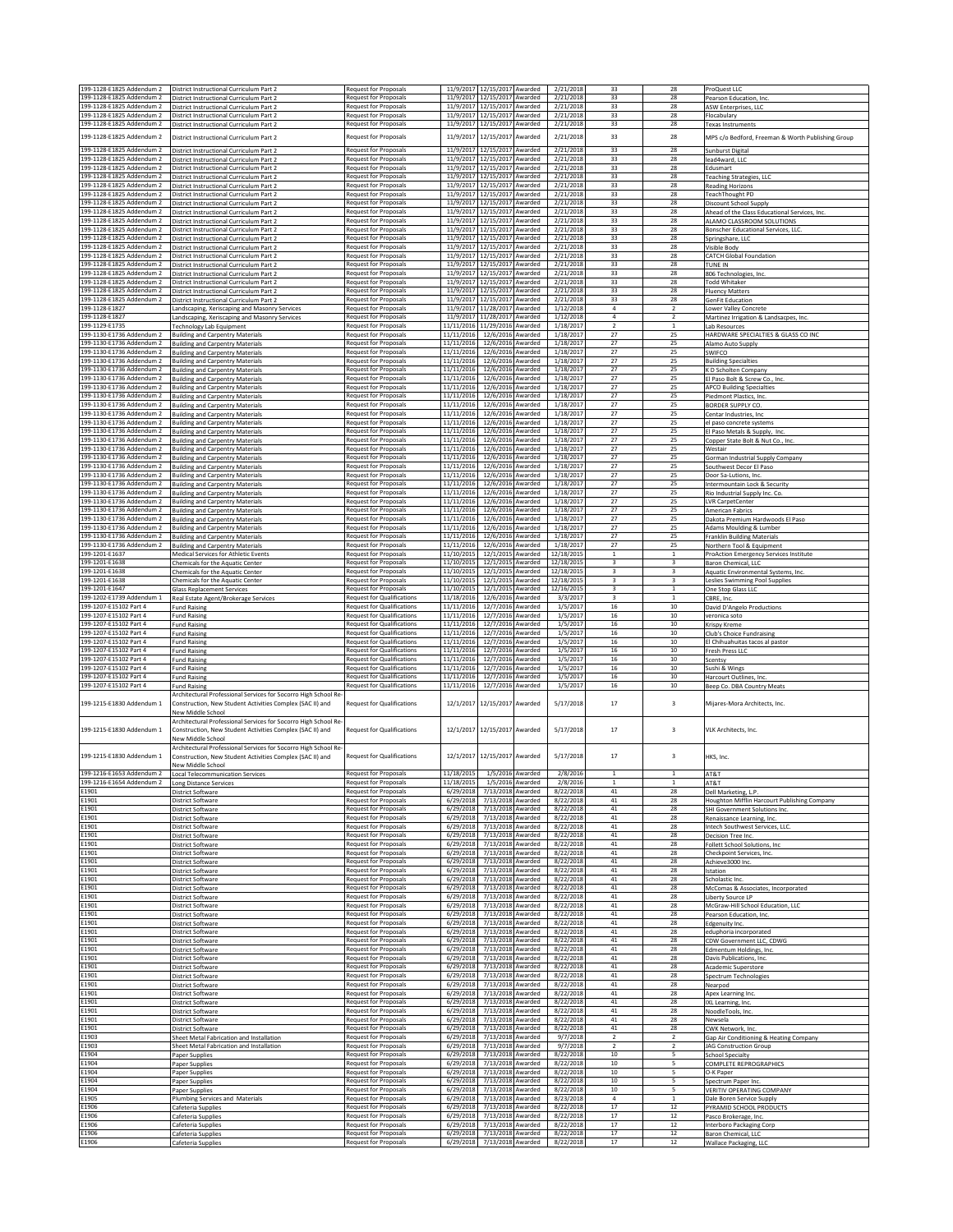| 199-1128-E1825 Addendum 2<br>199-1128-E1825 Addendum 2 | District Instructional Curriculum Part 2<br>District Instructional Curriculum Part 2                                        | Request for Proposals<br>Request for Proposals                                 |                                     | 11/9/2017 12/15/2017 Awarded<br>11/9/2017 12/15/2017 Awarded    | 2/21/2018<br>2/21/2018              | 33<br>33                         | 28<br>28                         | ProQuest LLC<br>Pearson Education, Inc.                                 |
|--------------------------------------------------------|-----------------------------------------------------------------------------------------------------------------------------|--------------------------------------------------------------------------------|-------------------------------------|-----------------------------------------------------------------|-------------------------------------|----------------------------------|----------------------------------|-------------------------------------------------------------------------|
| 199-1128-E1825 Addendum 2                              | District Instructional Curriculum Part 2                                                                                    | Request for Proposals                                                          |                                     | 11/9/2017 12/15/2017 Awarded                                    | 2/21/2018                           | 33                               | 28                               | ASW Enterprises, LLC                                                    |
| 199-1128-E1825 Addendum 2<br>199-1128-E1825 Addendum 2 | District Instructional Curriculum Part 2<br>District Instructional Curriculum Part 2                                        | Request for Proposals<br>Request for Proposals                                 |                                     | 11/9/2017 12/15/2017 Awarded<br>11/9/2017 12/15/2017 Awarded    | 2/21/2018<br>2/21/2018              | 33<br>33                         | 28<br>28                         | Flocabulary<br><b>Texas Instruments</b>                                 |
| 199-1128-E1825 Addendum 2                              | District Instructional Curriculum Part 2                                                                                    | Request for Proposals                                                          | 11/9/2017                           | 12/15/2017<br>Awarded                                           | 2/21/2018                           | 33                               | 28                               | MPS c/o Bedford, Freeman & Worth Publishing Group                       |
| 199-1128-E1825 Addendum 2                              | District Instructional Curriculum Part 2                                                                                    | Request for Proposals                                                          | 11/9/2017                           | 12/15/2017<br>Awarded                                           | 2/21/2018                           | 33                               | 28                               | Sunburst Digital                                                        |
| 199-1128-E1825 Addendum 2<br>199-1128-E1825 Addendum 2 | District Instructional Curriculum Part 2<br>District Instructional Curriculum Part 2                                        | Request for Proposals<br><b>Request for Proposals</b>                          |                                     | 11/9/2017 12/15/2017 Awarded<br>11/9/2017 12/15/2017 Awarded    | 2/21/2018<br>2/21/2018              | 33<br>33                         | 28<br>28                         | lead4ward, LLC<br>Edusmart                                              |
| 199-1128-E1825 Addendum 2<br>199-1128-E1825 Addendum 2 | District Instructional Curriculum Part 2<br>District Instructional Curriculum Part 2                                        | Request for Proposals<br>Request for Proposals                                 |                                     | 11/9/2017 12/15/2017 Awarded<br>11/9/2017 12/15/2017<br>Awarded | 2/21/2018<br>2/21/2018              | 33<br>33                         | 28<br>28                         | <b>Teaching Strategies, LLC</b><br><b>Reading Horizons</b>              |
| 199-1128-E1825 Addendum 2                              | District Instructional Curriculum Part 2                                                                                    | Request for Proposals                                                          |                                     | 11/9/2017 12/15/2017<br>Awarded                                 | 2/21/2018                           | 33                               | 28                               | TeachThought PD                                                         |
| 199-1128-E1825 Addendum 2<br>199-1128-E1825 Addendum 2 | District Instructional Curriculum Part 2<br>District Instructional Curriculum Part 2                                        | Request for Proposals<br>Request for Proposals                                 | 11/9/2017                           | 12/15/2017<br>Awarded<br>11/9/2017 12/15/2017 Awarded           | 2/21/2018<br>2/21/2018              | 33<br>33                         | 28<br>28                         | Discount School Supply<br>Ahead of the Class Educational Services, Inc. |
| 199-1128-E1825 Addendum 2<br>199-1128-E1825 Addendum 2 | District Instructional Curriculum Part 2<br>District Instructional Curriculum Part 2                                        | <b>Request for Proposals</b><br>Request for Proposals                          |                                     | 11/9/2017 12/15/2017 Awarded<br>11/9/2017 12/15/2017 Awarded    | 2/21/2018<br>2/21/2018              | 33<br>33                         | 28<br>28                         | ALAMO CLASSROOM SOLUTIONS<br>Bonscher Educational Services, LLC         |
| 199-1128-E1825 Addendum 2<br>199-1128-F1825 Addendum 2 | District Instructional Curriculum Part 2<br>District Instructional Curriculum Part 2                                        | Request for Proposals<br><b>Request for Proposals</b>                          |                                     | 11/9/2017 12/15/2017 Awarded<br>11/9/2017 12/15/2017 Awarded    | 2/21/2018<br>2/21/2018              | 33<br>33                         | 28<br>28                         | Springshare, LLC<br>Visible Body                                        |
| 199-1128-F1825 Addendum 2                              | District Instructional Curriculum Part 2                                                                                    | <b>Request for Proposals</b>                                                   |                                     | 11/9/2017 12/15/2017 Awarded                                    | 2/21/2018                           | 33                               | 28                               | <b>CATCH Global Foundation</b>                                          |
| 199-1128-E1825 Addendum 2<br>199-1128-E1825 Addendum 2 | District Instructional Curriculum Part 2<br>District Instructional Curriculum Part 2                                        | Request for Proposals<br>Request for Proposals                                 | 11/9/2017                           | 11/9/2017 12/15/2017 Awarded<br>12/15/2017<br>Awarded           | 2/21/2018<br>2/21/2018              | 33<br>33                         | 28<br>28                         | TUNE IN<br>806 Technologies, Inc.                                       |
| 199-1128-E1825 Addendum 2<br>199-1128-E1825 Addendum 2 | District Instructional Curriculum Part 2<br>District Instructional Curriculum Part 2                                        | Request for Proposals<br>Request for Proposals                                 |                                     | 11/9/2017 12/15/2017 Awarded<br>11/9/2017 12/15/2017 Awarded    | 2/21/2018<br>2/21/2018              | 33<br>33                         | 28<br>28                         | <b>Todd Whitaker</b><br><b>Fluency Matters</b>                          |
| 199-1128-E1825 Addendum 2                              | District Instructional Curriculum Part 2                                                                                    | <b>Request for Proposals</b>                                                   |                                     | 11/9/2017 12/15/2017 Awarded                                    | 2/21/2018                           | 33                               | 28                               | <b>GenFit Education</b>                                                 |
| 199-1128-E1827<br>199-1128-E1827                       | Landscaping, Xeriscaping and Masonry Services<br>Landscaping, Xeriscaping and Masonry Services                              | Request for Proposals<br>Request for Proposals                                 |                                     | 11/9/2017 11/28/2017 Awarded<br>11/9/2017 11/28/2017 Awarded    | 1/12/2018<br>1/12/2018              | $\overline{4}$<br>$\overline{4}$ | $\overline{2}$<br>$\overline{2}$ | <b>Lower Valley Concrete</b><br>Martinez Irrigation & Landsacpes, Inc.  |
| 199-1129-E1735<br>199-1130-E1736 Addendum 2            | <b>Technology Lab Equipment</b><br><b>Building and Carpentry Materials</b>                                                  | Request for Proposals<br><b>Request for Proposals</b>                          | 11/11/2016                          | 11/11/2016 11/29/2016 Awarded<br>12/6/2016 Awarded              | 1/18/2017<br>1/18/2017              | $\overline{2}$<br>27             | $\mathbf{1}$<br>25               | Lab Resources<br>HARDWARE SPECIALTIES & GLASS CO INC                    |
| 199-1130-E1736 Addendum 2                              | <b>Building and Carpentry Materials</b>                                                                                     | Request for Proposals                                                          | 11/11/2016                          | 12/6/2016 Awarded                                               | 1/18/2017                           | 27                               | 25                               | Alamo Auto Supply                                                       |
| 199-1130-E1736 Addendum 2<br>199-1130-E1736 Addendum 2 | <b>Building and Carpentry Materials</b><br><b>Building and Carpentry Materials</b>                                          | <b>Request for Proposals</b><br>Request for Proposals                          | 11/11/2016<br>11/11/2016            | 12/6/2016 Awarded<br>12/6/2016 Awarded                          | 1/18/2017<br>1/18/2017              | 27<br>27                         | 25<br>25                         | SWIFCO<br><b>Building Specialties</b>                                   |
| 199-1130-E1736 Addendum 2<br>199-1130-E1736 Addendum 2 | <b>Building and Carpentry Materials</b><br><b>Building and Carpentry Materials</b>                                          | Request for Proposals<br>Request for Proposals                                 | 11/11/2016<br>11/11/2016            | 12/6/2016 Awarded<br>12/6/2016 Awarded                          | 1/18/2017<br>1/18/2017              | 27<br>27                         | 25<br>25                         | K D Scholten Company<br>El Paso Bolt & Screw Co., Inc.                  |
| 199-1130-E1736 Addendum 2<br>199-1130-E1736 Addendum 2 | <b>Building and Carpentry Materials</b>                                                                                     | <b>Request for Proposals</b><br><b>Request for Proposals</b>                   | 11/11/2016                          | 12/6/2016 Awarded                                               | 1/18/2017                           | 27<br>27                         | 25<br>25                         | <b>APCO Building Specialties</b>                                        |
| 199-1130-E1736 Addendum 2                              | <b>Building and Carpentry Materials</b><br><b>Building and Carpentry Materials</b>                                          | <b>Request for Proposals</b>                                                   | 11/11/2016<br>11/11/2016            | 12/6/2016 Awarded<br>12/6/2016 Awarded                          | 1/18/2017<br>1/18/2017              | 27                               | 25                               | Piedmont Plastics, Inc.<br><b>BORDER SUPPLY CO.</b>                     |
| 199-1130-E1736 Addendum 2<br>199-1130-E1736 Addendum 2 | <b>Building and Carpentry Materials</b><br><b>Building and Carpentry Materials</b>                                          | Request for Proposals<br>Request for Proposals                                 | 11/11/2016<br>11/11/2016            | 12/6/2016<br>Awarded<br>12/6/2016 Awarded                       | 1/18/2017<br>1/18/2017              | 27<br>27                         | 25<br>25                         | Centar Industries, Inc<br>el paso concrete systems                      |
| 199-1130-E1736 Addendum 2<br>199-1130-E1736 Addendum 2 | <b>Building and Carpentry Materials</b>                                                                                     | Request for Proposals<br><b>Request for Proposals</b>                          | 11/11/2016<br>11/11/2016            | 12/6/2016 Awarded<br>12/6/2016 Awarded                          | 1/18/2017<br>1/18/2017              | 27<br>27                         | 25<br>25                         | El Paso Metals & Supply, Inc.                                           |
| 199-1130-E1736 Addendum 2                              | <b>Building and Carpentry Materials</b><br><b>Building and Carpentry Materials</b>                                          | Request for Proposals                                                          | 11/11/2016                          | 12/6/2016 Awarded                                               | 1/18/2017                           | 27                               | 25                               | Copper State Bolt & Nut Co., Inc.<br>Westair                            |
| 199-1130-E1736 Addendum 2<br>199-1130-E1736 Addendum 2 | <b>Building and Carpentry Materials</b><br><b>Building and Carpentry Materials</b>                                          | <b>Request for Proposals</b><br>Request for Proposals                          | 11/11/2016<br>11/11/2016            | 12/6/2016 Awarded<br>12/6/2016 Awarded                          | 1/18/2017<br>1/18/2017              | 27<br>27                         | 25<br>25                         | Gorman Industrial Supply Company<br>Southwest Decor El Paso             |
| 199-1130-E1736 Addendum 2<br>199-1130-E1736 Addendum 2 | <b>Building and Carpentry Materials</b>                                                                                     | Request for Proposals                                                          | 11/11/2016<br>11/11/2016            | 12/6/2016 Awarded<br>12/6/2016 Awarded                          | 1/18/2017<br>1/18/2017              | 27<br>27                         | 25<br>25                         | Door Sa-Lutions, Inc.                                                   |
| 199-1130-E1736 Addendum 2                              | <b>Building and Carpentry Materials</b><br><b>Building and Carpentry Materials</b>                                          | Request for Proposals<br>Request for Proposals                                 | 11/11/2016                          | 12/6/2016 Awarded                                               | 1/18/2017                           | 27                               | 25                               | Intermountain Lock & Security<br>Rio Industrial Supply Inc. Co.         |
| 199-1130-E1736 Addendum 2<br>199-1130-E1736 Addendum 2 | <b>Building and Carpentry Materials</b><br><b>Building and Carpentry Materials</b>                                          | <b>Request for Proposals</b><br>Request for Proposals                          | 11/11/2016<br>11/11/2016            | 12/6/2016 Awarded<br>12/6/2016 Awarded                          | 1/18/2017<br>1/18/2017              | 27<br>27                         | 25<br>25                         | <b>LVR CarpetCenter</b><br>American Fabrics                             |
| 199-1130-E1736 Addendum 2                              | <b>Building and Carpentry Materials</b>                                                                                     | <b>Request for Proposals</b>                                                   | 11/11/2016                          | 12/6/2016 Awarded                                               | 1/18/2017                           | 27                               | 25                               | Dakota Premium Hardwoods El Paso                                        |
| 199-1130-E1736 Addendum 2<br>199-1130-E1736 Addendum 2 | <b>Building and Carpentry Materials</b><br><b>Building and Carpentry Materials</b>                                          | Request for Proposals<br>Request for Proposals                                 | 11/11/2016<br>11/11/2016            | 12/6/2016 Awarded<br>12/6/2016 Awarded                          | 1/18/2017<br>1/18/2017              | 27<br>27                         | 25<br>25                         | Adams Moulding & Lumber<br><b>Franklin Building Materials</b>           |
| 199-1130-E1736 Addendum 2<br>199-1201-E1637            | <b>Building and Carpentry Materials</b><br>Medical Services for Athletic Events                                             | <b>Request for Proposals</b><br>Request for Proposals                          | 11/11/2016<br>11/10/2015            | 12/6/2016 Awarded<br>12/1/2015 Awarded                          | 1/18/2017<br>12/18/2015             | $27\,$<br>$1\,$                  | 25<br>1                          | Northern Tool & Equipment<br>ProAction Emergency Services Institute     |
| 199-1201-E1638                                         | Chemicals for the Aquatic Center                                                                                            | Request for Proposals                                                          | 11/10/2015                          | 12/1/2015 Awarded                                               | 12/18/2015                          | 3                                | 3                                | Baron Chemical, LLC                                                     |
| 199-1201-E1638<br>199-1201-E1638                       | Chemicals for the Aquatic Center<br>Chemicals for the Aquatic Center                                                        | Request for Proposals<br>Request for Proposals                                 | 11/10/2015<br>11/10/2015            | 12/1/2015 Awarded<br>12/1/2015 Awarded                          | 12/18/2015<br>12/18/2015            | 3<br>3                           | $\overline{\mathbf{3}}$<br>3     | Aquatic Environmental Systems, Inc.<br>Leslies Swimming Pool Supplies   |
| 199-1201-E1647<br>199-1202-E1739 Addendum 1            | <b>Glass Replacement Services</b><br>Real Estate Agent/Brokerage Services                                                   | <b>Request for Proposals</b><br>Request for Qualifications                     | 11/10/2015<br>11/18/2016            | 12/1/2015 Awarded<br>12/6/2016 Awarded                          | 12/16/2015<br>3/3/2017              | 3<br>$\overline{\mathbf{3}}$     | $\mathbf{1}$<br>$\mathbf{1}$     | One Stop Glass LLC<br>CBRE, Inc.                                        |
| 199-1207-E15102 Part 4                                 | <b>Fund Raising</b>                                                                                                         | Request for Qualifications                                                     | 11/11/2016                          | 12/7/2016 Awarded                                               | 1/5/2017                            | 16                               | $10\,$                           | David D'Angelo Productions                                              |
|                                                        |                                                                                                                             |                                                                                |                                     |                                                                 |                                     |                                  |                                  |                                                                         |
| 199-1207-E15102 Part 4<br>199-1207-E15102 Part 4       | <b>Fund Raising</b><br><b>Fund Raising</b>                                                                                  | <b>Request for Qualifications</b><br><b>Request for Qualifications</b>         | 11/11/2016<br>11/11/2016            | 12/7/2016 Awarded<br>12/7/2016 Awarded                          | 1/5/2017<br>1/5/2017                | 16<br>16                         | 10<br>10                         | veronica soto<br>Krispy Kreme                                           |
| 199-1207-E15102 Part 4                                 | <b>Fund Raising</b>                                                                                                         | Request for Qualifications                                                     | 11/11/2016                          | 12/7/2016<br>Awarded                                            | 1/5/2017                            | 16                               | $10\,$                           | <b>Club's Choice Fundraising</b>                                        |
| 199-1207-E15102 Part 4<br>199-1207-E15102 Part 4       | <b>Fund Raising</b><br><b>Fund Raising</b>                                                                                  | Request for Qualifications<br>Request for Qualifications                       | 11/11/2016<br>11/11/2016            | 12/7/2016<br>Awarded<br>12/7/2016<br>Awarded                    | 1/5/2017<br>1/5/2017                | 16<br>16                         | $10\,$<br>$10\,$                 | El Chihuahuitas tacos al pastor<br>Fresh Press LLC                      |
| 199-1207-E15102 Part 4<br>199-1207-E15102 Part 4       | <b>Fund Raising</b><br><b>Fund Raising</b>                                                                                  | <b>Request for Qualifications</b><br><b>Request for Qualifications</b>         | 11/11/2016<br>11/11/2016            | 12/7/2016 Awarded<br>12/7/2016 Awarded                          | 1/5/2017<br>1/5/2017                | 16<br>16                         | 10<br>10                         | Scentsy<br>Sushi & Wings                                                |
| 199-1207-E15102 Part 4                                 | <b>Fund Raising</b>                                                                                                         | <b>Request for Qualifications</b>                                              | 11/11/2016<br>11/11/2016            | 12/7/2016 Awarded                                               | 1/5/2017                            | 16                               | 10                               | Harcourt Outlines, Inc.                                                 |
| 199-1207-E15102 Part 4                                 | <b>Fund Raising</b><br>Architectural Professional Services for Socorro High School Re                                       | <b>Request for Qualifications</b>                                              |                                     | 12/7/2016 Awarded                                               | 1/5/2017                            | 16                               | $10\,$                           | Beep Co. DBA Country Meats                                              |
| 199-1215-E1830 Addendum 1                              | Construction, New Student Activities Complex (SAC II) and<br>New Middle School                                              | <b>Request for Qualifications</b>                                              | 12/1/2017                           | 12/15/2017 Awarded                                              | 5/17/2018                           | 17                               | $\overline{\mathbf{3}}$          | Milares-Mora Architects, Inc.                                           |
|                                                        | Architectural Professional Services for Socorro High School Re<br>Construction, New Student Activities Complex (SAC II) and |                                                                                |                                     |                                                                 |                                     |                                  |                                  |                                                                         |
| 199-1215-E1830 Addendum 1                              | New Middle School                                                                                                           | Request for Qualifications                                                     | 12/1/2017                           | 12/15/2017 Awarded                                              | 5/17/2018                           | 17                               | 3                                | VLK Architects, Inc.                                                    |
| 199-1215-E1830 Addendum 1                              | Architectural Professional Services for Socorro High School Re<br>Construction, New Student Activities Complex (SAC II) and | Request for Qualifications                                                     | 12/1/2017                           | 12/15/2017<br>Awarded                                           | 5/17/2018                           | 17                               | $\overline{3}$                   | HKS, Inc.                                                               |
|                                                        | New Middle School                                                                                                           |                                                                                |                                     |                                                                 |                                     | 1                                | $\mathbf{1}$                     |                                                                         |
| 199-1216-E1653 Addendum 2<br>199-1216-E1654 Addendum 2 | <b>Local Telecommunication Services</b><br><b>Long Distance Services</b>                                                    | <b>Request for Proposals</b><br>Reguest for Proposals                          | 11/18/2015<br>11/18/2015            | 1/5/2016 Awarded<br>1/5/2016 Awarded                            | 2/8/2016<br>2/8/2016                |                                  |                                  | AT&T<br>AT&T                                                            |
| E1901<br>E1901                                         | <b>District Software</b><br>District Software                                                                               | Request for Proposals<br><b>Request for Proposals</b>                          | 6/29/2018<br>6/29/2018              | 7/13/2018 Awarded<br>7/13/2018 Awarded                          | 8/22/2018<br>8/22/2018              | $41\,$<br>$41\,$                 | 28<br>28                         | Dell Marketing, L.P.<br>Houghton Mifflin Harcourt Publishing Company    |
| E1901<br>E1901                                         | District Software                                                                                                           | <b>Request for Proposals</b>                                                   | 6/29/2018<br>6/29/2018              | 7/13/2018 Awarded<br>7/13/2018 Awarded                          | 8/22/2018<br>8/22/2018              | 41<br>41                         | 28<br>28                         | SHI Government Solutions Inc.                                           |
| E1901                                                  | District Software<br><b>District Software</b>                                                                               | Request for Proposals<br><b>Request for Proposals</b>                          | 6/29/2018                           | 7/13/2018 Awarded                                               | 8/22/2018                           | $41\,$                           | 28                               | Renaissance Learning, Inc.<br>Intech Southwest Services, LLC.           |
| E1901<br>E1901                                         | District Software<br><b>District Software</b>                                                                               | Request for Proposals<br>Request for Proposals                                 | 6/29/2018<br>6/29/2018              | 7/13/2018 Awarded<br>7/13/2018 Awarded                          | 8/22/2018<br>8/22/2018              | 41<br>41                         | 28<br>28                         | Decision Tree Inc.<br>Follett School Solutions, Inc.                    |
| E1901<br>E1901                                         | District Software                                                                                                           | <b>Request for Proposals</b><br>Request for Proposals                          | 6/29/2018<br>6/29/2018              | 7/13/2018 Awarded<br>7/13/2018 Awarded                          | 8/22/2018<br>8/22/2018              | $41\,$<br>$41\,$                 | 28<br>28                         | Checkpoint Services, Inc.                                               |
| E1901                                                  | <b>District Software</b><br>District Software                                                                               | <b>Request for Proposals</b>                                                   | 6/29/2018                           | 7/13/2018 Awarded                                               | 8/22/2018                           | $41\,$                           | 28                               | Achieve3000 Inc.<br>Istation                                            |
| E1901<br>E1901                                         | District Software<br>District Software                                                                                      | <b>Request for Proposals</b><br>Request for Proposals                          | 6/29/2018<br>6/29/2018              | 7/13/2018 Awarded<br>7/13/2018 Awarded                          | 8/22/2018<br>8/22/2018              | $41\,$<br>$41\,$                 | 28<br>28                         | Scholastic Inc.<br>McComas & Associates, Incorporated                   |
| E1901<br>E1901                                         | <b>District Software</b><br><b>District Software</b>                                                                        | Request for Proposals<br>Request for Proposals                                 | 6/29/2018<br>6/29/2018              | 7/13/2018 Awarded<br>7/13/2018 Awarded                          | 8/22/2018<br>8/22/2018              | 41<br>$41\,$                     | 28<br>28                         | Liberty Source LP                                                       |
| E1901                                                  | District Software                                                                                                           | Request for Proposals                                                          | 6/29/2018                           | 7/13/2018 Awarded                                               | 8/22/2018                           | $41\,$                           | 28                               | McGraw-Hill School Education, LLC<br>Pearson Education, Inc.            |
| E1901<br>E1901                                         | <b>District Software</b><br><b>District Software</b>                                                                        | Request for Proposals<br>Request for Proposals                                 | 6/29/2018<br>6/29/2018              | 7/13/2018 Awarded<br>7/13/2018 Awarded                          | 8/22/2018<br>8/22/2018              | $41\,$<br>41                     | 28<br>28                         | Edgenuity Inc.<br>eduphoria incorporated                                |
| E1901<br>E1901                                         | <b>District Software</b><br>District Software                                                                               | Request for Proposals<br>Request for Proposals                                 | 6/29/2018<br>6/29/2018              | 7/13/2018 Awarded<br>7/13/2018<br>Awarded                       | 8/22/2018<br>8/22/2018              | $41\,$<br>$41\,$                 | 28<br>28                         | CDW Government LLC, CDWG<br>Edmentum Holdings, Inc.                     |
| E1901                                                  | <b>District Software</b>                                                                                                    | Request for Proposals                                                          | 6/29/2018<br>6/29/2018              | 7/13/2018 Awarded                                               | 8/22/2018                           | 41                               | 28                               | Davis Publications, Inc.                                                |
| E1901<br>E1901                                         | District Software<br>District Software                                                                                      | <b>Request for Proposals</b><br>Request for Proposals                          | 6/29/2018                           | 7/13/2018 Awarded<br>7/13/2018 Awarded                          | 8/22/2018<br>8/22/2018              | 41<br>41                         | 28<br>28                         | Academic Superstore<br>Spectrum Technologies                            |
| E1901<br>E1901                                         | District Software<br><b>District Software</b>                                                                               | Request for Proposals<br><b>Request for Proposals</b>                          | 6/29/2018<br>6/29/2018              | 7/13/2018 Awarded<br>7/13/2018 Awarded                          | 8/22/2018<br>8/22/2018              | $41\,$<br>41                     | 28<br>28                         | Nearpod<br>Apex Learning Inc.                                           |
| E1901<br>E1901                                         | District Software<br><b>District Software</b>                                                                               | <b>Request for Proposals</b><br>Request for Proposals                          | 6/29/2018<br>6/29/2018              | 7/13/2018 Awarded<br>7/13/2018 Awarded                          | 8/22/2018<br>8/22/2018              | 41<br>$41\,$                     | 28<br>28                         | IXL Learning, Inc.<br>NoodleTools, Inc.                                 |
| E1901                                                  | District Software                                                                                                           | Request for Proposals                                                          | 6/29/2018                           | 7/13/2018 Awarded                                               | 8/22/2018                           | $41\,$                           | 28                               | Newsela                                                                 |
| E1901<br>E1903                                         | <b>District Software</b><br>Sheet Metal Fabrication and Installation                                                        | Request for Proposals<br>Request for Proposals                                 | 6/29/2018<br>6/29/2018              | 7/13/2018 Awarded<br>7/13/2018 Awarded                          | 8/22/2018<br>9/7/2018               | $41\,$<br>$\overline{2}$         | 28<br>$\overline{2}$             | CWK Network, Inc<br>Gap Air Conditioning & Heating Company              |
| E1903<br>E1904                                         | Sheet Metal Fabrication and Installation                                                                                    | Request for Proposals<br>Request for Proposals                                 | 6/29/2018<br>6/29/2018              | 7/13/2018 Awarded<br>7/13/2018 Awarded                          | 9/7/2018<br>8/22/2018               | $\overline{2}$<br>10             | $\overline{2}$<br>5              | <b>JAG Construction Group</b><br>School Specialty                       |
| E1904                                                  | Paper Supplies<br>Paper Supplies                                                                                            | Request for Proposals                                                          | 6/29/2018                           | 7/13/2018 Awarded                                               | 8/22/2018                           | 10                               | 5                                | COMPLETE REPROGRAPHICS                                                  |
| E1904<br>E1904                                         | Paper Supplies<br>Paper Supplies                                                                                            | <b>Request for Proposals</b><br><b>Request for Proposals</b>                   | 6/29/2018<br>6/29/2018              | 7/13/2018 Awarded<br>7/13/2018 Awarded                          | 8/22/2018<br>8/22/2018              | 10<br>10                         | 5<br>5                           | O-K Paper<br>Spectrum Paper Inc.                                        |
| E1904<br>E1905                                         | Paper Supplies<br>Plumbing Services and Materials                                                                           | Request for Proposals<br>Request for Proposals                                 | 6/29/2018<br>6/29/2018              | 7/13/2018 Awarded<br>7/13/2018 Awarded                          | 8/22/2018<br>8/23/2018              | 10<br>4                          | 5                                | VERITIV OPERATING COMPANY<br>Dale Boren Service Supply                  |
| E1906<br>E1906                                         | Cafeteria Supplies                                                                                                          | Request for Proposals                                                          | 6/29/2018                           | 7/13/2018 Awarded                                               | 8/22/2018                           | 17                               | 12<br>12                         | PYRAMID SCHOOL PRODUCTS                                                 |
| E1906<br>E1906                                         | Cafeteria Supplies<br>Cafeteria Supplies<br>Cafeteria Supplies                                                              | Request for Proposals<br>Request for Proposals<br><b>Request for Proposals</b> | 6/29/2018<br>6/29/2018<br>6/29/2018 | 7/13/2018 Awarded<br>7/13/2018 Awarded<br>7/13/2018 Awarded     | 8/22/2018<br>8/22/2018<br>8/22/2018 | 17<br>17<br>17                   | 12<br>$12\,$                     | Pasco Brokerage, Inc<br>Interboro Packaging Corp<br>Baron Chemical, LLC |